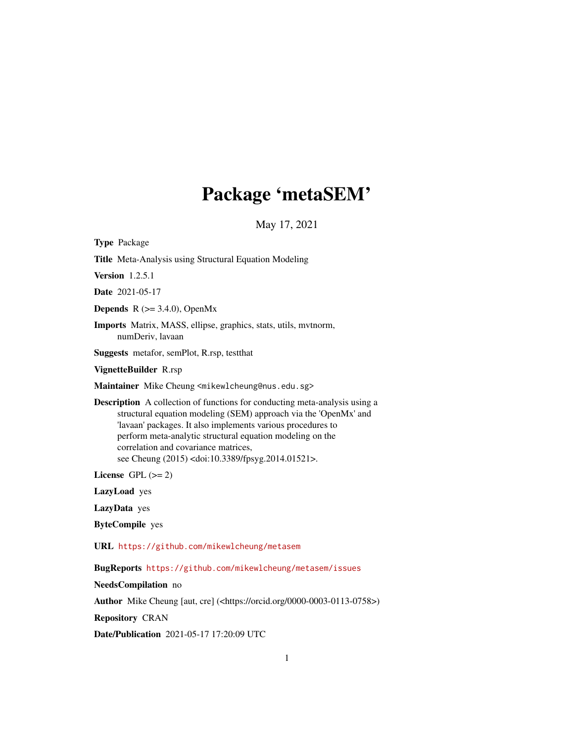# Package 'metaSEM'

May 17, 2021

<span id="page-0-0"></span>Type Package

Title Meta-Analysis using Structural Equation Modeling

Version 1.2.5.1

Date 2021-05-17

**Depends** R  $(>= 3.4.0)$ , OpenMx

Imports Matrix, MASS, ellipse, graphics, stats, utils, mvtnorm, numDeriv, lavaan

Suggests metafor, semPlot, R.rsp, testthat

VignetteBuilder R.rsp

Maintainer Mike Cheung <mikewlcheung@nus.edu.sg>

Description A collection of functions for conducting meta-analysis using a structural equation modeling (SEM) approach via the 'OpenMx' and 'lavaan' packages. It also implements various procedures to perform meta-analytic structural equation modeling on the correlation and covariance matrices, see Cheung (2015) <doi:10.3389/fpsyg.2014.01521>.

License GPL  $(>= 2)$ 

LazyLoad yes

LazyData yes

ByteCompile yes

URL <https://github.com/mikewlcheung/metasem>

BugReports <https://github.com/mikewlcheung/metasem/issues>

NeedsCompilation no

Author Mike Cheung [aut, cre] (<https://orcid.org/0000-0003-0113-0758>)

Repository CRAN

Date/Publication 2021-05-17 17:20:09 UTC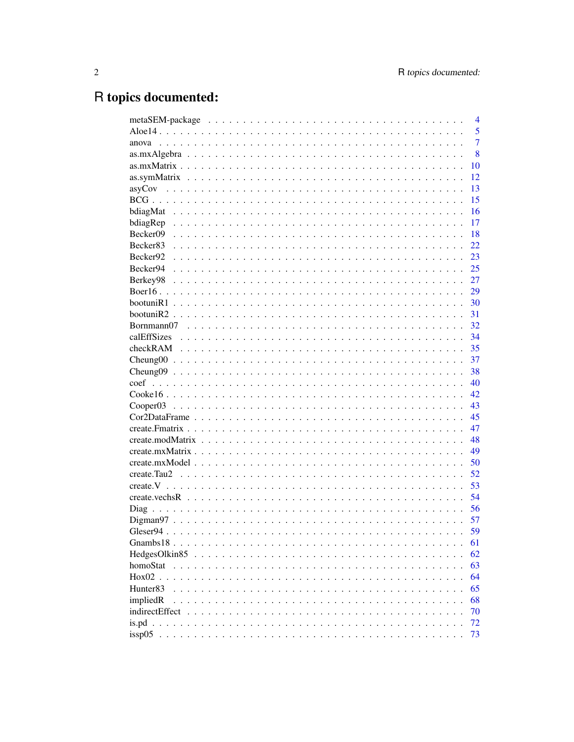# R topics documented:

|                                             | $\overline{4}$ |
|---------------------------------------------|----------------|
|                                             | 5              |
| anova                                       | $\overline{7}$ |
|                                             | 8              |
|                                             | 10             |
|                                             | 12             |
|                                             | 13             |
|                                             | 15             |
|                                             | 16             |
|                                             | 17             |
| Becker09                                    | 18             |
| Becker <sub>83</sub>                        | 22             |
| Becker92                                    | 23             |
| Becker94                                    | 25             |
| Berkey98                                    | 27             |
|                                             | 29             |
|                                             | 30             |
|                                             | 31             |
|                                             | 32             |
|                                             | 34             |
|                                             | 35             |
|                                             | 37             |
|                                             | 38             |
|                                             | 40             |
|                                             | 42.            |
|                                             | 43             |
|                                             | 45             |
|                                             | 47             |
|                                             | 48             |
|                                             | 49             |
|                                             | 50             |
|                                             | 52             |
|                                             |                |
|                                             | 53             |
|                                             | 54             |
|                                             | 56             |
|                                             | 57             |
|                                             | 59             |
|                                             | 61             |
| HedgesOlkin85.<br>.<br>$\ddot{\phantom{a}}$ | 62             |
| homoStat                                    | 63             |
| $Hox02$ .                                   | 64             |
| Hunter <sup>83</sup>                        | 65             |
| impliedR                                    | 68             |
| indirectEffect                              | 70             |
|                                             | 72             |
|                                             | 73             |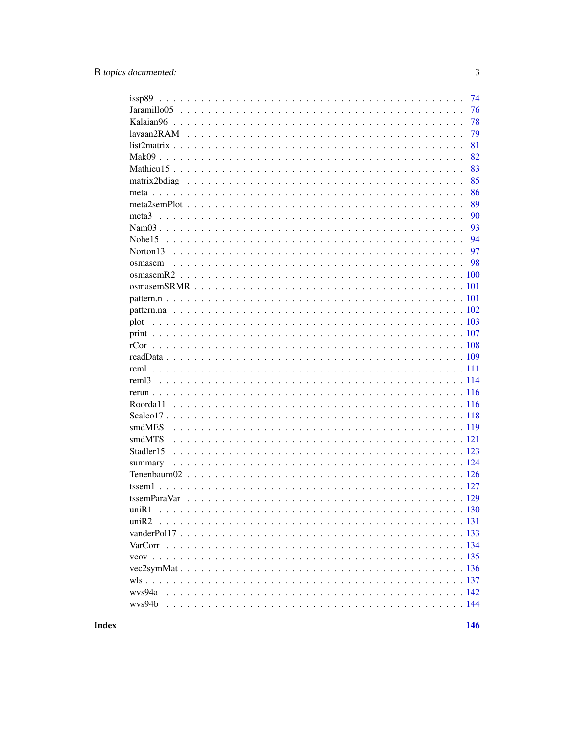|                   | 74  |
|-------------------|-----|
|                   | 76  |
|                   | 78  |
|                   | 79  |
|                   | 81  |
|                   | 82  |
|                   | 83  |
|                   | 85  |
|                   | 86  |
|                   | 89  |
|                   | 90  |
|                   | 93  |
|                   | 94  |
|                   | 97  |
|                   | 98  |
|                   |     |
|                   |     |
|                   |     |
|                   |     |
| plot              |     |
|                   |     |
|                   |     |
|                   |     |
| reml              |     |
| rem <sub>13</sub> |     |
|                   |     |
|                   |     |
|                   |     |
| smdMES            |     |
| smdMTS            |     |
| Stadler15         |     |
| summary           |     |
|                   |     |
|                   |     |
| tssemParaVar      |     |
| uniR1             |     |
|                   |     |
|                   |     |
|                   |     |
|                   |     |
|                   |     |
|                   |     |
|                   | 142 |
| wys94b            |     |
|                   |     |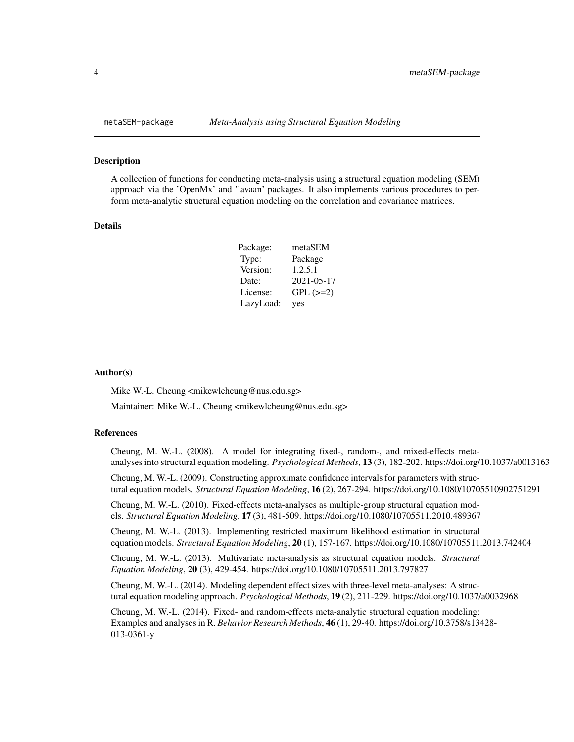#### Description

A collection of functions for conducting meta-analysis using a structural equation modeling (SEM) approach via the 'OpenMx' and 'lavaan' packages. It also implements various procedures to perform meta-analytic structural equation modeling on the correlation and covariance matrices.

# Details

| Package:  | metaSEM       |
|-----------|---------------|
| Type:     | Package       |
| Version:  | 1.2.5.1       |
| Date:     | 2021-05-17    |
| License:  | $GPL$ $(>=2)$ |
| LazyLoad: | yes           |

#### Author(s)

Mike W.-L. Cheung <mikewlcheung@nus.edu.sg>

Maintainer: Mike W.-L. Cheung <mikewlcheung@nus.edu.sg>

#### References

Cheung, M. W.-L. (2008). A model for integrating fixed-, random-, and mixed-effects metaanalyses into structural equation modeling. *Psychological Methods*, 13 (3), 182-202. https://doi.org/10.1037/a0013163

Cheung, M. W.-L. (2009). Constructing approximate confidence intervals for parameters with structural equation models. *Structural Equation Modeling*, 16 (2), 267-294. https://doi.org/10.1080/10705510902751291

Cheung, M. W.-L. (2010). Fixed-effects meta-analyses as multiple-group structural equation models. *Structural Equation Modeling*, 17 (3), 481-509. https://doi.org/10.1080/10705511.2010.489367

Cheung, M. W.-L. (2013). Implementing restricted maximum likelihood estimation in structural equation models. *Structural Equation Modeling*, 20 (1), 157-167. https://doi.org/10.1080/10705511.2013.742404

Cheung, M. W.-L. (2013). Multivariate meta-analysis as structural equation models. *Structural Equation Modeling*, 20 (3), 429-454. https://doi.org/10.1080/10705511.2013.797827

Cheung, M. W.-L. (2014). Modeling dependent effect sizes with three-level meta-analyses: A structural equation modeling approach. *Psychological Methods*, 19 (2), 211-229. https://doi.org/10.1037/a0032968

Cheung, M. W.-L. (2014). Fixed- and random-effects meta-analytic structural equation modeling: Examples and analyses in R. *Behavior Research Methods*, 46 (1), 29-40. https://doi.org/10.3758/s13428- 013-0361-y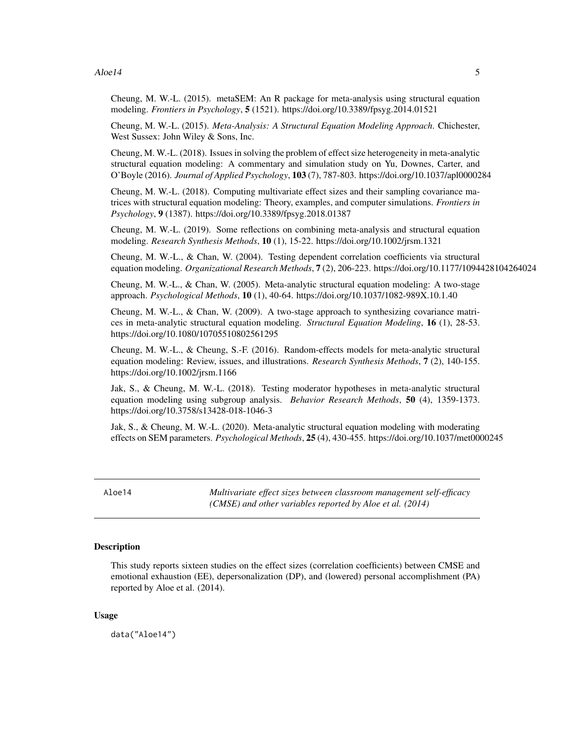#### <span id="page-4-0"></span> $A$ loe14 5

Cheung, M. W.-L. (2015). metaSEM: An R package for meta-analysis using structural equation modeling. *Frontiers in Psychology*, 5 (1521). https://doi.org/10.3389/fpsyg.2014.01521

Cheung, M. W.-L. (2015). *Meta-Analysis: A Structural Equation Modeling Approach*. Chichester, West Sussex: John Wiley & Sons, Inc.

Cheung, M. W.-L. (2018). Issues in solving the problem of effect size heterogeneity in meta-analytic structural equation modeling: A commentary and simulation study on Yu, Downes, Carter, and O'Boyle (2016). *Journal of Applied Psychology*, 103 (7), 787-803. https://doi.org/10.1037/apl0000284

Cheung, M. W.-L. (2018). Computing multivariate effect sizes and their sampling covariance matrices with structural equation modeling: Theory, examples, and computer simulations. *Frontiers in Psychology*, 9 (1387). https://doi.org/10.3389/fpsyg.2018.01387

Cheung, M. W.-L. (2019). Some reflections on combining meta-analysis and structural equation modeling. *Research Synthesis Methods*, 10 (1), 15-22. https://doi.org/10.1002/jrsm.1321

Cheung, M. W.-L., & Chan, W. (2004). Testing dependent correlation coefficients via structural equation modeling. *Organizational Research Methods*, 7 (2), 206-223. https://doi.org/10.1177/1094428104264024

Cheung, M. W.-L., & Chan, W. (2005). Meta-analytic structural equation modeling: A two-stage approach. *Psychological Methods*, 10 (1), 40-64. https://doi.org/10.1037/1082-989X.10.1.40

Cheung, M. W.-L., & Chan, W. (2009). A two-stage approach to synthesizing covariance matrices in meta-analytic structural equation modeling. *Structural Equation Modeling*, 16 (1), 28-53. https://doi.org/10.1080/10705510802561295

Cheung, M. W.-L., & Cheung, S.-F. (2016). Random-effects models for meta-analytic structural equation modeling: Review, issues, and illustrations. *Research Synthesis Methods*, 7 (2), 140-155. https://doi.org/10.1002/jrsm.1166

Jak, S., & Cheung, M. W.-L. (2018). Testing moderator hypotheses in meta-analytic structural equation modeling using subgroup analysis. *Behavior Research Methods*, 50 (4), 1359-1373. https://doi.org/10.3758/s13428-018-1046-3

Jak, S., & Cheung, M. W.-L. (2020). Meta-analytic structural equation modeling with moderating effects on SEM parameters. *Psychological Methods*, 25 (4), 430-455. https://doi.org/10.1037/met0000245

Aloe14 *Multivariate effect sizes between classroom management self-efficacy (CMSE) and other variables reported by Aloe et al. (2014)*

#### Description

This study reports sixteen studies on the effect sizes (correlation coefficients) between CMSE and emotional exhaustion (EE), depersonalization (DP), and (lowered) personal accomplishment (PA) reported by Aloe et al. (2014).

#### Usage

data("Aloe14")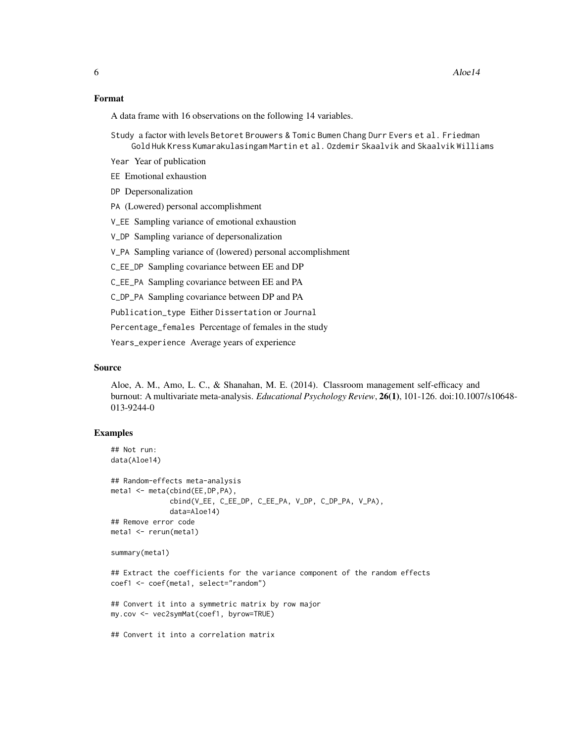#### Format

A data frame with 16 observations on the following 14 variables.

Study a factor with levels Betoret Brouwers & Tomic Bumen Chang Durr Evers et al. Friedman Gold Huk Kress Kumarakulasingam Martin et al. Ozdemir Skaalvik and Skaalvik Williams

Year Year of publication

EE Emotional exhaustion

DP Depersonalization

PA (Lowered) personal accomplishment

V\_EE Sampling variance of emotional exhaustion

V\_DP Sampling variance of depersonalization

V\_PA Sampling variance of (lowered) personal accomplishment

C\_EE\_DP Sampling covariance between EE and DP

C\_EE\_PA Sampling covariance between EE and PA

C\_DP\_PA Sampling covariance between DP and PA

Publication\_type Either Dissertation or Journal

Percentage\_females Percentage of females in the study

Years\_experience Average years of experience

## Source

Aloe, A. M., Amo, L. C., & Shanahan, M. E. (2014). Classroom management self-efficacy and burnout: A multivariate meta-analysis. *Educational Psychology Review*, 26(1), 101-126. doi:10.1007/s10648- 013-9244-0

#### Examples

```
## Not run:
data(Aloe14)
```

```
## Random-effects meta-analysis
meta1 <- meta(cbind(EE,DP,PA),
              cbind(V_EE, C_EE_DP, C_EE_PA, V_DP, C_DP_PA, V_PA),
              data=Aloe14)
## Remove error code
meta1 <- rerun(meta1)
```

```
summary(meta1)
```

```
## Extract the coefficients for the variance component of the random effects
coef1 <- coef(meta1, select="random")
```

```
## Convert it into a symmetric matrix by row major
my.cov <- vec2symMat(coef1, byrow=TRUE)
```
## Convert it into a correlation matrix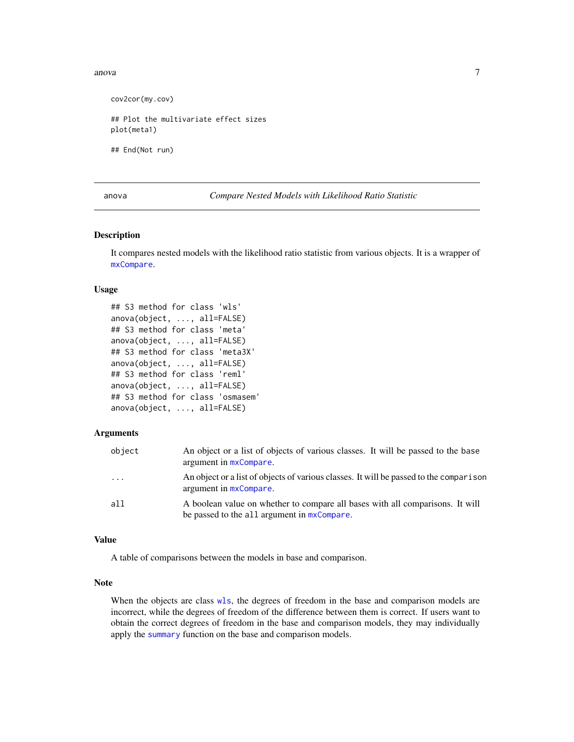#### <span id="page-6-0"></span>anova anova anova anova anova anova anova anova anova anova anova anova anova anova anova anova anova anova an

cov2cor(my.cov) ## Plot the multivariate effect sizes plot(meta1) ## End(Not run)

anova *Compare Nested Models with Likelihood Ratio Statistic*

#### Description

It compares nested models with the likelihood ratio statistic from various objects. It is a wrapper of [mxCompare](#page-0-0).

### Usage

```
## S3 method for class 'wls'
anova(object, ..., all=FALSE)
## S3 method for class 'meta'
anova(object, ..., all=FALSE)
## S3 method for class 'meta3X'
anova(object, ..., all=FALSE)
## S3 method for class 'reml'
anova(object, ..., all=FALSE)
## S3 method for class 'osmasem'
anova(object, ..., all=FALSE)
```
# Arguments

| object  | An object or a list of objects of various classes. It will be passed to the base<br>argument in $mxCompare$ .                   |
|---------|---------------------------------------------------------------------------------------------------------------------------------|
| $\cdot$ | An object or a list of objects of various classes. It will be passed to the comparison<br>argument in $mx$ Compare.             |
| a11     | A boolean value on whether to compare all bases with all comparisons. It will<br>be passed to the all argument in $mxCompare$ . |

# Value

A table of comparisons between the models in base and comparison.

#### Note

When the objects are class [wls](#page-136-1), the degrees of freedom in the base and comparison models are incorrect, while the degrees of freedom of the difference between them is correct. If users want to obtain the correct degrees of freedom in the base and comparison models, they may individually apply the [summary](#page-123-1) function on the base and comparison models.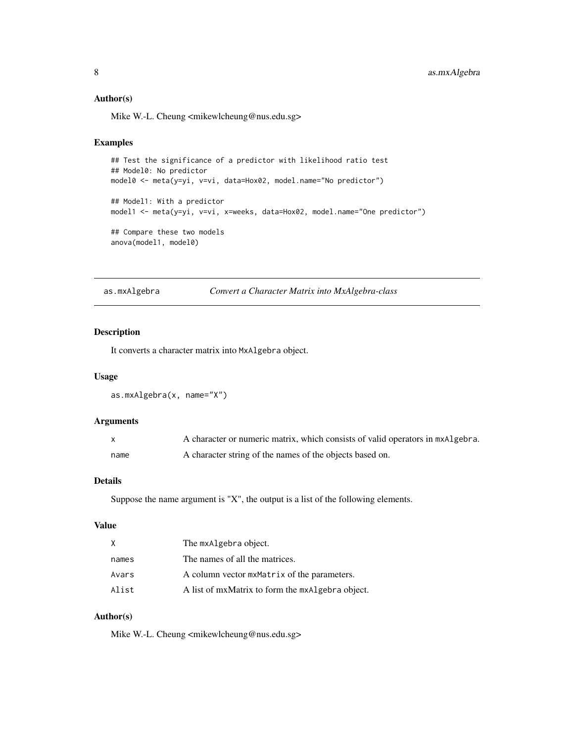#### <span id="page-7-0"></span>Author(s)

Mike W.-L. Cheung <mikewlcheung@nus.edu.sg>

#### Examples

```
## Test the significance of a predictor with likelihood ratio test
## Model0: No predictor
model0 <- meta(y=yi, v=vi, data=Hox02, model.name="No predictor")
## Model1: With a predictor
model1 <- meta(y=yi, v=vi, x=weeks, data=Hox02, model.name="One predictor")
## Compare these two models
anova(model1, model0)
```
as.mxAlgebra *Convert a Character Matrix into MxAlgebra-class*

# Description

It converts a character matrix into MxAlgebra object.

### Usage

```
as.mxAlgebra(x, name="X")
```
### Arguments

|      | A character or numeric matrix, which consists of valid operators in mxAlgebra. |
|------|--------------------------------------------------------------------------------|
| name | A character string of the names of the objects based on.                       |

# Details

Suppose the name argument is "X", the output is a list of the following elements.

# Value

| X     | The mxAlgebra object.                            |
|-------|--------------------------------------------------|
| names | The names of all the matrices.                   |
| Avars | A column vector mxMatrix of the parameters.      |
| Alist | A list of mxMatrix to form the mxAlgebra object. |

# Author(s)

Mike W.-L. Cheung <mikewlcheung@nus.edu.sg>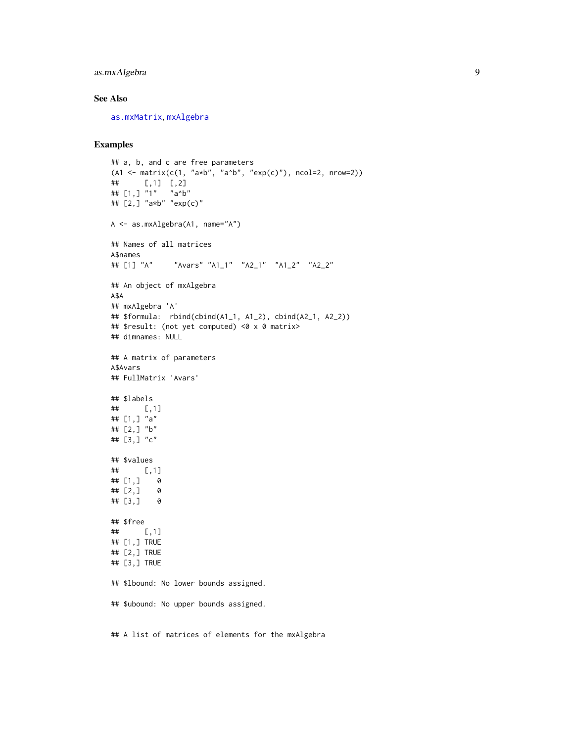# as.mxAlgebra 9

# See Also

[as.mxMatrix](#page-9-1), [mxAlgebra](#page-0-0)

# Examples

```
## a, b, and c are free parameters
(A1 \leq \text{matrix}(c(1, "a*b", "a^b", "exp(c)"), ncol=2, nrow=2))## [,1] [,2]
## [1,] "1" "a^b"
## [2,] "a*b" "exp(c)"
A <- as.mxAlgebra(A1, name="A")
## Names of all matrices
A$names
## [1] "A" "Avars" "A1_1" "A2_1" "A1_2" "A2_2"
## An object of mxAlgebra
A$A
## mxAlgebra 'A'
## $formula: rbind(cbind(A1_1, A1_2), cbind(A2_1, A2_2))
## $result: (not yet computed) <0 x 0 matrix>
## dimnames: NULL
## A matrix of parameters
A$Avars
## FullMatrix 'Avars'
## $labels
## [,1]
## [1,] "a"
## [2,] "b"
## [3,] "c"
## $values
## [,1]
## [1,] 0
## [2,] 0
## [3,] 0
## $free
## [,1]
## [1,] TRUE
## [2,] TRUE
## [3,] TRUE
## $lbound: No lower bounds assigned.
## $ubound: No upper bounds assigned.
```
## A list of matrices of elements for the mxAlgebra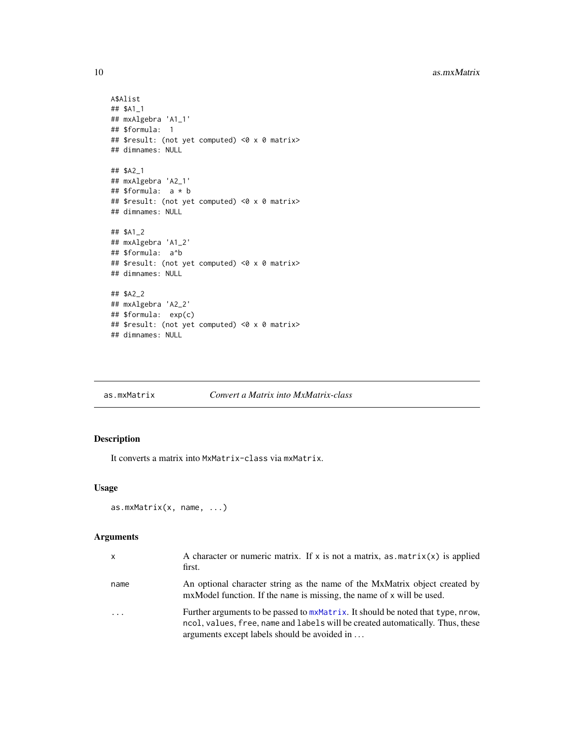```
A$Alist
## $A1_1
## mxAlgebra 'A1_1'
## $formula: 1
## $result: (not yet computed) <0 x 0 matrix>
## dimnames: NULL
## $A2_1
## mxAlgebra 'A2_1'
## $formula: a * b
## $result: (not yet computed) <0 x 0 matrix>
## dimnames: NULL
## $A1_2
## mxAlgebra 'A1_2'
## $formula: a^b
## $result: (not yet computed) <0 x 0 matrix>
## dimnames: NULL
## $A2_2
## mxAlgebra 'A2_2'
## $formula: exp(c)
## $result: (not yet computed) <0 x 0 matrix>
## dimnames: NULL
```
<span id="page-9-1"></span>as.mxMatrix *Convert a Matrix into MxMatrix-class*

# Description

It converts a matrix into MxMatrix-class via mxMatrix.

#### Usage

```
as.mxMatrix(x, name, ...)
```
### Arguments

| x        | A character or numeric matrix. If x is not a matrix, as $\text{matrix}(x)$ is applied<br>first.                                                                                                                   |
|----------|-------------------------------------------------------------------------------------------------------------------------------------------------------------------------------------------------------------------|
| name     | An optional character string as the name of the MxMatrix object created by<br>mxModel function. If the name is missing, the name of x will be used.                                                               |
| $\ddots$ | Further arguments to be passed to mxMatrix. It should be noted that type, nrow,<br>ncol, values, free, name and labels will be created automatically. Thus, these<br>arguments except labels should be avoided in |

<span id="page-9-0"></span>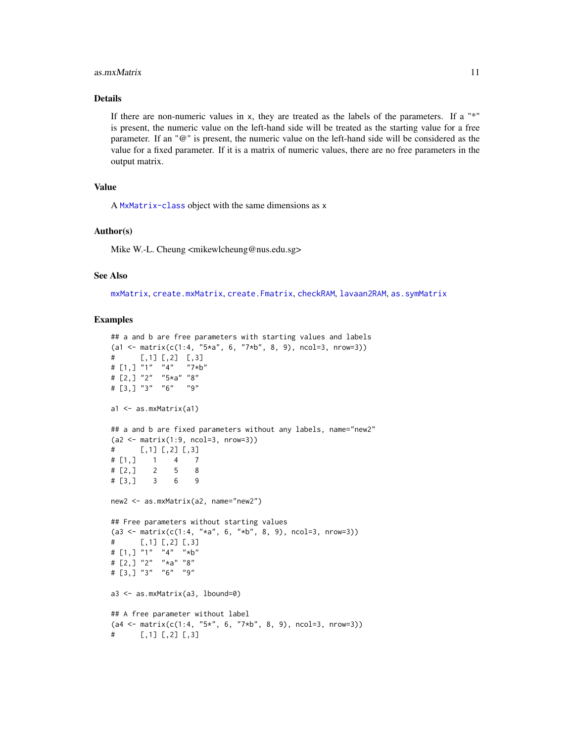#### as.mxMatrix 11

# Details

If there are non-numeric values in  $x$ , they are treated as the labels of the parameters. If a " $*$ " is present, the numeric value on the left-hand side will be treated as the starting value for a free parameter. If an "@" is present, the numeric value on the left-hand side will be considered as the value for a fixed parameter. If it is a matrix of numeric values, there are no free parameters in the output matrix.

## Value

A [MxMatrix-class](#page-0-0) object with the same dimensions as x

#### Author(s)

Mike W.-L. Cheung <mikewlcheung@nus.edu.sg>

#### See Also

[mxMatrix](#page-0-0), [create.mxMatrix](#page-48-1), [create.Fmatrix](#page-46-1), [checkRAM](#page-34-1), [lavaan2RAM](#page-78-1), [as.symMatrix](#page-11-1)

```
## a and b are free parameters with starting values and labels
(a1 <- matrix(c(1:4, "5*a", 6, "7*b", 8, 9), ncol=3, nrow=3))
# [,1] [,2] [,3]
# [1,] "1" "4" "7*b"
# [2,] "2" "5*a" "8"
# [3,] "3" "6" "9"
a1 <- as.mxMatrix(a1)
## a and b are fixed parameters without any labels, name="new2"
(a2 <- matrix(1:9, ncol=3, nrow=3))
\# [, 1] [, 2] [, 3]
# [1,] 1 4 7
\# [2, ] 2 5 8
# [3,] 3 6 9
new2 <- as.mxMatrix(a2, name="new2")
## Free parameters without starting values
(a3 \le matrix(c(1:4, "*a", 6, "*b", 8, 9), ncol=3, nrow=3))
# [,1] [,2] [,3]
# [1,] "1" "4" "*b"
# [2,] "2" "*a" "8"
# [3,] "3" "6" "9"
a3 <- as.mxMatrix(a3, lbound=0)
## A free parameter without label
(a4 \leq \text{matrix}(c(1:4, "5*", 6, "7*b", 8, 9), ncol=3, nrow=3))\sharp [,1] [,2] [,3]
```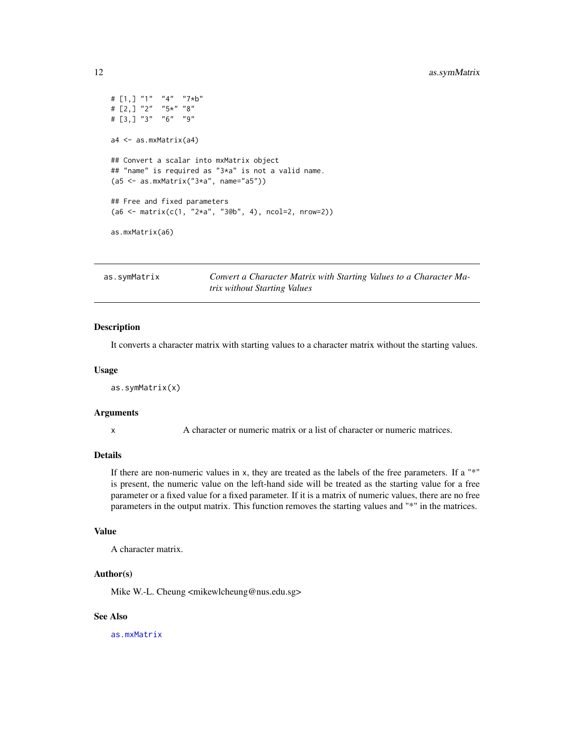# <span id="page-11-0"></span>12 **as.symMatrix**

```
# [1,] "1" "4" "7*b"
# [2,] "2" "5*" "8"
# [3,] "3" "6" "9"
a4 <- as.mxMatrix(a4)
## Convert a scalar into mxMatrix object
## "name" is required as "3*a" is not a valid name.
(a5 <- as.mxMatrix("3*a", name="a5"))
## Free and fixed parameters
(a6 \leq \text{matrix}(c(1, "2*a", "3@b", 4), ncol=2, nrow=2))as.mxMatrix(a6)
```
<span id="page-11-1"></span>as.symMatrix *Convert a Character Matrix with Starting Values to a Character Matrix without Starting Values*

# Description

It converts a character matrix with starting values to a character matrix without the starting values.

#### Usage

```
as.symMatrix(x)
```
#### Arguments

x A character or numeric matrix or a list of character or numeric matrices.

#### Details

If there are non-numeric values in x, they are treated as the labels of the free parameters. If a "\*" is present, the numeric value on the left-hand side will be treated as the starting value for a free parameter or a fixed value for a fixed parameter. If it is a matrix of numeric values, there are no free parameters in the output matrix. This function removes the starting values and "\*" in the matrices.

#### Value

A character matrix.

### Author(s)

Mike W.-L. Cheung <mikewlcheung@nus.edu.sg>

#### See Also

[as.mxMatrix](#page-9-1)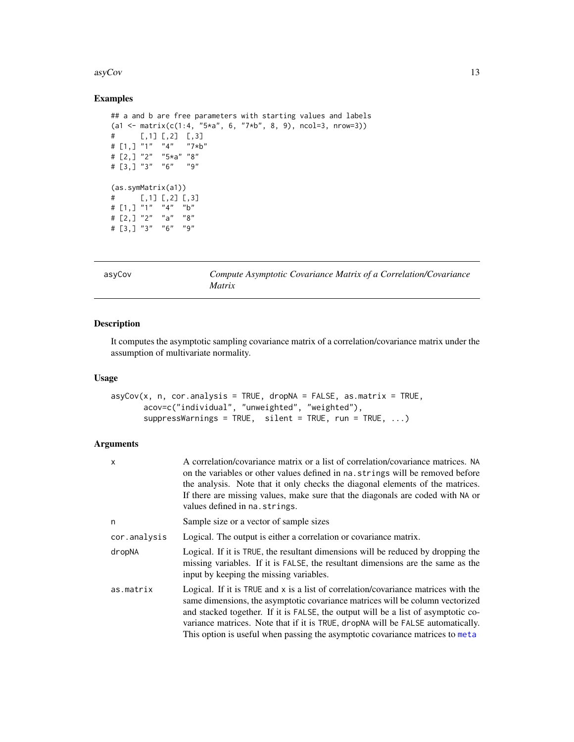#### <span id="page-12-0"></span> $\frac{asyCov}{13}$

# Examples

```
## a and b are free parameters with starting values and labels
(a1 \leq \text{matrix}(c(1:4, "5*a", 6, "7*b", 8, 9), ncol=3, nrow=3))# [,1] [,2] [,3]
# [1,] "1" "4" "7*b"
# [2,] "2" "5*a" "8"
# [3,] "3" "6" "9"
(as.symMatrix(a1))
\# [, 1] [, 2] [, 3]
# [1,] "1" "4" "b"
# [2,] "2" "a" "8"
# [3,] "3" "6" "9"
```

|--|

asyCov *Compute Asymptotic Covariance Matrix of a Correlation/Covariance Matrix*

# Description

It computes the asymptotic sampling covariance matrix of a correlation/covariance matrix under the assumption of multivariate normality.

#### Usage

```
asyCov(x, n, cor. analysis = TRUE, dropNA = FALSE, as. matrix = TRUE,acov=c("individual", "unweighted", "weighted"),
       suppressWarnings = TRUE, silent = TRUE, run = TRUE, ...)
```
# Arguments

| x            | A correlation/covariance matrix or a list of correlation/covariance matrices. NA<br>on the variables or other values defined in na. strings will be removed before<br>the analysis. Note that it only checks the diagonal elements of the matrices.<br>If there are missing values, make sure that the diagonals are coded with NA or<br>values defined in na. strings.                                                      |
|--------------|------------------------------------------------------------------------------------------------------------------------------------------------------------------------------------------------------------------------------------------------------------------------------------------------------------------------------------------------------------------------------------------------------------------------------|
| n            | Sample size or a vector of sample sizes                                                                                                                                                                                                                                                                                                                                                                                      |
| cor.analysis | Logical. The output is either a correlation or covariance matrix.                                                                                                                                                                                                                                                                                                                                                            |
| dropNA       | Logical. If it is TRUE, the resultant dimensions will be reduced by dropping the<br>missing variables. If it is FALSE, the resultant dimensions are the same as the<br>input by keeping the missing variables.                                                                                                                                                                                                               |
| as.matrix    | Logical. If it is TRUE and x is a list of correlation/covariance matrices with the<br>same dimensions, the asymptotic covariance matrices will be column vectorized<br>and stacked together. If it is FALSE, the output will be a list of asymptotic co-<br>variance matrices. Note that if it is TRUE, dropNA will be FALSE automatically.<br>This option is useful when passing the asymptotic covariance matrices to meta |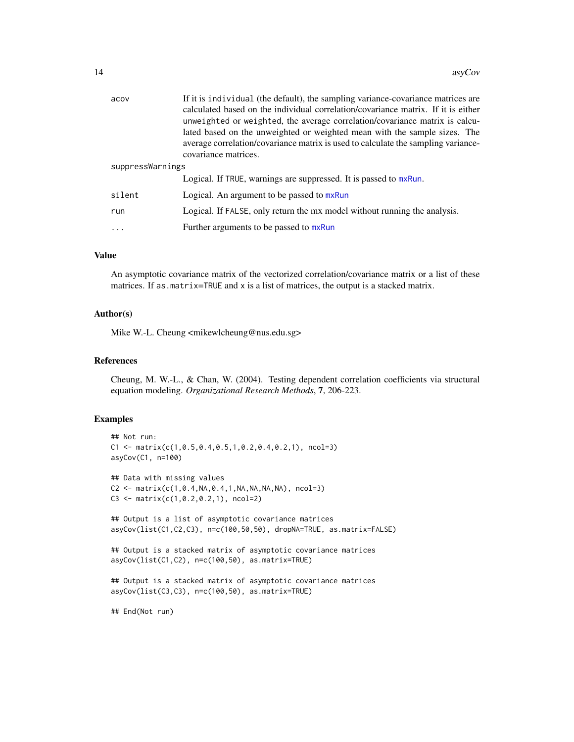| acov             | If it is individual (the default), the sampling variance-covariance matrices are<br>calculated based on the individual correlation/covariance matrix. If it is either<br>unweighted or weighted, the average correlation/covariance matrix is calcu-<br>lated based on the unweighted or weighted mean with the sample sizes. The<br>average correlation/covariance matrix is used to calculate the sampling variance-<br>covariance matrices. |
|------------------|------------------------------------------------------------------------------------------------------------------------------------------------------------------------------------------------------------------------------------------------------------------------------------------------------------------------------------------------------------------------------------------------------------------------------------------------|
| suppressWarnings |                                                                                                                                                                                                                                                                                                                                                                                                                                                |
|                  | Logical. If TRUE, warnings are suppressed. It is passed to mxRun.                                                                                                                                                                                                                                                                                                                                                                              |
| silent           | Logical. An argument to be passed to mxRun                                                                                                                                                                                                                                                                                                                                                                                                     |
| run              | Logical. If FALSE, only return the mx model without running the analysis.                                                                                                                                                                                                                                                                                                                                                                      |
| $\cdots$         | Further arguments to be passed to mxRun                                                                                                                                                                                                                                                                                                                                                                                                        |

# Value

An asymptotic covariance matrix of the vectorized correlation/covariance matrix or a list of these matrices. If as.matrix=TRUE and x is a list of matrices, the output is a stacked matrix.

#### Author(s)

Mike W.-L. Cheung <mikewlcheung@nus.edu.sg>

# References

Cheung, M. W.-L., & Chan, W. (2004). Testing dependent correlation coefficients via structural equation modeling. *Organizational Research Methods*, 7, 206-223.

# Examples

```
## Not run:
C1 \leq - matrix(c(1,0.5,0.4,0.5,1,0.2,0.4,0.2,1), ncol=3)
asyCov(C1, n=100)
## Data with missing values
C2 \leq - matrix(c(1,0.4,NA,0.4,1,NA,NA,NA,NA), ncol=3)
C3 \le matrix(c(1, 0.2, 0.2, 1), ncol=2)
## Output is a list of asymptotic covariance matrices
asyCov(list(C1,C2,C3), n=c(100,50,50), dropNA=TRUE, as.matrix=FALSE)
## Output is a stacked matrix of asymptotic covariance matrices
asyCov(list(C1,C2), n=c(100,50), as.matrix=TRUE)
## Output is a stacked matrix of asymptotic covariance matrices
asyCov(list(C3,C3), n=c(100,50), as.matrix=TRUE)
```
## End(Not run)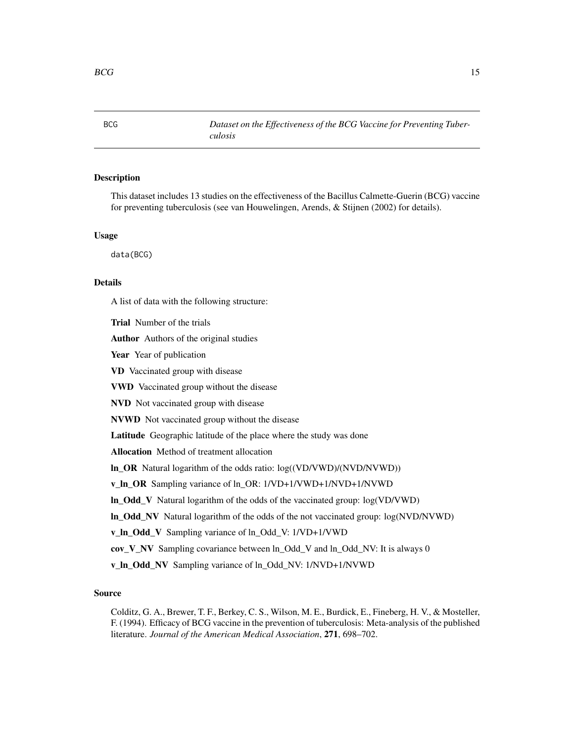<span id="page-14-0"></span>

# **Description**

This dataset includes 13 studies on the effectiveness of the Bacillus Calmette-Guerin (BCG) vaccine for preventing tuberculosis (see van Houwelingen, Arends, & Stijnen (2002) for details).

#### Usage

data(BCG)

# Details

A list of data with the following structure:

Trial Number of the trials

Author Authors of the original studies

Year Year of publication

VD Vaccinated group with disease

VWD Vaccinated group without the disease

NVD Not vaccinated group with disease

NVWD Not vaccinated group without the disease

Latitude Geographic latitude of the place where the study was done

Allocation Method of treatment allocation

ln\_OR Natural logarithm of the odds ratio: log((VD/VWD)/(NVD/NVWD))

v\_ln\_OR Sampling variance of ln\_OR: 1/VD+1/VWD+1/NVD+1/NVWD

ln\_Odd\_V Natural logarithm of the odds of the vaccinated group: log(VD/VWD)

ln\_Odd\_NV Natural logarithm of the odds of the not vaccinated group: log(NVD/NVWD)

v\_ln\_Odd\_V Sampling variance of ln\_Odd\_V: 1/VD+1/VWD

cov\_V\_NV Sampling covariance between ln\_Odd\_V and ln\_Odd\_NV: It is always 0

v\_ln\_Odd\_NV Sampling variance of ln\_Odd\_NV: 1/NVD+1/NVWD

# Source

Colditz, G. A., Brewer, T. F., Berkey, C. S., Wilson, M. E., Burdick, E., Fineberg, H. V., & Mosteller, F. (1994). Efficacy of BCG vaccine in the prevention of tuberculosis: Meta-analysis of the published literature. *Journal of the American Medical Association*, 271, 698–702.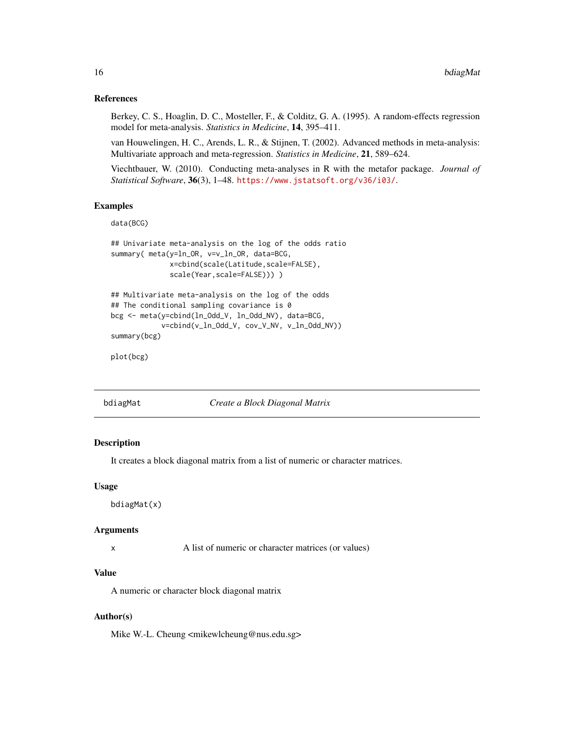## <span id="page-15-0"></span>References

Berkey, C. S., Hoaglin, D. C., Mosteller, F., & Colditz, G. A. (1995). A random-effects regression model for meta-analysis. *Statistics in Medicine*, 14, 395–411.

van Houwelingen, H. C., Arends, L. R., & Stijnen, T. (2002). Advanced methods in meta-analysis: Multivariate approach and meta-regression. *Statistics in Medicine*, 21, 589–624.

Viechtbauer, W. (2010). Conducting meta-analyses in R with the metafor package. *Journal of Statistical Software*, 36(3), 1–48. <https://www.jstatsoft.org/v36/i03/>.

# Examples

```
data(BCG)
```

```
## Univariate meta-analysis on the log of the odds ratio
summary( meta(y=ln_OR, v=v_ln_OR, data=BCG,
             x=cbind(scale(Latitude,scale=FALSE),
              scale(Year,scale=FALSE)))))
## Multivariate meta-analysis on the log of the odds
## The conditional sampling covariance is 0
bcg <- meta(y=cbind(ln_Odd_V, ln_Odd_NV), data=BCG,
            v=cbind(v_ln_Odd_V, cov_V_NV, v_ln_Odd_NV))
```
plot(bcg)

summary(bcg)

<span id="page-15-1"></span>bdiagMat *Create a Block Diagonal Matrix*

# Description

It creates a block diagonal matrix from a list of numeric or character matrices.

#### Usage

bdiagMat(x)

#### Arguments

x A list of numeric or character matrices (or values)

#### Value

A numeric or character block diagonal matrix

#### Author(s)

Mike W.-L. Cheung <mikewlcheung@nus.edu.sg>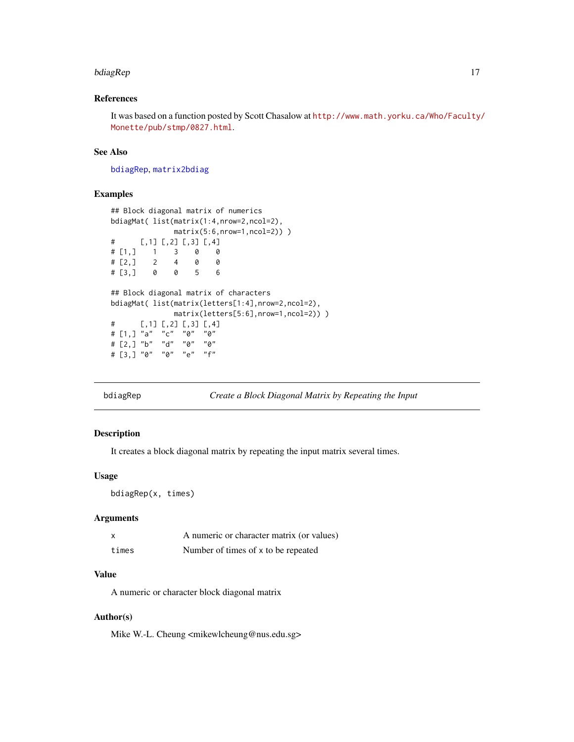#### <span id="page-16-0"></span>bdiagRep 17

# References

It was based on a function posted by Scott Chasalow at [http://www.math.yorku.ca/Who/Faculty/](http://www.math.yorku.ca/Who/Faculty/Monette/pub/stmp/0827.html) [Monette/pub/stmp/0827.html](http://www.math.yorku.ca/Who/Faculty/Monette/pub/stmp/0827.html).

# See Also

[bdiagRep](#page-16-1), [matrix2bdiag](#page-84-1)

#### Examples

```
## Block diagonal matrix of numerics
bdiagMat( list(matrix(1:4,nrow=2,ncol=2),
             matrix(5:6,nrow=1,ncol=2)) )
# [,1] [,2] [,3] [,4]
# [1,] 1 3 0 0
# [2,] 2 4 0 0
# [3,] 0 0 5 6
## Block diagonal matrix of characters
bdiagMat( list(matrix(letters[1:4],nrow=2,ncol=2),
             matrix(letters[5:6],nrow=1,ncol=2)) )
# [,1] [,2] [,3] [,4]
# [1,] "a" "c" "0" "0"
# [2,] "b" "d" "0" "0"
# [3,] "0" "0" "e" "f"
```
<span id="page-16-1"></span>bdiagRep *Create a Block Diagonal Matrix by Repeating the Input*

# Description

It creates a block diagonal matrix by repeating the input matrix several times.

# Usage

bdiagRep(x, times)

## Arguments

| x     | A numeric or character matrix (or values) |
|-------|-------------------------------------------|
| times | Number of times of x to be repeated       |

# Value

A numeric or character block diagonal matrix

# Author(s)

Mike W.-L. Cheung <mikewlcheung@nus.edu.sg>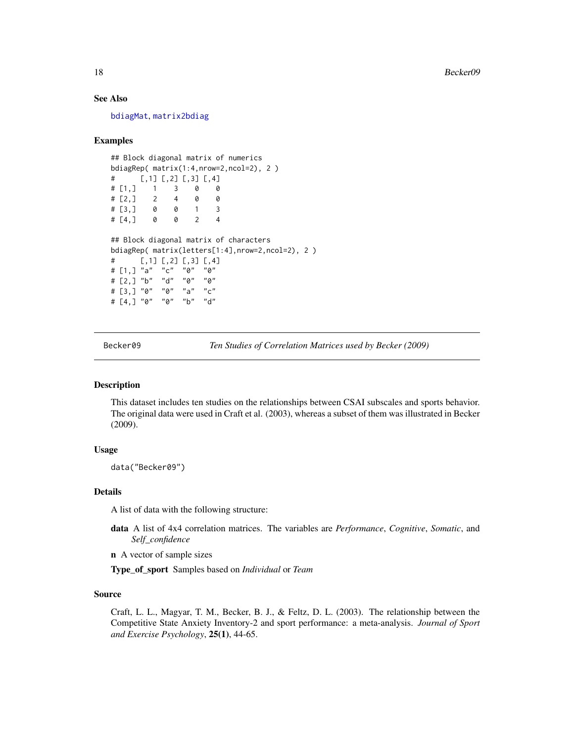## See Also

[bdiagMat](#page-15-1), [matrix2bdiag](#page-84-1)

#### Examples

```
## Block diagonal matrix of numerics
bdiagRep( matrix(1:4,nrow=2,ncol=2), 2 )
# [,1] [,2] [,3] [,4]
# [1,] 1 3 0 0
# [2,] 2 4 0 0
# [3,] 0 0 1 3
# [4,] 0 0 2 4
## Block diagonal matrix of characters
bdiagRep( matrix(letters[1:4],nrow=2,ncol=2), 2 )
# [,1] [,2] [,3] [,4]
# [1,] "a" "c" "0" "0"
# [2,] "b" "d" "0" "0"
# [3,] "0" "0" "a" "c"
# [4,] "0" "0" "b" "d"
```
Becker09 *Ten Studies of Correlation Matrices used by Becker (2009)*

# Description

This dataset includes ten studies on the relationships between CSAI subscales and sports behavior. The original data were used in Craft et al. (2003), whereas a subset of them was illustrated in Becker (2009).

# Usage

data("Becker09")

#### Details

A list of data with the following structure:

- data A list of 4x4 correlation matrices. The variables are *Performance*, *Cognitive*, *Somatic*, and *Self\_confidence*
- n A vector of sample sizes

Type\_of\_sport Samples based on *Individual* or *Team*

#### Source

Craft, L. L., Magyar, T. M., Becker, B. J., & Feltz, D. L. (2003). The relationship between the Competitive State Anxiety Inventory-2 and sport performance: a meta-analysis. *Journal of Sport and Exercise Psychology*, 25(1), 44-65.

<span id="page-17-0"></span>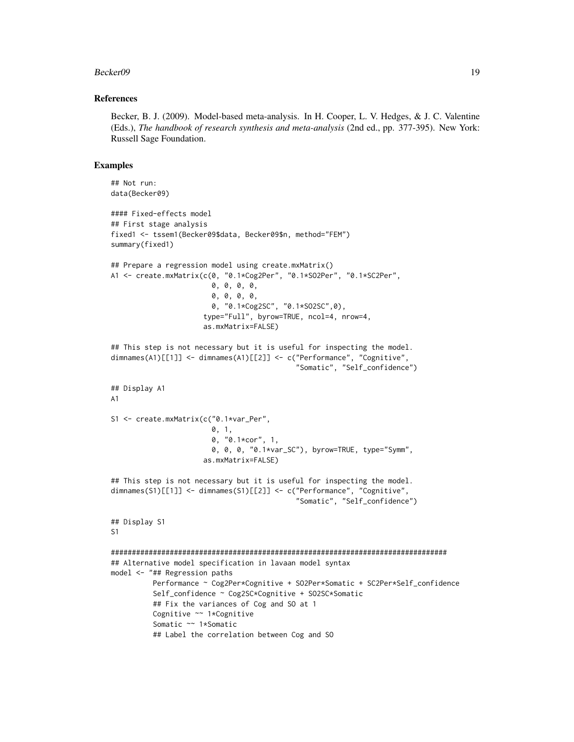#### Becker09 19

#### References

Becker, B. J. (2009). Model-based meta-analysis. In H. Cooper, L. V. Hedges, & J. C. Valentine (Eds.), *The handbook of research synthesis and meta-analysis* (2nd ed., pp. 377-395). New York: Russell Sage Foundation.

```
## Not run:
data(Becker09)
#### Fixed-effects model
## First stage analysis
fixed1 <- tssem1(Becker09$data, Becker09$n, method="FEM")
summary(fixed1)
## Prepare a regression model using create.mxMatrix()
A1 <- create.mxMatrix(c(0, "0.1*Cog2Per", "0.1*SO2Per", "0.1*SC2Per",
                        0, 0, 0, 0,
                        0, 0, 0, 0,
                        0, "0.1*Cog2SC", "0.1*SO2SC",0),
                      type="Full", byrow=TRUE, ncol=4, nrow=4,
                      as.mxMatrix=FALSE)
## This step is not necessary but it is useful for inspecting the model.
dimnames(A1)[[1]] <- dimnames(A1)[[2]] <- c("Performance", "Cognitive",
                                            "Somatic", "Self_confidence")
## Display A1
A1
S1 <- create.mxMatrix(c("0.1*var_Per",
                        0, 1,
                        0, "0.1*cor", 1,
                        0, 0, 0, "0.1*var_SC"), byrow=TRUE, type="Symm",
                      as.mxMatrix=FALSE)
## This step is not necessary but it is useful for inspecting the model.
dimnames(S1)[[1]] <- dimnames(S1)[[2]] <- c("Performance", "Cognitive",
                                             "Somatic", "Self_confidence")
## Display S1
S1
################################################################################
## Alternative model specification in lavaan model syntax
model <- "## Regression paths
          Performance ~ Cog2Per*Cognitive + SO2Per*Somatic + SC2Per*Self_confidence
          Self_confidence ~ Cog2SC*Cognitive + SO2SC*Somatic
          ## Fix the variances of Cog and SO at 1
          Cognitive ~~ 1*Cognitive
          Somatic ~~ 1*Somatic
          ## Label the correlation between Cog and SO
```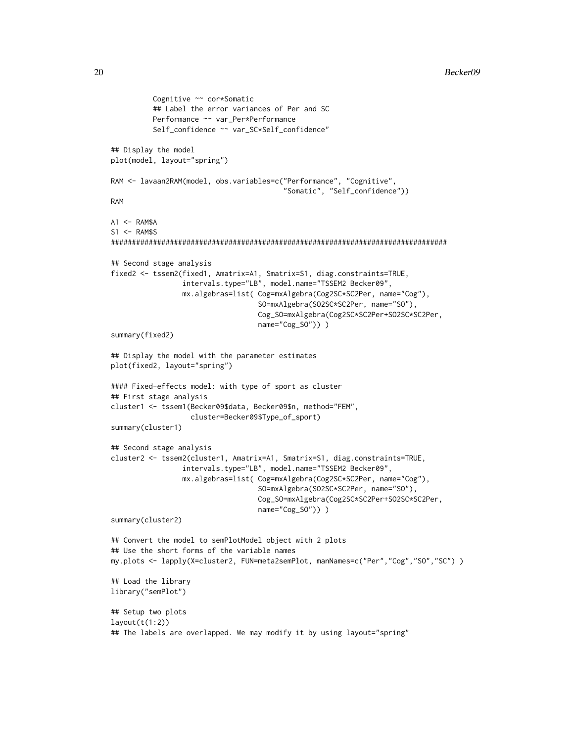```
Cognitive ~~ cor*Somatic
          ## Label the error variances of Per and SC
          Performance ~~ var_Per*Performance
          Self_confidence ~~ var_SC*Self_confidence"
## Display the model
plot(model, layout="spring")
RAM <- lavaan2RAM(model, obs.variables=c("Performance", "Cognitive",
                                         "Somatic", "Self_confidence"))
RAM
A1 < - RAM$A
S1 <- RAM$S
################################################################################
## Second stage analysis
fixed2 <- tssem2(fixed1, Amatrix=A1, Smatrix=S1, diag.constraints=TRUE,
                 intervals.type="LB", model.name="TSSEM2 Becker09",
                 mx.algebras=list( Cog=mxAlgebra(Cog2SC*SC2Per, name="Cog"),
                                   SO=mxAlgebra(SO2SC*SC2Per, name="SO"),
                                   Cog_SO=mxAlgebra(Cog2SC*SC2Per+SO2SC*SC2Per,
                                   name="Cog_SO")) )
summary(fixed2)
## Display the model with the parameter estimates
plot(fixed2, layout="spring")
#### Fixed-effects model: with type of sport as cluster
## First stage analysis
cluster1 <- tssem1(Becker09$data, Becker09$n, method="FEM",
                   cluster=Becker09$Type_of_sport)
summary(cluster1)
## Second stage analysis
cluster2 <- tssem2(cluster1, Amatrix=A1, Smatrix=S1, diag.constraints=TRUE,
                 intervals.type="LB", model.name="TSSEM2 Becker09",
                 mx.algebras=list( Cog=mxAlgebra(Cog2SC*SC2Per, name="Cog"),
                                   SO=mxAlgebra(SO2SC*SC2Per, name="SO"),
                                   Cog_SO=mxAlgebra(Cog2SC*SC2Per+SO2SC*SC2Per,
                                   name="Cog_SO")) )
summary(cluster2)
## Convert the model to semPlotModel object with 2 plots
## Use the short forms of the variable names
my.plots <- lapply(X=cluster2, FUN=meta2semPlot, manNames=c("Per","Cog","SO","SC") )
## Load the library
library("semPlot")
## Setup two plots
layout(t(1:2))## The labels are overlapped. We may modify it by using layout="spring"
```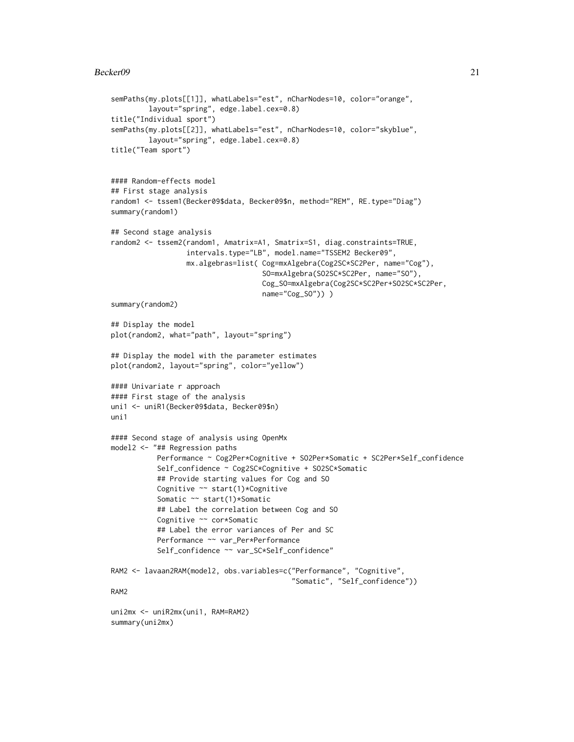#### Becker09 21

```
semPaths(my.plots[[1]], whatLabels="est", nCharNodes=10, color="orange",
         layout="spring", edge.label.cex=0.8)
title("Individual sport")
semPaths(my.plots[[2]], whatLabels="est", nCharNodes=10, color="skyblue",
         layout="spring", edge.label.cex=0.8)
title("Team sport")
#### Random-effects model
## First stage analysis
random1 <- tssem1(Becker09$data, Becker09$n, method="REM", RE.type="Diag")
summary(random1)
## Second stage analysis
random2 <- tssem2(random1, Amatrix=A1, Smatrix=S1, diag.constraints=TRUE,
                  intervals.type="LB", model.name="TSSEM2 Becker09",
                  mx.algebras=list( Cog=mxAlgebra(Cog2SC*SC2Per, name="Cog"),
                                    SO=mxAlgebra(SO2SC*SC2Per, name="SO"),
                                    Cog_SO=mxAlgebra(Cog2SC*SC2Per+SO2SC*SC2Per,
                                    name="Cog_SO")) )
summary(random2)
## Display the model
plot(random2, what="path", layout="spring")
## Display the model with the parameter estimates
plot(random2, layout="spring", color="yellow")
#### Univariate r approach
#### First stage of the analysis
uni1 <- uniR1(Becker09$data, Becker09$n)
uni1
#### Second stage of analysis using OpenMx
model2 <- "## Regression paths
           Performance ~ Cog2Per*Cognitive + SO2Per*Somatic + SC2Per*Self_confidence
           Self_confidence ~ Cog2SC*Cognitive + SO2SC*Somatic
           ## Provide starting values for Cog and SO
           Cognitive ~~ start(1)*Cognitive
           Somatic ~~ start(1)*Somatic
           ## Label the correlation between Cog and SO
           Cognitive ~~ cor*Somatic
           ## Label the error variances of Per and SC
           Performance ~~ var_Per*Performance
           Self_confidence ~~ var_SC*Self_confidence"
RAM2 <- lavaan2RAM(model2, obs.variables=c("Performance", "Cognitive",
                                           "Somatic", "Self_confidence"))
RAM2
uni2mx <- uniR2mx(uni1, RAM=RAM2)
summary(uni2mx)
```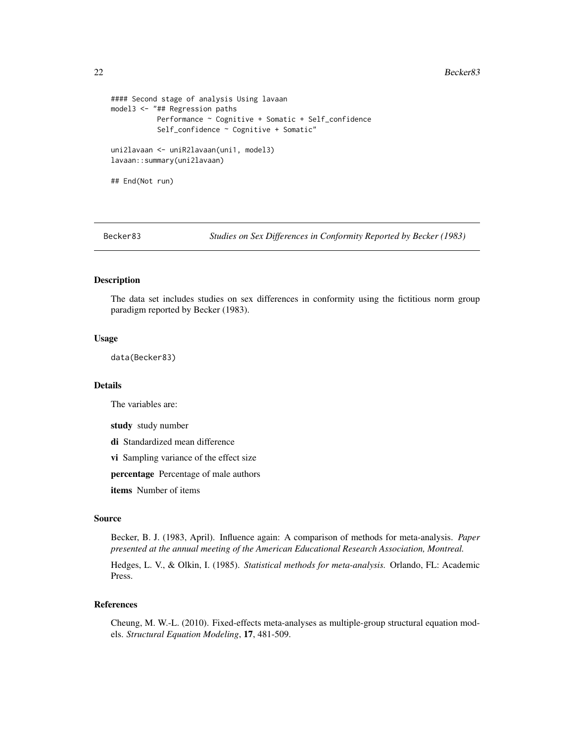#### 22 Becker83

```
#### Second stage of analysis Using lavaan
model3 <- "## Regression paths
          Performance ~ Cognitive + Somatic + Self_confidence
           Self_confidence ~ Cognitive + Somatic"
uni2lavaan <- uniR2lavaan(uni1, model3)
lavaan::summary(uni2lavaan)
## End(Not run)
```
Becker83 *Studies on Sex Differences in Conformity Reported by Becker (1983)*

#### Description

The data set includes studies on sex differences in conformity using the fictitious norm group paradigm reported by Becker (1983).

# Usage

data(Becker83)

#### Details

The variables are:

study study number

di Standardized mean difference

vi Sampling variance of the effect size

percentage Percentage of male authors

items Number of items

#### Source

Becker, B. J. (1983, April). Influence again: A comparison of methods for meta-analysis. *Paper presented at the annual meeting of the American Educational Research Association, Montreal.*

Hedges, L. V., & Olkin, I. (1985). *Statistical methods for meta-analysis.* Orlando, FL: Academic Press.

# References

Cheung, M. W.-L. (2010). Fixed-effects meta-analyses as multiple-group structural equation models. *Structural Equation Modeling*, 17, 481-509.

<span id="page-21-0"></span>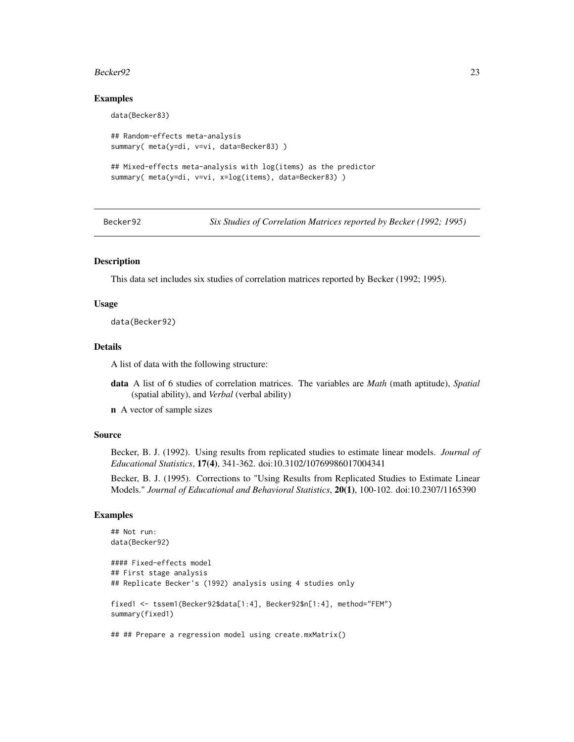#### <span id="page-22-0"></span>Becker 92 23

#### Examples

```
data(Becker83)
## Random-effects meta-analysis
summary( meta(y=di, v=vi, data=Becker83) )
## Mixed-effects meta-analysis with log(items) as the predictor
summary( meta(y=di, v=vi, x=log(items), data=Becker83) )
```
Becker92 *Six Studies of Correlation Matrices reported by Becker (1992; 1995)*

# Description

This data set includes six studies of correlation matrices reported by Becker (1992; 1995).

#### Usage

data(Becker92)

# Details

A list of data with the following structure:

- data A list of 6 studies of correlation matrices. The variables are *Math* (math aptitude), *Spatial* (spatial ability), and *Verbal* (verbal ability)
- n A vector of sample sizes

#### Source

Becker, B. J. (1992). Using results from replicated studies to estimate linear models. *Journal of Educational Statistics*, 17(4), 341-362. doi:10.3102/10769986017004341

Becker, B. J. (1995). Corrections to "Using Results from Replicated Studies to Estimate Linear Models." *Journal of Educational and Behavioral Statistics*, 20(1), 100-102. doi:10.2307/1165390

```
## Not run:
data(Becker92)
#### Fixed-effects model
## First stage analysis
## Replicate Becker's (1992) analysis using 4 studies only
fixed1 <- tssem1(Becker92$data[1:4], Becker92$n[1:4], method="FEM")
summary(fixed1)
## ## Prepare a regression model using create.mxMatrix()
```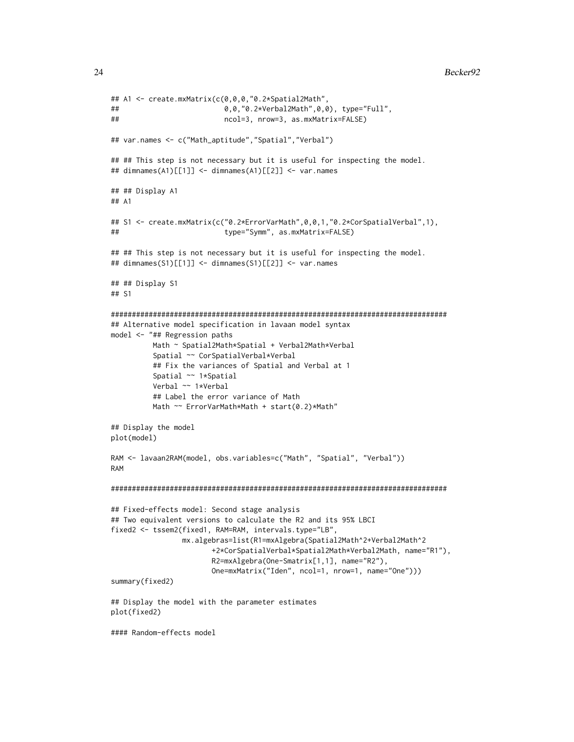```
## A1 <- create.mxMatrix(c(0,0,0,"0.2*Spatial2Math",
## 0,0,"0.2*Verbal2Math",0,0), type="Full",
## ncol=3, nrow=3, as.mxMatrix=FALSE)
## var.names <- c("Math_aptitude","Spatial","Verbal")
## ## This step is not necessary but it is useful for inspecting the model.
## dimnames(A1)[[1]] <- dimnames(A1)[[2]] <- var.names
## ## Display A1
## A1
## S1 <- create.mxMatrix(c("0.2*ErrorVarMath",0,0,1,"0.2*CorSpatialVerbal",1),
## type="Symm", as.mxMatrix=FALSE)
## ## This step is not necessary but it is useful for inspecting the model.
## dimnames(S1)[[1]] <- dimnames(S1)[[2]] <- var.names
## ## Display S1
## S1
################################################################################
## Alternative model specification in lavaan model syntax
model <- "## Regression paths
         Math ~ Spatial2Math*Spatial + Verbal2Math*Verbal
         Spatial ~~ CorSpatialVerbal*Verbal
         ## Fix the variances of Spatial and Verbal at 1
         Spatial ~~ 1*Spatial
         Verbal ~~ 1*Verbal
         ## Label the error variance of Math
         Math ~~ ErrorVarMath*Math + start(0.2)*Math"
## Display the model
plot(model)
RAM <- lavaan2RAM(model, obs.variables=c("Math", "Spatial", "Verbal"))
RAM
################################################################################
## Fixed-effects model: Second stage analysis
## Two equivalent versions to calculate the R2 and its 95% LBCI
fixed2 <- tssem2(fixed1, RAM=RAM, intervals.type="LB",
                mx.algebras=list(R1=mxAlgebra(Spatial2Math^2+Verbal2Math^2
                       +2*CorSpatialVerbal*Spatial2Math*Verbal2Math, name="R1"),
                       R2=mxAlgebra(One-Smatrix[1,1], name="R2"),
                       One=mxMatrix("Iden", ncol=1, nrow=1, name="One")))
summary(fixed2)
## Display the model with the parameter estimates
plot(fixed2)
#### Random-effects model
```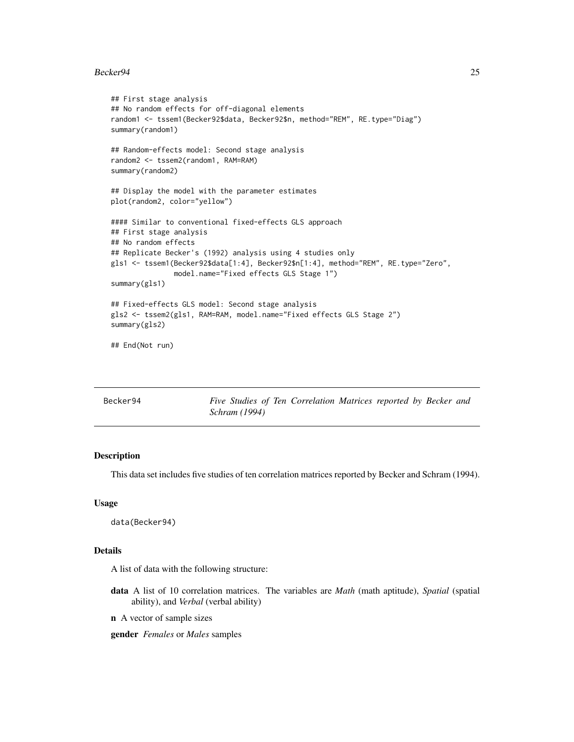#### <span id="page-24-0"></span>Becker 94 25

```
## First stage analysis
## No random effects for off-diagonal elements
random1 <- tssem1(Becker92$data, Becker92$n, method="REM", RE.type="Diag")
summary(random1)
## Random-effects model: Second stage analysis
random2 <- tssem2(random1, RAM=RAM)
summary(random2)
## Display the model with the parameter estimates
plot(random2, color="yellow")
#### Similar to conventional fixed-effects GLS approach
## First stage analysis
## No random effects
## Replicate Becker's (1992) analysis using 4 studies only
gls1 <- tssem1(Becker92$data[1:4], Becker92$n[1:4], method="REM", RE.type="Zero",
               model.name="Fixed effects GLS Stage 1")
summary(gls1)
## Fixed-effects GLS model: Second stage analysis
gls2 <- tssem2(gls1, RAM=RAM, model.name="Fixed effects GLS Stage 2")
summary(gls2)
## End(Not run)
```

| Becker94 | Five Studies of Ten Correlation Matrices reported by Becker and |
|----------|-----------------------------------------------------------------|
|          | <i>Schram</i> (1994)                                            |

# Description

This data set includes five studies of ten correlation matrices reported by Becker and Schram (1994).

#### Usage

```
data(Becker94)
```
#### Details

A list of data with the following structure:

- data A list of 10 correlation matrices. The variables are *Math* (math aptitude), *Spatial* (spatial ability), and *Verbal* (verbal ability)
- n A vector of sample sizes

gender *Females* or *Males* samples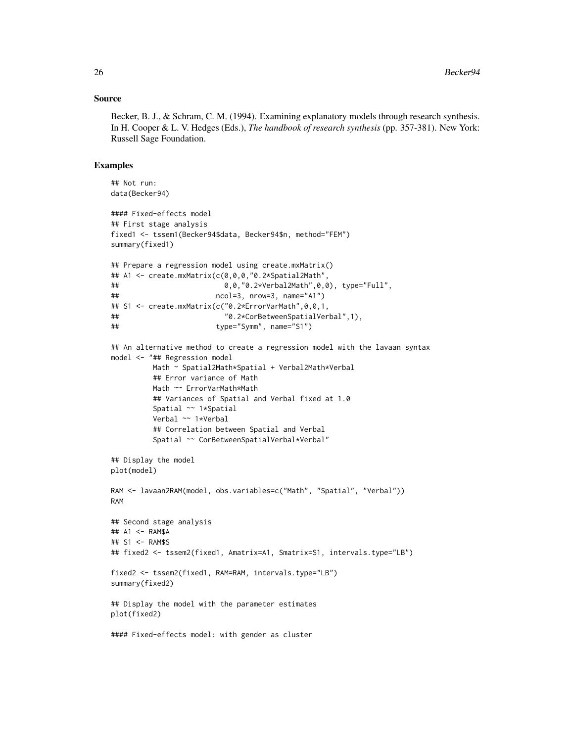#### Source

Becker, B. J., & Schram, C. M. (1994). Examining explanatory models through research synthesis. In H. Cooper & L. V. Hedges (Eds.), *The handbook of research synthesis* (pp. 357-381). New York: Russell Sage Foundation.

```
## Not run:
data(Becker94)
#### Fixed-effects model
## First stage analysis
fixed1 <- tssem1(Becker94$data, Becker94$n, method="FEM")
summary(fixed1)
## Prepare a regression model using create.mxMatrix()
## A1 <- create.mxMatrix(c(0,0,0,"0.2*Spatial2Math",
## 0,0,"0.2*Verbal2Math",0,0), type="Full",
## ncol=3, nrow=3, name="A1")
## S1 <- create.mxMatrix(c("0.2*ErrorVarMath",0,0,1,
## "0.2*CorBetweenSpatialVerbal",1),
## type="Symm", name="S1")
## An alternative method to create a regression model with the lavaan syntax
model <- "## Regression model
         Math ~ Spatial2Math*Spatial + Verbal2Math*Verbal
         ## Error variance of Math
         Math ~~ ErrorVarMath*Math
         ## Variances of Spatial and Verbal fixed at 1.0
         Spatial ~~ 1*Spatial
         Verbal ~~ 1*Verbal
         ## Correlation between Spatial and Verbal
         Spatial ~~ CorBetweenSpatialVerbal*Verbal"
## Display the model
plot(model)
RAM <- lavaan2RAM(model, obs.variables=c("Math", "Spatial", "Verbal"))
RAM
## Second stage analysis
## A1 <- RAM$A
## S1 <- RAM$S
## fixed2 <- tssem2(fixed1, Amatrix=A1, Smatrix=S1, intervals.type="LB")
fixed2 <- tssem2(fixed1, RAM=RAM, intervals.type="LB")
summary(fixed2)
## Display the model with the parameter estimates
plot(fixed2)
#### Fixed-effects model: with gender as cluster
```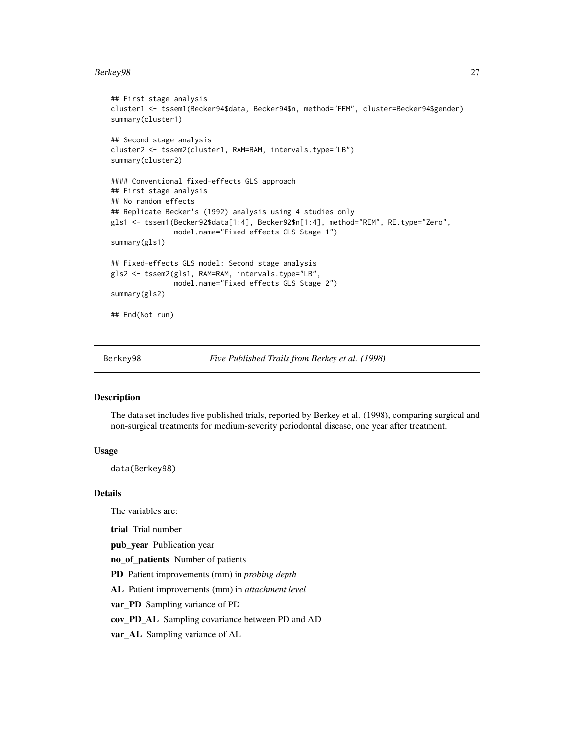#### <span id="page-26-0"></span>Berkey98 27

```
## First stage analysis
cluster1 <- tssem1(Becker94$data, Becker94$n, method="FEM", cluster=Becker94$gender)
summary(cluster1)
## Second stage analysis
cluster2 <- tssem2(cluster1, RAM=RAM, intervals.type="LB")
summary(cluster2)
#### Conventional fixed-effects GLS approach
## First stage analysis
## No random effects
## Replicate Becker's (1992) analysis using 4 studies only
gls1 <- tssem1(Becker92$data[1:4], Becker92$n[1:4], method="REM", RE.type="Zero",
               model.name="Fixed effects GLS Stage 1")
summary(gls1)
## Fixed-effects GLS model: Second stage analysis
gls2 <- tssem2(gls1, RAM=RAM, intervals.type="LB",
              model.name="Fixed effects GLS Stage 2")
summary(gls2)
## End(Not run)
```
Berkey98 *Five Published Trails from Berkey et al. (1998)*

#### **Description**

The data set includes five published trials, reported by Berkey et al. (1998), comparing surgical and non-surgical treatments for medium-severity periodontal disease, one year after treatment.

# Usage

data(Berkey98)

### Details

The variables are:

trial Trial number

pub\_year Publication year

no\_of\_patients Number of patients

PD Patient improvements (mm) in *probing depth*

AL Patient improvements (mm) in *attachment level*

var\_PD Sampling variance of PD

cov\_PD\_AL Sampling covariance between PD and AD

var\_AL Sampling variance of AL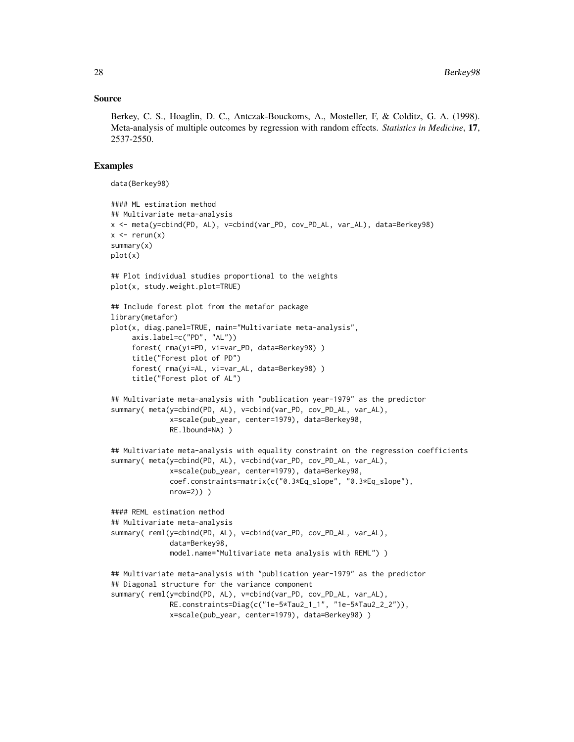#### Source

Berkey, C. S., Hoaglin, D. C., Antczak-Bouckoms, A., Mosteller, F, & Colditz, G. A. (1998). Meta-analysis of multiple outcomes by regression with random effects. *Statistics in Medicine*, 17, 2537-2550.

#### Examples

data(Berkey98)

```
#### ML estimation method
## Multivariate meta-analysis
x <- meta(y=cbind(PD, AL), v=cbind(var_PD, cov_PD_AL, var_AL), data=Berkey98)
x \le - rerun(x)summary(x)
plot(x)
## Plot individual studies proportional to the weights
plot(x, study.weight.plot=TRUE)
## Include forest plot from the metafor package
library(metafor)
plot(x, diag.panel=TRUE, main="Multivariate meta-analysis",
     axis.label=c("PD", "AL"))
     forest( rma(yi=PD, vi=var_PD, data=Berkey98) )
     title("Forest plot of PD")
     forest( rma(yi=AL, vi=var_AL, data=Berkey98) )
     title("Forest plot of AL")
## Multivariate meta-analysis with "publication year-1979" as the predictor
summary( meta(y=cbind(PD, AL), v=cbind(var_PD, cov_PD_AL, var_AL),
              x=scale(pub_year, center=1979), data=Berkey98,
              RE.lbound=NA) )
## Multivariate meta-analysis with equality constraint on the regression coefficients
summary( meta(y=cbind(PD, AL), v=cbind(var_PD, cov_PD_AL, var_AL),
              x=scale(pub_year, center=1979), data=Berkey98,
              coef.constraints=matrix(c("0.3*Eq_slope", "0.3*Eq_slope"),
              nrow=2)) )
#### REML estimation method
## Multivariate meta-analysis
summary( reml(y=cbind(PD, AL), v=cbind(var_PD, cov_PD_AL, var_AL),
              data=Berkey98,
              model.name="Multivariate meta analysis with REML") )
## Multivariate meta-analysis with "publication year-1979" as the predictor
## Diagonal structure for the variance component
summary( reml(y=cbind(PD, AL), v=cbind(var_PD, cov_PD_AL, var_AL),
              RE.constraints=Diag(c("1e-5*Tau2_1_1", "1e-5*Tau2_2_2")),
              x=scale(pub_year, center=1979), data=Berkey98) )
```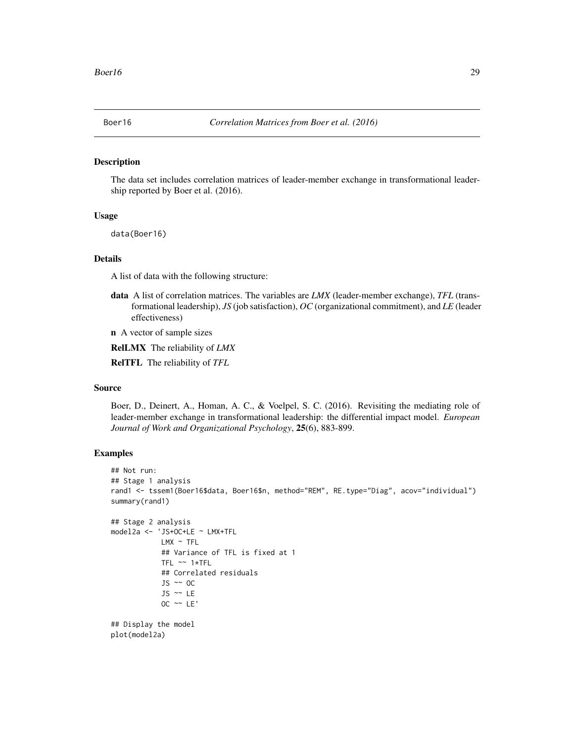<span id="page-28-0"></span>

#### Description

The data set includes correlation matrices of leader-member exchange in transformational leadership reported by Boer et al. (2016).

# Usage

data(Boer16)

#### Details

A list of data with the following structure:

data A list of correlation matrices. The variables are *LMX* (leader-member exchange), *TFL* (transformational leadership), *JS* (job satisfaction), *OC* (organizational commitment), and *LE* (leader effectiveness)

n A vector of sample sizes

RelLMX The reliability of *LMX*

RelTFL The reliability of *TFL*

### Source

Boer, D., Deinert, A., Homan, A. C., & Voelpel, S. C. (2016). Revisiting the mediating role of leader-member exchange in transformational leadership: the differential impact model. *European Journal of Work and Organizational Psychology*, 25(6), 883-899.

```
## Not run:
## Stage 1 analysis
rand1 <- tssem1(Boer16$data, Boer16$n, method="REM", RE.type="Diag", acov="individual")
summary(rand1)
## Stage 2 analysis
model2a <- 'JS+OC+LE ~ LMX+TFL
            LMX ~ \sim TFL
            ## Variance of TFL is fixed at 1
            TFL ~~ 1*TFL
            ## Correlated residuals
            JS ~~ OC
            JS ~~ LE
            OC \sim LE'## Display the model
plot(model2a)
```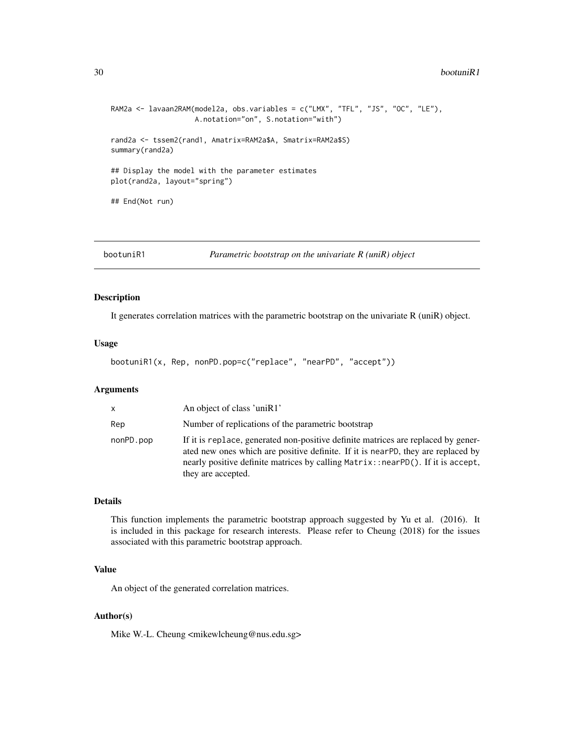#### <span id="page-29-0"></span>30 bootuniR1

```
RAM2a <- lavaan2RAM(model2a, obs.variables = c("LMX", "TFL", "JS", "OC", "LE"),
                    A.notation="on", S.notation="with")
rand2a <- tssem2(rand1, Amatrix=RAM2a$A, Smatrix=RAM2a$S)
summary(rand2a)
## Display the model with the parameter estimates
plot(rand2a, layout="spring")
## End(Not run)
```
bootuniR1 *Parametric bootstrap on the univariate R (uniR) object*

#### Description

It generates correlation matrices with the parametric bootstrap on the univariate R (uniR) object.

#### Usage

```
bootuniR1(x, Rep, nonPD.pop=c("replace", "nearPD", "accept"))
```
#### Arguments

| X         | An object of class 'uniR1'                                                                                                                                                                                                                                                       |
|-----------|----------------------------------------------------------------------------------------------------------------------------------------------------------------------------------------------------------------------------------------------------------------------------------|
| Rep       | Number of replications of the parametric bootstrap                                                                                                                                                                                                                               |
| nonPD.pop | If it is replace, generated non-positive definite matrices are replaced by gener-<br>ated new ones which are positive definite. If it is nearPD, they are replaced by<br>nearly positive definite matrices by calling Matrix: : nearPD(). If it is accept,<br>they are accepted. |

# Details

This function implements the parametric bootstrap approach suggested by Yu et al. (2016). It is included in this package for research interests. Please refer to Cheung (2018) for the issues associated with this parametric bootstrap approach.

# Value

An object of the generated correlation matrices.

#### Author(s)

Mike W.-L. Cheung <mikewlcheung@nus.edu.sg>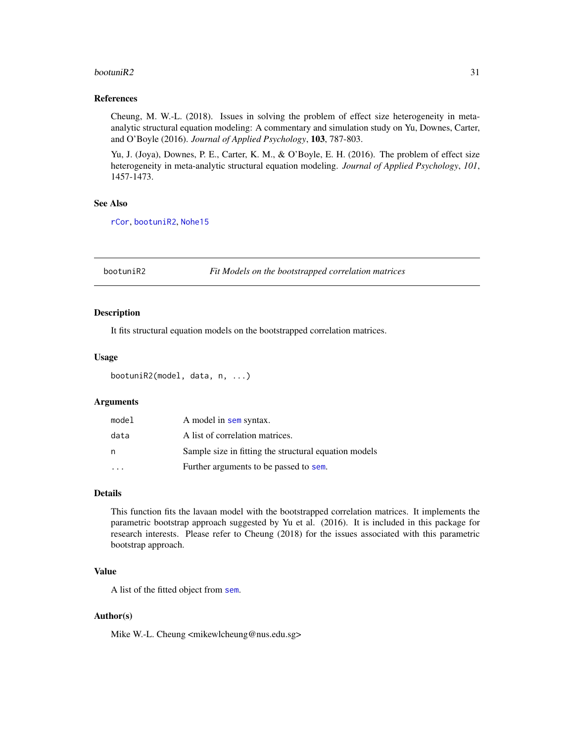#### <span id="page-30-0"></span>bootuni $R2$  31

#### References

Cheung, M. W.-L. (2018). Issues in solving the problem of effect size heterogeneity in metaanalytic structural equation modeling: A commentary and simulation study on Yu, Downes, Carter, and O'Boyle (2016). *Journal of Applied Psychology*, 103, 787-803.

Yu, J. (Joya), Downes, P. E., Carter, K. M., & O'Boyle, E. H. (2016). The problem of effect size heterogeneity in meta-analytic structural equation modeling. *Journal of Applied Psychology*, *101*, 1457-1473.

# See Also

[rCor](#page-107-1), [bootuniR2](#page-30-1), [Nohe15](#page-93-1)

<span id="page-30-1"></span>bootuniR2 *Fit Models on the bootstrapped correlation matrices*

#### Description

It fits structural equation models on the bootstrapped correlation matrices.

#### Usage

```
bootuniR2(model, data, n, ...)
```
### Arguments

| model | A model in sem syntax.                                |
|-------|-------------------------------------------------------|
| data  | A list of correlation matrices.                       |
| n     | Sample size in fitting the structural equation models |
|       | Further arguments to be passed to sem.                |

# Details

This function fits the lavaan model with the bootstrapped correlation matrices. It implements the parametric bootstrap approach suggested by Yu et al. (2016). It is included in this package for research interests. Please refer to Cheung (2018) for the issues associated with this parametric bootstrap approach.

# Value

A list of the fitted object from [sem](#page-0-0).

# Author(s)

Mike W.-L. Cheung <mikewlcheung@nus.edu.sg>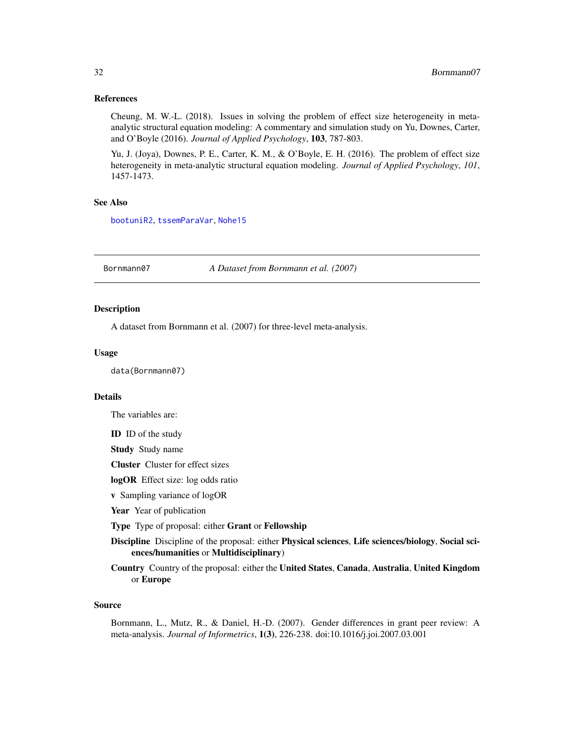## <span id="page-31-0"></span>References

Cheung, M. W.-L. (2018). Issues in solving the problem of effect size heterogeneity in metaanalytic structural equation modeling: A commentary and simulation study on Yu, Downes, Carter, and O'Boyle (2016). *Journal of Applied Psychology*, 103, 787-803.

Yu, J. (Joya), Downes, P. E., Carter, K. M., & O'Boyle, E. H. (2016). The problem of effect size heterogeneity in meta-analytic structural equation modeling. *Journal of Applied Psychology*, *101*, 1457-1473.

#### See Also

[bootuniR2](#page-30-1), [tssemParaVar](#page-128-1), [Nohe15](#page-93-1)

Bornmann07 *A Dataset from Bornmann et al. (2007)*

#### Description

A dataset from Bornmann et al. (2007) for three-level meta-analysis.

#### Usage

data(Bornmann07)

# Details

The variables are:

ID ID of the study

Study Study name

Cluster Cluster for effect sizes

logOR Effect size: log odds ratio

v Sampling variance of logOR

Year Year of publication

Type Type of proposal: either Grant or Fellowship

Discipline Discipline of the proposal: either Physical sciences, Life sciences/biology, Social sciences/humanities or Multidisciplinary)

Country Country of the proposal: either the United States, Canada, Australia, United Kingdom or Europe

#### Source

Bornmann, L., Mutz, R., & Daniel, H.-D. (2007). Gender differences in grant peer review: A meta-analysis. *Journal of Informetrics*, 1(3), 226-238. doi:10.1016/j.joi.2007.03.001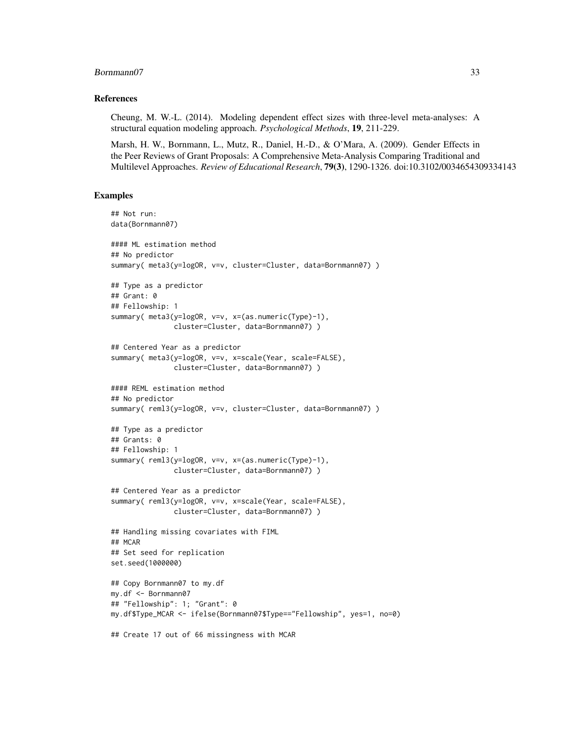#### Bornmann07 33

#### References

Cheung, M. W.-L. (2014). Modeling dependent effect sizes with three-level meta-analyses: A structural equation modeling approach. *Psychological Methods*, 19, 211-229.

Marsh, H. W., Bornmann, L., Mutz, R., Daniel, H.-D., & O'Mara, A. (2009). Gender Effects in the Peer Reviews of Grant Proposals: A Comprehensive Meta-Analysis Comparing Traditional and Multilevel Approaches. *Review of Educational Research*, 79(3), 1290-1326. doi:10.3102/0034654309334143

```
## Not run:
data(Bornmann07)
#### ML estimation method
## No predictor
summary( meta3(y=logOR, v=v, cluster=Cluster, data=Bornmann07) )
## Type as a predictor
## Grant: 0
## Fellowship: 1
summary( meta3(y=logOR, v=v, x=(as.numeric(Type)-1),
               cluster=Cluster, data=Bornmann07) )
## Centered Year as a predictor
summary( meta3(y=logOR, v=v, x=scale(Year, scale=FALSE),
               cluster=Cluster, data=Bornmann07) )
#### REML estimation method
## No predictor
summary( reml3(y=logOR, v=v, cluster=Cluster, data=Bornmann07) )
## Type as a predictor
## Grants: 0
## Fellowship: 1
summary( reml3(y=logOR, v=v, x=(as.numeric(Type)-1),
               cluster=Cluster, data=Bornmann07) )
## Centered Year as a predictor
summary( reml3(y=logOR, v=v, x=scale(Year, scale=FALSE),
               cluster=Cluster, data=Bornmann07) )
## Handling missing covariates with FIML
## MCAR
## Set seed for replication
set.seed(1000000)
## Copy Bornmann07 to my.df
my.df <- Bornmann07
## "Fellowship": 1; "Grant": 0
my.df$Type_MCAR <- ifelse(Bornmann07$Type=="Fellowship", yes=1, no=0)
## Create 17 out of 66 missingness with MCAR
```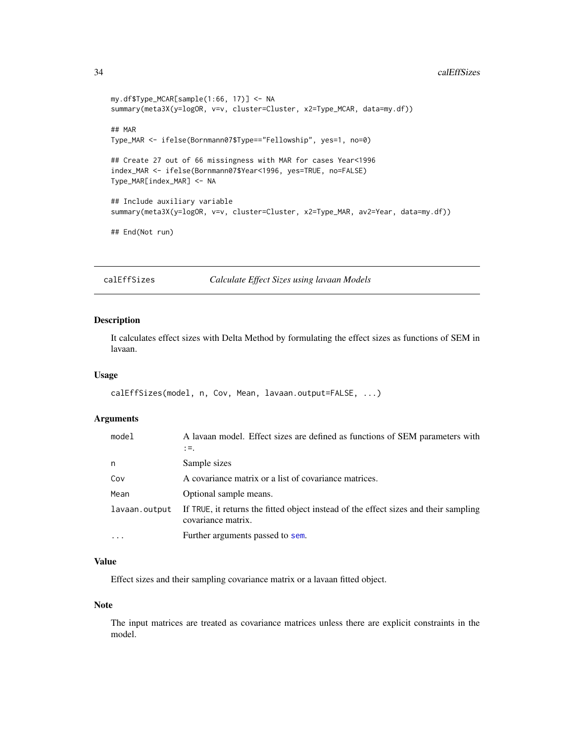#### <span id="page-33-0"></span>34 calEffSizes

```
my.df$Type_MCAR[sample(1:66, 17)] <- NA
summary(meta3X(y=logOR, v=v, cluster=Cluster, x2=Type_MCAR, data=my.df))
## MAR
Type_MAR <- ifelse(Bornmann07$Type=="Fellowship", yes=1, no=0)
## Create 27 out of 66 missingness with MAR for cases Year<1996
index_MAR <- ifelse(Bornmann07$Year<1996, yes=TRUE, no=FALSE)
Type_MAR[index_MAR] <- NA
## Include auxiliary variable
summary(meta3X(y=logOR, v=v, cluster=Cluster, x2=Type_MAR, av2=Year, data=my.df))
## End(Not run)
```
calEffSizes *Calculate Effect Sizes using lavaan Models*

# Description

It calculates effect sizes with Delta Method by formulating the effect sizes as functions of SEM in lavaan.

# Usage

```
calEffSizes(model, n, Cov, Mean, lavaan.output=FALSE, ...)
```
# Arguments

| model         | A lavaan model. Effect sizes are defined as functions of SEM parameters with<br>$:=$ .                     |
|---------------|------------------------------------------------------------------------------------------------------------|
| n             | Sample sizes                                                                                               |
| Cov           | A covariance matrix or a list of covariance matrices.                                                      |
| Mean          | Optional sample means.                                                                                     |
| lavaan.output | If TRUE, it returns the fitted object instead of the effect sizes and their sampling<br>covariance matrix. |
| $\ddots$      | Further arguments passed to sem.                                                                           |

# Value

Effect sizes and their sampling covariance matrix or a lavaan fitted object.

#### Note

The input matrices are treated as covariance matrices unless there are explicit constraints in the model.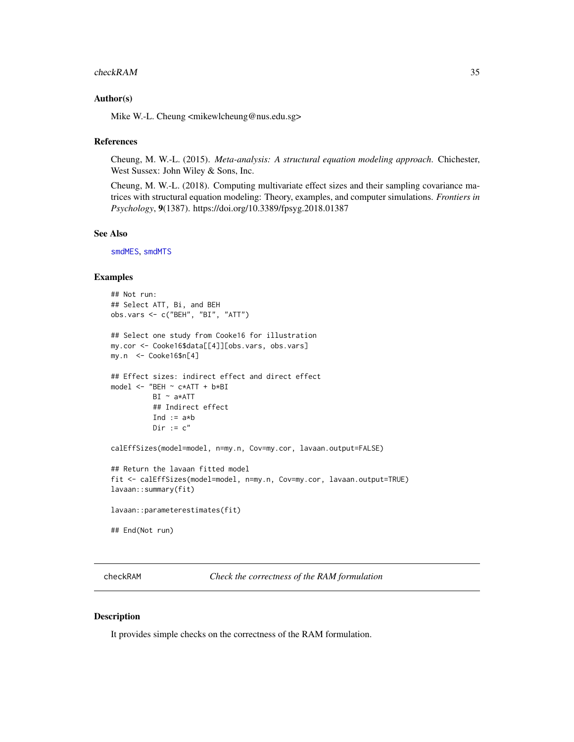#### <span id="page-34-0"></span>checkRAM 35

#### Author(s)

Mike W.-L. Cheung <mikewlcheung@nus.edu.sg>

#### References

Cheung, M. W.-L. (2015). *Meta-analysis: A structural equation modeling approach*. Chichester, West Sussex: John Wiley & Sons, Inc.

Cheung, M. W.-L. (2018). Computing multivariate effect sizes and their sampling covariance matrices with structural equation modeling: Theory, examples, and computer simulations. *Frontiers in Psychology*, 9(1387). https://doi.org/10.3389/fpsyg.2018.01387

#### See Also

[smdMES](#page-118-1), [smdMTS](#page-120-1)

# Examples

```
## Not run:
## Select ATT, Bi, and BEH
obs.vars <- c("BEH", "BI", "ATT")
## Select one study from Cooke16 for illustration
my.cor <- Cooke16$data[[4]][obs.vars, obs.vars]
my.n <- Cooke16$n[4]
## Effect sizes: indirect effect and direct effect
model <- "BEH ~ c*ATT + b*BI
         BI ~ a*ATT
         ## Indirect effect
         Ind := a*bDir := c''calEffSizes(model=model, n=my.n, Cov=my.cor, lavaan.output=FALSE)
## Return the lavaan fitted model
fit <- calEffSizes(model=model, n=my.n, Cov=my.cor, lavaan.output=TRUE)
lavaan::summary(fit)
lavaan::parameterestimates(fit)
## End(Not run)
```
<span id="page-34-1"></span>checkRAM *Check the correctness of the RAM formulation*

#### Description

It provides simple checks on the correctness of the RAM formulation.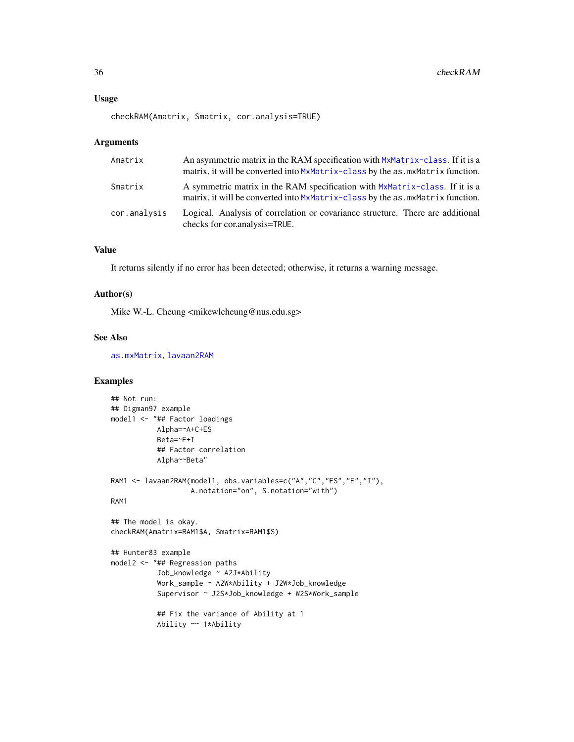```
checkRAM(Amatrix, Smatrix, cor.analysis=TRUE)
```
#### Arguments

| Amatrix      | An asymmetric matrix in the RAM specification with MxMatrix-class. If it is a<br>matrix, it will be converted into MxMatrix-class by the as . mxMatrix function. |
|--------------|------------------------------------------------------------------------------------------------------------------------------------------------------------------|
| Smatrix      | A symmetric matrix in the RAM specification with MxMatrix-class. If it is a<br>matrix, it will be converted into MxMatrix-class by the as . mxMatrix function.   |
| cor.analysis | Logical. Analysis of correlation or covariance structure. There are additional<br>checks for cortanalysis=TRUE.                                                  |

### Value

It returns silently if no error has been detected; otherwise, it returns a warning message.

#### Author(s)

Mike W.-L. Cheung <mikewlcheung@nus.edu.sg>

#### See Also

[as.mxMatrix](#page-9-1), [lavaan2RAM](#page-78-1)

```
## Not run:
## Digman97 example
model1 <- "## Factor loadings
          Alpha=~A+C+ES
          Beta=~E+I
          ## Factor correlation
          Alpha~~Beta"
RAM1 <- lavaan2RAM(model1, obs.variables=c("A","C","ES","E","I"),
                  A.notation="on", S.notation="with")
RAM1
## The model is okay.
checkRAM(Amatrix=RAM1$A, Smatrix=RAM1$S)
## Hunter83 example
model2 <- "## Regression paths
          Job_knowledge ~ A2J*Ability
           Work_sample ~ A2W*Ability + J2W*Job_knowledge
           Supervisor ~ J2S*Job_knowledge + W2S*Work_sample
           ## Fix the variance of Ability at 1
           Ability ~~ 1*Ability
```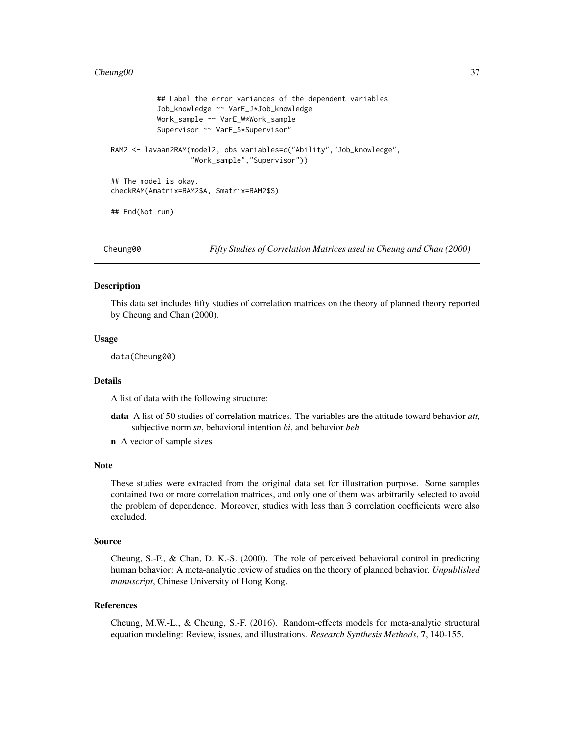#### Cheung00 37

```
## Label the error variances of the dependent variables
           Job_knowledge ~~ VarE_J*Job_knowledge
           Work_sample ~~ VarE_W*Work_sample
           Supervisor ~~ VarE_S*Supervisor"
RAM2 <- lavaan2RAM(model2, obs.variables=c("Ability","Job_knowledge",
                   "Work_sample","Supervisor"))
## The model is okay.
checkRAM(Amatrix=RAM2$A, Smatrix=RAM2$S)
## End(Not run)
```
Cheung00 *Fifty Studies of Correlation Matrices used in Cheung and Chan (2000)*

#### Description

This data set includes fifty studies of correlation matrices on the theory of planned theory reported by Cheung and Chan (2000).

#### Usage

data(Cheung00)

#### Details

A list of data with the following structure:

- data A list of 50 studies of correlation matrices. The variables are the attitude toward behavior *att*, subjective norm *sn*, behavioral intention *bi*, and behavior *beh*
- n A vector of sample sizes

#### Note

These studies were extracted from the original data set for illustration purpose. Some samples contained two or more correlation matrices, and only one of them was arbitrarily selected to avoid the problem of dependence. Moreover, studies with less than 3 correlation coefficients were also excluded.

## Source

Cheung, S.-F., & Chan, D. K.-S. (2000). The role of perceived behavioral control in predicting human behavior: A meta-analytic review of studies on the theory of planned behavior. *Unpublished manuscript*, Chinese University of Hong Kong.

#### References

Cheung, M.W.-L., & Cheung, S.-F. (2016). Random-effects models for meta-analytic structural equation modeling: Review, issues, and illustrations. *Research Synthesis Methods*, 7, 140-155.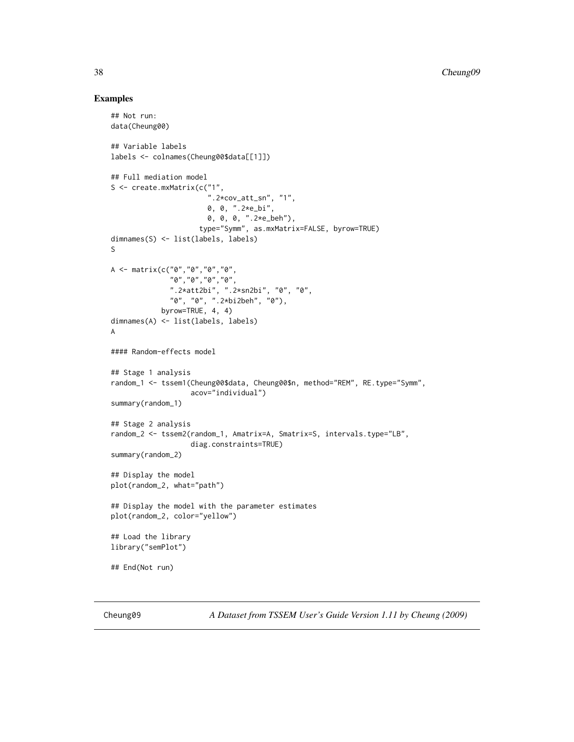#### Examples

```
## Not run:
data(Cheung00)
## Variable labels
labels <- colnames(Cheung00$data[[1]])
## Full mediation model
S <- create.mxMatrix(c("1",
                        ".2*cov_att_sn", "1".0, 0, ".2*e_bi",
                       0, 0, 0, ".2*e_beh"),
                     type="Symm", as.mxMatrix=FALSE, byrow=TRUE)
dimnames(S) <- list(labels, labels)
S
A <- matrix(c("0","0","0","0",
              "0","0","0","0",
              ".2*att2bi", ".2*sn2bi", "0", "0",
              "0", "0", ".2*bi2beh", "0"),
            byrow=TRUE, 4, 4)
dimnames(A) <- list(labels, labels)
A
#### Random-effects model
## Stage 1 analysis
random_1 <- tssem1(Cheung00$data, Cheung00$n, method="REM", RE.type="Symm",
                   acov="individual")
summary(random_1)
## Stage 2 analysis
random_2 <- tssem2(random_1, Amatrix=A, Smatrix=S, intervals.type="LB",
                   diag.constraints=TRUE)
summary(random_2)
## Display the model
plot(random_2, what="path")
## Display the model with the parameter estimates
plot(random_2, color="yellow")
## Load the library
library("semPlot")
## End(Not run)
```
Cheung09 *A Dataset from TSSEM User's Guide Version 1.11 by Cheung (2009)*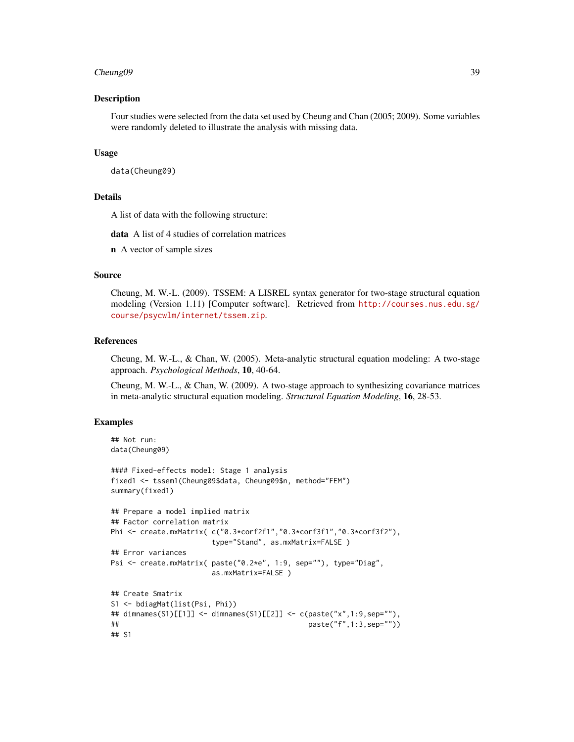#### Cheung09 39

#### Description

Four studies were selected from the data set used by Cheung and Chan (2005; 2009). Some variables were randomly deleted to illustrate the analysis with missing data.

#### Usage

data(Cheung09)

## Details

A list of data with the following structure:

data A list of 4 studies of correlation matrices

n A vector of sample sizes

#### Source

Cheung, M. W.-L. (2009). TSSEM: A LISREL syntax generator for two-stage structural equation modeling (Version 1.11) [Computer software]. Retrieved from [http://courses.nus.edu.sg/](http://courses.nus.edu.sg/course/psycwlm/internet/tssem.zip) [course/psycwlm/internet/tssem.zip](http://courses.nus.edu.sg/course/psycwlm/internet/tssem.zip).

#### References

Cheung, M. W.-L., & Chan, W. (2005). Meta-analytic structural equation modeling: A two-stage approach. *Psychological Methods*, 10, 40-64.

Cheung, M. W.-L., & Chan, W. (2009). A two-stage approach to synthesizing covariance matrices in meta-analytic structural equation modeling. *Structural Equation Modeling*, 16, 28-53.

```
## Not run:
data(Cheung09)
#### Fixed-effects model: Stage 1 analysis
fixed1 <- tssem1(Cheung09$data, Cheung09$n, method="FEM")
summary(fixed1)
## Prepare a model implied matrix
## Factor correlation matrix
Phi <- create.mxMatrix( c("0.3*corf2f1","0.3*corf3f1","0.3*corf3f2"),
                      type="Stand", as.mxMatrix=FALSE )
## Error variances
Psi <- create.mxMatrix( paste("0.2*e", 1:9, sep=""), type="Diag",
                      as.mxMatrix=FALSE )
## Create Smatrix
S1 <- bdiagMat(list(Psi, Phi))
## dimnames(S1)[[1]] <- dimnames(S1)[[2]] <- c(paste("x",1:9,sep=""),
## paste("f",1:3,sep=""))
## S1
```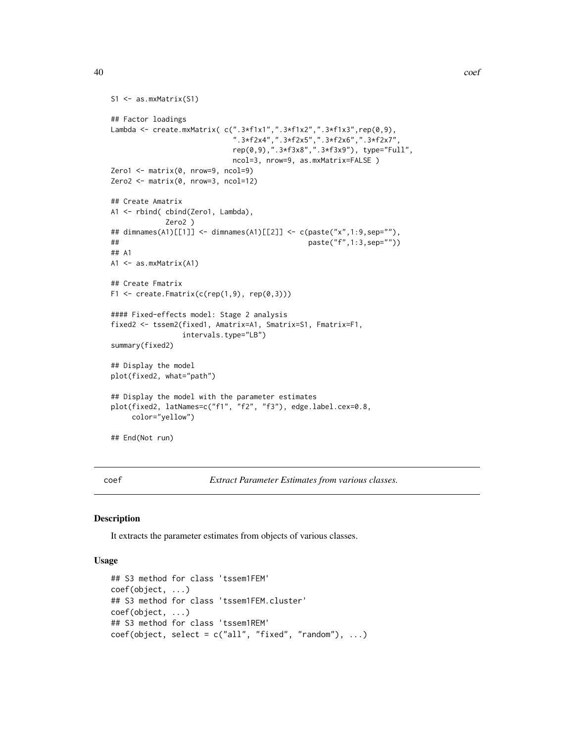```
S1 <- as.mxMatrix(S1)
## Factor loadings
Lambda <- create.mxMatrix( c(".3*f1x1",".3*f1x2",".3*f1x3",rep(0,9),
                            ".3*f2x4",".3*f2x5",".3*f2x6",".3*f2x7",
                            rep(0,9),".3*f3x8",".3*f3x9"), type="Full",
                            ncol=3, nrow=9, as.mxMatrix=FALSE )
Zero1 <- matrix(0, nrow=9, ncol=9)
Zero2 <- matrix(0, nrow=3, ncol=12)
## Create Amatrix
A1 <- rbind( cbind(Zero1, Lambda),
            Zero2 )
## dimnames(A1)[[1]] <- dimnames(A1)[[2]] <- c(paste("x",1:9,sep=""),
## paste("f",1:3,sep=""))
## A1
A1 <- as.mxMatrix(A1)
## Create Fmatrix
F1 \le create. Fmatrix(c(rep(1,9), rep(0,3)))
#### Fixed-effects model: Stage 2 analysis
fixed2 <- tssem2(fixed1, Amatrix=A1, Smatrix=S1, Fmatrix=F1,
                intervals.type="LB")
summary(fixed2)
## Display the model
plot(fixed2, what="path")
## Display the model with the parameter estimates
plot(fixed2, latNames=c("f1", "f2", "f3"), edge.label.cex=0.8,
    color="yellow")
## End(Not run)
```
coef *Extract Parameter Estimates from various classes.*

#### Description

It extracts the parameter estimates from objects of various classes.

# Usage

```
## S3 method for class 'tssem1FEM'
coef(object, ...)
## S3 method for class 'tssem1FEM.cluster'
coef(object, ...)
## S3 method for class 'tssem1REM'
coef(object, select = c("all", "fixed", "random"), ...)
```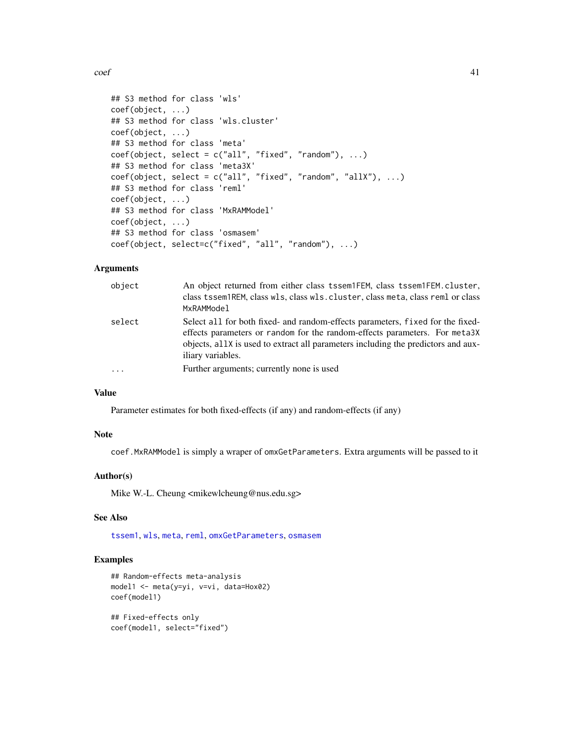$\text{coeff}$  41

```
## S3 method for class 'wls'
coef(object, ...)
## S3 method for class 'wls.cluster'
coef(object, ...)
## S3 method for class 'meta'
coef(object, select = c("all", "fixed", "random"), ...)## S3 method for class 'meta3X'
coef(object, select = c("all", "fixed", "random", "allX"), ...)## S3 method for class 'reml'
coef(object, ...)
## S3 method for class 'MxRAMModel'
coef(object, ...)
## S3 method for class 'osmasem'
coef(object, select=c("fixed", "all", "random"), ...)
```
# Arguments

| object   | An object returned from either class tssem1FEM, class tssem1FEM.cluster,<br>class tssem1REM, class wls, class wls. cluster, class meta, class reml or class<br>MxRAMModel                                                                                               |
|----------|-------------------------------------------------------------------------------------------------------------------------------------------------------------------------------------------------------------------------------------------------------------------------|
| select   | Select all for both fixed- and random-effects parameters, fixed for the fixed-<br>effects parameters or random for the random-effects parameters. For meta3X<br>objects, all X is used to extract all parameters including the predictors and aux-<br>iliary variables. |
| $\ddots$ | Further arguments; currently none is used                                                                                                                                                                                                                               |
|          |                                                                                                                                                                                                                                                                         |

# Value

Parameter estimates for both fixed-effects (if any) and random-effects (if any)

#### Note

coef.MxRAMModel is simply a wraper of omxGetParameters. Extra arguments will be passed to it

#### Author(s)

Mike W.-L. Cheung <mikewlcheung@nus.edu.sg>

# See Also

[tssem1](#page-126-0), [wls](#page-136-0), [meta](#page-85-0), [reml](#page-110-0), [omxGetParameters](#page-0-0), [osmasem](#page-97-0)

#### Examples

```
## Random-effects meta-analysis
model1 <- meta(y=yi, v=vi, data=Hox02)
coef(model1)
```
## Fixed-effects only coef(model1, select="fixed")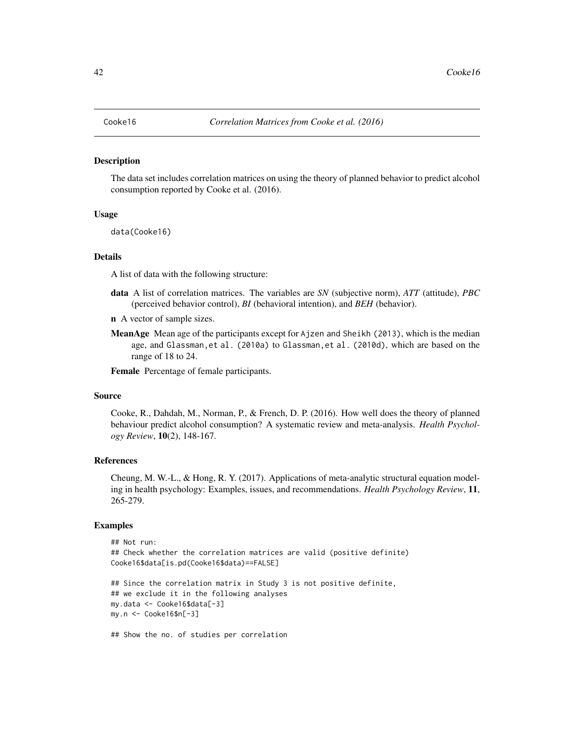The data set includes correlation matrices on using the theory of planned behavior to predict alcohol consumption reported by Cooke et al. (2016).

#### Usage

data(Cooke16)

#### Details

A list of data with the following structure:

- data A list of correlation matrices. The variables are *SN* (subjective norm), *ATT* (attitude), *PBC* (perceived behavior control), *BI* (behavioral intention), and *BEH* (behavior).
- n A vector of sample sizes.
- MeanAge Mean age of the participants except for Ajzen and Sheikh (2013), which is the median age, and Glassman,et al. (2010a) to Glassman,et al. (2010d), which are based on the range of 18 to 24.

Female Percentage of female participants.

## Source

Cooke, R., Dahdah, M., Norman, P., & French, D. P. (2016). How well does the theory of planned behaviour predict alcohol consumption? A systematic review and meta-analysis. *Health Psychology Review*, 10(2), 148-167.

## References

Cheung, M. W.-L., & Hong, R. Y. (2017). Applications of meta-analytic structural equation modeling in health psychology: Examples, issues, and recommendations. *Health Psychology Review*, 11, 265-279.

```
## Not run:
## Check whether the correlation matrices are valid (positive definite)
Cooke16$data[is.pd(Cooke16$data)==FALSE]
## Since the correlation matrix in Study 3 is not positive definite,
## we exclude it in the following analyses
my.data <- Cooke16$data[-3]
my.n <- Cooke16$n[-3]
## Show the no. of studies per correlation
```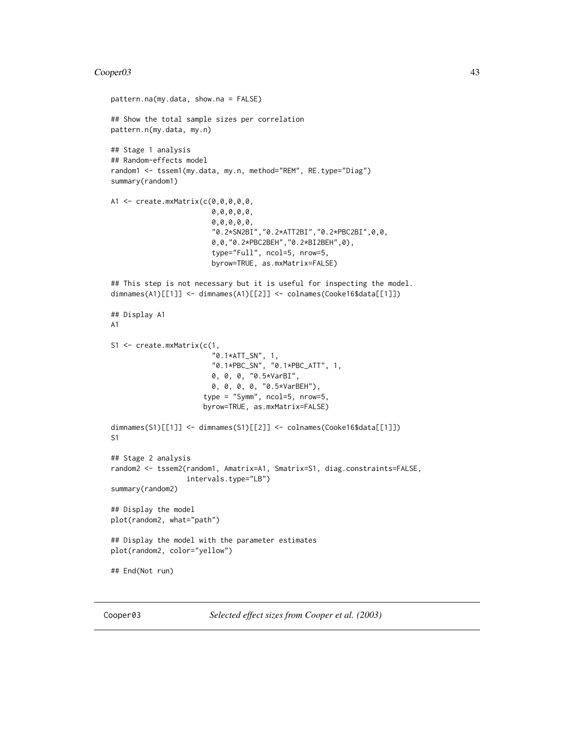#### Cooper03 43

```
pattern.na(my.data, show.na = FALSE)
## Show the total sample sizes per correlation
pattern.n(my.data, my.n)
## Stage 1 analysis
## Random-effects model
random1 <- tssem1(my.data, my.n, method="REM", RE.type="Diag")
summary(random1)
A1 <- create.mxMatrix(c(0,0,0,0,0,
                        0,0,0,0,0,
                        0,0,0,0,0,
                        "0.2*SN2BI","0.2*ATT2BI","0.2*PBC2BI",0,0,
                        0,0,"0.2*PBC2BEH","0.2*BI2BEH",0),
                        type="Full", ncol=5, nrow=5,
                        byrow=TRUE, as.mxMatrix=FALSE)
## This step is not necessary but it is useful for inspecting the model.
dimnames(A1)[[1]] <- dimnames(A1)[[2]] <- colnames(Cooke16$data[[1]])
## Display A1
A1
S1 <- create.mxMatrix(c(1,
                         "0.1*ATT_SN", 1,
                         "0.1*PBC_SN", "0.1*PBC_ATT", 1,
                        0, 0, 0, "0.5*VarBI",
                        0, 0, 0, 0, "0.5*VarBEH"),
                      type = "Symm", ncol=5, nrow=5,
                      byrow=TRUE, as.mxMatrix=FALSE)
dimnames(S1)[[1]] <- dimnames(S1)[[2]] <- colnames(Cooke16$data[[1]])
S1
## Stage 2 analysis
random2 <- tssem2(random1, Amatrix=A1, Smatrix=S1, diag.constraints=FALSE,
                  intervals.type="LB")
summary(random2)
## Display the model
plot(random2, what="path")
## Display the model with the parameter estimates
plot(random2, color="yellow")
## End(Not run)
```
Cooper03 *Selected effect sizes from Cooper et al. (2003)*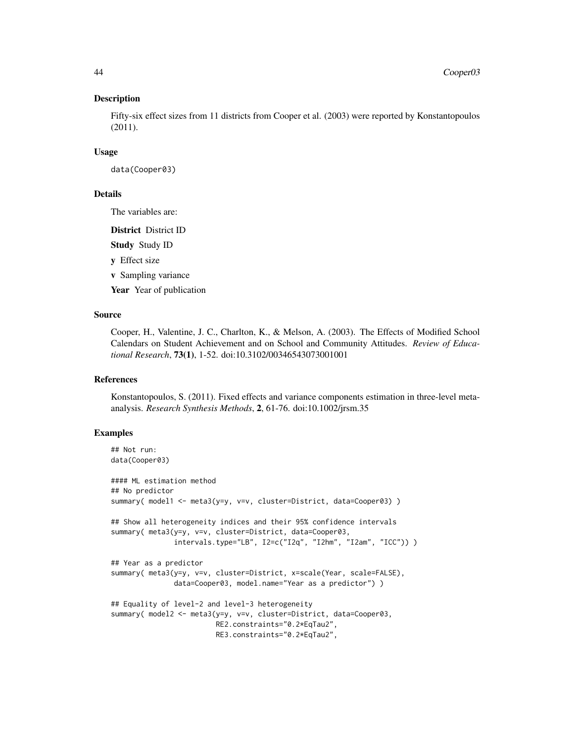Fifty-six effect sizes from 11 districts from Cooper et al. (2003) were reported by Konstantopoulos (2011).

#### Usage

data(Cooper03)

## Details

The variables are:

District District ID Study Study ID y Effect size v Sampling variance Year Year of publication

## Source

Cooper, H., Valentine, J. C., Charlton, K., & Melson, A. (2003). The Effects of Modified School Calendars on Student Achievement and on School and Community Attitudes. *Review of Educational Research*, 73(1), 1-52. doi:10.3102/00346543073001001

## **References**

Konstantopoulos, S. (2011). Fixed effects and variance components estimation in three-level metaanalysis. *Research Synthesis Methods*, 2, 61-76. doi:10.1002/jrsm.35

```
## Not run:
data(Cooper03)
#### ML estimation method
## No predictor
summary( model1 <- meta3(y=y, v=v, cluster=District, data=Cooper03) )
## Show all heterogeneity indices and their 95% confidence intervals
summary( meta3(y=y, v=v, cluster=District, data=Cooper03,
              intervals.type="LB", I2=c("I2q", "I2hm", "I2am", "ICC")) )
## Year as a predictor
summary( meta3(y=y, v=v, cluster=District, x=scale(Year, scale=FALSE),
              data=Cooper03, model.name="Year as a predictor") )
## Equality of level-2 and level-3 heterogeneity
summary( model2 <- meta3(y=y, v=v, cluster=District, data=Cooper03,
                        RE2.constraints="0.2*EqTau2",
                        RE3.constraints="0.2*EqTau2",
```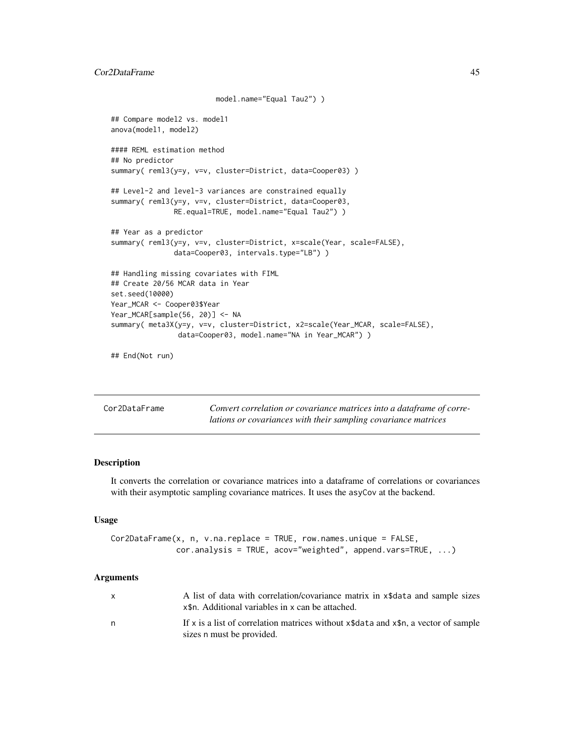```
model.name="Equal Tau2") )
## Compare model2 vs. model1
anova(model1, model2)
#### REML estimation method
## No predictor
summary( reml3(y=y, v=v, cluster=District, data=Cooper03) )
## Level-2 and level-3 variances are constrained equally
summary( reml3(y=y, v=v, cluster=District, data=Cooper03,
               RE.equal=TRUE, model.name="Equal Tau2") )
## Year as a predictor
summary( reml3(y=y, v=v, cluster=District, x=scale(Year, scale=FALSE),
              data=Cooper03, intervals.type="LB") )
## Handling missing covariates with FIML
## Create 20/56 MCAR data in Year
set.seed(10000)
Year_MCAR <- Cooper03$Year
Year_MCAR[sample(56, 20)] <- NA
summary( meta3X(y=y, v=v, cluster=District, x2=scale(Year_MCAR, scale=FALSE),
                data=Cooper03, model.name="NA in Year_MCAR") )
## End(Not run)
```

| Cor2DataFrame | Convert correlation or covariance matrices into a dataframe of corre- |
|---------------|-----------------------------------------------------------------------|
|               | lations or covariances with their sampling covariance matrices        |

It converts the correlation or covariance matrices into a dataframe of correlations or covariances with their asymptotic sampling covariance matrices. It uses the asyCov at the backend.

## Usage

```
Cor2DataFrame(x, n, v.na.replace = TRUE, row.names.unique = FALSE,
              cor.analysis = TRUE, acov="weighted", append.vars=TRUE, ...)
```

|   | A list of data with correlation/covariance matrix in x\$data and sample sizes<br>x\therefore . Additional variables in x can be attached. |
|---|-------------------------------------------------------------------------------------------------------------------------------------------|
| n | If x is a list of correlation matrices without $x$ \$data and $x$ \$n, a vector of sample<br>sizes n must be provided.                    |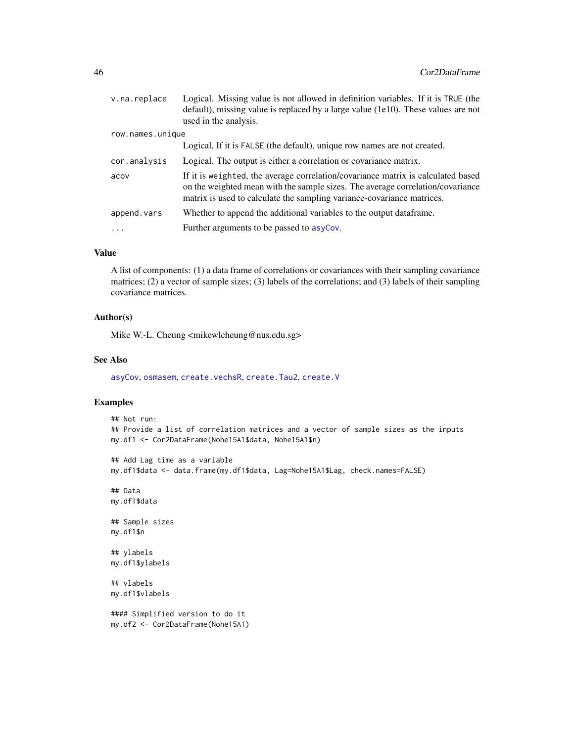| v.na.replace     | Logical. Missing value is not allowed in definition variables. If it is TRUE (the<br>default), missing value is replaced by a large value (1e10). These values are not<br>used in the analysis.                                              |
|------------------|----------------------------------------------------------------------------------------------------------------------------------------------------------------------------------------------------------------------------------------------|
| row.names.unique |                                                                                                                                                                                                                                              |
|                  | Logical, If it is FALSE (the default), unique row names are not created.                                                                                                                                                                     |
| cor.analysis     | Logical. The output is either a correlation or covariance matrix.                                                                                                                                                                            |
| acov             | If it is weighted, the average correlation/covariance matrix is calculated based<br>on the weighted mean with the sample sizes. The average correlation/covariance<br>matrix is used to calculate the sampling variance-covariance matrices. |
| append.vars      | Whether to append the additional variables to the output dataframe.                                                                                                                                                                          |
| .                | Further arguments to be passed to asyCov.                                                                                                                                                                                                    |

# Value

A list of components: (1) a data frame of correlations or covariances with their sampling covariance matrices; (2) a vector of sample sizes; (3) labels of the correlations; and (3) labels of their sampling covariance matrices.

### Author(s)

Mike W.-L. Cheung <mikewlcheung@nus.edu.sg>

## See Also

[asyCov](#page-12-0), [osmasem](#page-97-0), [create.vechsR](#page-53-0), [create.Tau2](#page-51-0), [create.V](#page-52-0)

```
## Not run:
## Provide a list of correlation matrices and a vector of sample sizes as the inputs
my.df1 <- Cor2DataFrame(Nohe15A1$data, Nohe15A1$n)
## Add Lag time as a variable
my.df1$data <- data.frame(my.df1$data, Lag=Nohe15A1$Lag, check.names=FALSE)
## Data
my.df1$data
## Sample sizes
my.df1$n
## ylabels
my.df1$ylabels
## vlabels
my.df1$vlabels
#### Simplified version to do it
my.df2 <- Cor2DataFrame(Nohe15A1)
```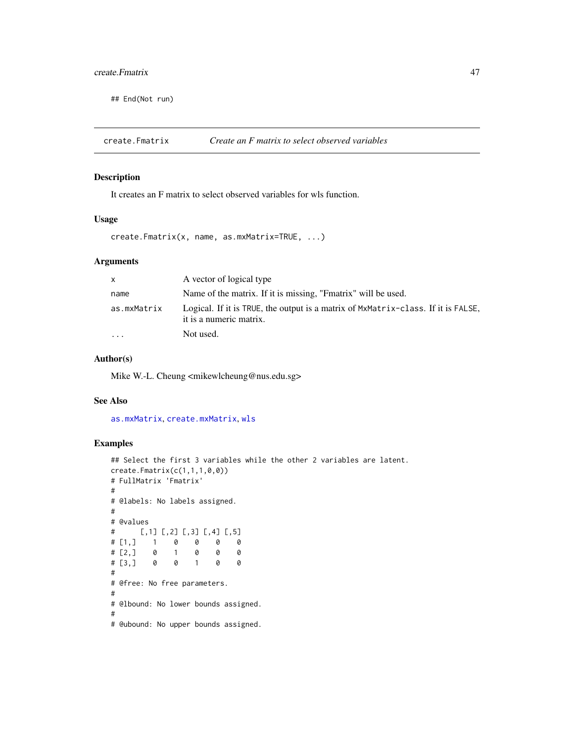## create.Fmatrix 47

## End(Not run)

<span id="page-46-0"></span>create.Fmatrix *Create an F matrix to select observed variables*

## Description

It creates an F matrix to select observed variables for wls function.

#### Usage

create.Fmatrix(x, name, as.mxMatrix=TRUE, ...)

#### Arguments

| $\mathsf{x}$            | A vector of logical type                                                                                     |
|-------------------------|--------------------------------------------------------------------------------------------------------------|
| name                    | Name of the matrix. If it is missing, "Fmatrix" will be used.                                                |
| as.mxMatrix             | Logical. If it is TRUE, the output is a matrix of MxMatrix-class. If it is FALSE,<br>it is a numeric matrix. |
| $\cdot$ $\cdot$ $\cdot$ | Not used.                                                                                                    |

## Author(s)

Mike W.-L. Cheung <mikewlcheung@nus.edu.sg>

## See Also

[as.mxMatrix](#page-9-0), [create.mxMatrix](#page-48-0), [wls](#page-136-0)

```
## Select the first 3 variables while the other 2 variables are latent.
create.Fmatrix(c(1,1,1,0,0))
# FullMatrix 'Fmatrix'
#
# @labels: No labels assigned.
#
# @values
# [,1] [,2] [,3] [,4] [,5]
# [1,] 1 0 0 0 0
# [2,] 0 1 0 0 0
# [3,] 0 0 1 0 0
#
# @free: No free parameters.
#
# @lbound: No lower bounds assigned.
#
# @ubound: No upper bounds assigned.
```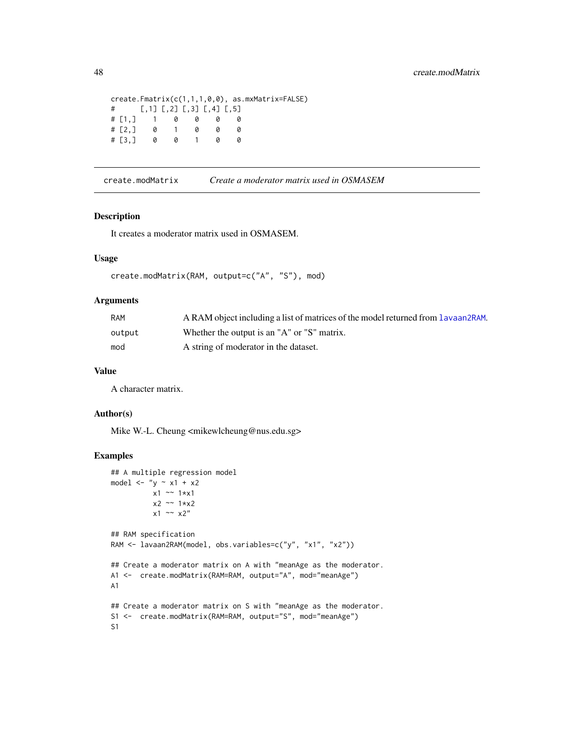```
create.Fmatrix(c(1,1,1,0,0), as.mxMatrix=FALSE)
# [,1] [,2] [,3] [,4] [,5]
# [1,] 1 0 0 0 0
# [2, 3 \ 0# [3,] 0 0 1 0 0
```
create.modMatrix *Create a moderator matrix used in OSMASEM*

## Description

It creates a moderator matrix used in OSMASEM.

## Usage

```
create.modMatrix(RAM, output=c("A", "S"), mod)
```
#### Arguments

| RAM    | A RAM object including a list of matrices of the model returned from Lavaan2RAM. |
|--------|----------------------------------------------------------------------------------|
| output | Whether the output is an "A" or "S" matrix.                                      |
| mod    | A string of moderator in the dataset.                                            |

#### Value

A character matrix.

## Author(s)

Mike W.-L. Cheung <mikewlcheung@nus.edu.sg>

```
## A multiple regression model
model \langle - "y \sim x1 + x2
          x1 \sim 1*x1x2 ~~ 1*x2
          x1 \sim x2"
## RAM specification
RAM <- lavaan2RAM(model, obs.variables=c("y", "x1", "x2"))
## Create a moderator matrix on A with "meanAge as the moderator.
A1 <- create.modMatrix(RAM=RAM, output="A", mod="meanAge")
A1
## Create a moderator matrix on S with "meanAge as the moderator.
S1 <- create.modMatrix(RAM=RAM, output="S", mod="meanAge")
S1
```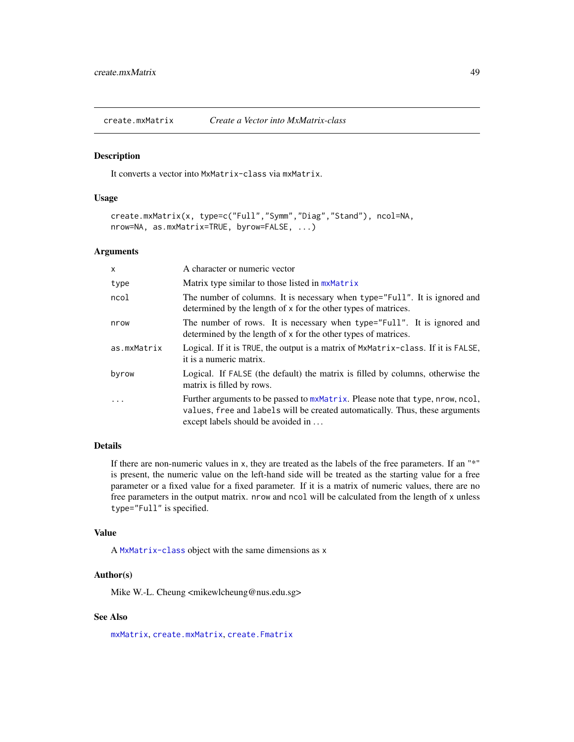<span id="page-48-0"></span>create.mxMatrix *Create a Vector into MxMatrix-class*

## Description

It converts a vector into MxMatrix-class via mxMatrix.

#### Usage

```
create.mxMatrix(x, type=c("Full","Symm","Diag","Stand"), ncol=NA,
nrow=NA, as.mxMatrix=TRUE, byrow=FALSE, ...)
```
#### Arguments

| X           | A character or numeric vector                                                                                                                                                                        |
|-------------|------------------------------------------------------------------------------------------------------------------------------------------------------------------------------------------------------|
| type        | Matrix type similar to those listed in mxMatrix                                                                                                                                                      |
| ncol        | The number of columns. It is necessary when type="Full". It is ignored and<br>determined by the length of x for the other types of matrices.                                                         |
| nrow        | The number of rows. It is necessary when type="Full". It is ignored and<br>determined by the length of x for the other types of matrices.                                                            |
| as.mxMatrix | Logical. If it is TRUE, the output is a matrix of MxMatrix-class. If it is FALSE,<br>it is a numeric matrix.                                                                                         |
| byrow       | Logical. If FALSE (the default) the matrix is filled by columns, otherwise the<br>matrix is filled by rows.                                                                                          |
|             | Further arguments to be passed to mxMatrix. Please note that type, nrow, ncol,<br>values, free and labels will be created automatically. Thus, these arguments<br>except labels should be avoided in |

# Details

If there are non-numeric values in x, they are treated as the labels of the free parameters. If an "\*" is present, the numeric value on the left-hand side will be treated as the starting value for a free parameter or a fixed value for a fixed parameter. If it is a matrix of numeric values, there are no free parameters in the output matrix. nrow and ncol will be calculated from the length of x unless type="Full" is specified.

## Value

A [MxMatrix-class](#page-0-0) object with the same dimensions as x

# Author(s)

Mike W.-L. Cheung <mikewlcheung@nus.edu.sg>

# See Also

[mxMatrix](#page-0-0), [create.mxMatrix](#page-48-0), [create.Fmatrix](#page-46-0)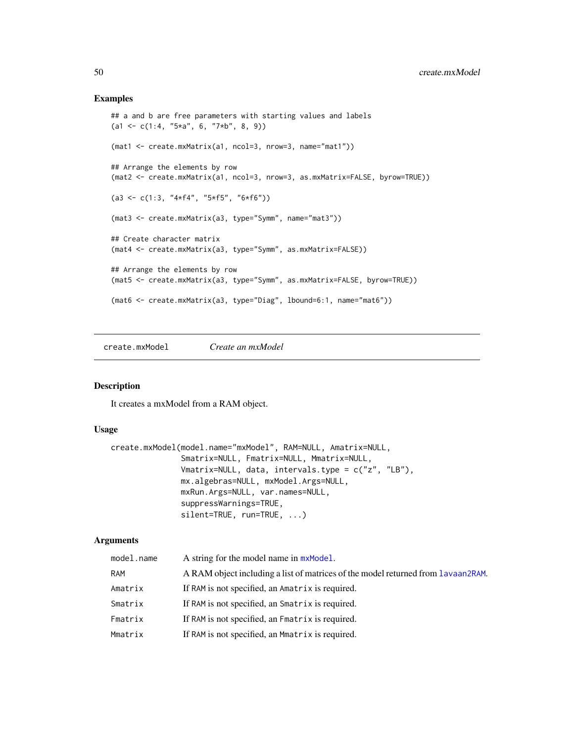## Examples

```
## a and b are free parameters with starting values and labels
(a1 \leq c(1:4, "5*a", 6, "7*b", 8, 9))(mat1 <- create.mxMatrix(a1, ncol=3, nrow=3, name="mat1"))
## Arrange the elements by row
(mat2 <- create.mxMatrix(a1, ncol=3, nrow=3, as.mxMatrix=FALSE, byrow=TRUE))
(a3 \leq c(1:3, '4*f4', '5*f5', '6*f6"))(mat3 <- create.mxMatrix(a3, type="Symm", name="mat3"))
## Create character matrix
(mat4 <- create.mxMatrix(a3, type="Symm", as.mxMatrix=FALSE))
## Arrange the elements by row
(mat5 <- create.mxMatrix(a3, type="Symm", as.mxMatrix=FALSE, byrow=TRUE))
(mat6 <- create.mxMatrix(a3, type="Diag", lbound=6:1, name="mat6"))
```
create.mxModel *Create an mxModel*

## Description

It creates a mxModel from a RAM object.

#### Usage

```
create.mxModel(model.name="mxModel", RAM=NULL, Amatrix=NULL,
               Smatrix=NULL, Fmatrix=NULL, Mmatrix=NULL,
               Vmatrix=NULL, data, intervals.type = c("z", "LB"),
               mx.algebras=NULL, mxModel.Args=NULL,
               mxRun.Args=NULL, var.names=NULL,
               suppressWarnings=TRUE,
               silent=TRUE, run=TRUE, ...)
```

| model.name | A string for the model name in $mxModel$ .                                       |
|------------|----------------------------------------------------------------------------------|
| <b>RAM</b> | A RAM object including a list of matrices of the model returned from Lavaan2RAM. |
| Amatrix    | If RAM is not specified, an Amatrix is required.                                 |
| Smatrix    | If RAM is not specified, an Smatrix is required.                                 |
| Fmatrix    | If RAM is not specified, an Fmatrix is required.                                 |
| Mmatrix    | If RAM is not specified, an Mmatrix is required.                                 |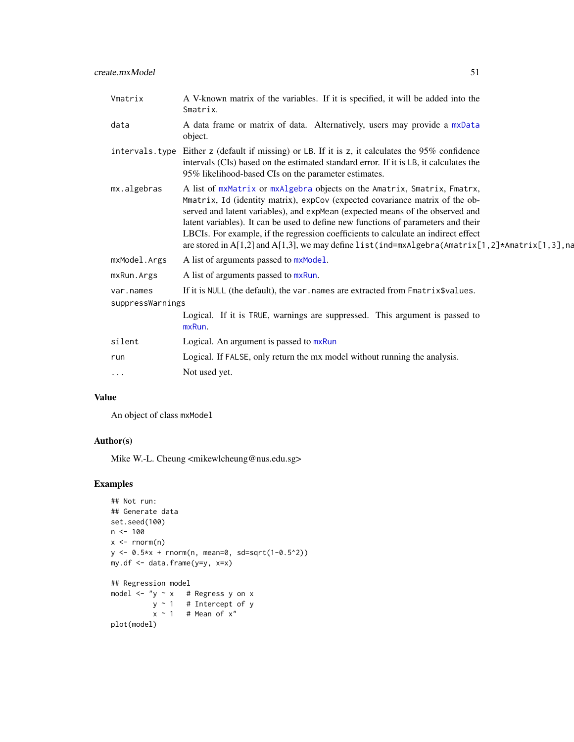| Vmatrix        | A V-known matrix of the variables. If it is specified, it will be added into the<br>Smatrix.                                                                                                                                                                                                                                                                                                                                                                                                                            |
|----------------|-------------------------------------------------------------------------------------------------------------------------------------------------------------------------------------------------------------------------------------------------------------------------------------------------------------------------------------------------------------------------------------------------------------------------------------------------------------------------------------------------------------------------|
| data           | A data frame or matrix of data. Alternatively, users may provide a mxData<br>object.                                                                                                                                                                                                                                                                                                                                                                                                                                    |
| intervals.type | Either z (default if missing) or LB. If it is z, it calculates the 95% confidence<br>intervals (CIs) based on the estimated standard error. If it is LB, it calculates the<br>95% likelihood-based CIs on the parameter estimates.                                                                                                                                                                                                                                                                                      |
| mx.algebras    | A list of mxMatrix or mxAlgebra objects on the Amatrix, Smatrix, Fmatrx,<br>Mmatrix, Id (identity matrix), expCov (expected covariance matrix of the ob-<br>served and latent variables), and expMean (expected means of the observed and<br>latent variables). It can be used to define new functions of parameters and their<br>LBCIs. For example, if the regression coefficients to calculate an indirect effect<br>are stored in A[1,2] and A[1,3], we may define list(ind=mxAlgebra(Amatrix[1,2]*Amatrix[1,3], na |
| mxModel.Args   | A list of arguments passed to $mxModel$ .                                                                                                                                                                                                                                                                                                                                                                                                                                                                               |
|                | $\blacksquare$ . The set of $\blacksquare$ . The set of $\blacksquare$                                                                                                                                                                                                                                                                                                                                                                                                                                                  |

- [mxModel](#page-0-0).Args [mxRun](#page-0-0).Args A list of arguments passed to mxRun.
- var.names If it is NULL (the default), the var.names are extracted from Fmatrix\$values.

suppressWarnings

|           | Logical. If it is TRUE, warnings are suppressed. This argument is passed to<br>mxRun. |
|-----------|---------------------------------------------------------------------------------------|
| silent    | Logical. An argument is passed to mxRun                                               |
| run       | Logical. If FALSE, only return the mx model without running the analysis.             |
| $\ddotsc$ | Not used yet.                                                                         |
|           |                                                                                       |

## Value

An object of class mxModel

# Author(s)

Mike W.-L. Cheung <mikewlcheung@nus.edu.sg>

```
## Not run:
## Generate data
set.seed(100)
n < -100x \leftarrow \text{norm}(n)y <- 0.5*x + rnorm(n, mean=0, sd=sqrt(1-0.5^2))
my.df <- data.frame(y=y, x=x)
## Regression model
model \lt- "y \sim x \thinspace # Regress y on x
           y ~ 1 # Intercept of y
          x \sim 1 # Mean of x''plot(model)
```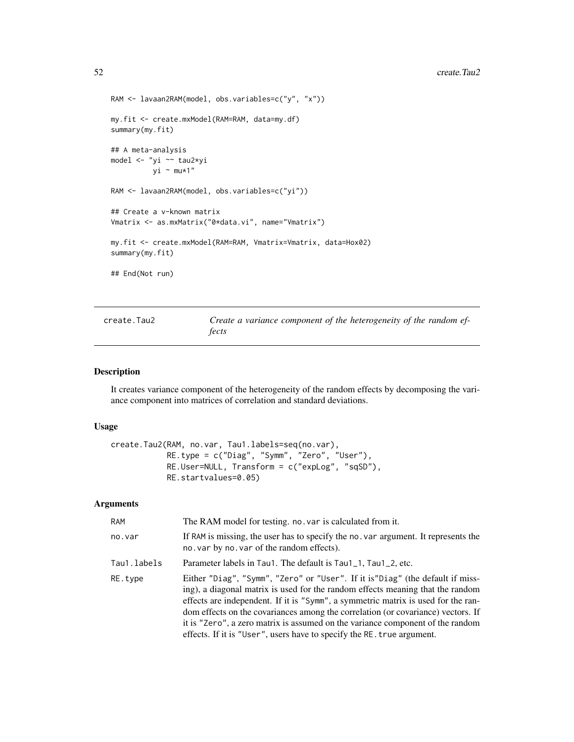```
RAM <- lavaan2RAM(model, obs.variables=c("y", "x"))
my.fit <- create.mxModel(RAM=RAM, data=my.df)
summary(my.fit)
## A meta-analysis
model <- "yi ~~ tau2*yi
         yi ~ mu*1"
RAM <- lavaan2RAM(model, obs.variables=c("yi"))
## Create a v-known matrix
Vmatrix <- as.mxMatrix("0*data.vi", name="Vmatrix")
my.fit <- create.mxModel(RAM=RAM, Vmatrix=Vmatrix, data=Hox02)
summary(my.fit)
## End(Not run)
```
<span id="page-51-0"></span>create.Tau2 *Create a variance component of the heterogeneity of the random effects*

## Description

It creates variance component of the heterogeneity of the random effects by decomposing the variance component into matrices of correlation and standard deviations.

#### Usage

```
create.Tau2(RAM, no.var, Tau1.labels=seq(no.var),
            RE.type = c("Diag", "Symm", "Zero", "User"),
            RE.User=NULL, Transform = c("expLog", "sqSD"),
            RE.startvalues=0.05)
```

| RAM         | The RAM model for testing. no. var is calculated from it.                                                                                                                                                                                                                                                                                                                                                                                                                                             |
|-------------|-------------------------------------------------------------------------------------------------------------------------------------------------------------------------------------------------------------------------------------------------------------------------------------------------------------------------------------------------------------------------------------------------------------------------------------------------------------------------------------------------------|
| no.var      | If RAM is missing, the user has to specify the no. var argument. It represents the<br>no. var by no. var of the random effects).                                                                                                                                                                                                                                                                                                                                                                      |
| Tau1.labels | Parameter labels in Tau1. The default is Tau1_1, Tau1_2, etc.                                                                                                                                                                                                                                                                                                                                                                                                                                         |
| RE.tvpe     | Either "Diag", "Symm", "Zero" or "User". If it is "Diag" (the default if miss-<br>ing), a diagonal matrix is used for the random effects meaning that the random<br>effects are independent. If it is "Symm", a symmetric matrix is used for the ran-<br>dom effects on the covariances among the correlation (or covariance) vectors. If<br>it is "Zero", a zero matrix is assumed on the variance component of the random<br>effects. If it is "User", users have to specify the RE. true argument. |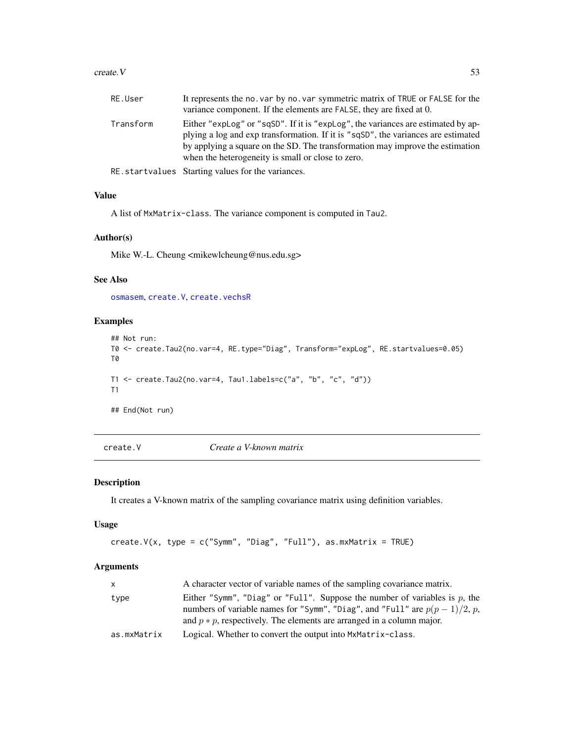#### $\text{create.} V$  53

| RE.User   | It represents the no. var by no. var symmetric matrix of TRUE or FALSE for the<br>variance component. If the elements are FALSE, they are fixed at 0.                                                                                                                                                       |
|-----------|-------------------------------------------------------------------------------------------------------------------------------------------------------------------------------------------------------------------------------------------------------------------------------------------------------------|
| Transform | Either "explog" or "sqSD". If it is "explog", the variances are estimated by ap-<br>plying a log and exp transformation. If it is "sqSD", the variances are estimated<br>by applying a square on the SD. The transformation may improve the estimation<br>when the heterogeneity is small or close to zero. |
|           | RE.startvalues Starting values for the variances.                                                                                                                                                                                                                                                           |

### Value

A list of MxMatrix-class. The variance component is computed in Tau2.

## Author(s)

Mike W.-L. Cheung <mikewlcheung@nus.edu.sg>

## See Also

[osmasem](#page-97-0), [create.V](#page-52-0), [create.vechsR](#page-53-0)

## Examples

```
## Not run:
T0 <- create.Tau2(no.var=4, RE.type="Diag", Transform="expLog", RE.startvalues=0.05)
T0
T1 \le create.Tau2(no.var=4, Tau1.labels=c("a", "b", "c", "d"))
T1
## End(Not run)
```
<span id="page-52-0"></span>create.V *Create a V-known matrix*

## Description

It creates a V-known matrix of the sampling covariance matrix using definition variables.

## Usage

```
create.V(x, type = c("Symm", "Diag", "Full"), as.mxMatrix = TRUE)
```

| X.          | A character vector of variable names of the sampling covariance matrix.                                                                                                                                                                |
|-------------|----------------------------------------------------------------------------------------------------------------------------------------------------------------------------------------------------------------------------------------|
| type        | Either "Symm", "Diag" or "Full". Suppose the number of variables is p, the<br>numbers of variable names for "Symm", "Diag", and "Full" are $p(p-1)/2$ , p,<br>and $p * p$ , respectively. The elements are arranged in a column major. |
| as.mxMatrix | Logical. Whether to convert the output into MxMatrix-class.                                                                                                                                                                            |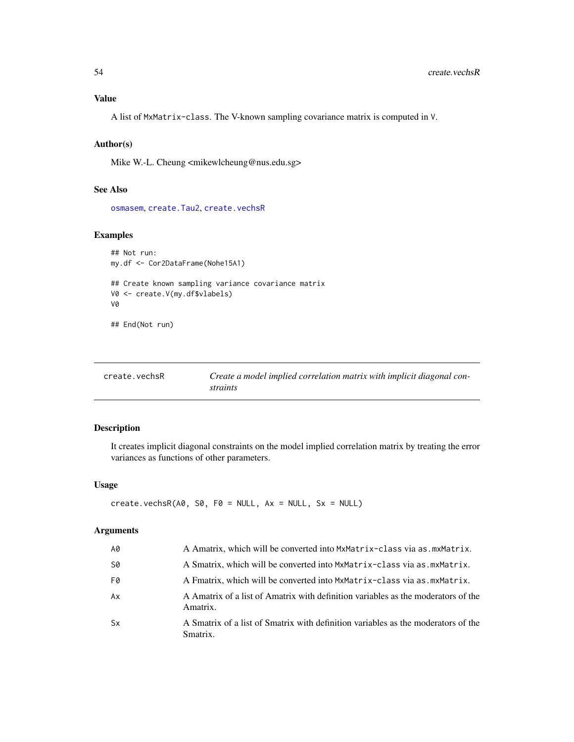# Value

A list of MxMatrix-class. The V-known sampling covariance matrix is computed in V.

# Author(s)

Mike W.-L. Cheung <mikewlcheung@nus.edu.sg>

## See Also

[osmasem](#page-97-0), create. Tau2, create. vechsR

# Examples

```
## Not run:
my.df <- Cor2DataFrame(Nohe15A1)
## Create known sampling variance covariance matrix
V0 <- create.V(my.df$vlabels)
V0
## End(Not run)
```
<span id="page-53-0"></span>

| create.vechsR | Create a model implied correlation matrix with implicit diagonal con- |
|---------------|-----------------------------------------------------------------------|
|               | straints                                                              |

## Description

It creates implicit diagonal constraints on the model implied correlation matrix by treating the error variances as functions of other parameters.

## Usage

```
create.vechsR(A\emptyset, S\emptyset, F\emptyset = NULL, Ax = NULL, Sx = NULL)
```

| A0        | A Amatrix, which will be converted into MxMatrix-class via as. mxMatrix.                      |
|-----------|-----------------------------------------------------------------------------------------------|
| S0        | A Smatrix, which will be converted into MxMatrix-class via as mxMatrix.                       |
| F0        | A Fmatrix, which will be converted into MxMatrix-class via as mxMatrix.                       |
| Ax        | A Amatrix of a list of Amatrix with definition variables as the moderators of the<br>Amatrix. |
| <b>Sx</b> | A Smatrix of a list of Smatrix with definition variables as the moderators of the<br>Smatrix. |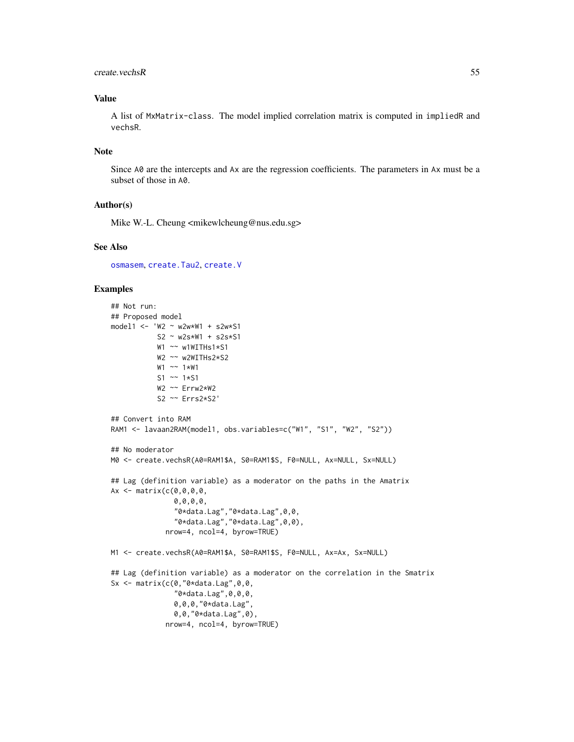## create.vechsR 55

## Value

A list of MxMatrix-class. The model implied correlation matrix is computed in impliedR and vechsR.

#### Note

Since A0 are the intercepts and Ax are the regression coefficients. The parameters in Ax must be a subset of those in A0.

## Author(s)

Mike W.-L. Cheung <mikewlcheung@nus.edu.sg>

#### See Also

[osmasem](#page-97-0), [create.Tau2](#page-51-0), [create.V](#page-52-0)

```
## Not run:
## Proposed model
model1 <- 'W2 ~ w2w*W1 + s2w*S1
           S2 ~ w2s*W1 + s2s*S1
           W1 ~~ w1WITHs1*S1
           W2 ~~ w2WITHs2*S2
           W1 ~~ 1*W1
           S1 ~~ 1*S1
           W2 ~~ Errw2*W2
           S2 ~~ Errs2*S2'
## Convert into RAM
RAM1 <- lavaan2RAM(model1, obs.variables=c("W1", "S1", "W2", "S2"))
## No moderator
M0 <- create.vechsR(A0=RAM1$A, S0=RAM1$S, F0=NULL, Ax=NULL, Sx=NULL)
## Lag (definition variable) as a moderator on the paths in the Amatrix
Ax \leq - matrix(c(0, 0, 0, 0, 0)0,0,0,0,
               "0*data.Lag","0*data.Lag",0,0,
               "0*data.Lag","0*data.Lag",0,0),
             nrow=4, ncol=4, byrow=TRUE)
M1 <- create.vechsR(A0=RAM1$A, S0=RAM1$S, F0=NULL, Ax=Ax, Sx=NULL)
## Lag (definition variable) as a moderator on the correlation in the Smatrix
Sx \leq matrix(c(0,"0*data.Lag",0,0,
               "0*data.Lag",0,0,0,
               0,0,0,"0*data.Lag",
               0,0,"0*data.Lag",0),
             nrow=4, ncol=4, byrow=TRUE)
```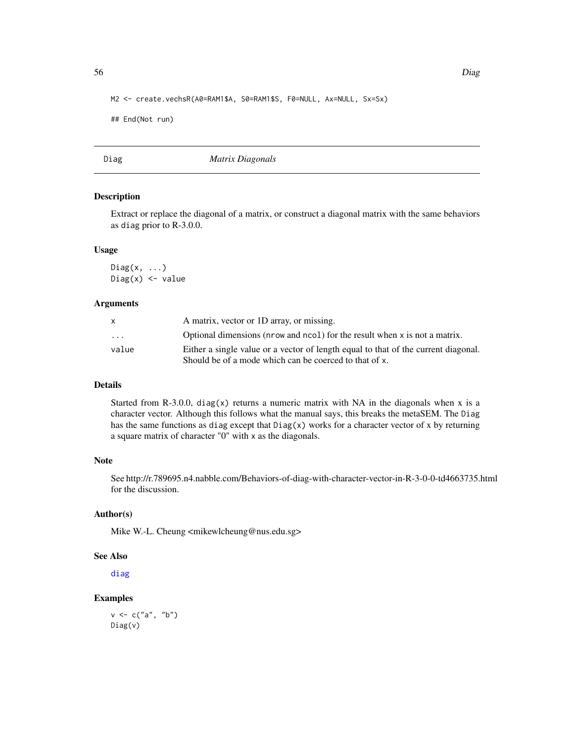```
M2 <- create.vechsR(A0=RAM1$A, S0=RAM1$S, F0=NULL, Ax=NULL, Sx=Sx)
```

```
## End(Not run)
```
Diag *Matrix Diagonals*

## Description

Extract or replace the diagonal of a matrix, or construct a diagonal matrix with the same behaviors as diag prior to R-3.0.0.

#### Usage

 $Diag(x, \ldots)$  $Diag(x)$  <- value

## Arguments

|                         | A matrix, vector or 1D array, or missing.                                          |
|-------------------------|------------------------------------------------------------------------------------|
| $\cdot$ $\cdot$ $\cdot$ | Optional dimensions (nrow and ncol) for the result when x is not a matrix.         |
| value                   | Either a single value or a vector of length equal to that of the current diagonal. |
|                         | Should be of a mode which can be coerced to that of x.                             |

## Details

Started from R-3.0.0, diag(x) returns a numeric matrix with NA in the diagonals when x is a character vector. Although this follows what the manual says, this breaks the metaSEM. The Diag has the same functions as diag except that  $Diag(x)$  works for a character vector of x by returning a square matrix of character "0" with x as the diagonals.

## Note

See http://r.789695.n4.nabble.com/Behaviors-of-diag-with-character-vector-in-R-3-0-0-td4663735.html for the discussion.

## Author(s)

Mike W.-L. Cheung <mikewlcheung@nus.edu.sg>

#### See Also

[diag](#page-0-0)

# Examples

 $v \leq c("a", "b")$ Diag(v)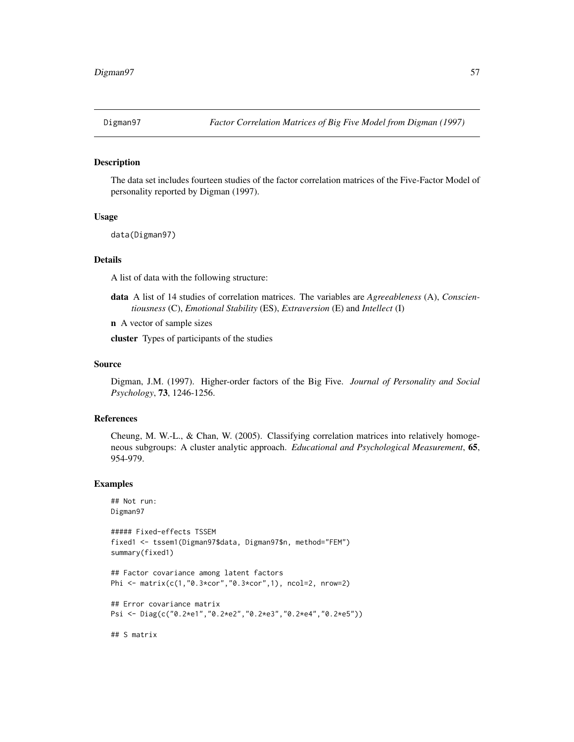The data set includes fourteen studies of the factor correlation matrices of the Five-Factor Model of personality reported by Digman (1997).

#### Usage

data(Digman97)

# Details

A list of data with the following structure:

data A list of 14 studies of correlation matrices. The variables are *Agreeableness* (A), *Conscientiousness* (C), *Emotional Stability* (ES), *Extraversion* (E) and *Intellect* (I)

n A vector of sample sizes

cluster Types of participants of the studies

#### Source

Digman, J.M. (1997). Higher-order factors of the Big Five. *Journal of Personality and Social Psychology*, 73, 1246-1256.

## References

Cheung, M. W.-L., & Chan, W. (2005). Classifying correlation matrices into relatively homogeneous subgroups: A cluster analytic approach. *Educational and Psychological Measurement*, 65, 954-979.

#### Examples

```
## Not run:
Digman97
```

```
##### Fixed-effects TSSEM
fixed1 <- tssem1(Digman97$data, Digman97$n, method="FEM")
summary(fixed1)
```

```
## Factor covariance among latent factors
Phi <- matrix(c(1,"0.3*cor","0.3*cor",1), ncol=2, nrow=2)
```

```
## Error covariance matrix
Psi <- Diag(c("0.2*e1","0.2*e2","0.2*e3","0.2*e4","0.2*e5"))
```
## S matrix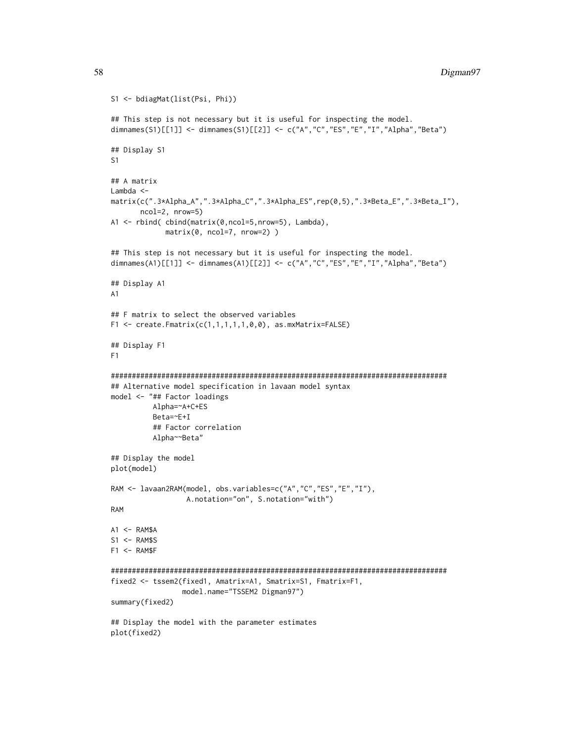```
S1 <- bdiagMat(list(Psi, Phi))
## This step is not necessary but it is useful for inspecting the model.
dimnames(S1)[[1]] <- dimnames(S1)[[2]] <- c("A","C","ES","E","I","Alpha","Beta")
## Display S1
S1
## A matrix
Lambda <-
matrix(c(".3*Alpha_A",".3*Alpha_C",".3*Alpha_ES",rep(0,5),".3*Beta_E",".3*Beta_I"),
       ncol=2, nrow=5)
A1 <- rbind( cbind(matrix(0,ncol=5,nrow=5), Lambda),
             matrix(0, ncol=7, nrow=2) )
## This step is not necessary but it is useful for inspecting the model.
dimnames(A1)[[1]] <- dimnames(A1)[[2]] <- c("A","C","ES","E","I","Alpha","Beta")
## Display A1
A1
## F matrix to select the observed variables
F1 <- create.Fmatrix(c(1,1,1,1,1,0,0), as.mxMatrix=FALSE)
## Display F1
F1
################################################################################
## Alternative model specification in lavaan model syntax
model <- "## Factor loadings
          Alpha=~A+C+ES
          Beta=~E+I
          ## Factor correlation
          Alpha~~Beta"
## Display the model
plot(model)
RAM <- lavaan2RAM(model, obs.variables=c("A","C","ES","E","I"),
                  A.notation="on", S.notation="with")
RAM
A1 \leq - RAM$A
S1 <- RAM$S
F1 < - RAM$F
################################################################################
fixed2 <- tssem2(fixed1, Amatrix=A1, Smatrix=S1, Fmatrix=F1,
                 model.name="TSSEM2 Digman97")
summary(fixed2)
## Display the model with the parameter estimates
plot(fixed2)
```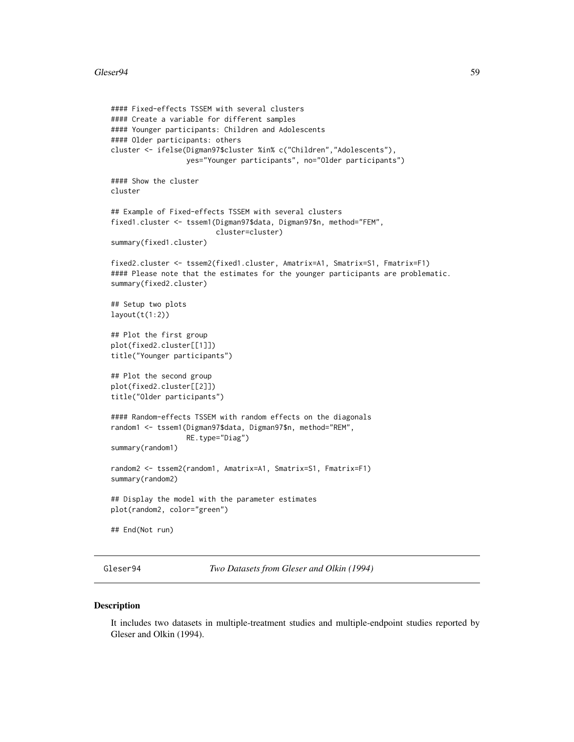```
#### Fixed-effects TSSEM with several clusters
#### Create a variable for different samples
#### Younger participants: Children and Adolescents
#### Older participants: others
cluster <- ifelse(Digman97$cluster %in% c("Children","Adolescents"),
                  yes="Younger participants", no="Older participants")
#### Show the cluster
cluster
## Example of Fixed-effects TSSEM with several clusters
fixed1.cluster <- tssem1(Digman97$data, Digman97$n, method="FEM",
                         cluster=cluster)
summary(fixed1.cluster)
fixed2.cluster <- tssem2(fixed1.cluster, Amatrix=A1, Smatrix=S1, Fmatrix=F1)
#### Please note that the estimates for the younger participants are problematic.
summary(fixed2.cluster)
## Setup two plots
layout(t(1:2))## Plot the first group
plot(fixed2.cluster[[1]])
title("Younger participants")
## Plot the second group
plot(fixed2.cluster[[2]])
title("Older participants")
#### Random-effects TSSEM with random effects on the diagonals
random1 <- tssem1(Digman97$data, Digman97$n, method="REM",
                  RE.type="Diag")
summary(random1)
random2 <- tssem2(random1, Amatrix=A1, Smatrix=S1, Fmatrix=F1)
summary(random2)
## Display the model with the parameter estimates
plot(random2, color="green")
## End(Not run)
```
Gleser94 *Two Datasets from Gleser and Olkin (1994)*

# Description

It includes two datasets in multiple-treatment studies and multiple-endpoint studies reported by Gleser and Olkin (1994).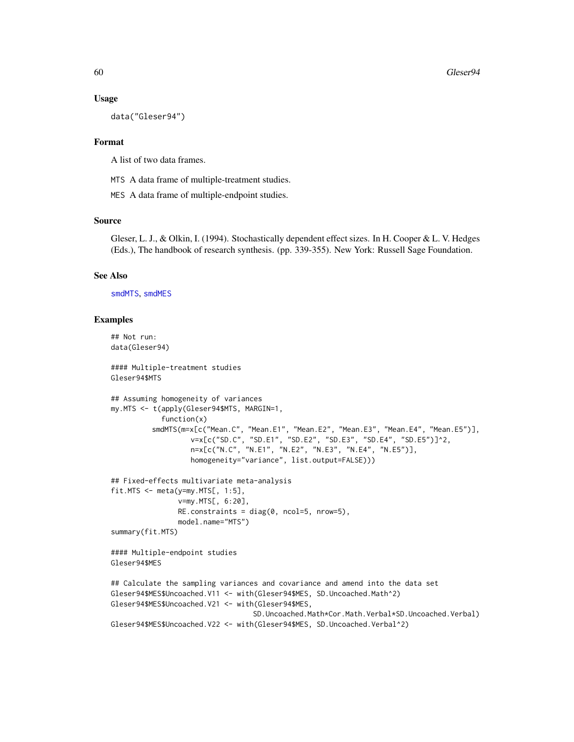#### Usage

data("Gleser94")

## Format

A list of two data frames.

MTS A data frame of multiple-treatment studies.

MES A data frame of multiple-endpoint studies.

# Source

Gleser, L. J., & Olkin, I. (1994). Stochastically dependent effect sizes. In H. Cooper & L. V. Hedges (Eds.), The handbook of research synthesis. (pp. 339-355). New York: Russell Sage Foundation.

## See Also

[smdMTS](#page-120-0), [smdMES](#page-118-0)

```
## Not run:
data(Gleser94)
#### Multiple-treatment studies
Gleser94$MTS
## Assuming homogeneity of variances
my.MTS <- t(apply(Gleser94$MTS, MARGIN=1,
            function(x)
          smdMTS(m=x[c("Mean.C", "Mean.E1", "Mean.E2", "Mean.E3", "Mean.E4", "Mean.E5")],
                   v=x[c("SD.C", "SD.E1", "SD.E2", "SD.E3", "SD.E4", "SD.E5")]^2,
                   n=x[c("N.C", "N.E1", "N.E2", "N.E3", "N.E4", "N.E5")],
                   homogeneity="variance", list.output=FALSE)))
## Fixed-effects multivariate meta-analysis
fit.MTS \leq meta(y=my.MTS[, 1:5],
                v=my.MTS[, 6:20],
                RE.\text{constraints} = \text{diag}(0, \text{ ncol=5, nrow=5}),model.name="MTS")
summary(fit.MTS)
#### Multiple-endpoint studies
Gleser94$MES
## Calculate the sampling variances and covariance and amend into the data set
Gleser94$MES$Uncoached.V11 <- with(Gleser94$MES, SD.Uncoached.Math^2)
Gleser94$MES$Uncoached.V21 <- with(Gleser94$MES,
                                   SD.Uncoached.Math*Cor.Math.Verbal*SD.Uncoached.Verbal)
Gleser94$MES$Uncoached.V22 <- with(Gleser94$MES, SD.Uncoached.Verbal^2)
```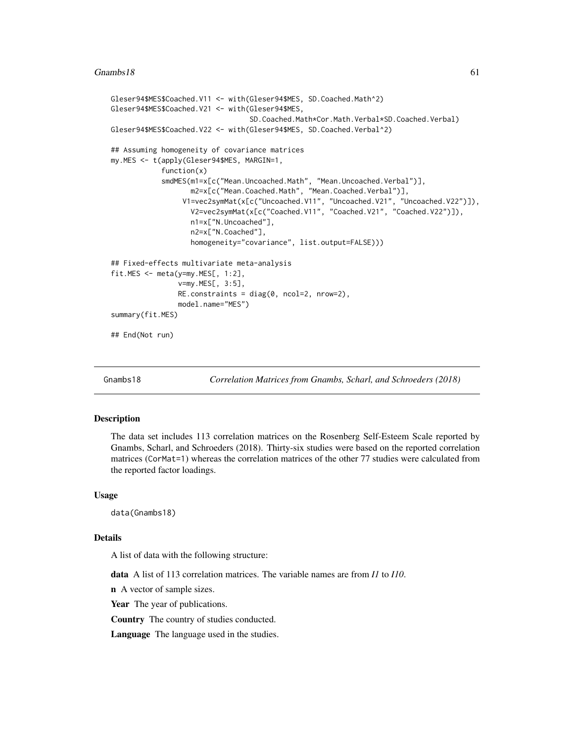```
Gleser94$MES$Coached.V11 <- with(Gleser94$MES, SD.Coached.Math^2)
Gleser94$MES$Coached.V21 <- with(Gleser94$MES,
                                 SD.Coached.Math*Cor.Math.Verbal*SD.Coached.Verbal)
Gleser94$MES$Coached.V22 <- with(Gleser94$MES, SD.Coached.Verbal^2)
## Assuming homogeneity of covariance matrices
my.MES <- t(apply(Gleser94$MES, MARGIN=1,
            function(x)
            smdMES(m1=x[c("Mean.Uncoached.Math", "Mean.Uncoached.Verbal")],
                   m2=x[c("Mean.Coached.Math", "Mean.Coached.Verbal")],
                 V1=vec2symMat(x[c("Uncoached.V11", "Uncoached.V21", "Uncoached.V22")]),
                   V2=vec2symMat(x[c("Coached.V11", "Coached.V21", "Coached.V22")]),
                   n1=x["N.Uncoached"],
                   n2=x["N.Coached"],
                   homogeneity="covariance", list.output=FALSE)))
## Fixed-effects multivariate meta-analysis
fit.MES <- meta(y=my.MES[, 1:2],
                v=my.MES[, 3:5],
                RE.constraints = diag(0, ncol=2, nrow=2),
                model.name="MES")
summary(fit.MES)
## End(Not run)
```
Gnambs18 *Correlation Matrices from Gnambs, Scharl, and Schroeders (2018)*

#### Description

The data set includes 113 correlation matrices on the Rosenberg Self-Esteem Scale reported by Gnambs, Scharl, and Schroeders (2018). Thirty-six studies were based on the reported correlation matrices (CorMat=1) whereas the correlation matrices of the other 77 studies were calculated from the reported factor loadings.

## Usage

data(Gnambs18)

### Details

A list of data with the following structure:

data A list of 113 correlation matrices. The variable names are from *I1* to *I10*.

n A vector of sample sizes.

Year The year of publications.

Country The country of studies conducted.

Language The language used in the studies.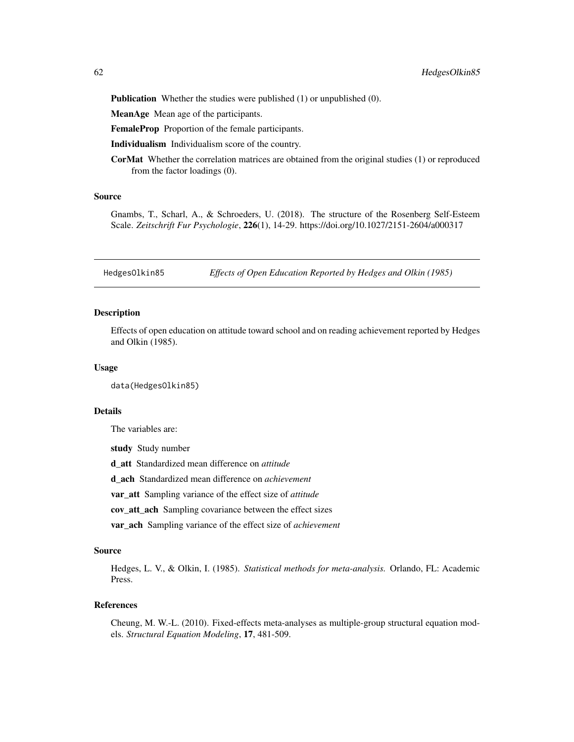Publication Whether the studies were published (1) or unpublished (0).

MeanAge Mean age of the participants.

FemaleProp Proportion of the female participants.

Individualism Individualism score of the country.

CorMat Whether the correlation matrices are obtained from the original studies (1) or reproduced from the factor loadings (0).

#### Source

Gnambs, T., Scharl, A., & Schroeders, U. (2018). The structure of the Rosenberg Self-Esteem Scale. *Zeitschrift Fur Psychologie*, 226(1), 14-29. https://doi.org/10.1027/2151-2604/a000317

HedgesOlkin85 *Effects of Open Education Reported by Hedges and Olkin (1985)*

#### Description

Effects of open education on attitude toward school and on reading achievement reported by Hedges and Olkin (1985).

#### Usage

data(HedgesOlkin85)

## Details

The variables are:

study Study number

d\_att Standardized mean difference on *attitude*

d\_ach Standardized mean difference on *achievement*

var\_att Sampling variance of the effect size of *attitude*

cov\_att\_ach Sampling covariance between the effect sizes

var\_ach Sampling variance of the effect size of *achievement*

#### Source

Hedges, L. V., & Olkin, I. (1985). *Statistical methods for meta-analysis.* Orlando, FL: Academic Press.

#### References

Cheung, M. W.-L. (2010). Fixed-effects meta-analyses as multiple-group structural equation models. *Structural Equation Modeling*, 17, 481-509.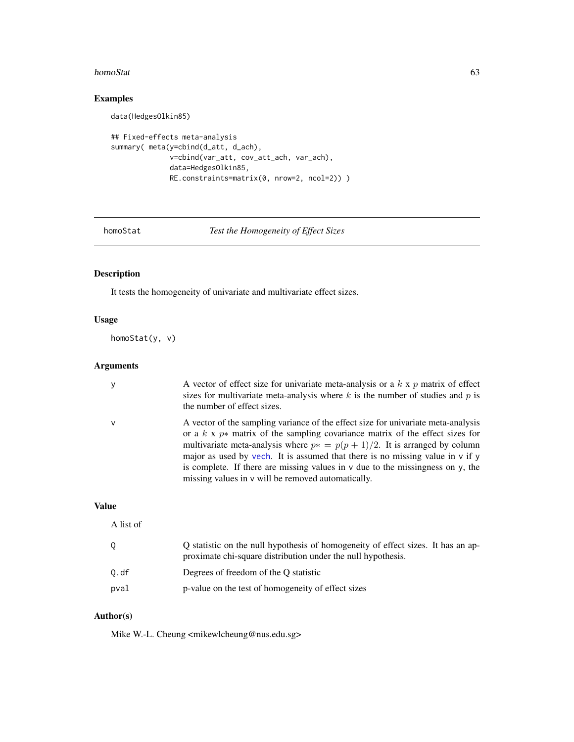#### homoStat 63

# Examples

data(HedgesOlkin85)

```
## Fixed-effects meta-analysis
summary( meta(y=cbind(d_att, d_ach),
             v=cbind(var_att, cov_att_ach, var_ach),
             data=HedgesOlkin85,
             RE.constraints=matrix(0, nrow=2, ncol=2)) )
```
homoStat *Test the Homogeneity of Effect Sizes*

# Description

It tests the homogeneity of univariate and multivariate effect sizes.

# Usage

homoStat(y, v)

# Arguments

| У            | A vector of effect size for univariate meta-analysis or a $k \times p$ matrix of effect<br>sizes for multivariate meta-analysis where $k$ is the number of studies and $p$ is<br>the number of effect sizes.                                                                                                                                                                                                                                                                                |
|--------------|---------------------------------------------------------------------------------------------------------------------------------------------------------------------------------------------------------------------------------------------------------------------------------------------------------------------------------------------------------------------------------------------------------------------------------------------------------------------------------------------|
| $\mathsf{v}$ | A vector of the sampling variance of the effect size for univariate meta-analysis<br>or a $k \times p*$ matrix of the sampling covariance matrix of the effect sizes for<br>multivariate meta-analysis where $p* = p(p + 1)/2$ . It is arranged by column<br>major as used by vech. It is assumed that there is no missing value in v if y<br>is complete. If there are missing values in $\nu$ due to the missingness on $\nu$ , the<br>missing values in v will be removed automatically. |

## Value

| A list of |                                                                                                                                                  |
|-----------|--------------------------------------------------------------------------------------------------------------------------------------------------|
| 0         | Q statistic on the null hypothesis of homogeneity of effect sizes. It has an ap-<br>proximate chi-square distribution under the null hypothesis. |
| 0.df      | Degrees of freedom of the O statistic                                                                                                            |
| pval      | p-value on the test of homogeneity of effect sizes                                                                                               |

# Author(s)

Mike W.-L. Cheung <mikewlcheung@nus.edu.sg>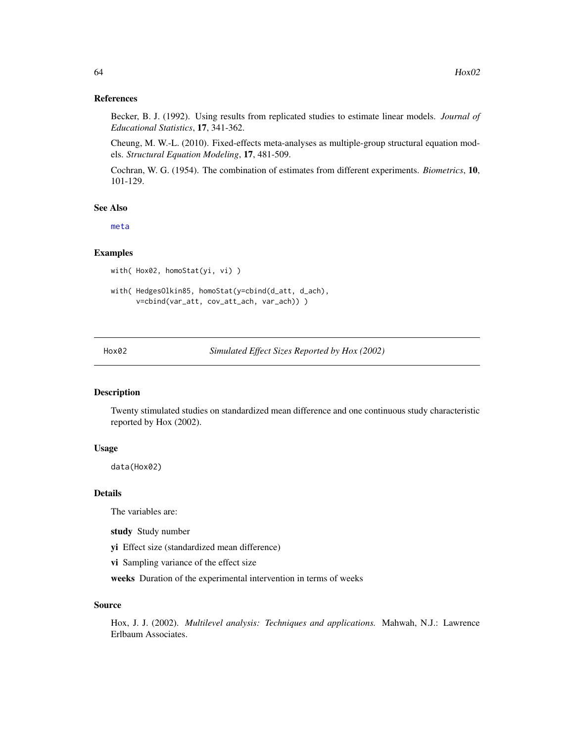#### References

Becker, B. J. (1992). Using results from replicated studies to estimate linear models. *Journal of Educational Statistics*, 17, 341-362.

Cheung, M. W.-L. (2010). Fixed-effects meta-analyses as multiple-group structural equation models. *Structural Equation Modeling*, 17, 481-509.

Cochran, W. G. (1954). The combination of estimates from different experiments. *Biometrics*, 10, 101-129.

#### See Also

[meta](#page-85-0)

# Examples

```
with( Hox02, homoStat(yi, vi) )
```

```
with( HedgesOlkin85, homoStat(y=cbind(d_att, d_ach),
      v=cbind(var_att, cov_att_ach, var_ach)) )
```
Hox02 *Simulated Effect Sizes Reported by Hox (2002)*

# Description

Twenty stimulated studies on standardized mean difference and one continuous study characteristic reported by Hox (2002).

## Usage

data(Hox02)

## Details

The variables are:

study Study number

yi Effect size (standardized mean difference)

vi Sampling variance of the effect size

weeks Duration of the experimental intervention in terms of weeks

#### Source

Hox, J. J. (2002). *Multilevel analysis: Techniques and applications.* Mahwah, N.J.: Lawrence Erlbaum Associates.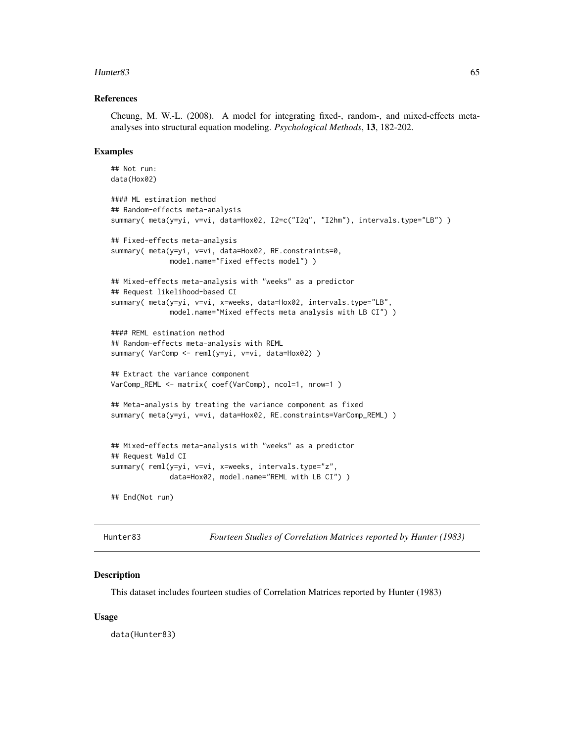#### Hunter83 65

#### References

Cheung, M. W.-L. (2008). A model for integrating fixed-, random-, and mixed-effects metaanalyses into structural equation modeling. *Psychological Methods*, 13, 182-202.

#### Examples

```
## Not run:
data(Hox02)
#### ML estimation method
## Random-effects meta-analysis
summary( meta(y=yi, v=vi, data=Hox02, I2=c("I2q", "I2hm"), intervals.type="LB") )
## Fixed-effects meta-analysis
summary( meta(y=yi, v=vi, data=Hox02, RE.constraints=0,
             model.name="Fixed effects model") )
## Mixed-effects meta-analysis with "weeks" as a predictor
## Request likelihood-based CI
summary( meta(y=yi, v=vi, x=weeks, data=Hox02, intervals.type="LB",
             model.name="Mixed effects meta analysis with LB CI") )
#### REML estimation method
## Random-effects meta-analysis with REML
summary( VarComp <- reml(y=yi, v=vi, data=Hox02) )
## Extract the variance component
VarComp_REML <- matrix( coef(VarComp), ncol=1, nrow=1 )
## Meta-analysis by treating the variance component as fixed
summary( meta(y=yi, v=vi, data=Hox02, RE.constraints=VarComp_REML) )
## Mixed-effects meta-analysis with "weeks" as a predictor
## Request Wald CI
summary( reml(y=yi, v=vi, x=weeks, intervals.type="z",
              data=Hox02, model.name="REML with LB CI") )
## End(Not run)
```
Hunter83 *Fourteen Studies of Correlation Matrices reported by Hunter (1983)*

#### Description

This dataset includes fourteen studies of Correlation Matrices reported by Hunter (1983)

#### Usage

data(Hunter83)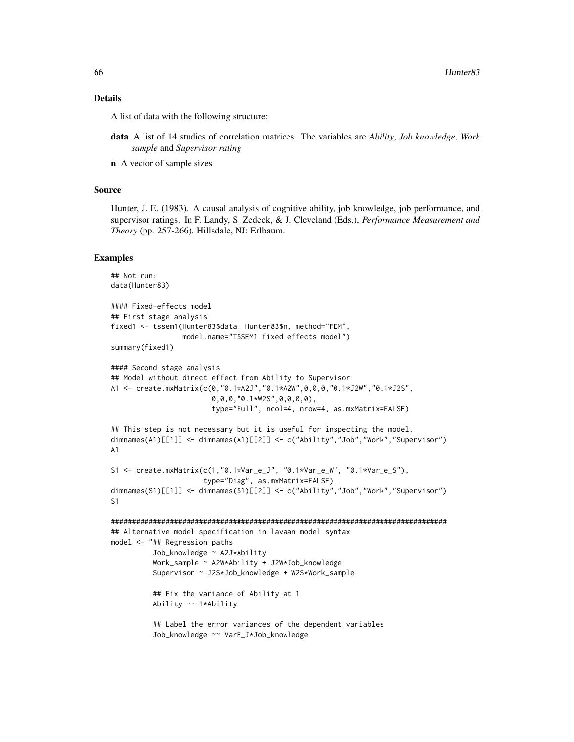#### Details

A list of data with the following structure:

- data A list of 14 studies of correlation matrices. The variables are *Ability*, *Job knowledge*, *Work sample* and *Supervisor rating*
- n A vector of sample sizes

## Source

Hunter, J. E. (1983). A causal analysis of cognitive ability, job knowledge, job performance, and supervisor ratings. In F. Landy, S. Zedeck, & J. Cleveland (Eds.), *Performance Measurement and Theory* (pp. 257-266). Hillsdale, NJ: Erlbaum.

```
## Not run:
data(Hunter83)
#### Fixed-effects model
## First stage analysis
fixed1 <- tssem1(Hunter83$data, Hunter83$n, method="FEM",
                 model.name="TSSEM1 fixed effects model")
summary(fixed1)
#### Second stage analysis
## Model without direct effect from Ability to Supervisor
A1 <- create.mxMatrix(c(0,"0.1*A2J","0.1*A2W",0,0,0,"0.1*J2W","0.1*J2S",
                        0,0,0,"0.1*W2S",0,0,0,0),
                        type="Full", ncol=4, nrow=4, as.mxMatrix=FALSE)
## This step is not necessary but it is useful for inspecting the model.
dimnames(A1)[[1]] <- dimnames(A1)[[2]] <- c("Ability","Job","Work","Supervisor")
A1
S1 <- create.mxMatrix(c(1,"0.1*Var_e_J", "0.1*Var_e_W", "0.1*Var_e_S"),
                      type="Diag", as.mxMatrix=FALSE)
dimnames(S1)[[1]] <- dimnames(S1)[[2]] <- c("Ability","Job","Work","Supervisor")
S1
################################################################################
## Alternative model specification in lavaan model syntax
model <- "## Regression paths
          Job_knowledge ~ A2J*Ability
          Work_sample ~ A2W*Ability + J2W*Job_knowledge
          Supervisor ~ J2S*Job_knowledge + W2S*Work_sample
          ## Fix the variance of Ability at 1
          Ability ~~ 1*Ability
          ## Label the error variances of the dependent variables
          Job_knowledge ~~ VarE_J*Job_knowledge
```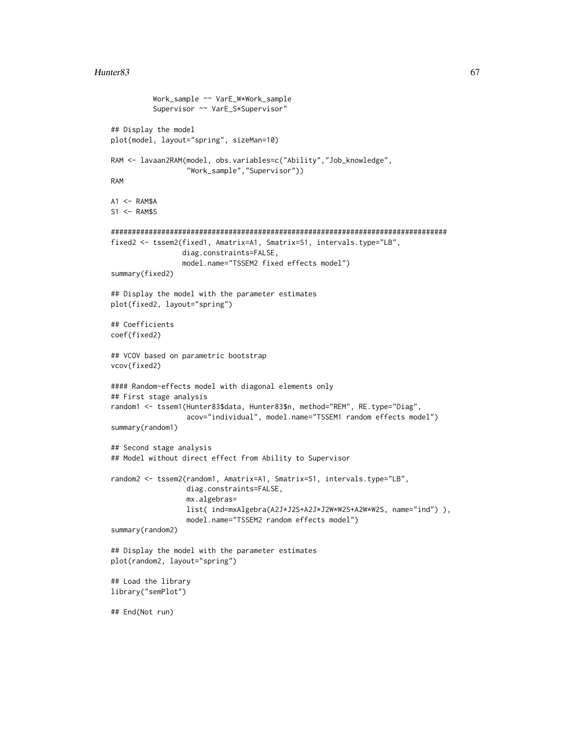#### $H$ unter $83$  67

```
Work_sample ~~ VarE_W*Work_sample
          Supervisor ~~ VarE_S*Supervisor"
## Display the model
plot(model, layout="spring", sizeMan=10)
RAM <- lavaan2RAM(model, obs.variables=c("Ability","Job_knowledge",
                  "Work_sample","Supervisor"))
RAM
A1 <- RAM$A
S1 <- RAM$S
################################################################################
fixed2 <- tssem2(fixed1, Amatrix=A1, Smatrix=S1, intervals.type="LB",
                 diag.constraints=FALSE,
                 model.name="TSSEM2 fixed effects model")
summary(fixed2)
## Display the model with the parameter estimates
plot(fixed2, layout="spring")
## Coefficients
coef(fixed2)
## VCOV based on parametric bootstrap
vcov(fixed2)
#### Random-effects model with diagonal elements only
## First stage analysis
random1 <- tssem1(Hunter83$data, Hunter83$n, method="REM", RE.type="Diag",
                  acov="individual", model.name="TSSEM1 random effects model")
summary(random1)
## Second stage analysis
## Model without direct effect from Ability to Supervisor
random2 <- tssem2(random1, Amatrix=A1, Smatrix=S1, intervals.type="LB",
                  diag.constraints=FALSE,
                  mx.algebras=
                  list( ind=mxAlgebra(A2J*J2S+A2J*J2W*W2S+A2W*W2S, name="ind") ),
                  model.name="TSSEM2 random effects model")
summary(random2)
## Display the model with the parameter estimates
plot(random2, layout="spring")
## Load the library
library("semPlot")
## End(Not run)
```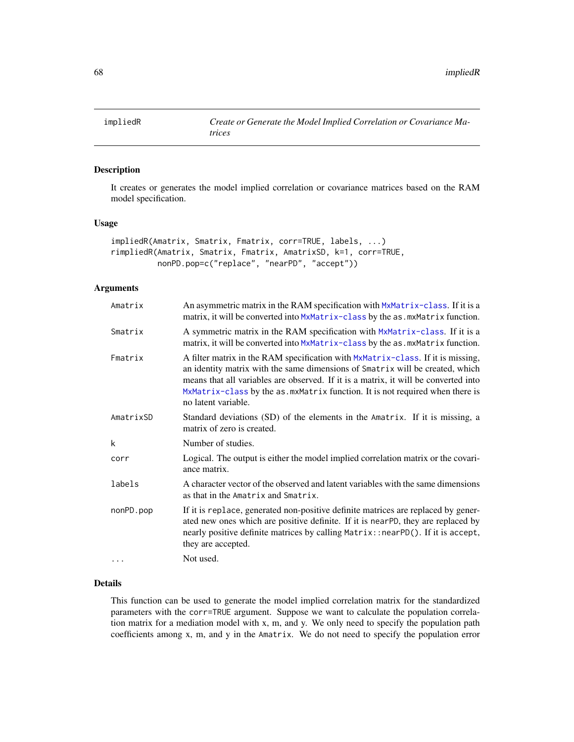It creates or generates the model implied correlation or covariance matrices based on the RAM model specification.

#### Usage

```
impliedR(Amatrix, Smatrix, Fmatrix, corr=TRUE, labels, ...)
rimpliedR(Amatrix, Smatrix, Fmatrix, AmatrixSD, k=1, corr=TRUE,
         nonPD.pop=c("replace", "nearPD", "accept"))
```
# Arguments

| Amatrix   | An asymmetric matrix in the RAM specification with MxMatrix-class. If it is a<br>matrix, it will be converted into MxMatrix-class by the as. mxMatrix function.                                                                                                                                                                                                 |
|-----------|-----------------------------------------------------------------------------------------------------------------------------------------------------------------------------------------------------------------------------------------------------------------------------------------------------------------------------------------------------------------|
| Smatrix   | A symmetric matrix in the RAM specification with MxMatrix-class. If it is a<br>matrix, it will be converted into MxMatrix-class by the as . mxMatrix function.                                                                                                                                                                                                  |
| Fmatrix   | A filter matrix in the RAM specification with MxMatrix-class. If it is missing,<br>an identity matrix with the same dimensions of Smatrix will be created, which<br>means that all variables are observed. If it is a matrix, it will be converted into<br>MxMatrix-class by the as. mxMatrix function. It is not required when there is<br>no latent variable. |
| AmatrixSD | Standard deviations (SD) of the elements in the Amatrix. If it is missing, a<br>matrix of zero is created.                                                                                                                                                                                                                                                      |
| k         | Number of studies.                                                                                                                                                                                                                                                                                                                                              |
| corr      | Logical. The output is either the model implied correlation matrix or the covari-<br>ance matrix.                                                                                                                                                                                                                                                               |
| labels    | A character vector of the observed and latent variables with the same dimensions<br>as that in the Amatrix and Smatrix.                                                                                                                                                                                                                                         |
| nonPD.pop | If it is replace, generated non-positive definite matrices are replaced by gener-<br>ated new ones which are positive definite. If it is nearPD, they are replaced by<br>nearly positive definite matrices by calling Matrix:: nearPD(). If it is accept,<br>they are accepted.                                                                                 |
| .         | Not used.                                                                                                                                                                                                                                                                                                                                                       |

# Details

This function can be used to generate the model implied correlation matrix for the standardized parameters with the corr=TRUE argument. Suppose we want to calculate the population correlation matrix for a mediation model with x, m, and y. We only need to specify the population path coefficients among x, m, and y in the Amatrix. We do not need to specify the population error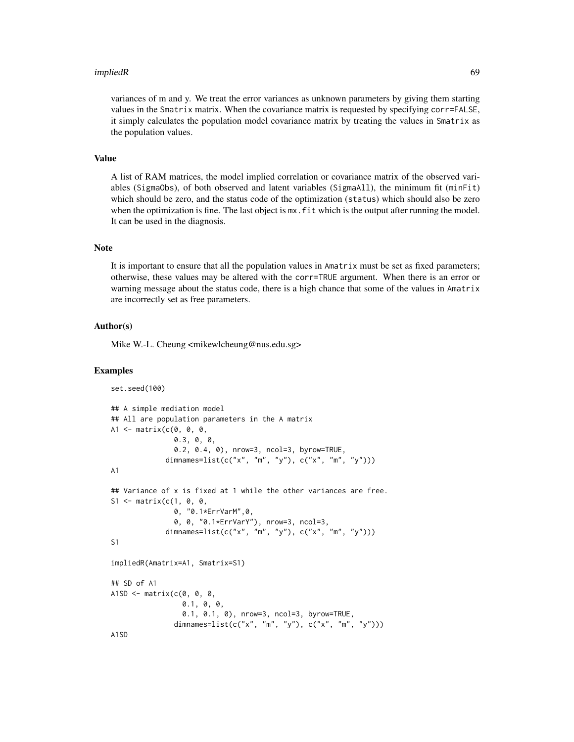#### impliedR 69

#### Value

A list of RAM matrices, the model implied correlation or covariance matrix of the observed variables (SigmaObs), of both observed and latent variables (SigmaAll), the minimum fit (minFit) which should be zero, and the status code of the optimization (status) which should also be zero when the optimization is fine. The last object is  $mx$ . fit which is the output after running the model. It can be used in the diagnosis.

### Note

It is important to ensure that all the population values in Amatrix must be set as fixed parameters; otherwise, these values may be altered with the corr=TRUE argument. When there is an error or warning message about the status code, there is a high chance that some of the values in Amatrix are incorrectly set as free parameters.

## Author(s)

Mike W.-L. Cheung <mikewlcheung@nus.edu.sg>

```
set.seed(100)
## A simple mediation model
## All are population parameters in the A matrix
A1 \leq matrix(c(0, 0, 0,
               0.3, 0, 0,
               0.2, 0.4, 0), nrow=3, ncol=3, byrow=TRUE,
             dimnames=list(c("x", "m", "y"), c("x", "m", "y")))
A1
## Variance of x is fixed at 1 while the other variances are free.
S1 <- matrix(c(1, 0, 0, 0)0, "0.1*ErrVarM",0,
               0, 0, "0.1*ErrVarY"), nrow=3, ncol=3,
             dimnames=list(c("x", "m", "y"), c("x", "m", "y")))
S1
impliedR(Amatrix=A1, Smatrix=S1)
## SD of A1
A1SD \leq matrix(c(0, 0, 0,
                 0.1, 0, 0,
                 0.1, 0.1, 0), nrow=3, ncol=3, byrow=TRUE,
               dimnames=list(c("x", "m", "y"), c("x", "m", "y")))
A1SD
```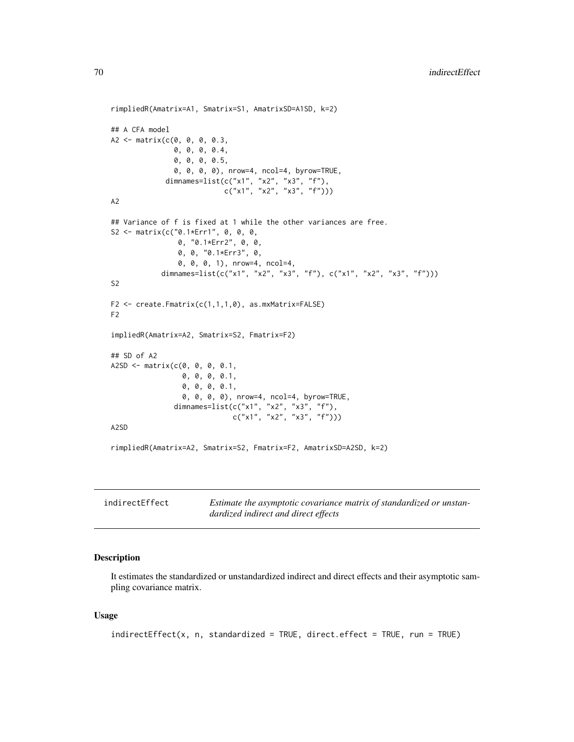```
rimpliedR(Amatrix=A1, Smatrix=S1, AmatrixSD=A1SD, k=2)
## A CFA model
A2 <- matrix(c(0, 0, 0, 0.3,
               0, 0, 0, 0.4,
               0, 0, 0, 0.5,
               0, 0, 0, 0), nrow=4, ncol=4, byrow=TRUE,
             dimnames=list(c("x1", "x2", "x3", "f"),
                           c("x1", "x2", "x3", "f"))A2
## Variance of f is fixed at 1 while the other variances are free.
S2 <- matrix(c("0.1*Err1", 0, 0, 0,
                0, "0.1*Err2", 0, 0,
                0, 0, "0.1*Err3", 0,
                0, 0, 0, 1), nrow=4, ncol=4,
            dimnames=list(c("x1", "x2", "x3", "f"), c("x1", "x2", "x3", "f")))
S<sub>2</sub>F2 <- create.Fmatrix(c(1,1,1,0), as.mxMatrix=FALSE)
F2
impliedR(Amatrix=A2, Smatrix=S2, Fmatrix=F2)
## SD of A2
A2SD \leq matrix(c(0, 0, 0, 0.1, 0.1)0, 0, 0, 0.1,
                 0, 0, 0, 0.1,
                 0, 0, 0, 0), nrow=4, ncol=4, byrow=TRUE,
                dimnames=list(c("x1", "x2", "x3", "f"),
                              c("x1", "x2", "x3", "f")))
A2SD
rimpliedR(Amatrix=A2, Smatrix=S2, Fmatrix=F2, AmatrixSD=A2SD, k=2)
```

| indirectEffect | Estimate the asymptotic covariance matrix of standardized or unstan- |
|----------------|----------------------------------------------------------------------|
|                | dardized indirect and direct effects                                 |

It estimates the standardized or unstandardized indirect and direct effects and their asymptotic sampling covariance matrix.

#### Usage

```
indirectEffect(x, n, standardized = TRUE, direct.effect = TRUE, run = TRUE)
```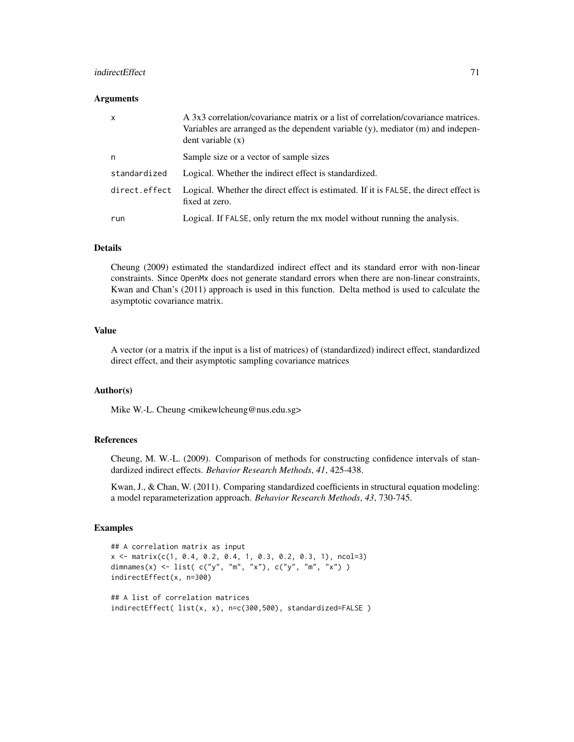## indirectEffect 71

#### **Arguments**

| $\mathsf{x}$  | A 3x3 correlation/covariance matrix or a list of correlation/covariance matrices.<br>Variables are arranged as the dependent variable $(y)$ , mediator $(m)$ and indepen-<br>dent variable(x) |
|---------------|-----------------------------------------------------------------------------------------------------------------------------------------------------------------------------------------------|
| n             | Sample size or a vector of sample sizes                                                                                                                                                       |
| standardized  | Logical. Whether the indirect effect is standardized.                                                                                                                                         |
| direct.effect | Logical. Whether the direct effect is estimated. If it is FALSE, the direct effect is<br>fixed at zero.                                                                                       |
| run           | Logical. If FALSE, only return the mx model without running the analysis.                                                                                                                     |

## Details

Cheung (2009) estimated the standardized indirect effect and its standard error with non-linear constraints. Since OpenMx does not generate standard errors when there are non-linear constraints, Kwan and Chan's (2011) approach is used in this function. Delta method is used to calculate the asymptotic covariance matrix.

## Value

A vector (or a matrix if the input is a list of matrices) of (standardized) indirect effect, standardized direct effect, and their asymptotic sampling covariance matrices

#### Author(s)

Mike W.-L. Cheung <mikewlcheung@nus.edu.sg>

#### References

Cheung, M. W.-L. (2009). Comparison of methods for constructing confidence intervals of standardized indirect effects. *Behavior Research Methods*, *41*, 425-438.

Kwan, J., & Chan, W. (2011). Comparing standardized coefficients in structural equation modeling: a model reparameterization approach. *Behavior Research Methods*, *43*, 730-745.

```
## A correlation matrix as input
x <- matrix(c(1, 0.4, 0.2, 0.4, 1, 0.3, 0.2, 0.3, 1), ncol=3)
dimnames(x) <- list( c("y", "m", "x"), c("y", "m", "x"))
indirectEffect(x, n=300)
## A list of correlation matrices
indirectEffect( list(x, x), n=c(300,500), standardized=FALSE )
```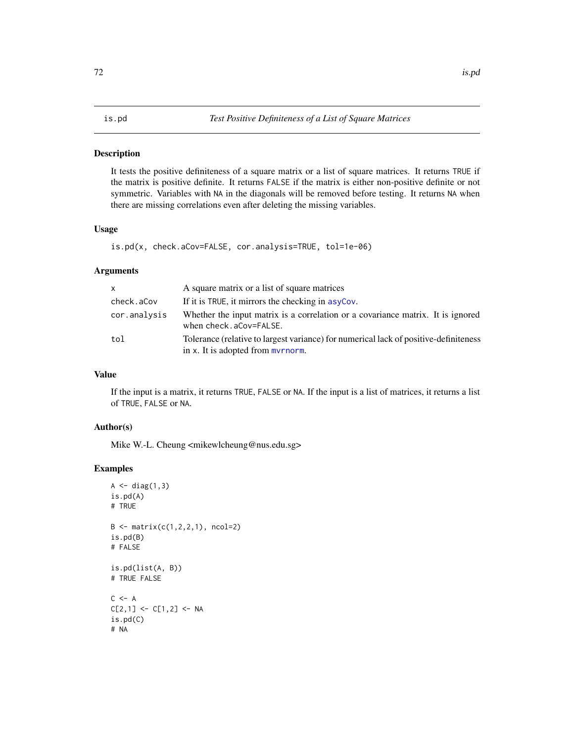It tests the positive definiteness of a square matrix or a list of square matrices. It returns TRUE if the matrix is positive definite. It returns FALSE if the matrix is either non-positive definite or not symmetric. Variables with NA in the diagonals will be removed before testing. It returns NA when there are missing correlations even after deleting the missing variables.

## Usage

```
is.pd(x, check.aCov=FALSE, cor.analysis=TRUE, tol=1e-06)
```
# Arguments

| $\mathsf{x}$ | A square matrix or a list of square matrices                                                                              |
|--------------|---------------------------------------------------------------------------------------------------------------------------|
| check.aCov   | If it is TRUE, it mirrors the checking in asyCov.                                                                         |
| cor.analysis | Whether the input matrix is a correlation or a covariance matrix. It is ignored<br>when check.aCov=FALSE.                 |
| tol          | Tolerance (relative to largest variance) for numerical lack of positive-definiteness<br>in x. It is adopted from myrnorm. |

# Value

If the input is a matrix, it returns TRUE, FALSE or NA. If the input is a list of matrices, it returns a list of TRUE, FALSE or NA.

# Author(s)

Mike W.-L. Cheung <mikewlcheung@nus.edu.sg>

```
A \leftarrow diag(1,3)is.pd(A)
# TRUE
B \le - matrix(c(1, 2, 2, 1), ncol=2)
is.pd(B)
# FALSE
is.pd(list(A, B))
# TRUE FALSE
C <- A
C[2,1] <- C[1,2] <- NA
is.pd(C)
# NA
```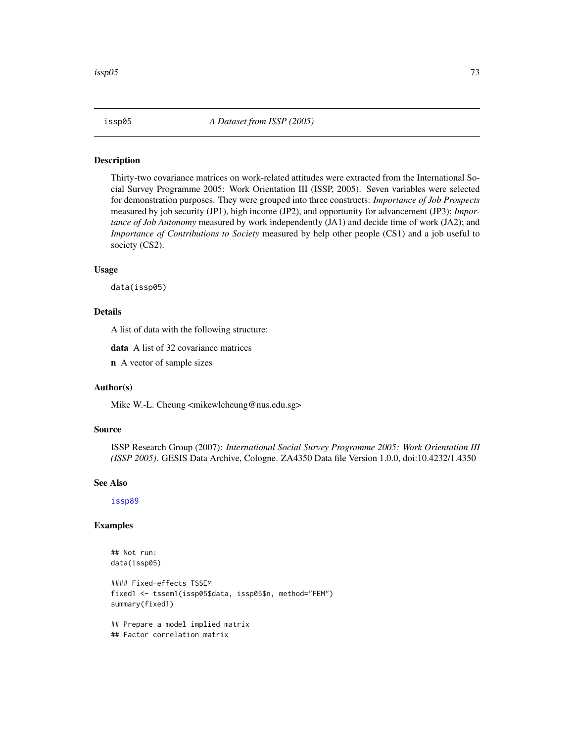<span id="page-72-0"></span>

Thirty-two covariance matrices on work-related attitudes were extracted from the International Social Survey Programme 2005: Work Orientation III (ISSP, 2005). Seven variables were selected for demonstration purposes. They were grouped into three constructs: *Importance of Job Prospects* measured by job security (JP1), high income (JP2), and opportunity for advancement (JP3); *Importance of Job Autonomy* measured by work independently (JA1) and decide time of work (JA2); and *Importance of Contributions to Society* measured by help other people (CS1) and a job useful to society (CS2).

## Usage

data(issp05)

## Details

A list of data with the following structure:

data A list of 32 covariance matrices

n A vector of sample sizes

#### Author(s)

Mike W.-L. Cheung <mikewlcheung@nus.edu.sg>

#### Source

ISSP Research Group (2007): *International Social Survey Programme 2005: Work Orientation III (ISSP 2005)*. GESIS Data Archive, Cologne. ZA4350 Data file Version 1.0.0, doi:10.4232/1.4350

#### See Also

[issp89](#page-73-0)

```
## Not run:
data(issp05)
```

```
#### Fixed-effects TSSEM
fixed1 <- tssem1(issp05$data, issp05$n, method="FEM")
summary(fixed1)
## Prepare a model implied matrix
## Factor correlation matrix
```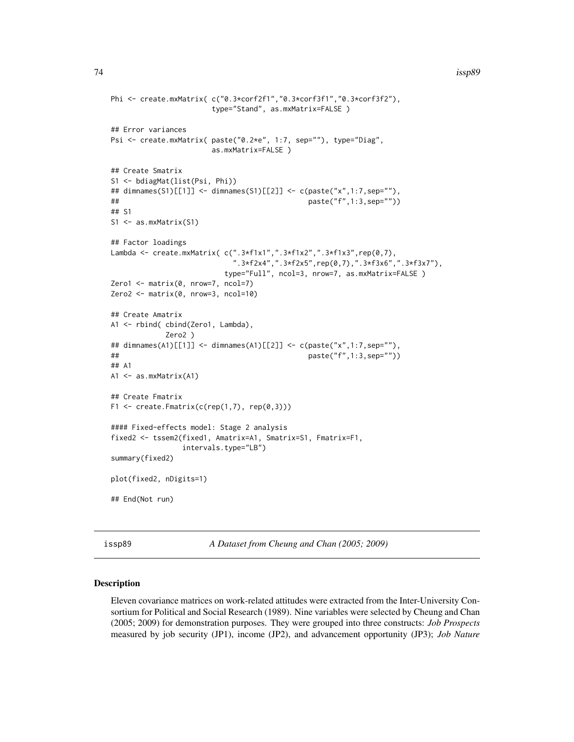#### 74 issp89

```
Phi <- create.mxMatrix( c("0.3*corf2f1","0.3*corf3f1","0.3*corf3f2"),
                      type="Stand", as.mxMatrix=FALSE )
## Error variances
Psi <- create.mxMatrix( paste("0.2*e", 1:7, sep=""), type="Diag",
                      as.mxMatrix=FALSE )
## Create Smatrix
S1 <- bdiagMat(list(Psi, Phi))
## dimnames(S1)[[1]] <- dimnames(S1)[[2]] <- c(paste("x",1:7,sep=""),
## paste("f",1:3,sep=""))
## S1
S1 <- as.mxMatrix(S1)
## Factor loadings
Lambda <- create.mxMatrix( c(".3*f1x1",".3*f1x2",".3*f1x3",rep(0,7),
                           ".3*f2x4",".3*f2x5",rep(0,7),".3*f3x6",".3*f3x7"),
                         type="Full", ncol=3, nrow=7, as.mxMatrix=FALSE )
Zero1 <- matrix(0, nrow=7, ncol=7)
Zero2 <- matrix(0, nrow=3, ncol=10)
## Create Amatrix
A1 <- rbind( cbind(Zero1, Lambda),
            Zero2 )
## dimnames(A1)[[1]] <- dimnames(A1)[[2]] <- c(paste("x",1:7,sep=""),
## paste("f",1:3,sep=""))
## A1
A1 <- as.mxMatrix(A1)
## Create Fmatrix
F1 \le create. Fmatrix(c(rep(1,7), rep(0,3)))
#### Fixed-effects model: Stage 2 analysis
fixed2 <- tssem2(fixed1, Amatrix=A1, Smatrix=S1, Fmatrix=F1,
                intervals.type="LB")
summary(fixed2)
plot(fixed2, nDigits=1)
## End(Not run)
```
<span id="page-73-0"></span>issp89 *A Dataset from Cheung and Chan (2005; 2009)*

## Description

Eleven covariance matrices on work-related attitudes were extracted from the Inter-University Consortium for Political and Social Research (1989). Nine variables were selected by Cheung and Chan (2005; 2009) for demonstration purposes. They were grouped into three constructs: *Job Prospects* measured by job security (JP1), income (JP2), and advancement opportunity (JP3); *Job Nature*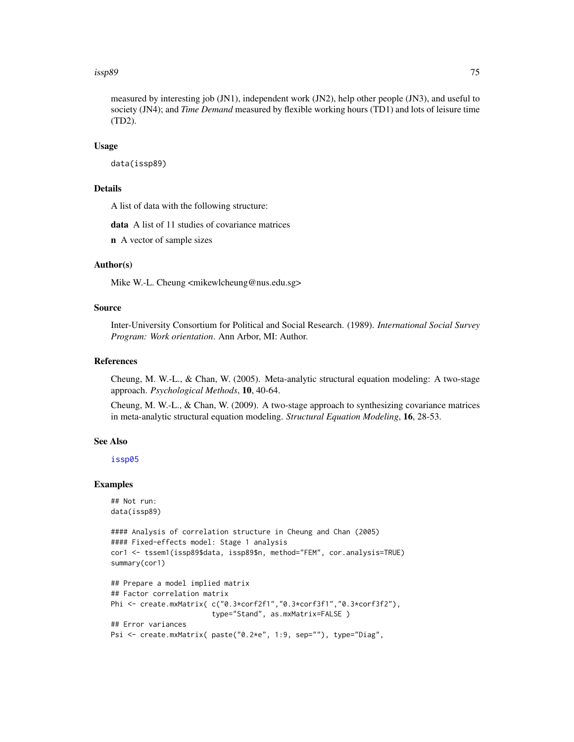#### issp89 75

measured by interesting job (JN1), independent work (JN2), help other people (JN3), and useful to society (JN4); and *Time Demand* measured by flexible working hours (TD1) and lots of leisure time (TD2).

## Usage

data(issp89)

# Details

A list of data with the following structure:

data A list of 11 studies of covariance matrices

n A vector of sample sizes

## Author(s)

Mike W.-L. Cheung <mikewlcheung@nus.edu.sg>

## Source

Inter-University Consortium for Political and Social Research. (1989). *International Social Survey Program: Work orientation*. Ann Arbor, MI: Author.

# References

Cheung, M. W.-L., & Chan, W. (2005). Meta-analytic structural equation modeling: A two-stage approach. *Psychological Methods*, 10, 40-64.

Cheung, M. W.-L., & Chan, W. (2009). A two-stage approach to synthesizing covariance matrices in meta-analytic structural equation modeling. *Structural Equation Modeling*, 16, 28-53.

#### See Also

[issp05](#page-72-0)

```
## Not run:
data(issp89)
```

```
#### Analysis of correlation structure in Cheung and Chan (2005)
#### Fixed-effects model: Stage 1 analysis
cor1 <- tssem1(issp89$data, issp89$n, method="FEM", cor.analysis=TRUE)
summary(cor1)
```

```
## Prepare a model implied matrix
## Factor correlation matrix
Phi <- create.mxMatrix( c("0.3*corf2f1","0.3*corf3f1","0.3*corf3f2"),
                        type="Stand", as.mxMatrix=FALSE )
## Error variances
Psi <- create.mxMatrix( paste("0.2*e", 1:9, sep=""), type="Diag",
```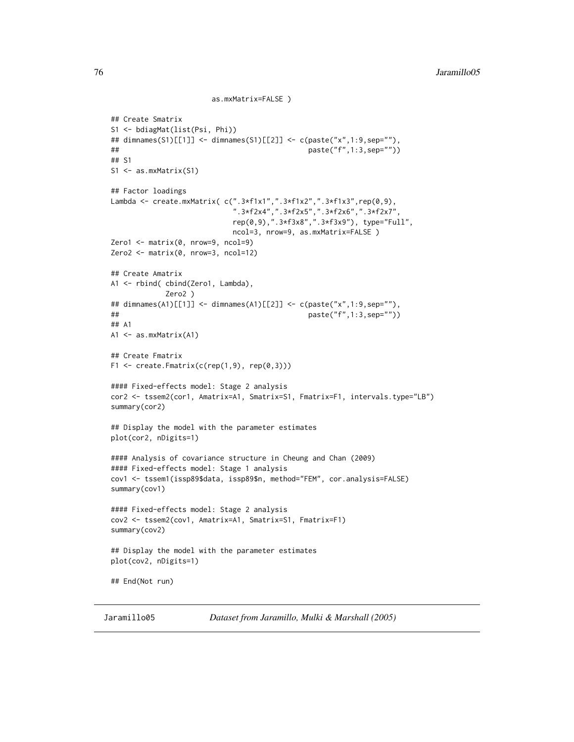```
as.mxMatrix=FALSE )
## Create Smatrix
S1 <- bdiagMat(list(Psi, Phi))
## dimnames(S1)[[1]] <- dimnames(S1)[[2]] <- c(paste("x",1:9,sep=""),
## paste("f",1:3,sep=""))
## S1
S1 <- as.mxMatrix(S1)
## Factor loadings
Lambda <- create.mxMatrix( c(".3*f1x1",".3*f1x2",".3*f1x3",rep(0,9),
                            ".3*f2x4",".3*f2x5",".3*f2x6",".3*f2x7",
                           rep(0,9),".3*f3x8",".3*f3x9"), type="Full",
                           ncol=3, nrow=9, as.mxMatrix=FALSE )
Zero1 <- matrix(0, nrow=9, ncol=9)
Zero2 <- matrix(0, nrow=3, ncol=12)
## Create Amatrix
A1 <- rbind( cbind(Zero1, Lambda),
            Zero2 )
## dimnames(A1)[[1]] <- dimnames(A1)[[2]] <- c(paste("x",1:9,sep=""),
## paste("f",1:3,sep=""))
## A1
A1 <- as.mxMatrix(A1)
## Create Fmatrix
F1 \le create. Fmatrix(c(rep(1,9), rep(0,3)))
#### Fixed-effects model: Stage 2 analysis
cor2 <- tssem2(cor1, Amatrix=A1, Smatrix=S1, Fmatrix=F1, intervals.type="LB")
summary(cor2)
## Display the model with the parameter estimates
plot(cor2, nDigits=1)
#### Analysis of covariance structure in Cheung and Chan (2009)
#### Fixed-effects model: Stage 1 analysis
cov1 <- tssem1(issp89$data, issp89$n, method="FEM", cor.analysis=FALSE)
summary(cov1)
#### Fixed-effects model: Stage 2 analysis
cov2 <- tssem2(cov1, Amatrix=A1, Smatrix=S1, Fmatrix=F1)
summary(cov2)
## Display the model with the parameter estimates
plot(cov2, nDigits=1)
## End(Not run)
```
Jaramillo05 *Dataset from Jaramillo, Mulki & Marshall (2005)*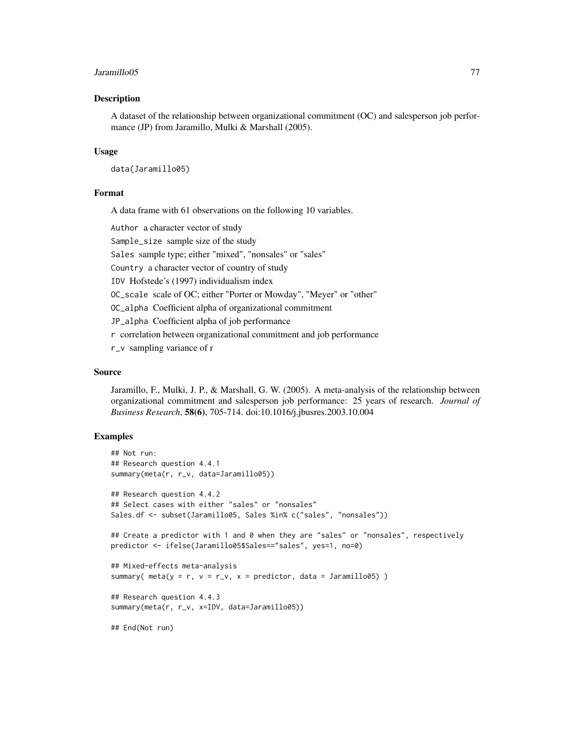#### Jaramillo05 77

## Description

A dataset of the relationship between organizational commitment (OC) and salesperson job performance (JP) from Jaramillo, Mulki & Marshall (2005).

## Usage

data(Jaramillo05)

## Format

A data frame with 61 observations on the following 10 variables.

Author a character vector of study

Sample\_size sample size of the study

Sales sample type; either "mixed", "nonsales" or "sales"

Country a character vector of country of study

IDV Hofstede's (1997) individualism index

OC\_scale scale of OC; either "Porter or Mowday", "Meyer" or "other"

OC\_alpha Coefficient alpha of organizational commitment

JP\_alpha Coefficient alpha of job performance

r correlation between organizational commitment and job performance

r\_v sampling variance of r

## Source

Jaramillo, F., Mulki, J. P., & Marshall, G. W. (2005). A meta-analysis of the relationship between organizational commitment and salesperson job performance: 25 years of research. *Journal of Business Research*, 58(6), 705-714. doi:10.1016/j.jbusres.2003.10.004

```
## Not run:
## Research question 4.4.1
summary(meta(r, r_v, data=Jaramillo05))
## Research question 4.4.2
## Select cases with either "sales" or "nonsales"
Sales.df <- subset(Jaramillo05, Sales %in% c("sales", "nonsales"))
## Create a predictor with 1 and 0 when they are "sales" or "nonsales", respectively
predictor <- ifelse(Jaramillo05$Sales=="sales", yes=1, no=0)
## Mixed-effects meta-analysis
summary( meta(y = r, v = r_v, x = \text{predictor}, data = Jaramillo05))
## Research question 4.4.3
summary(meta(r, r_v, x=IDV, data=Jaramillo05))
## End(Not run)
```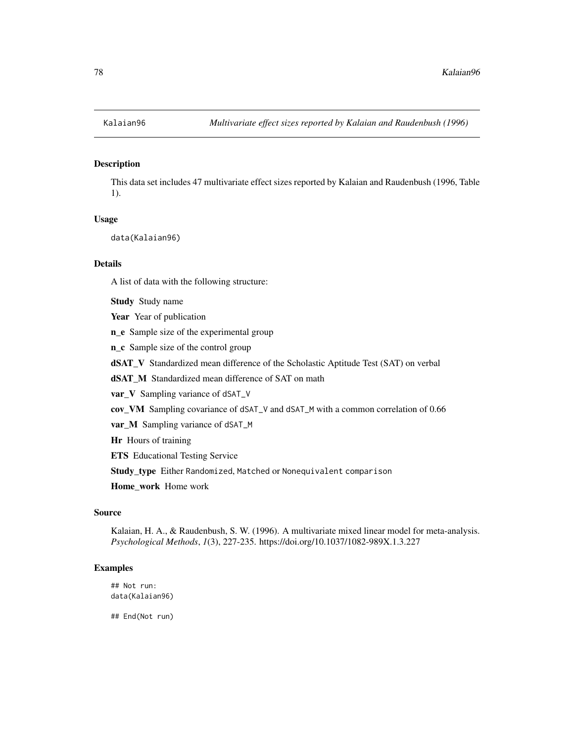This data set includes 47 multivariate effect sizes reported by Kalaian and Raudenbush (1996, Table 1).

#### Usage

data(Kalaian96)

## Details

A list of data with the following structure:

Study Study name

Year Year of publication

n\_e Sample size of the experimental group

n\_c Sample size of the control group

dSAT\_V Standardized mean difference of the Scholastic Aptitude Test (SAT) on verbal

dSAT\_M Standardized mean difference of SAT on math

var\_V Sampling variance of dSAT\_V

cov\_VM Sampling covariance of dSAT\_V and dSAT\_M with a common correlation of 0.66

var\_M Sampling variance of dSAT\_M

Hr Hours of training

ETS Educational Testing Service

Study\_type Either Randomized, Matched or Nonequivalent comparison

Home\_work Home work

## Source

Kalaian, H. A., & Raudenbush, S. W. (1996). A multivariate mixed linear model for meta-analysis. *Psychological Methods*, *1*(3), 227-235. https://doi.org/10.1037/1082-989X.1.3.227

#### Examples

## Not run: data(Kalaian96)

## End(Not run)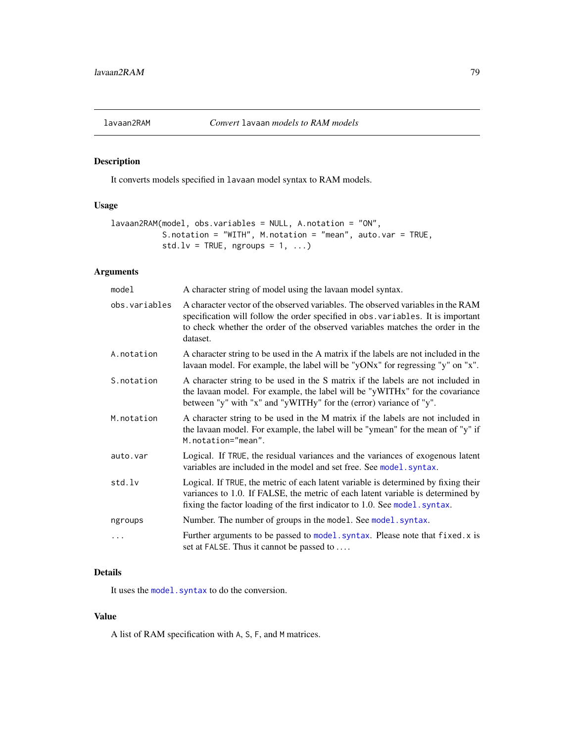<span id="page-78-0"></span>

It converts models specified in lavaan model syntax to RAM models.

# Usage

```
lavaan2RAM(model, obs.variables = NULL, A.notation = "ON",
          S.notation = "WITH", M.notation = "mean", auto.var = TRUE,
           std.lv = TRUE, ngroups = 1, ...)
```
## Arguments

| model         | A character string of model using the lavaan model syntax.                                                                                                                                                                                                       |
|---------------|------------------------------------------------------------------------------------------------------------------------------------------------------------------------------------------------------------------------------------------------------------------|
| obs.variables | A character vector of the observed variables. The observed variables in the RAM<br>specification will follow the order specified in obs. variables. It is important<br>to check whether the order of the observed variables matches the order in the<br>dataset. |
| A.notation    | A character string to be used in the A matrix if the labels are not included in the<br>lavaan model. For example, the label will be "yONx" for regressing "y" on "x".                                                                                            |
| S.notation    | A character string to be used in the S matrix if the labels are not included in<br>the lavaan model. For example, the label will be "yWITHx" for the covariance<br>between "y" with "x" and "yWITHy" for the (error) variance of "y".                            |
| M.notation    | A character string to be used in the M matrix if the labels are not included in<br>the lavaan model. For example, the label will be "ymean" for the mean of "y" if<br>M.notation="mean".                                                                         |
| auto.var      | Logical. If TRUE, the residual variances and the variances of exogenous latent<br>variables are included in the model and set free. See model . syntax.                                                                                                          |
| std.lv        | Logical. If TRUE, the metric of each latent variable is determined by fixing their<br>variances to 1.0. If FALSE, the metric of each latent variable is determined by<br>fixing the factor loading of the first indicator to 1.0. See model. syntax.             |
| ngroups       | Number. The number of groups in the model. See model. syntax.                                                                                                                                                                                                    |
| .             | Further arguments to be passed to model. syntax. Please note that fixed. x is<br>set at FALSE. Thus it cannot be passed to                                                                                                                                       |

# Details

It uses the model. syntax to do the conversion.

# Value

A list of RAM specification with A, S, F, and M matrices.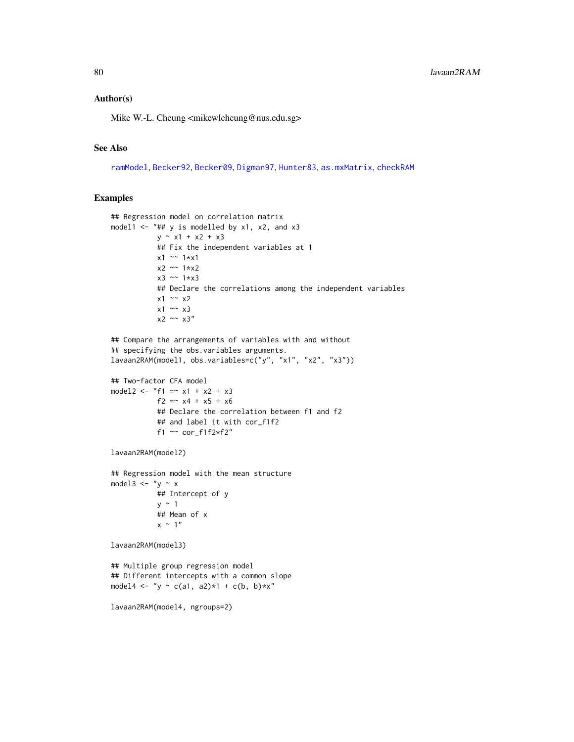## Author(s)

Mike W.-L. Cheung <mikewlcheung@nus.edu.sg>

#### See Also

[ramModel](#page-0-0), [Becker92](#page-22-0), [Becker09](#page-17-0), [Digman97](#page-56-0), [Hunter83](#page-64-0), [as.mxMatrix](#page-9-0), [checkRAM](#page-34-0)

```
## Regression model on correlation matrix
model1 <- "## y is modelled by x1, x2, and x3
           y \sim x1 + x2 + x3## Fix the independent variables at 1
           x1 ~~ 1*x1
           x2 ~~ 1*x2
           x3 ~~ 1*x3
           ## Declare the correlations among the independent variables
           x1 \sim x2x1 \sim x3x2 \sim x3''## Compare the arrangements of variables with and without
## specifying the obs.variables arguments.
lavaan2RAM(model1, obs.variables=c("y", "x1", "x2", "x3"))
## Two-factor CFA model
model2 <- "f1 =~ x1 + x2 + x3
           f2 = x4 + x5 + x6## Declare the correlation between f1 and f2
           ## and label it with cor_f1f2
           f1 ~~ cor_f1f2*f2"
lavaan2RAM(model2)
## Regression model with the mean structure
model3 \leftarrow "y \sim x
           ## Intercept of y
           y \sim 1## Mean of x
           x \sim 1"
lavaan2RAM(model3)
## Multiple group regression model
## Different intercepts with a common slope
model4 <- "y ~ c(a1, a2)*1 + c(b, b)*x"
lavaan2RAM(model4, ngroups=2)
```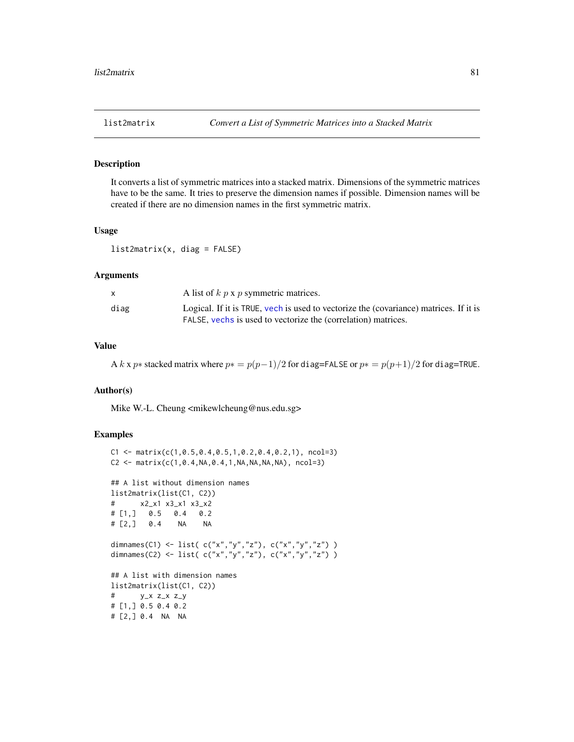It converts a list of symmetric matrices into a stacked matrix. Dimensions of the symmetric matrices have to be the same. It tries to preserve the dimension names if possible. Dimension names will be created if there are no dimension names in the first symmetric matrix.

## Usage

list2matrix(x, diag = FALSE)

#### Arguments

| A list of $k$ p x p symmetric matrices.                                                                                                                        |  |
|----------------------------------------------------------------------------------------------------------------------------------------------------------------|--|
| diag<br>Logical. If it is TRUE, yech is used to vectorize the (covariance) matrices. If it is<br>FALSE, vechs is used to vectorize the (correlation) matrices. |  |

# Value

A k x p∗ stacked matrix where  $p* = p(p-1)/2$  for diag=FALSE or  $p* = p(p+1)/2$  for diag=TRUE.

## Author(s)

Mike W.-L. Cheung <mikewlcheung@nus.edu.sg>

```
C1 \leftarrow matrix(c(1, 0.5, 0.4, 0.5, 1, 0.2, 0.4, 0.2, 1), ncol=3)C2 \leq - matrix(c(1,0.4,NA,0.4,1,NA,NA,NA,NA), ncol=3)
## A list without dimension names
list2matrix(list(C1, C2))
# x2_x1 x3_x1 x3_x2
# [1,] 0.5 0.4 0.2
# [2,] 0.4 NA NA
dimnames(C1) <- list( c("x","y","z"), c("x","y","z") )
dimnames(C2) <- list( c("x","y","z"), c("x","y","z") )
## A list with dimension names
list2matrix(list(C1, C2))
# y_x z_x z_y
# [1,] 0.5 0.4 0.2
# [2,] 0.4 NA NA
```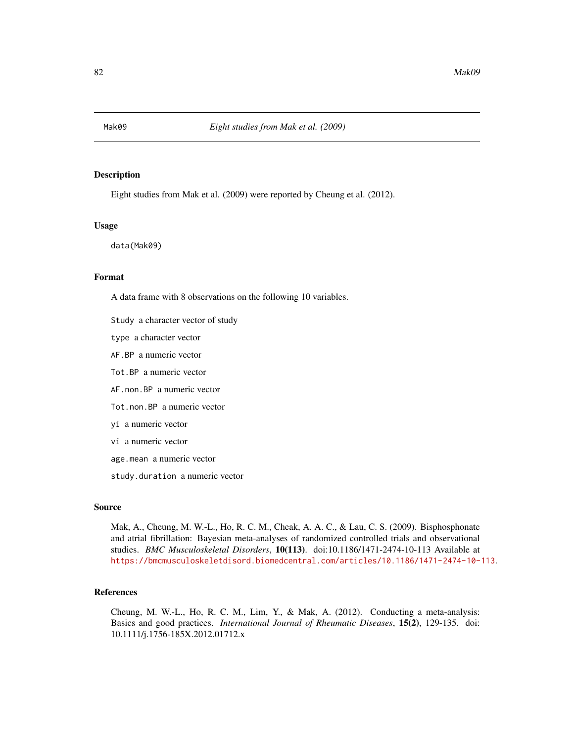Eight studies from Mak et al. (2009) were reported by Cheung et al. (2012).

## Usage

data(Mak09)

## Format

A data frame with 8 observations on the following 10 variables.

- Study a character vector of study
- type a character vector
- AF.BP a numeric vector
- Tot.BP a numeric vector
- AF.non.BP a numeric vector
- Tot.non.BP a numeric vector
- yi a numeric vector
- vi a numeric vector
- age.mean a numeric vector
- study.duration a numeric vector

#### Source

Mak, A., Cheung, M. W.-L., Ho, R. C. M., Cheak, A. A. C., & Lau, C. S. (2009). Bisphosphonate and atrial fibrillation: Bayesian meta-analyses of randomized controlled trials and observational studies. *BMC Musculoskeletal Disorders*, 10(113). doi:10.1186/1471-2474-10-113 Available at <https://bmcmusculoskeletdisord.biomedcentral.com/articles/10.1186/1471-2474-10-113>.

## References

Cheung, M. W.-L., Ho, R. C. M., Lim, Y., & Mak, A. (2012). Conducting a meta-analysis: Basics and good practices. *International Journal of Rheumatic Diseases*, 15(2), 129-135. doi: 10.1111/j.1756-185X.2012.01712.x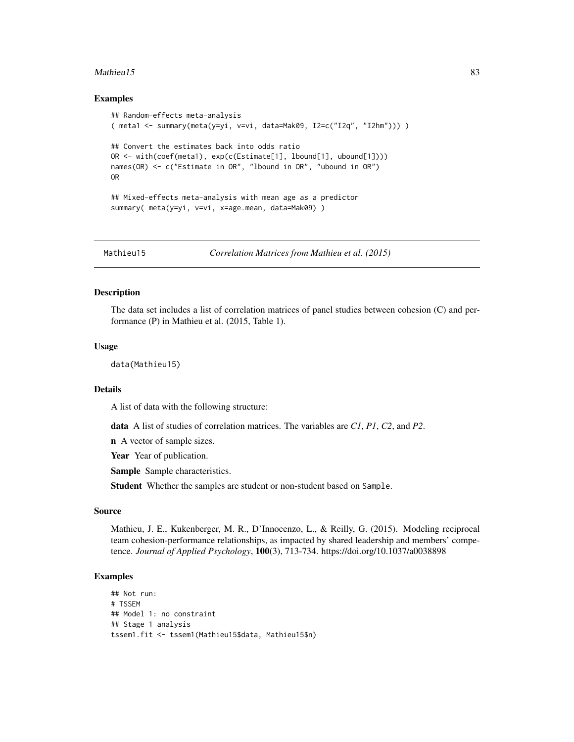#### $Mathieu15$  83

## Examples

```
## Random-effects meta-analysis
( meta1 <- summary(meta(y=yi, v=vi, data=Mak09, I2=c("I2q", "I2hm"))) )
## Convert the estimates back into odds ratio
OR <- with(coef(meta1), exp(c(Estimate[1], lbound[1], ubound[1])))
names(OR) <- c("Estimate in OR", "lbound in OR", "ubound in OR")
OR
## Mixed-effects meta-analysis with mean age as a predictor
summary( meta(y=yi, v=vi, x=age.mean, data=Mak09) )
```
Mathieu15 *Correlation Matrices from Mathieu et al. (2015)*

## Description

The data set includes a list of correlation matrices of panel studies between cohesion (C) and performance (P) in Mathieu et al. (2015, Table 1).

#### Usage

data(Mathieu15)

#### Details

A list of data with the following structure:

data A list of studies of correlation matrices. The variables are *C1*, *P1*, *C2*, and *P2*.

n A vector of sample sizes.

Year Year of publication.

Sample Sample characteristics.

Student Whether the samples are student or non-student based on Sample.

#### Source

Mathieu, J. E., Kukenberger, M. R., D'Innocenzo, L., & Reilly, G. (2015). Modeling reciprocal team cohesion-performance relationships, as impacted by shared leadership and members' competence. *Journal of Applied Psychology*, 100(3), 713-734. https://doi.org/10.1037/a0038898

```
## Not run:
# TSSEM
## Model 1: no constraint
## Stage 1 analysis
tssem1.fit <- tssem1(Mathieu15$data, Mathieu15$n)
```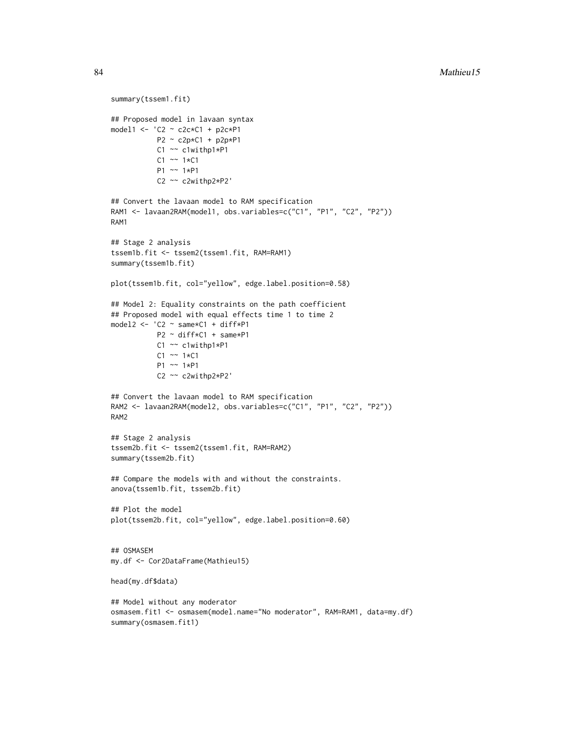```
summary(tssem1.fit)
## Proposed model in lavaan syntax
model1 <- 'C2 ~ c2c*C1 + p2c*P1
          P2 ~ c2p*C1 + p2p*P1
          C1 ~~ c1withp1*P1
          C1 \sim 1*C1P1 ~~ 1*P1
          C2 ~~ c2withp2*P2'
## Convert the lavaan model to RAM specification
RAM1 <- lavaan2RAM(model1, obs.variables=c("C1", "P1", "C2", "P2"))
RAM1
## Stage 2 analysis
tssem1b.fit <- tssem2(tssem1.fit, RAM=RAM1)
summary(tssem1b.fit)
plot(tssem1b.fit, col="yellow", edge.label.position=0.58)
## Model 2: Equality constraints on the path coefficient
## Proposed model with equal effects time 1 to time 2
model2 <- 'C2 ~ same*C1 + diff*P1
          P2 ~ diff*C1 + same*P1
          C1 ~~ c1withp1*P1
          C1 \sim 1*C1P1 ~~ 1*P1
           C2 ~~ c2withp2*P2'
## Convert the lavaan model to RAM specification
RAM2 <- lavaan2RAM(model2, obs.variables=c("C1", "P1", "C2", "P2"))
RAM2
## Stage 2 analysis
tssem2b.fit <- tssem2(tssem1.fit, RAM=RAM2)
summary(tssem2b.fit)
## Compare the models with and without the constraints.
anova(tssem1b.fit, tssem2b.fit)
## Plot the model
plot(tssem2b.fit, col="yellow", edge.label.position=0.60)
## OSMASEM
my.df <- Cor2DataFrame(Mathieu15)
head(my.df$data)
## Model without any moderator
osmasem.fit1 <- osmasem(model.name="No moderator", RAM=RAM1, data=my.df)
summary(osmasem.fit1)
```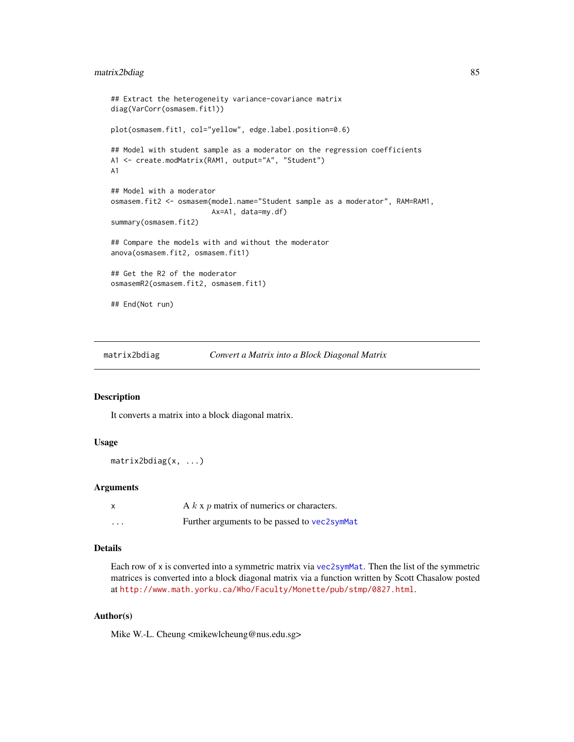## matrix2bdiag 85

```
## Extract the heterogeneity variance-covariance matrix
diag(VarCorr(osmasem.fit1))
plot(osmasem.fit1, col="yellow", edge.label.position=0.6)
## Model with student sample as a moderator on the regression coefficients
A1 <- create.modMatrix(RAM1, output="A", "Student")
A1
## Model with a moderator
osmasem.fit2 <- osmasem(model.name="Student sample as a moderator", RAM=RAM1,
                        Ax=A1, data=my.df)
summary(osmasem.fit2)
## Compare the models with and without the moderator
anova(osmasem.fit2, osmasem.fit1)
## Get the R2 of the moderator
osmasemR2(osmasem.fit2, osmasem.fit1)
## End(Not run)
```
matrix2bdiag *Convert a Matrix into a Block Diagonal Matrix*

# Description

It converts a matrix into a block diagonal matrix.

## Usage

matrix2bdiag(x, ...)

## Arguments

|         | A $k \times p$ matrix of numerics or characters. |
|---------|--------------------------------------------------|
| $\cdot$ | Further arguments to be passed to vec2symMat     |

#### Details

Each row of x is converted into a symmetric matrix via [vec2symMat](#page-135-0). Then the list of the symmetric matrices is converted into a block diagonal matrix via a function written by Scott Chasalow posted at <http://www.math.yorku.ca/Who/Faculty/Monette/pub/stmp/0827.html>.

## Author(s)

Mike W.-L. Cheung <mikewlcheung@nus.edu.sg>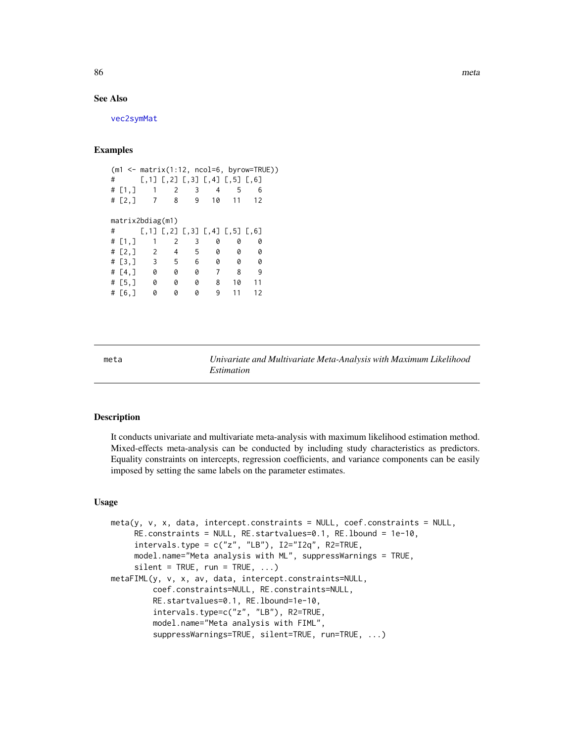86 metal was a series of the series of the series of the series of the series of the series of the series of the series of the series of the series of the series of the series of the series of the series of the series of t

# See Also

[vec2symMat](#page-135-0)

## Examples

|   |               |                    |                     |              |                               |       | $(m1 \leq maxrix(1:12, ncol=6, byrow=True))$ |  |
|---|---------------|--------------------|---------------------|--------------|-------------------------------|-------|----------------------------------------------|--|
| # |               |                    |                     |              | [,1] [,2] [,3] [,4] [,5] [,6] |       |                                              |  |
|   | # $[1, ]$     |                    | $1 \quad 2$         | $\mathbf{3}$ | 4                             | -5    | 6                                            |  |
|   | # $[2, 1]$    | $\overline{7}$     | 8                   | 9            |                               | 10 11 | 12                                           |  |
|   |               |                    |                     |              |                               |       |                                              |  |
|   |               | matrix2bdiag(m1)   |                     |              |                               |       |                                              |  |
| # |               |                    |                     |              | [,1] [,2] [,3] [,4] [,5] [,6] |       |                                              |  |
|   | # $[1, ]$     | 1                  | 2                   | 3            | 0                             | 0     | 0                                            |  |
|   |               | # $[2, 3 \ 2 \ 1]$ | 4                   | 5            | 0                             | 0     | 0                                            |  |
|   |               | $\#$ [3,] 3        | $-5$                | 6            | 0                             | 0     | 0                                            |  |
|   | # $[4, 3 \ 0$ |                    | $\pmb{\mathcal{O}}$ | 0            | $\overline{7}$                | 8     | -9                                           |  |
|   | # [5,]        | 0                  | 0                   | 0            | 8                             | 10    | 11                                           |  |
|   | # [6,]        | 0                  | 0                   | 0            | 9                             | 11    | 12                                           |  |
|   |               |                    |                     |              |                               |       |                                              |  |

<span id="page-85-0"></span>meta *Univariate and Multivariate Meta-Analysis with Maximum Likelihood Estimation*

#### Description

It conducts univariate and multivariate meta-analysis with maximum likelihood estimation method. Mixed-effects meta-analysis can be conducted by including study characteristics as predictors. Equality constraints on intercepts, regression coefficients, and variance components can be easily imposed by setting the same labels on the parameter estimates.

#### Usage

```
meta(y, v, x, data, intercept.constraints = NULL, coef.constraints = NULL,
     RE.constraints = NULL, RE.startvalues=0.1, RE.lbound = 1e-10,
     intervals.type = c("z", "LB"), I2="I2q", R2=TRUE,
     model.name="Meta analysis with ML", suppressWarnings = TRUE,
     silent = TRUE, run = TRUE, ...)metaFIML(y, v, x, av, data, intercept.constraints=NULL,
         coef.constraints=NULL, RE.constraints=NULL,
         RE.startvalues=0.1, RE.lbound=1e-10,
         intervals.type=c("z", "LB"), R2=TRUE,
         model.name="Meta analysis with FIML",
         suppressWarnings=TRUE, silent=TRUE, run=TRUE, ...)
```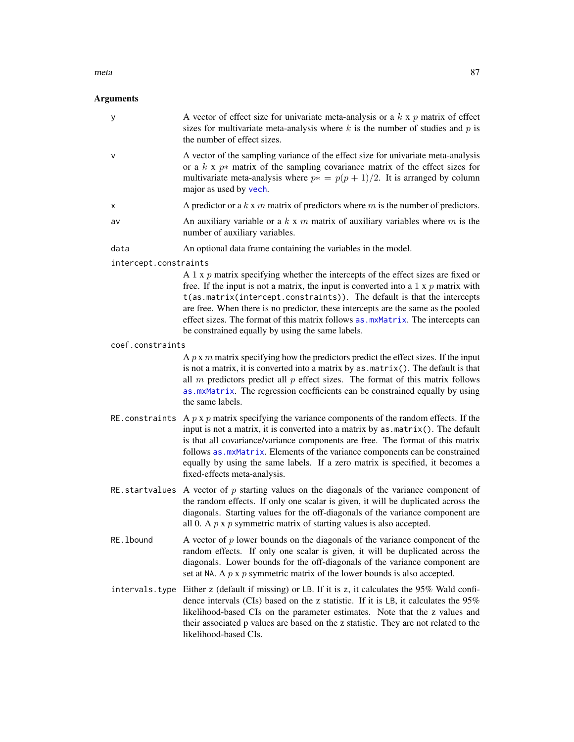#### meta 87

# Arguments

| у                     | A vector of effect size for univariate meta-analysis or a $k \times p$ matrix of effect<br>sizes for multivariate meta-analysis where $k$ is the number of studies and $p$ is<br>the number of effect sizes.                                                                                                                                                                                                                                                                               |
|-----------------------|--------------------------------------------------------------------------------------------------------------------------------------------------------------------------------------------------------------------------------------------------------------------------------------------------------------------------------------------------------------------------------------------------------------------------------------------------------------------------------------------|
| V                     | A vector of the sampling variance of the effect size for univariate meta-analysis<br>or a $k \times p*$ matrix of the sampling covariance matrix of the effect sizes for<br>multivariate meta-analysis where $p* = p(p + 1)/2$ . It is arranged by column<br>major as used by vech.                                                                                                                                                                                                        |
| х                     | A predictor or a $k \times m$ matrix of predictors where $m$ is the number of predictors.                                                                                                                                                                                                                                                                                                                                                                                                  |
| av                    | An auxiliary variable or a $k \times m$ matrix of auxiliary variables where $m$ is the<br>number of auxiliary variables.                                                                                                                                                                                                                                                                                                                                                                   |
| data                  | An optional data frame containing the variables in the model.                                                                                                                                                                                                                                                                                                                                                                                                                              |
| intercept.constraints |                                                                                                                                                                                                                                                                                                                                                                                                                                                                                            |
|                       | A 1 x $p$ matrix specifying whether the intercepts of the effect sizes are fixed or<br>free. If the input is not a matrix, the input is converted into a $1 \times p$ matrix with<br>t(as.matrix(intercept.constraints)). The default is that the intercepts<br>are free. When there is no predictor, these intercepts are the same as the pooled<br>effect sizes. The format of this matrix follows as . mxMatrix. The intercepts can<br>be constrained equally by using the same labels. |
| coef.constraints      |                                                                                                                                                                                                                                                                                                                                                                                                                                                                                            |
|                       | A $p \times m$ matrix specifying how the predictors predict the effect sizes. If the input<br>is not a matrix, it is converted into a matrix by as . matrix (). The default is that<br>all $m$ predictors predict all $p$ effect sizes. The format of this matrix follows<br>as.mxMatrix. The regression coefficients can be constrained equally by using<br>the same labels.                                                                                                              |
|                       | RE constraints A $p \times p$ matrix specifying the variance components of the random effects. If the<br>input is not a matrix, it is converted into a matrix by $as.matrix()$ . The default<br>is that all covariance/variance components are free. The format of this matrix<br>follows as . mxMatrix. Elements of the variance components can be constrained<br>equally by using the same labels. If a zero matrix is specified, it becomes a<br>fixed-effects meta-analysis.           |
|                       | RE startvalues A vector of $p$ starting values on the diagonals of the variance component of<br>the random effects. If only one scalar is given, it will be duplicated across the<br>diagonals. Starting values for the off-diagonals of the variance component are<br>all 0. A $p \times p$ symmetric matrix of starting values is also accepted.                                                                                                                                         |
| RE. 1bound            | A vector of $p$ lower bounds on the diagonals of the variance component of the<br>random effects. If only one scalar is given, it will be duplicated across the<br>diagonals. Lower bounds for the off-diagonals of the variance component are<br>set at NA. A $p \times p$ symmetric matrix of the lower bounds is also accepted.                                                                                                                                                         |
| intervals.type        | Either z (default if missing) or LB. If it is z, it calculates the 95% Wald confi-<br>dence intervals (CIs) based on the z statistic. If it is LB, it calculates the 95%<br>likelihood-based CIs on the parameter estimates. Note that the z values and<br>their associated p values are based on the z statistic. They are not related to the<br>likelihood-based CIs.                                                                                                                    |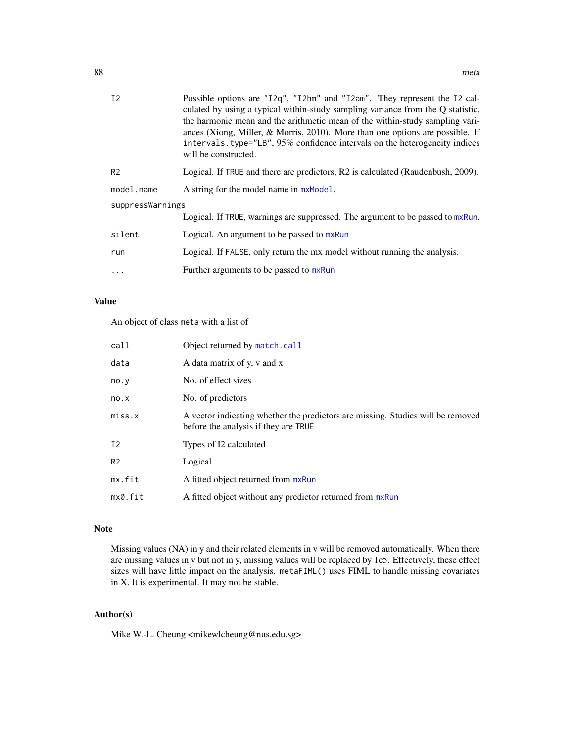| I <sub>2</sub>   | Possible options are "12q", "12hm" and "12am". They represent the 12 cal-<br>culated by using a typical within-study sampling variance from the Q statistic,<br>the harmonic mean and the arithmetic mean of the within-study sampling vari-<br>ances (Xiong, Miller, & Morris, 2010). More than one options are possible. If<br>intervals. type="LB", 95% confidence intervals on the heterogeneity indices<br>will be constructed. |
|------------------|--------------------------------------------------------------------------------------------------------------------------------------------------------------------------------------------------------------------------------------------------------------------------------------------------------------------------------------------------------------------------------------------------------------------------------------|
| R <sub>2</sub>   | Logical. If TRUE and there are predictors, R2 is calculated (Raudenbush, 2009).                                                                                                                                                                                                                                                                                                                                                      |
| model.name       | A string for the model name in $mxModel$ .                                                                                                                                                                                                                                                                                                                                                                                           |
| suppressWarnings |                                                                                                                                                                                                                                                                                                                                                                                                                                      |
|                  | Logical. If TRUE, warnings are suppressed. The argument to be passed to mxRun.                                                                                                                                                                                                                                                                                                                                                       |
| silent           | Logical. An argument to be passed to mxRun                                                                                                                                                                                                                                                                                                                                                                                           |
| run              | Logical. If FALSE, only return the mx model without running the analysis.                                                                                                                                                                                                                                                                                                                                                            |
| .                | Further arguments to be passed to mxRun                                                                                                                                                                                                                                                                                                                                                                                              |
|                  |                                                                                                                                                                                                                                                                                                                                                                                                                                      |

## Value

An object of class meta with a list of

| call           | Object returned by match.call                                                                                           |
|----------------|-------------------------------------------------------------------------------------------------------------------------|
| data           | A data matrix of y, y and x                                                                                             |
| no.y           | No. of effect sizes                                                                                                     |
| no.x           | No. of predictors                                                                                                       |
| miss.x         | A vector indicating whether the predictors are missing. Studies will be removed<br>before the analysis if they are TRUE |
| Ι2             | Types of I2 calculated                                                                                                  |
| R <sub>2</sub> | Logical                                                                                                                 |
| mx.fit         | A fitted object returned from mxRun                                                                                     |
| mx0.fit        | A fitted object without any predictor returned from mxRun                                                               |

# Note

Missing values (NA) in y and their related elements in v will be removed automatically. When there are missing values in v but not in y, missing values will be replaced by 1e5. Effectively, these effect sizes will have little impact on the analysis. metaFIML() uses FIML to handle missing covariates in X. It is experimental. It may not be stable.

# Author(s)

Mike W.-L. Cheung <mikewlcheung@nus.edu.sg>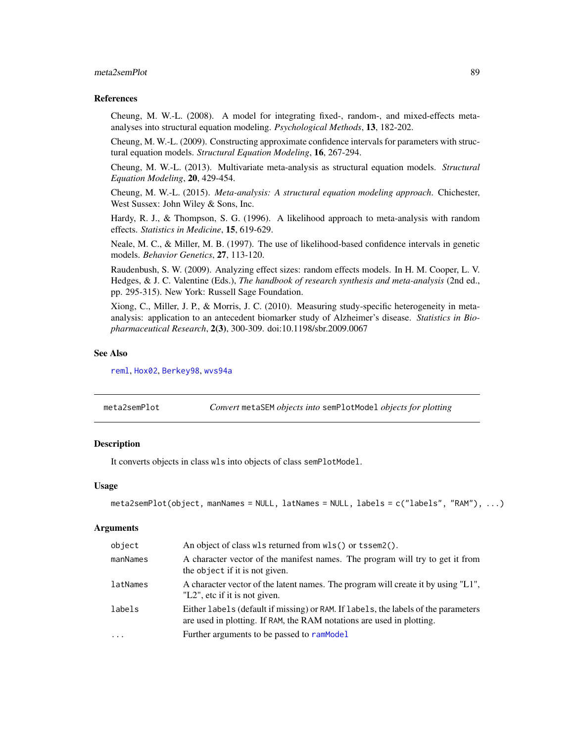## meta2semPlot 89

#### References

Cheung, M. W.-L. (2008). A model for integrating fixed-, random-, and mixed-effects metaanalyses into structural equation modeling. *Psychological Methods*, 13, 182-202.

Cheung, M. W.-L. (2009). Constructing approximate confidence intervals for parameters with structural equation models. *Structural Equation Modeling*, 16, 267-294.

Cheung, M. W.-L. (2013). Multivariate meta-analysis as structural equation models. *Structural Equation Modeling*, 20, 429-454.

Cheung, M. W.-L. (2015). *Meta-analysis: A structural equation modeling approach*. Chichester, West Sussex: John Wiley & Sons, Inc.

Hardy, R. J., & Thompson, S. G. (1996). A likelihood approach to meta-analysis with random effects. *Statistics in Medicine*, 15, 619-629.

Neale, M. C., & Miller, M. B. (1997). The use of likelihood-based confidence intervals in genetic models. *Behavior Genetics*, 27, 113-120.

Raudenbush, S. W. (2009). Analyzing effect sizes: random effects models. In H. M. Cooper, L. V. Hedges, & J. C. Valentine (Eds.), *The handbook of research synthesis and meta-analysis* (2nd ed., pp. 295-315). New York: Russell Sage Foundation.

Xiong, C., Miller, J. P., & Morris, J. C. (2010). Measuring study-specific heterogeneity in metaanalysis: application to an antecedent biomarker study of Alzheimer's disease. *Statistics in Biopharmaceutical Research*, 2(3), 300-309. doi:10.1198/sbr.2009.0067

#### See Also

[reml](#page-110-0), [Hox02](#page-63-0), [Berkey98](#page-26-0), [wvs94a](#page-141-0)

<span id="page-88-0"></span>

| meta2semPlot | Convert metaSEM objects into semPlotModel objects for plotting |  |
|--------------|----------------------------------------------------------------|--|
|--------------|----------------------------------------------------------------|--|

# Description

It converts objects in class wls into objects of class semPlotModel.

#### Usage

```
meta2semPlot(object, manNames = NULL, latNames = NULL, labels = c("labels", "RAM"), ...)
```
#### **Arguments**

| object   | An object of class wls returned from wls() or tssem2().                                                                                                     |
|----------|-------------------------------------------------------------------------------------------------------------------------------------------------------------|
| manNames | A character vector of the manifest names. The program will try to get it from<br>the object if it is not given.                                             |
| latNames | A character vector of the latent names. The program will create it by using "L1",<br>"L2", etc if it is not given.                                          |
| labels   | Either labels (default if missing) or RAM. If labels, the labels of the parameters<br>are used in plotting. If RAM, the RAM notations are used in plotting. |
| $\ddots$ | Further arguments to be passed to ramModel                                                                                                                  |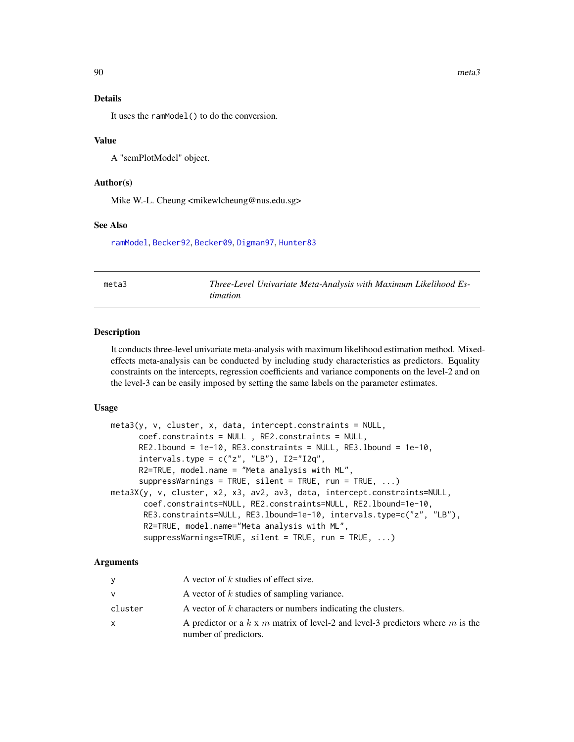#### Details

It uses the ramModel() to do the conversion.

### Value

A "semPlotModel" object.

## Author(s)

Mike W.-L. Cheung <mikewlcheung@nus.edu.sg>

#### See Also

[ramModel](#page-0-0), [Becker92](#page-22-0), [Becker09](#page-17-0), [Digman97](#page-56-0), [Hunter83](#page-64-0)

meta3 *Three-Level Univariate Meta-Analysis with Maximum Likelihood Estimation*

## Description

It conducts three-level univariate meta-analysis with maximum likelihood estimation method. Mixedeffects meta-analysis can be conducted by including study characteristics as predictors. Equality constraints on the intercepts, regression coefficients and variance components on the level-2 and on the level-3 can be easily imposed by setting the same labels on the parameter estimates.

#### Usage

```
meta3(y, v, cluster, x, data, intercept. constraints = NULL,coef.constraints = NULL , RE2.constraints = NULL,
     RE2.lbound = 1e-10, RE3.constraints = NULL, RE3.lbound = 1e-10,
     intervals.type = c("z", "LB"), I2='I2q",R2=TRUE, model.name = "Meta analysis with ML",
      suppressWarnings = TRUE, silent = TRUE, run = TRUE, \ldots)
meta3X(y, v, cluster, x2, x3, av2, av3, data, intercept.constraints=NULL,
       coef.constraints=NULL, RE2.constraints=NULL, RE2.lbound=1e-10,
       RE3.constraints=NULL, RE3.lbound=1e-10, intervals.type=c("z", "LB"),
       R2=TRUE, model.name="Meta analysis with ML",
       suppressWarning s = TRUE, silent = TRUE, run = TRUE, ...)
```
#### Arguments

| y            | A vector of $k$ studies of effect size.                                                                 |
|--------------|---------------------------------------------------------------------------------------------------------|
| $\mathsf{V}$ | A vector of $k$ studies of sampling variance.                                                           |
| cluster      | A vector of $k$ characters or numbers indicating the clusters.                                          |
| X            | A predictor or a k x m matrix of level-2 and level-3 predictors where m is the<br>number of predictors. |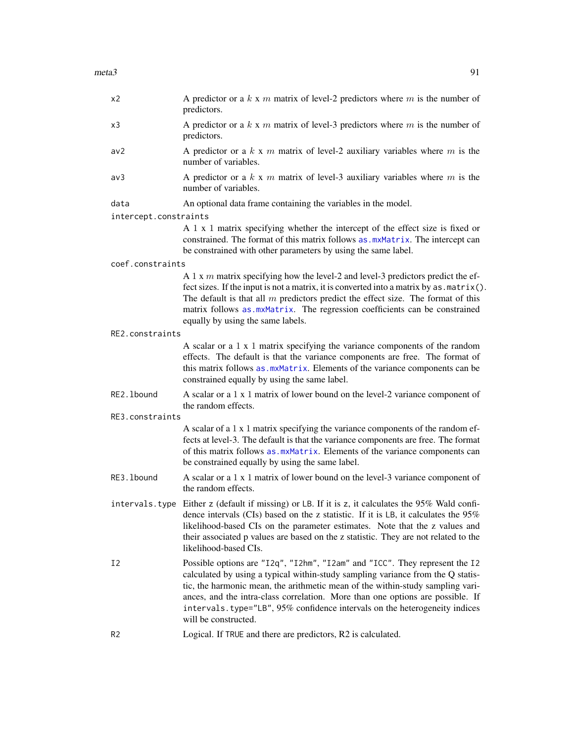| x2                    | A predictor or a $k \times m$ matrix of level-2 predictors where $m$ is the number of<br>predictors.                                                                                                                                                                                                                                                                                     |
|-----------------------|------------------------------------------------------------------------------------------------------------------------------------------------------------------------------------------------------------------------------------------------------------------------------------------------------------------------------------------------------------------------------------------|
| x3                    | A predictor or a $k \times m$ matrix of level-3 predictors where $m$ is the number of<br>predictors.                                                                                                                                                                                                                                                                                     |
| av2                   | A predictor or a $k \times m$ matrix of level-2 auxiliary variables where $m$ is the<br>number of variables.                                                                                                                                                                                                                                                                             |
| av3                   | A predictor or a $k \times m$ matrix of level-3 auxiliary variables where $m$ is the<br>number of variables.                                                                                                                                                                                                                                                                             |
| data                  | An optional data frame containing the variables in the model.                                                                                                                                                                                                                                                                                                                            |
| intercept.constraints |                                                                                                                                                                                                                                                                                                                                                                                          |
|                       | A 1 x 1 matrix specifying whether the intercept of the effect size is fixed or<br>constrained. The format of this matrix follows as .mxMatrix. The intercept can<br>be constrained with other parameters by using the same label.                                                                                                                                                        |
| coef.constraints      |                                                                                                                                                                                                                                                                                                                                                                                          |
|                       | A 1 x $m$ matrix specifying how the level-2 and level-3 predictors predict the ef-<br>fect sizes. If the input is not a matrix, it is converted into a matrix by as . matrix().<br>The default is that all $m$ predictors predict the effect size. The format of this<br>matrix follows as mxMatrix. The regression coefficients can be constrained<br>equally by using the same labels. |
| RE2.constraints       |                                                                                                                                                                                                                                                                                                                                                                                          |
|                       | A scalar or a 1 x 1 matrix specifying the variance components of the random<br>effects. The default is that the variance components are free. The format of<br>this matrix follows as .mxMatrix. Elements of the variance components can be<br>constrained equally by using the same label.                                                                                              |
| RE2.1bound            | A scalar or a 1 x 1 matrix of lower bound on the level-2 variance component of<br>the random effects.                                                                                                                                                                                                                                                                                    |
| RE3.constraints       |                                                                                                                                                                                                                                                                                                                                                                                          |
|                       | A scalar of a 1 x 1 matrix specifying the variance components of the random ef-<br>fects at level-3. The default is that the variance components are free. The format<br>of this matrix follows as . mxMatrix. Elements of the variance components can<br>be constrained equally by using the same label.                                                                                |
| RE3.1bound            | A scalar or a 1 x 1 matrix of lower bound on the level-3 variance component of<br>the random effects.                                                                                                                                                                                                                                                                                    |

- intervals.type Either z (default if missing) or LB. If it is z, it calculates the 95% Wald confidence intervals (CIs) based on the z statistic. If it is LB, it calculates the 95% likelihood-based CIs on the parameter estimates. Note that the z values and their associated p values are based on the z statistic. They are not related to the likelihood-based CIs.
- I2 Possible options are "I2q", "I2hm", "I2am" and "ICC". They represent the I2 calculated by using a typical within-study sampling variance from the Q statistic, the harmonic mean, the arithmetic mean of the within-study sampling variances, and the intra-class correlation. More than one options are possible. If intervals.type="LB", 95% confidence intervals on the heterogeneity indices will be constructed.
- R2 Logical. If TRUE and there are predictors, R2 is calculated.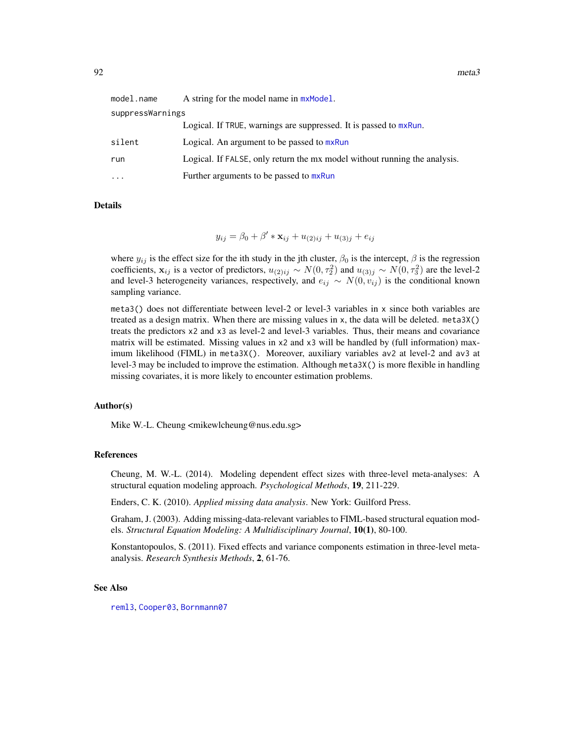| model.name       | A string for the model name in $mxModel$ .                                |
|------------------|---------------------------------------------------------------------------|
| suppressWarnings |                                                                           |
|                  | Logical. If TRUE, warnings are suppressed. It is passed to mxRun.         |
| silent           | Logical. An argument to be passed to mxRun                                |
| run              | Logical. If FALSE, only return the mx model without running the analysis. |
| .                | Further arguments to be passed to mxRun                                   |

Details

 $y_{ij} = \beta_0 + \beta' * \mathbf{x}_{ij} + u_{(2)ij} + u_{(3)j} + e_{ij}$ 

where  $y_{ij}$  is the effect size for the ith study in the jth cluster,  $\beta_0$  is the intercept,  $\beta$  is the regression coefficients,  $x_{ij}$  is a vector of predictors,  $u_{(2)ij} \sim N(0, \tau_2^2)$  and  $u_{(3)j} \sim N(0, \tau_3^2)$  are the level-2 and level-3 heterogeneity variances, respectively, and  $e_{ij} \sim N(0, v_{ij})$  is the conditional known sampling variance.

meta3() does not differentiate between level-2 or level-3 variables in x since both variables are treated as a design matrix. When there are missing values in x, the data will be deleted. meta3X() treats the predictors x2 and x3 as level-2 and level-3 variables. Thus, their means and covariance matrix will be estimated. Missing values in x2 and x3 will be handled by (full information) maximum likelihood (FIML) in meta3X(). Moreover, auxiliary variables av2 at level-2 and av3 at level-3 may be included to improve the estimation. Although meta3X() is more flexible in handling missing covariates, it is more likely to encounter estimation problems.

## Author(s)

Mike W.-L. Cheung <mikewlcheung@nus.edu.sg>

## References

Cheung, M. W.-L. (2014). Modeling dependent effect sizes with three-level meta-analyses: A structural equation modeling approach. *Psychological Methods*, 19, 211-229.

Enders, C. K. (2010). *Applied missing data analysis*. New York: Guilford Press.

Graham, J. (2003). Adding missing-data-relevant variables to FIML-based structural equation models. *Structural Equation Modeling: A Multidisciplinary Journal*, 10(1), 80-100.

Konstantopoulos, S. (2011). Fixed effects and variance components estimation in three-level metaanalysis. *Research Synthesis Methods*, 2, 61-76.

#### See Also

[reml3](#page-113-0), [Cooper03](#page-42-0), [Bornmann07](#page-31-0)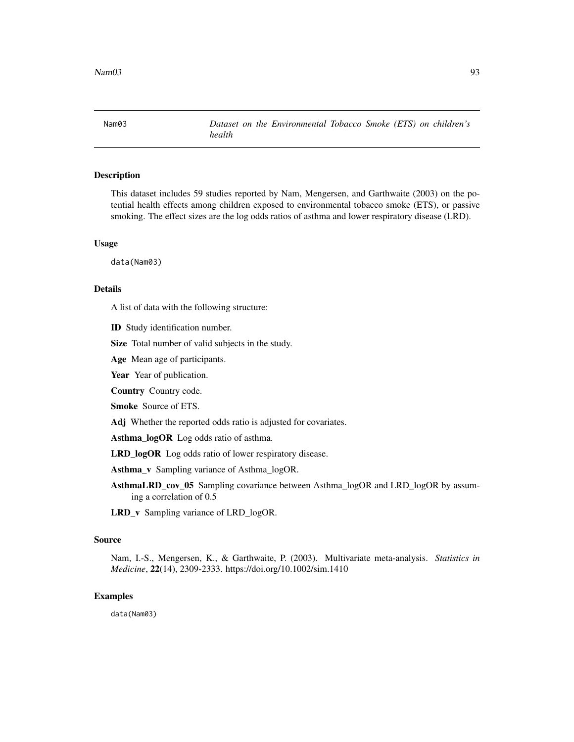Nam03 *Dataset on the Environmental Tobacco Smoke (ETS) on children's health*

## Description

This dataset includes 59 studies reported by Nam, Mengersen, and Garthwaite (2003) on the potential health effects among children exposed to environmental tobacco smoke (ETS), or passive smoking. The effect sizes are the log odds ratios of asthma and lower respiratory disease (LRD).

#### Usage

data(Nam03)

#### Details

A list of data with the following structure:

ID Study identification number.

Size Total number of valid subjects in the study.

Age Mean age of participants.

Year Year of publication.

Country Country code.

Smoke Source of ETS.

Adj Whether the reported odds ratio is adjusted for covariates.

Asthma\_logOR Log odds ratio of asthma.

LRD\_logOR Log odds ratio of lower respiratory disease.

Asthma v Sampling variance of Asthma logOR.

AsthmaLRD\_cov\_05 Sampling covariance between Asthma\_logOR and LRD\_logOR by assuming a correlation of 0.5

LRD\_v Sampling variance of LRD\_logOR.

## Source

Nam, I.-S., Mengersen, K., & Garthwaite, P. (2003). Multivariate meta-analysis. *Statistics in Medicine*, 22(14), 2309-2333. https://doi.org/10.1002/sim.1410

## Examples

data(Nam03)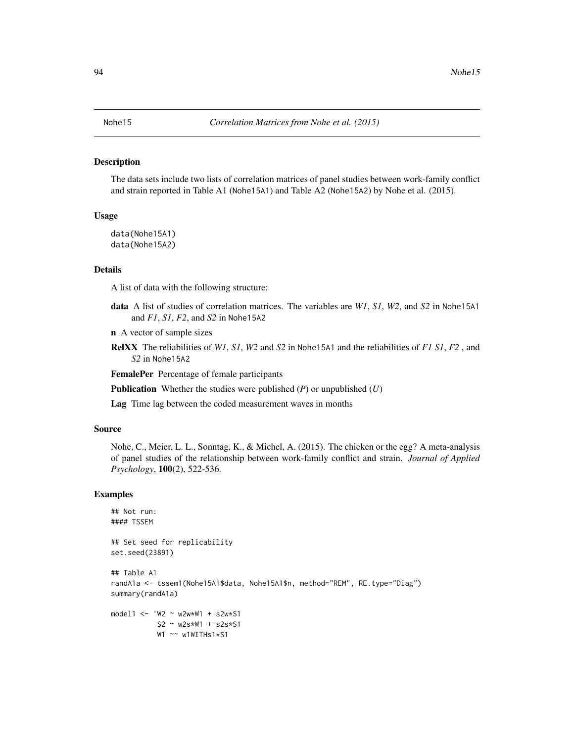<span id="page-93-0"></span>The data sets include two lists of correlation matrices of panel studies between work-family conflict and strain reported in Table A1 (Nohe15A1) and Table A2 (Nohe15A2) by Nohe et al. (2015).

# Usage

```
data(Nohe15A1)
data(Nohe15A2)
```
#### Details

A list of data with the following structure:

data A list of studies of correlation matrices. The variables are *W1*, *S1*, *W2*, and *S2* in Nohe15A1 and *F1*, *S1*, *F2*, and *S2* in Nohe15A2

n A vector of sample sizes

RelXX The reliabilities of *W1*, *S1*, *W2* and *S2* in Nohe15A1 and the reliabilities of *F1 S1*, *F2* , and *S2* in Nohe15A2

FemalePer Percentage of female participants

Publication Whether the studies were published (*P*) or unpublished (*U*)

Lag Time lag between the coded measurement waves in months

#### Source

Nohe, C., Meier, L. L., Sonntag, K., & Michel, A. (2015). The chicken or the egg? A meta-analysis of panel studies of the relationship between work-family conflict and strain. *Journal of Applied Psychology*, 100(2), 522-536.

```
## Not run:
#### TSSEM
## Set seed for replicability
set.seed(23891)
## Table A1
randA1a <- tssem1(Nohe15A1$data, Nohe15A1$n, method="REM", RE.type="Diag")
summary(randA1a)
model1 <- 'W2 ~ w2w*W1 + s2w*S1
           S2 ~ w2s*W1 + s2s*S1
           W1 ~~ w1WITHs1*S1
```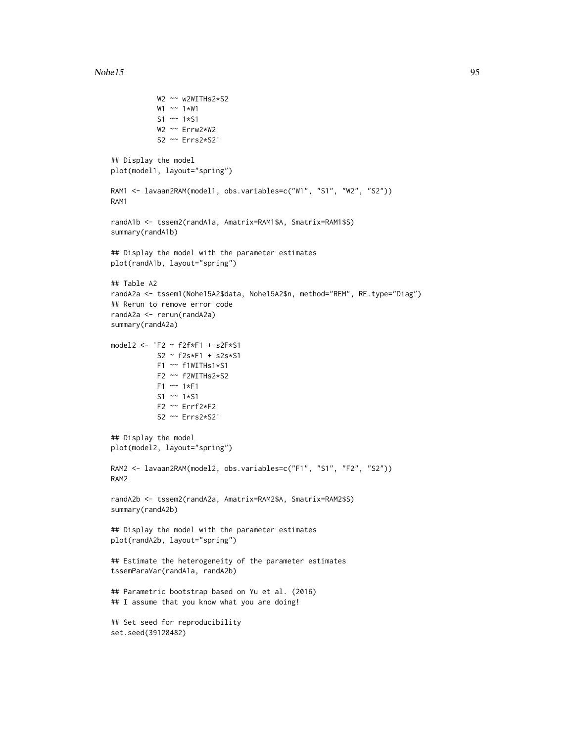#### $Nohel5$  95

W2 ~~ w2WITHs2\*S2

```
W1 ~~ 1*W1
           S1 ~~ 1*S1
           W2 ~~ Errw2*W2
           S2 ~~ Errs2*S2'
## Display the model
plot(model1, layout="spring")
RAM1 <- lavaan2RAM(model1, obs.variables=c("W1", "S1", "W2", "S2"))
RAM1
randA1b <- tssem2(randA1a, Amatrix=RAM1$A, Smatrix=RAM1$S)
summary(randA1b)
## Display the model with the parameter estimates
plot(randA1b, layout="spring")
## Table A2
randA2a <- tssem1(Nohe15A2$data, Nohe15A2$n, method="REM", RE.type="Diag")
## Rerun to remove error code
randA2a <- rerun(randA2a)
summary(randA2a)
model2 <- 'F2 ~ f2f*F1 + s2F*S1
          S2 ~ f2s*F1 + s2s*S1
           F1 ~~ f1WITHs1*S1
           F2 ~~ f2WITHs2*S2
           F1 ~~ 1*F1
           S1 ~~ 1*S1
          F2 ~~ Errf2*F2
          S2 ~~ Errs2*S2'
## Display the model
plot(model2, layout="spring")
RAM2 <- lavaan2RAM(model2, obs.variables=c("F1", "S1", "F2", "S2"))
RAM2
randA2b <- tssem2(randA2a, Amatrix=RAM2$A, Smatrix=RAM2$S)
summary(randA2b)
## Display the model with the parameter estimates
plot(randA2b, layout="spring")
## Estimate the heterogeneity of the parameter estimates
tssemParaVar(randA1a, randA2b)
## Parametric bootstrap based on Yu et al. (2016)
## I assume that you know what you are doing!
## Set seed for reproducibility
set.seed(39128482)
```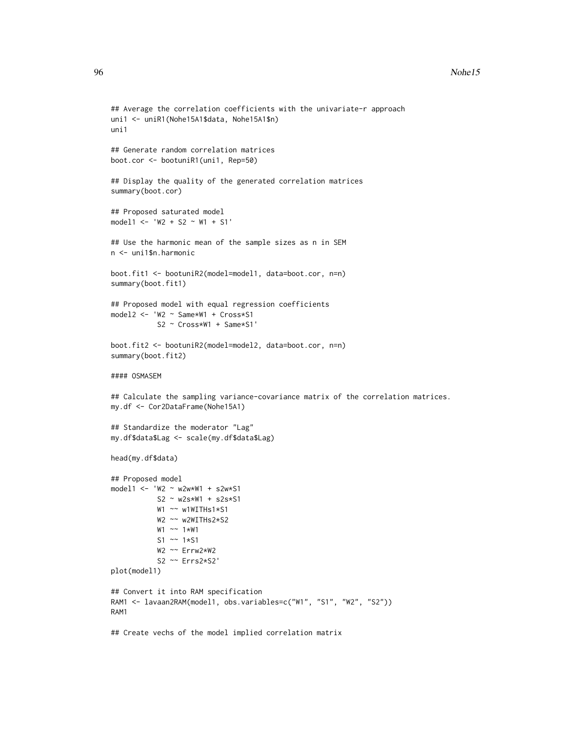```
## Average the correlation coefficients with the univariate-r approach
uni1 <- uniR1(Nohe15A1$data, Nohe15A1$n)
uni1
## Generate random correlation matrices
boot.cor <- bootuniR1(uni1, Rep=50)
## Display the quality of the generated correlation matrices
summary(boot.cor)
## Proposed saturated model
model1 <- 'W2 + S2 ~ W1 + S1'
## Use the harmonic mean of the sample sizes as n in SEM
n <- uni1$n.harmonic
boot.fit1 <- bootuniR2(model=model1, data=boot.cor, n=n)
summary(boot.fit1)
## Proposed model with equal regression coefficients
model2 <- 'W2 ~ Same*W1 + Cross*S1
           S2 ~ Cross*W1 + Same*S1'
boot.fit2 <- bootuniR2(model=model2, data=boot.cor, n=n)
summary(boot.fit2)
#### OSMASEM
## Calculate the sampling variance-covariance matrix of the correlation matrices.
my.df <- Cor2DataFrame(Nohe15A1)
## Standardize the moderator "Lag"
my.df$data$Lag <- scale(my.df$data$Lag)
head(my.df$data)
## Proposed model
model1 <- 'W2 ~ w2w*W1 + s2w*S1
           S2 ~ w2s*W1 + s2s*S1
           W1 ~~ w1WITHs1*S1
           W2 ~~ w2WITHs2*S2
          W1 ~~ 1*W1
           S1 ~~ 1*S1
          W2 ~~ Errw2*W2
           S2 ~~ Errs2*S2'
plot(model1)
## Convert it into RAM specification
RAM1 <- lavaan2RAM(model1, obs.variables=c("W1", "S1", "W2", "S2"))
RAM1
## Create vechs of the model implied correlation matrix
```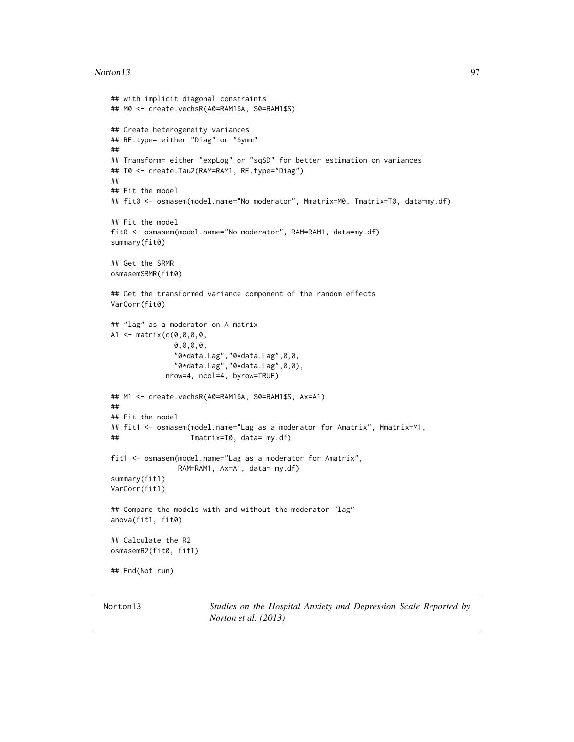#### Norton13 97

```
## with implicit diagonal constraints
## M0 <- create.vechsR(A0=RAM1$A, S0=RAM1$S)
## Create heterogeneity variances
## RE.type= either "Diag" or "Symm"
##
## Transform= either "expLog" or "sqSD" for better estimation on variances
## T0 <- create.Tau2(RAM=RAM1, RE.type="Diag")
##
## Fit the model
## fit0 <- osmasem(model.name="No moderator", Mmatrix=M0, Tmatrix=T0, data=my.df)
## Fit the model
fit0 <- osmasem(model.name="No moderator", RAM=RAM1, data=my.df)
summary(fit0)
## Get the SRMR
osmasemSRMR(fit0)
## Get the transformed variance component of the random effects
VarCorr(fit0)
## "lag" as a moderator on A matrix
A1 <- matrix(c(0,0,0,0,
               0,0,0,0,
               "0*data.Lag","0*data.Lag",0,0,
               "0*data.Lag","0*data.Lag",0,0),
             nrow=4, ncol=4, byrow=TRUE)
## M1 <- create.vechsR(A0=RAM1$A, S0=RAM1$S, Ax=A1)
##
## Fit the nodel
## fit1 <- osmasem(model.name="Lag as a moderator for Amatrix", Mmatrix=M1,
## Tmatrix=T0, data= my.df)
fit1 <- osmasem(model.name="Lag as a moderator for Amatrix",
                RAM=RAM1, Ax=A1, data= my.df)
summary(fit1)
VarCorr(fit1)
## Compare the models with and without the moderator "lag"
anova(fit1, fit0)
## Calculate the R2
osmasemR2(fit0, fit1)
## End(Not run)
```
Norton13 *Studies on the Hospital Anxiety and Depression Scale Reported by Norton et al. (2013)*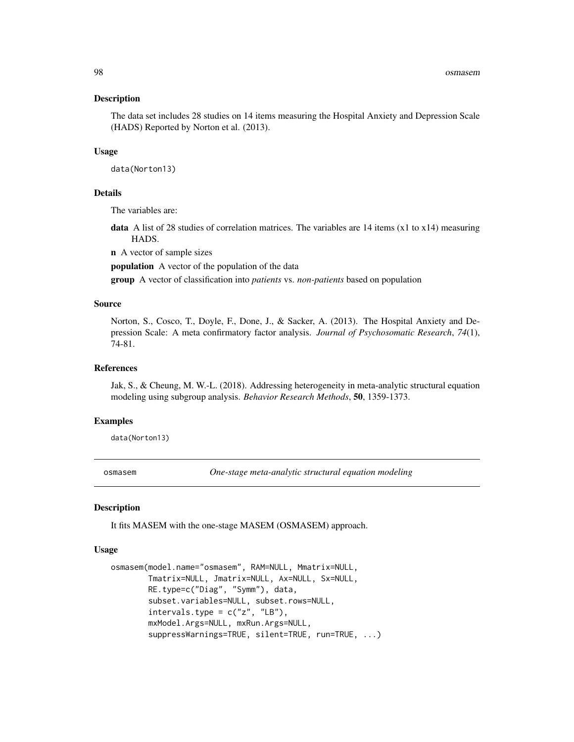The data set includes 28 studies on 14 items measuring the Hospital Anxiety and Depression Scale (HADS) Reported by Norton et al. (2013).

## Usage

data(Norton13)

## Details

The variables are:

**data** A list of 28 studies of correlation matrices. The variables are 14 items  $(x1$  to  $x14)$  measuring HADS.

n A vector of sample sizes

population A vector of the population of the data

group A vector of classification into *patients* vs. *non-patients* based on population

## Source

Norton, S., Cosco, T., Doyle, F., Done, J., & Sacker, A. (2013). The Hospital Anxiety and Depression Scale: A meta confirmatory factor analysis. *Journal of Psychosomatic Research*, *74*(1), 74-81.

#### References

Jak, S., & Cheung, M. W.-L. (2018). Addressing heterogeneity in meta-analytic structural equation modeling using subgroup analysis. *Behavior Research Methods*, 50, 1359-1373.

## Examples

data(Norton13)

<span id="page-97-0"></span>osmasem *One-stage meta-analytic structural equation modeling*

## Description

It fits MASEM with the one-stage MASEM (OSMASEM) approach.

#### Usage

```
osmasem(model.name="osmasem", RAM=NULL, Mmatrix=NULL,
       Tmatrix=NULL, Jmatrix=NULL, Ax=NULL, Sx=NULL,
       RE.type=c("Diag", "Symm"), data,
       subset.variables=NULL, subset.rows=NULL,
       intervals.type = c("z", "LB"),
       mxModel.Args=NULL, mxRun.Args=NULL,
        suppressWarnings=TRUE, silent=TRUE, run=TRUE, ...)
```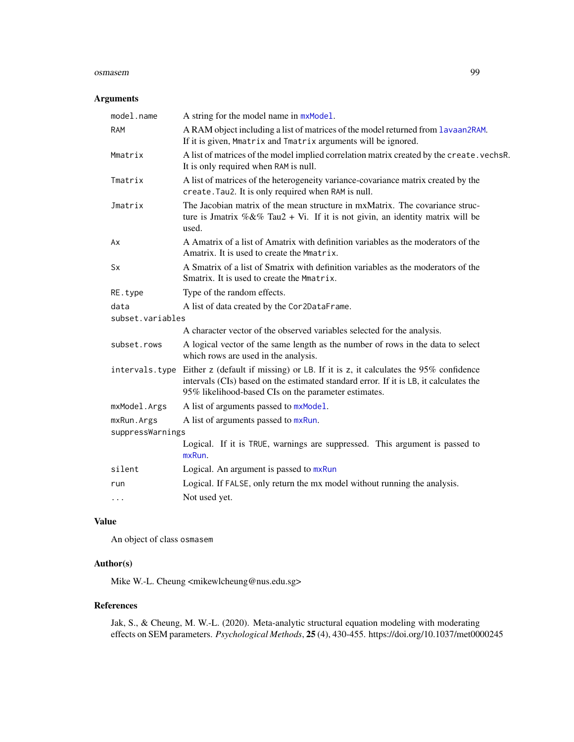#### osmasem 99

## Arguments

| A string for the model name in mxModel.                                                                                                                                                                                            |
|------------------------------------------------------------------------------------------------------------------------------------------------------------------------------------------------------------------------------------|
| A RAM object including a list of matrices of the model returned from lavaan2RAM.<br>If it is given, Mmatrix and Tmatrix arguments will be ignored.                                                                                 |
| A list of matrices of the model implied correlation matrix created by the create. vechsR.<br>It is only required when RAM is null.                                                                                                 |
| A list of matrices of the heterogeneity variance-covariance matrix created by the<br>create. Tau2. It is only required when RAM is null.                                                                                           |
| The Jacobian matrix of the mean structure in mxMatrix. The covariance struc-<br>ture is Jmatrix %&% Tau2 + Vi. If it is not givin, an identity matrix will be<br>used.                                                             |
| A Amatrix of a list of Amatrix with definition variables as the moderators of the<br>Amatrix. It is used to create the Mmatrix.                                                                                                    |
| A Smatrix of a list of Smatrix with definition variables as the moderators of the<br>Smatrix. It is used to create the Mmatrix.                                                                                                    |
| Type of the random effects.                                                                                                                                                                                                        |
| A list of data created by the Cor2DataFrame.                                                                                                                                                                                       |
| subset.variables                                                                                                                                                                                                                   |
| A character vector of the observed variables selected for the analysis.                                                                                                                                                            |
| A logical vector of the same length as the number of rows in the data to select<br>which rows are used in the analysis.                                                                                                            |
| Either z (default if missing) or LB. If it is z, it calculates the 95% confidence<br>intervals (CIs) based on the estimated standard error. If it is LB, it calculates the<br>95% likelihood-based CIs on the parameter estimates. |
| A list of arguments passed to mxModel.                                                                                                                                                                                             |
| A list of arguments passed to mxRun.                                                                                                                                                                                               |
| suppressWarnings                                                                                                                                                                                                                   |
| Logical. If it is TRUE, warnings are suppressed. This argument is passed to<br>mxRun.                                                                                                                                              |
| Logical. An argument is passed to mxRun                                                                                                                                                                                            |
| Logical. If FALSE, only return the mx model without running the analysis.                                                                                                                                                          |
| Not used yet.                                                                                                                                                                                                                      |
|                                                                                                                                                                                                                                    |

# Value

An object of class osmasem

# Author(s)

Mike W.-L. Cheung <mikewlcheung@nus.edu.sg>

# References

Jak, S., & Cheung, M. W.-L. (2020). Meta-analytic structural equation modeling with moderating effects on SEM parameters. *Psychological Methods*, 25 (4), 430-455. https://doi.org/10.1037/met0000245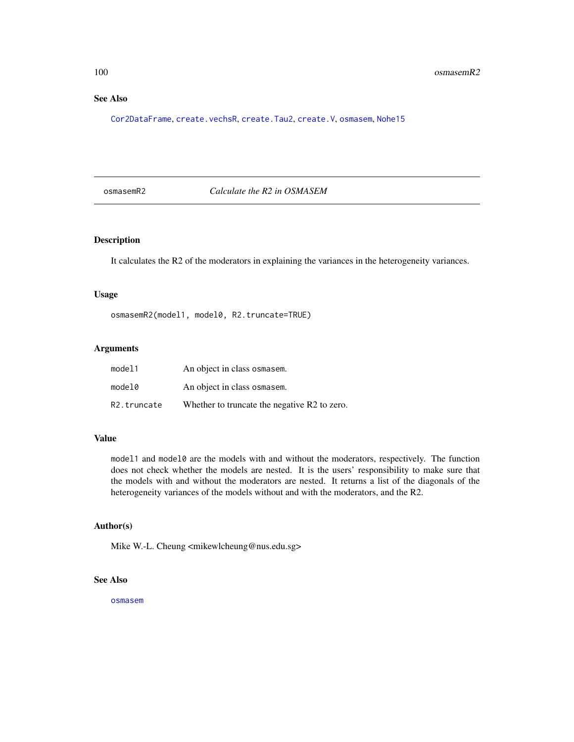# See Also

[Cor2DataFrame](#page-44-0), [create.vechsR](#page-53-0), [create.Tau2](#page-51-0), [create.V](#page-52-0), [osmasem](#page-97-0), [Nohe15](#page-93-0)

osmasemR2 *Calculate the R2 in OSMASEM*

# Description

It calculates the R2 of the moderators in explaining the variances in the heterogeneity variances.

# Usage

osmasemR2(model1, model0, R2.truncate=TRUE)

## Arguments

| model1                   | An object in class osmasem.                  |
|--------------------------|----------------------------------------------|
| model0                   | An object in class osmasem.                  |
| R <sub>2</sub> .truncate | Whether to truncate the negative R2 to zero. |

## Value

model1 and model0 are the models with and without the moderators, respectively. The function does not check whether the models are nested. It is the users' responsibility to make sure that the models with and without the moderators are nested. It returns a list of the diagonals of the heterogeneity variances of the models without and with the moderators, and the R2.

#### Author(s)

Mike W.-L. Cheung <mikewlcheung@nus.edu.sg>

# See Also

[osmasem](#page-97-0)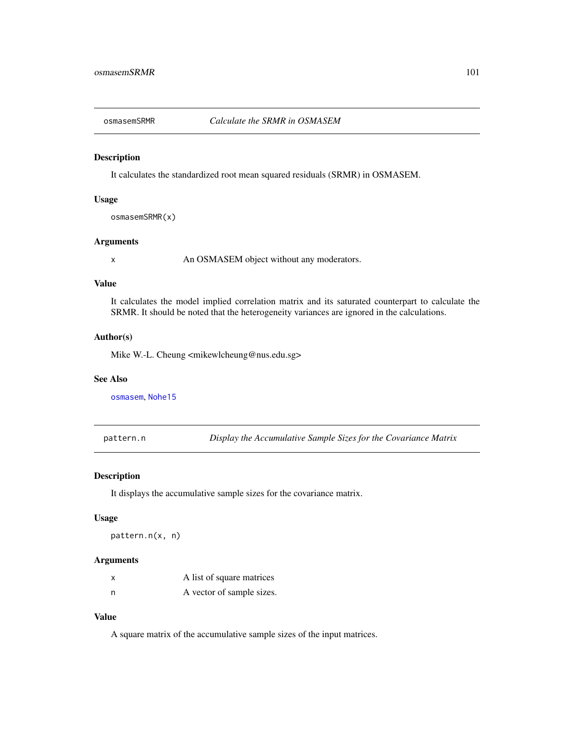It calculates the standardized root mean squared residuals (SRMR) in OSMASEM.

## Usage

osmasemSRMR(x)

# Arguments

x An OSMASEM object without any moderators.

# Value

It calculates the model implied correlation matrix and its saturated counterpart to calculate the SRMR. It should be noted that the heterogeneity variances are ignored in the calculations.

# Author(s)

Mike W.-L. Cheung <mikewlcheung@nus.edu.sg>

## See Also

[osmasem](#page-97-0), [Nohe15](#page-93-0)

pattern.n *Display the Accumulative Sample Sizes for the Covariance Matrix*

# Description

It displays the accumulative sample sizes for the covariance matrix.

#### Usage

pattern.n(x, n)

#### Arguments

| x | A list of square matrices |
|---|---------------------------|
| n | A vector of sample sizes. |

# Value

A square matrix of the accumulative sample sizes of the input matrices.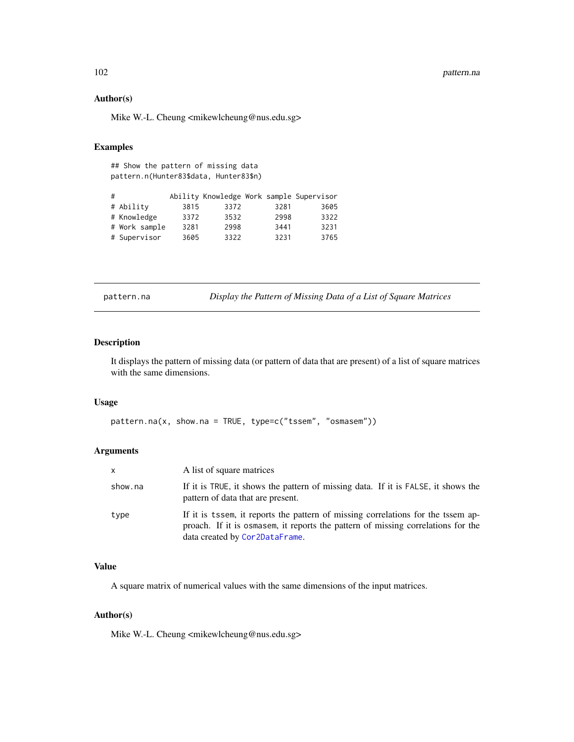# Author(s)

Mike W.-L. Cheung <mikewlcheung@nus.edu.sg>

# Examples

## Show the pattern of missing data pattern.n(Hunter83\$data, Hunter83\$n)

| # |               |      |      |      | Ability Knowledge Work sample Supervisor |
|---|---------------|------|------|------|------------------------------------------|
|   | # Ability     | 3815 | 3372 | 3281 | 3605                                     |
|   | # Knowledge   | 3372 | 3532 | 2998 | 3322                                     |
|   | # Work sample | 3281 | 2998 | 3441 | 3231                                     |
|   | # Supervisor  | 3605 | 3322 | 3231 | 3765                                     |

pattern.na *Display the Pattern of Missing Data of a List of Square Matrices*

## Description

It displays the pattern of missing data (or pattern of data that are present) of a list of square matrices with the same dimensions.

## Usage

pattern.na(x, show.na = TRUE, type=c("tssem", "osmasem"))

## Arguments

| X       | A list of square matrices                                                                                                                                                                              |
|---------|--------------------------------------------------------------------------------------------------------------------------------------------------------------------------------------------------------|
| show.na | If it is TRUE, it shows the pattern of missing data. If it is FALSE, it shows the<br>pattern of data that are present.                                                                                 |
| type    | If it is tssem, it reports the pattern of missing correlations for the tssem ap-<br>proach. If it is osmasem, it reports the pattern of missing correlations for the<br>data created by Cor2DataFrame. |

# Value

A square matrix of numerical values with the same dimensions of the input matrices.

#### Author(s)

Mike W.-L. Cheung <mikewlcheung@nus.edu.sg>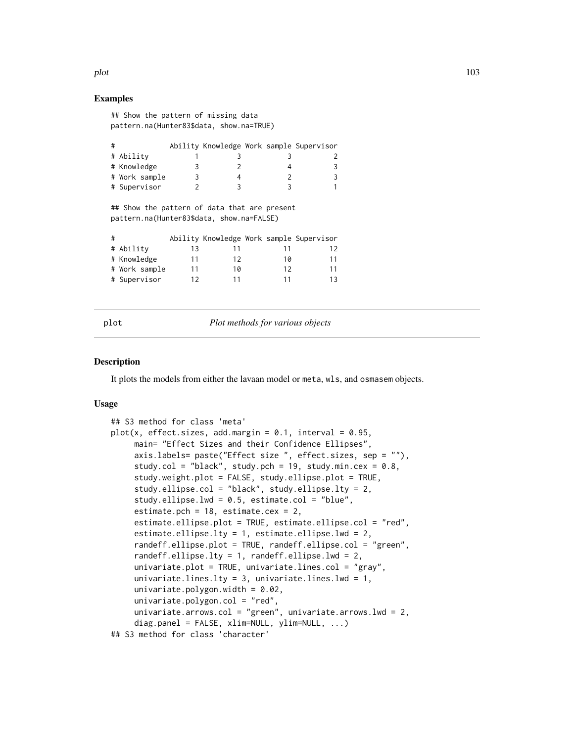## Examples

## Show the pattern of missing data pattern.na(Hunter83\$data, show.na=TRUE)

| # |               |  |  | Ability Knowledge Work sample Supervisor |
|---|---------------|--|--|------------------------------------------|
|   | # Ability     |  |  |                                          |
|   | # Knowledge   |  |  | 3                                        |
|   | # Work sample |  |  | 3                                        |
|   | # Supervisor  |  |  |                                          |

## Show the pattern of data that are present pattern.na(Hunter83\$data, show.na=FALSE)

| # |               |    |    |    | Ability Knowledge Work sample Supervisor |
|---|---------------|----|----|----|------------------------------------------|
|   | # Ability     | 13 |    |    | 12                                       |
|   | # Knowledge   | 11 | 12 | 10 | 11                                       |
|   | # Work sample | 11 | 10 | 12 | 11                                       |
|   | # Supervisor  | 12 | 11 | 11 | 13                                       |

plot *Plot methods for various objects*

#### **Description**

It plots the models from either the lavaan model or meta, wls, and osmasem objects.

#### Usage

```
## S3 method for class 'meta'
plot(x, effect.sizes, add.margin = 0.1, interval = 0.95,main= "Effect Sizes and their Confidence Ellipses",
     axis.labels= paste("Effect size ", effect.sizes, sep = ""),
     study.col = "black", study.pch = 19, study.min.cex = 0.8,
     study.weight.plot = FALSE, study.ellipse.plot = TRUE,
     study.ellipse.col = "black", study.ellipse.lty = 2,
     study.ellipse.lwd = 0.5, estimate.col = "blue",
     estimate.pch = 18, estimate.cex = 2,
     estimate.ellipse.plot = TRUE, estimate.ellipse.col = "red",
     estimate.ellipse.lty = 1, estimate.ellipse.lwd = 2,
     randeff.ellipse.plot = TRUE, randeff.ellipse.col = "green",
     randeff.ellipse.lty = 1, randeff.ellipse.lwd = 2,
     univariate.plot = TRUE, univariate.lines.col = "gray",
     univariate.lines.lty = 3, univariate.lines.lwd = 1,
     univariate.polygon.width = 0.02,
     univariate.polygon.col = "red",univariate.arrows.col = "green", univariate.arrows.lwd = 2,
     diag.panel = FALSE, xlim=NULL, ylim=NULL, ...)
## S3 method for class 'character'
```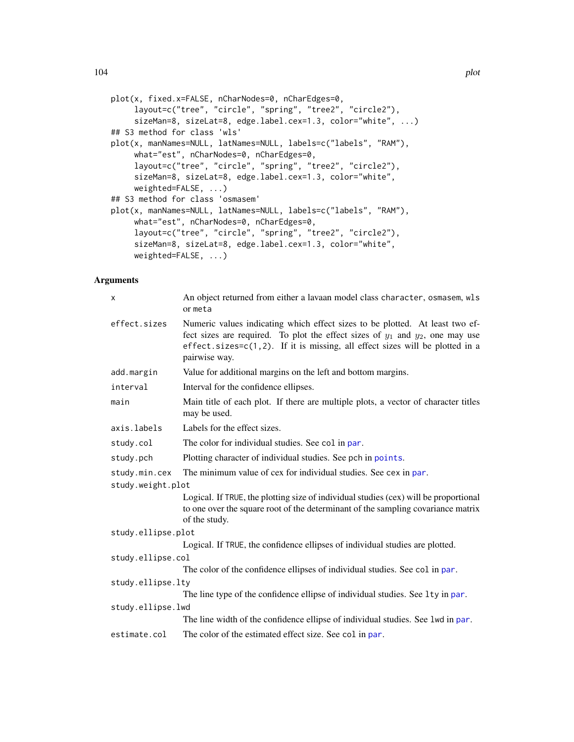```
plot(x, fixed.x=FALSE, nCharNodes=0, nCharEdges=0,
     layout=c("tree", "circle", "spring", "tree2", "circle2"),
     sizeMan=8, sizeLat=8, edge.label.cex=1.3, color="white", ...)
## S3 method for class 'wls'
plot(x, manNames=NULL, latNames=NULL, labels=c("labels", "RAM"),
     what="est", nCharNodes=0, nCharEdges=0,
     layout=c("tree", "circle", "spring", "tree2", "circle2"),
     sizeMan=8, sizeLat=8, edge.label.cex=1.3, color="white",
     weighted=FALSE, ...)
## S3 method for class 'osmasem'
plot(x, manNames=NULL, latNames=NULL, labels=c("labels", "RAM"),
     what="est", nCharNodes=0, nCharEdges=0,
     layout=c("tree", "circle", "spring", "tree2", "circle2"),
     sizeMan=8, sizeLat=8, edge.label.cex=1.3, color="white",
     weighted=FALSE, ...)
```
## Arguments

| x                  | An object returned from either a lavaan model class character, osmasem, wls<br>or meta                                                                                                                                                                                  |  |  |
|--------------------|-------------------------------------------------------------------------------------------------------------------------------------------------------------------------------------------------------------------------------------------------------------------------|--|--|
| effect.sizes       | Numeric values indicating which effect sizes to be plotted. At least two ef-<br>fect sizes are required. To plot the effect sizes of $y_1$ and $y_2$ , one may use<br>effect.sizes= $c(1,2)$ . If it is missing, all effect sizes will be plotted in a<br>pairwise way. |  |  |
| add.margin         | Value for additional margins on the left and bottom margins.                                                                                                                                                                                                            |  |  |
| interval           | Interval for the confidence ellipses.                                                                                                                                                                                                                                   |  |  |
| main               | Main title of each plot. If there are multiple plots, a vector of character titles<br>may be used.                                                                                                                                                                      |  |  |
| axis.labels        | Labels for the effect sizes.                                                                                                                                                                                                                                            |  |  |
| study.col          | The color for individual studies. See col in par.                                                                                                                                                                                                                       |  |  |
| study.pch          | Plotting character of individual studies. See pch in points.                                                                                                                                                                                                            |  |  |
| study.min.cex      | The minimum value of cex for individual studies. See cex in par.                                                                                                                                                                                                        |  |  |
| study.weight.plot  |                                                                                                                                                                                                                                                                         |  |  |
|                    | Logical. If TRUE, the plotting size of individual studies (cex) will be proportional<br>to one over the square root of the determinant of the sampling covariance matrix<br>of the study.                                                                               |  |  |
| study.ellipse.plot |                                                                                                                                                                                                                                                                         |  |  |
|                    | Logical. If TRUE, the confidence ellipses of individual studies are plotted.                                                                                                                                                                                            |  |  |
| study.ellipse.col  |                                                                                                                                                                                                                                                                         |  |  |
|                    | The color of the confidence ellipses of individual studies. See col in par.                                                                                                                                                                                             |  |  |
| study.ellipse.lty  |                                                                                                                                                                                                                                                                         |  |  |
|                    | The line type of the confidence ellipse of individual studies. See 1ty in par.                                                                                                                                                                                          |  |  |
| study.ellipse.lwd  |                                                                                                                                                                                                                                                                         |  |  |
|                    | The line width of the confidence ellipse of individual studies. See 1wd in par.                                                                                                                                                                                         |  |  |
| estimate.col       | The color of the estimated effect size. See col in par.                                                                                                                                                                                                                 |  |  |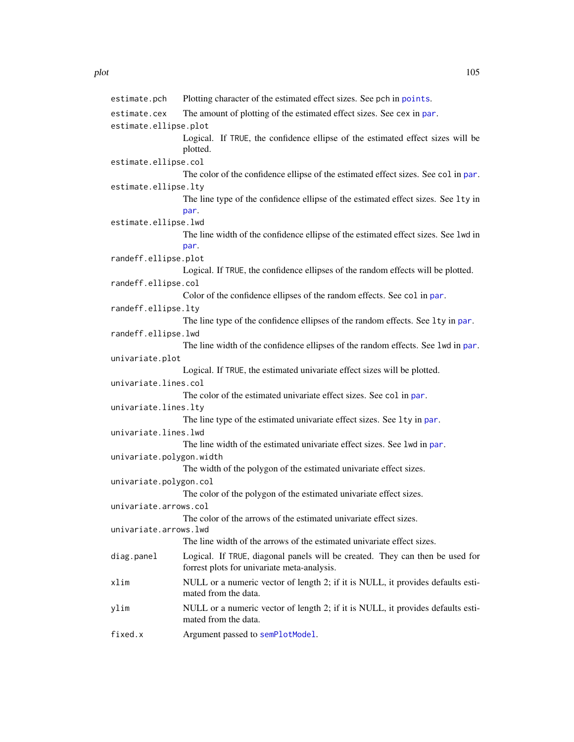| estimate.pch             | Plotting character of the estimated effect sizes. See pch in points.                                                        |
|--------------------------|-----------------------------------------------------------------------------------------------------------------------------|
| estimate.cex             | The amount of plotting of the estimated effect sizes. See cex in par.                                                       |
| estimate.ellipse.plot    |                                                                                                                             |
|                          | Logical. If TRUE, the confidence ellipse of the estimated effect sizes will be<br>plotted.                                  |
| estimate.ellipse.col     |                                                                                                                             |
|                          | The color of the confidence ellipse of the estimated effect sizes. See col in par.                                          |
| estimate.ellipse.lty     |                                                                                                                             |
|                          | The line type of the confidence ellipse of the estimated effect sizes. See 1ty in                                           |
|                          | par.                                                                                                                        |
| estimate.ellipse.lwd     |                                                                                                                             |
|                          | The line width of the confidence ellipse of the estimated effect sizes. See 1wd in<br>par.                                  |
| randeff.ellipse.plot     |                                                                                                                             |
| randeff.ellipse.col      | Logical. If TRUE, the confidence ellipses of the random effects will be plotted.                                            |
|                          | Color of the confidence ellipses of the random effects. See col in par.                                                     |
| randeff.ellipse.lty      |                                                                                                                             |
|                          | The line type of the confidence ellipses of the random effects. See 1ty in par.                                             |
| randeff.ellipse.lwd      |                                                                                                                             |
|                          | The line width of the confidence ellipses of the random effects. See 1wd in par.                                            |
| univariate.plot          |                                                                                                                             |
|                          | Logical. If TRUE, the estimated univariate effect sizes will be plotted.                                                    |
| univariate.lines.col     |                                                                                                                             |
|                          | The color of the estimated univariate effect sizes. See col in par.                                                         |
| univariate.lines.lty     |                                                                                                                             |
|                          | The line type of the estimated univariate effect sizes. See 1ty in par.                                                     |
| univariate.lines.lwd     |                                                                                                                             |
|                          | The line width of the estimated univariate effect sizes. See lwd in par.                                                    |
| univariate.polygon.width |                                                                                                                             |
|                          | The width of the polygon of the estimated univariate effect sizes.                                                          |
| univariate.polygon.col   |                                                                                                                             |
|                          | The color of the polygon of the estimated univariate effect sizes.                                                          |
| univariate.arrows.col    |                                                                                                                             |
|                          | The color of the arrows of the estimated univariate effect sizes.                                                           |
| univariate.arrows.lwd    |                                                                                                                             |
|                          | The line width of the arrows of the estimated univariate effect sizes.                                                      |
| diag.panel               | Logical. If TRUE, diagonal panels will be created. They can then be used for<br>forrest plots for univariate meta-analysis. |
| xlim                     | NULL or a numeric vector of length 2; if it is NULL, it provides defaults esti-<br>mated from the data.                     |
| ylim                     | NULL or a numeric vector of length 2; if it is NULL, it provides defaults esti-<br>mated from the data.                     |
| fived v                  | Accument pessed to completModel                                                                                             |

fixed.x Argument passed to [semPlotModel](#page-0-0).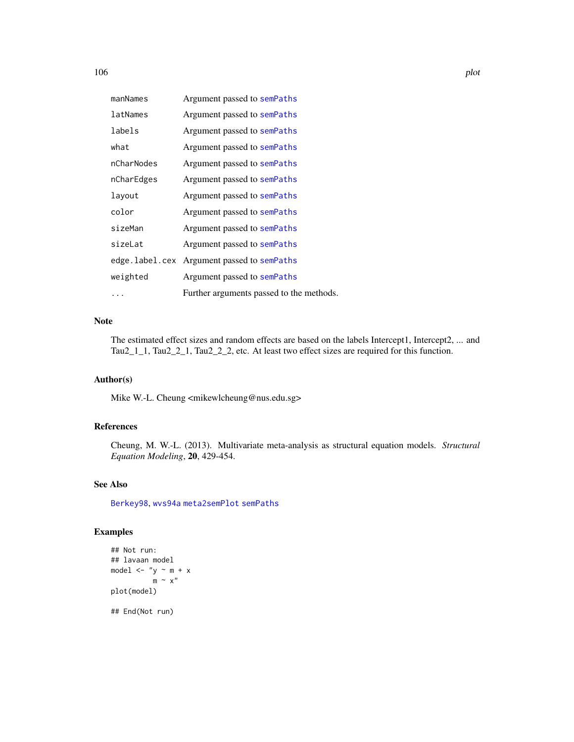| manNames   | Argument passed to semPaths                |
|------------|--------------------------------------------|
| latNames   | Argument passed to semPaths                |
| labels     | Argument passed to semPaths                |
| what       | Argument passed to semPaths                |
| nCharNodes | Argument passed to semPaths                |
| nCharEdges | Argument passed to semPaths                |
| layout     | Argument passed to semPaths                |
| color      | Argument passed to semPaths                |
| sizeMan    | Argument passed to semPaths                |
| sizeLat    | Argument passed to semPaths                |
|            | edge.label.cex Argument passed to semPaths |
| weighted   | Argument passed to semPaths                |
| .          | Further arguments passed to the methods.   |

# Note

The estimated effect sizes and random effects are based on the labels Intercept1, Intercept2, ... and Tau2\_1\_1, Tau2\_2\_1, Tau2\_2\_2, etc. At least two effect sizes are required for this function.

# Author(s)

Mike W.-L. Cheung <mikewlcheung@nus.edu.sg>

# References

Cheung, M. W.-L. (2013). Multivariate meta-analysis as structural equation models. *Structural Equation Modeling*, 20, 429-454.

# See Also

[Berkey98](#page-26-0), [wvs94a](#page-141-0) [meta2semPlot](#page-88-0) [semPaths](#page-0-0)

# Examples

```
## Not run:
## lavaan model
model \leftarrow "y \sim m + x
            m \sim x''plot(model)
```
## End(Not run)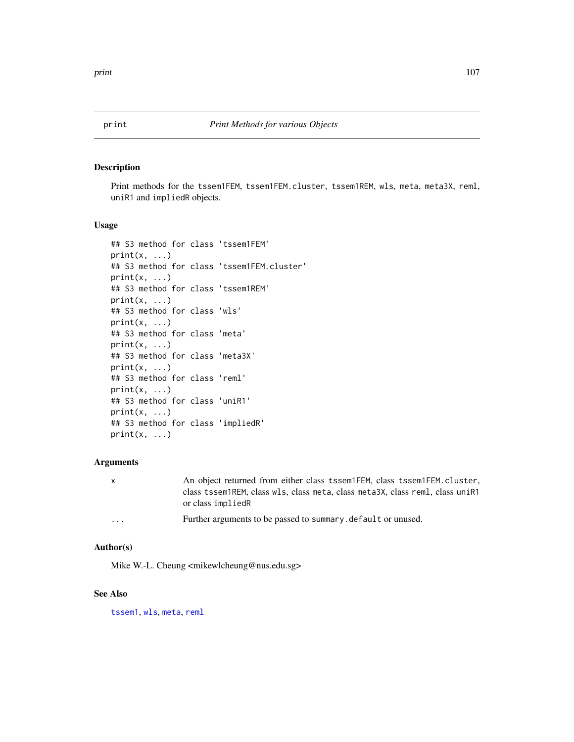Print methods for the tssem1FEM, tssem1FEM.cluster, tssem1REM, wls, meta, meta3X, reml, uniR1 and impliedR objects.

#### Usage

```
## S3 method for class 'tssem1FEM'
print(x, \ldots)## S3 method for class 'tssem1FEM.cluster'
print(x, \ldots)## S3 method for class 'tssem1REM'
print(x, \ldots)## S3 method for class 'wls'
print(x, \ldots)## S3 method for class 'meta'
print(x, \ldots)## S3 method for class 'meta3X'
print(x, \ldots)## S3 method for class 'reml'
print(x, \ldots)## S3 method for class 'uniR1'
print(x, \ldots)## S3 method for class 'impliedR'
print(x, \ldots)
```
## Arguments

| $\mathsf{x}$ | An object returned from either class tssem1FEM, class tssem1FEM.cluster,<br>class tssem1REM, class wls, class meta, class meta3X, class reml, class uniR1<br>or class impliedR |
|--------------|--------------------------------------------------------------------------------------------------------------------------------------------------------------------------------|
| $\cdots$     | Further arguments to be passed to summary, default or unused.                                                                                                                  |

# Author(s)

Mike W.-L. Cheung <mikewlcheung@nus.edu.sg>

## See Also

[tssem1](#page-126-0), [wls](#page-136-0), [meta](#page-85-0), [reml](#page-110-0)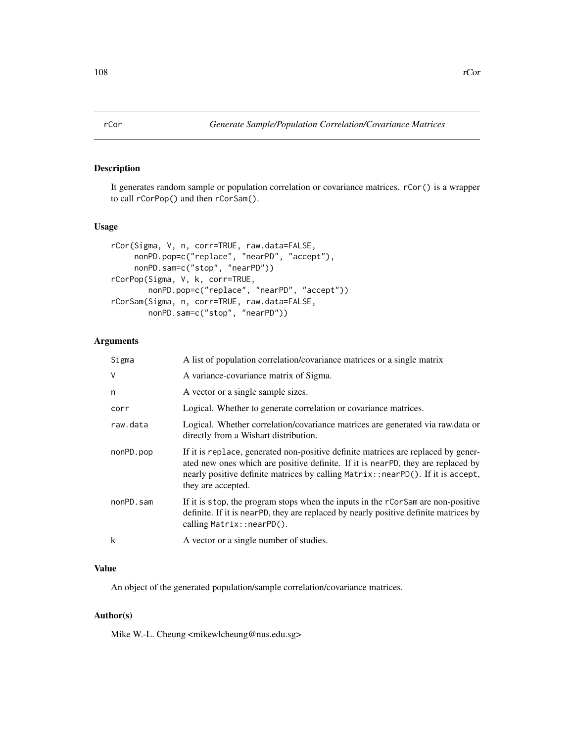It generates random sample or population correlation or covariance matrices. rCor() is a wrapper to call rCorPop() and then rCorSam().

# Usage

```
rCor(Sigma, V, n, corr=TRUE, raw.data=FALSE,
    nonPD.pop=c("replace", "nearPD", "accept"),
     nonPD.sam=c("stop", "nearPD"))
rCorPop(Sigma, V, k, corr=TRUE,
       nonPD.pop=c("replace", "nearPD", "accept"))
rCorSam(Sigma, n, corr=TRUE, raw.data=FALSE,
       nonPD.sam=c("stop", "nearPD"))
```
# Arguments

| Sigma     | A list of population correlation/covariance matrices or a single matrix                                                                                                                                                                                                        |
|-----------|--------------------------------------------------------------------------------------------------------------------------------------------------------------------------------------------------------------------------------------------------------------------------------|
| $\vee$    | A variance-covariance matrix of Sigma.                                                                                                                                                                                                                                         |
| n         | A vector or a single sample sizes.                                                                                                                                                                                                                                             |
| corr      | Logical. Whether to generate correlation or covariance matrices.                                                                                                                                                                                                               |
| raw.data  | Logical. Whether correlation/covariance matrices are generated via raw.data or<br>directly from a Wishart distribution.                                                                                                                                                        |
| nonPD.pop | If it is replace, generated non-positive definite matrices are replaced by gener-<br>ated new ones which are positive definite. If it is nearPD, they are replaced by<br>nearly positive definite matrices by calling Matrix::nearPD(). If it is accept,<br>they are accepted. |
| nonPD.sam | If it is stop, the program stops when the inputs in the rCorSam are non-positive<br>definite. If it is near PD, they are replaced by nearly positive definite matrices by<br>calling Matrix::nearPD().                                                                         |
| k         | A vector or a single number of studies.                                                                                                                                                                                                                                        |

#### Value

An object of the generated population/sample correlation/covariance matrices.

#### Author(s)

Mike W.-L. Cheung <mikewlcheung@nus.edu.sg>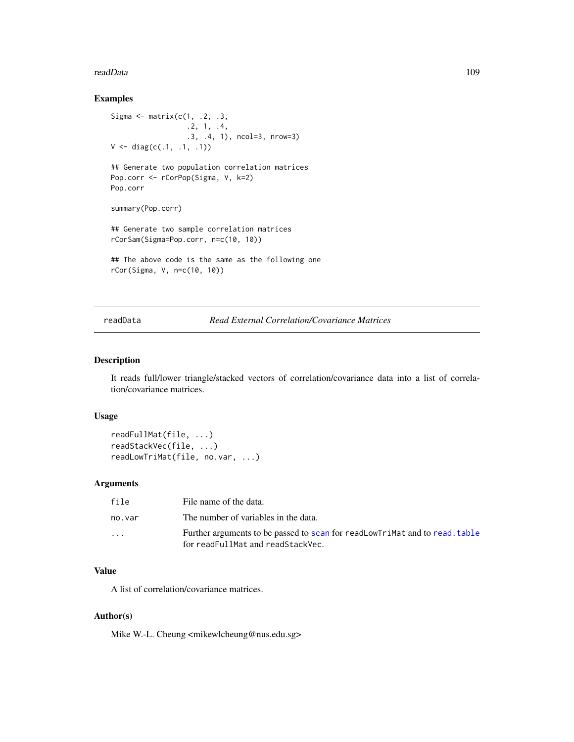#### readData 109

## Examples

```
Sigma \leq matrix(c(1, .2, .3,
                  .2, 1, .4,
                  .3, .4, 1), ncol=3, nrow=3)
V \leftarrow diag(c(.1, .1, .1))## Generate two population correlation matrices
Pop.corr <- rCorPop(Sigma, V, k=2)
Pop.corr
summary(Pop.corr)
## Generate two sample correlation matrices
rCorSam(Sigma=Pop.corr, n=c(10, 10))
## The above code is the same as the following one
rCor(Sigma, V, n=c(10, 10))
```
# readData *Read External Correlation/Covariance Matrices*

## Description

It reads full/lower triangle/stacked vectors of correlation/covariance data into a list of correlation/covariance matrices.

## Usage

```
readFullMat(file, ...)
readStackVec(file, ...)
readLowTriMat(file, no.var, ...)
```
# Arguments

| file                    | File name of the data.                                                                                           |
|-------------------------|------------------------------------------------------------------------------------------------------------------|
| no.var                  | The number of variables in the data.                                                                             |
| $\cdot$ $\cdot$ $\cdot$ | Further arguments to be passed to scan for readLowTriMat and to read, table<br>for readFullMat and readStackVec. |

## Value

A list of correlation/covariance matrices.

#### Author(s)

Mike W.-L. Cheung <mikewlcheung@nus.edu.sg>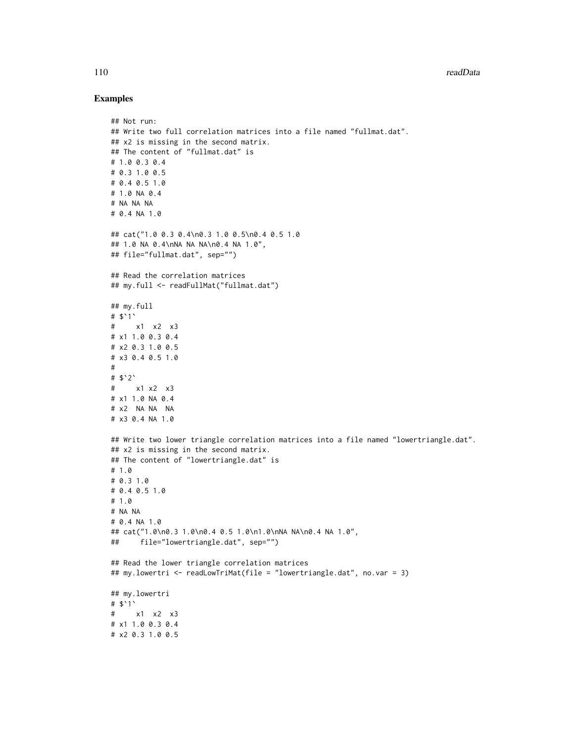## Examples

```
## Not run:
## Write two full correlation matrices into a file named "fullmat.dat".
## x2 is missing in the second matrix.
## The content of "fullmat.dat" is
# 1.0 0.3 0.4
# 0.3 1.0 0.5
# 0.4 0.5 1.0
# 1.0 NA 0.4
# NA NA NA
# 0.4 NA 1.0
## cat("1.0 0.3 0.4\n0.3 1.0 0.5\n0.4 0.5 1.0
## 1.0 NA 0.4\nNA NA NA\n0.4 NA 1.0",
## file="fullmat.dat", sep="")
## Read the correlation matrices
## my.full <- readFullMat("fullmat.dat")
## my.full
# $`1`
# x1 x2 x3
# x1 1.0 0.3 0.4
# x2 0.3 1.0 0.5
# x3 0.4 0.5 1.0
#
# $`2`
# x1 x2 x3
# x1 1.0 NA 0.4
# x2 NA NA NA
# x3 0.4 NA 1.0
## Write two lower triangle correlation matrices into a file named "lowertriangle.dat".
## x2 is missing in the second matrix.
## The content of "lowertriangle.dat" is
# 1.0
# 0.3 1.0
# 0.4 0.5 1.0
# 1.0
# NA NA
# 0.4 NA 1.0
## cat("1.0\n0.3 1.0\n0.4 0.5 1.0\n1.0\nNA NA\n0.4 NA 1.0",
## file="lowertriangle.dat", sep="")
## Read the lower triangle correlation matrices
## my.lowertri <- readLowTriMat(file = "lowertriangle.dat", no.var = 3)
## my.lowertri
# $`1`
# x1 x2 x3
# x1 1.0 0.3 0.4
# x2 0.3 1.0 0.5
```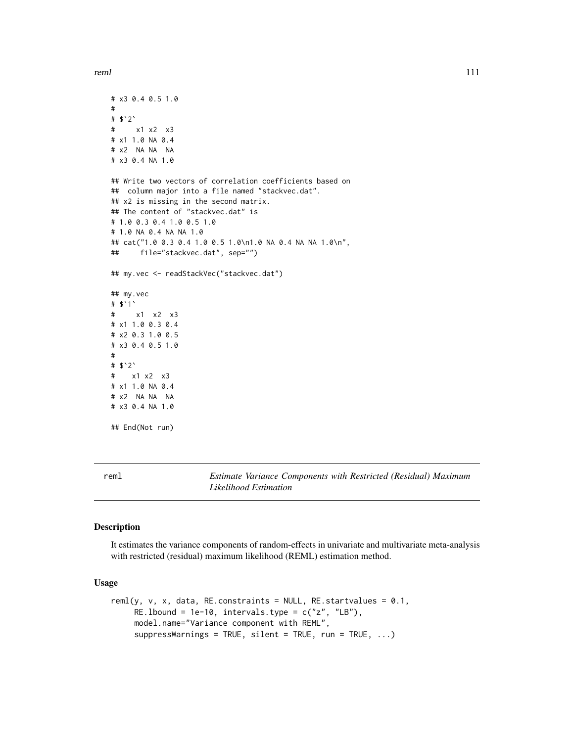reml

```
# x3 0.4 0.5 1.0
#
# $`2`
# x1 x2 x3
# x1 1.0 NA 0.4
# x2 NA NA NA
# x3 0.4 NA 1.0
## Write two vectors of correlation coefficients based on
## column major into a file named "stackvec.dat".
## x2 is missing in the second matrix.
## The content of "stackvec.dat" is
# 1.0 0.3 0.4 1.0 0.5 1.0
# 1.0 NA 0.4 NA NA 1.0
## cat("1.0 0.3 0.4 1.0 0.5 1.0\n1.0 NA 0.4 NA NA 1.0\n",
## file="stackvec.dat", sep="")
## my.vec <- readStackVec("stackvec.dat")
## my.vec
# $`1`
# x1 x2 x3
# x1 1.0 0.3 0.4
# x2 0.3 1.0 0.5
# x3 0.4 0.5 1.0
#
# $`2`
# x1 x2 x3
# x1 1.0 NA 0.4
# x2 NA NA NA
# x3 0.4 NA 1.0
## End(Not run)
```
<span id="page-110-0"></span>reml *Estimate Variance Components with Restricted (Residual) Maximum Likelihood Estimation*

#### Description

It estimates the variance components of random-effects in univariate and multivariate meta-analysis with restricted (residual) maximum likelihood (REML) estimation method.

## Usage

```
reml(y, v, x, data, RE.constraints = NULL, RE.startvalues = 0.1,
    RE.lbound = 1e-10, intervals.type = c("z", "LB"),model.name="Variance component with REML",
    suppressWarnings = TRUE, silent = TRUE, run = TRUE, ...)
```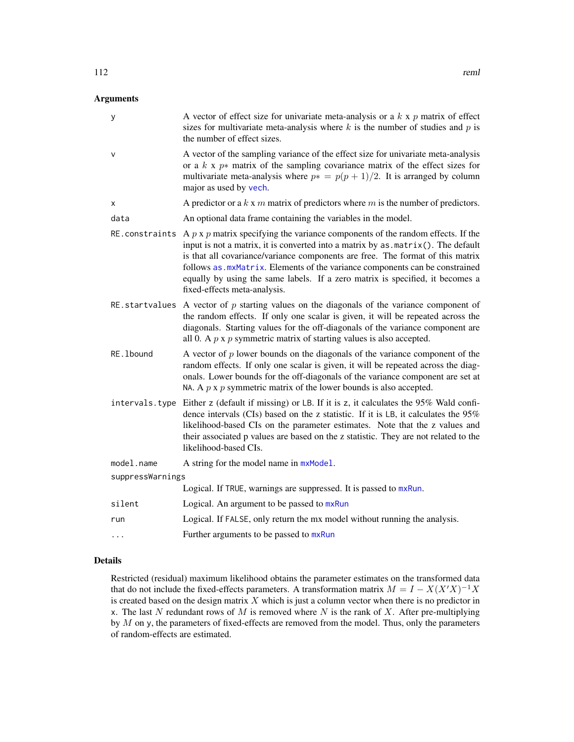# Arguments

| У                | A vector of effect size for univariate meta-analysis or a $k \times p$ matrix of effect<br>sizes for multivariate meta-analysis where $k$ is the number of studies and $p$ is<br>the number of effect sizes.                                                                                                                                                                                                                                                                     |
|------------------|----------------------------------------------------------------------------------------------------------------------------------------------------------------------------------------------------------------------------------------------------------------------------------------------------------------------------------------------------------------------------------------------------------------------------------------------------------------------------------|
| v                | A vector of the sampling variance of the effect size for univariate meta-analysis<br>or a $k \times p*$ matrix of the sampling covariance matrix of the effect sizes for<br>multivariate meta-analysis where $p* = p(p + 1)/2$ . It is arranged by column<br>major as used by vech.                                                                                                                                                                                              |
| x                | A predictor or a $k \times m$ matrix of predictors where $m$ is the number of predictors.                                                                                                                                                                                                                                                                                                                                                                                        |
| data             | An optional data frame containing the variables in the model.                                                                                                                                                                                                                                                                                                                                                                                                                    |
|                  | RE constraints A $p \times p$ matrix specifying the variance components of the random effects. If the<br>input is not a matrix, it is converted into a matrix by $as.matrix()$ . The default<br>is that all covariance/variance components are free. The format of this matrix<br>follows as . mxMatrix. Elements of the variance components can be constrained<br>equally by using the same labels. If a zero matrix is specified, it becomes a<br>fixed-effects meta-analysis. |
|                  | RE startvalues A vector of $p$ starting values on the diagonals of the variance component of<br>the random effects. If only one scalar is given, it will be repeated across the<br>diagonals. Starting values for the off-diagonals of the variance component are<br>all 0. A $p \times p$ symmetric matrix of starting values is also accepted.                                                                                                                                 |
| RE. 1bound       | A vector of $p$ lower bounds on the diagonals of the variance component of the<br>random effects. If only one scalar is given, it will be repeated across the diag-<br>onals. Lower bounds for the off-diagonals of the variance component are set at<br>NA. A $p \times p$ symmetric matrix of the lower bounds is also accepted.                                                                                                                                               |
|                  | intervals. type Either z (default if missing) or LB. If it is z, it calculates the 95% Wald confi-<br>dence intervals (CIs) based on the z statistic. If it is LB, it calculates the 95%<br>likelihood-based CIs on the parameter estimates. Note that the z values and<br>their associated p values are based on the z statistic. They are not related to the<br>likelihood-based CIs.                                                                                          |
| model.name       | A string for the model name in $mxModel$ .                                                                                                                                                                                                                                                                                                                                                                                                                                       |
| suppressWarnings |                                                                                                                                                                                                                                                                                                                                                                                                                                                                                  |
|                  | Logical. If TRUE, warnings are suppressed. It is passed to mxRun.                                                                                                                                                                                                                                                                                                                                                                                                                |
| silent           | Logical. An argument to be passed to mxRun                                                                                                                                                                                                                                                                                                                                                                                                                                       |
| run              | Logical. If FALSE, only return the mx model without running the analysis.                                                                                                                                                                                                                                                                                                                                                                                                        |
| .                | Further arguments to be passed to mxRun                                                                                                                                                                                                                                                                                                                                                                                                                                          |

## Details

Restricted (residual) maximum likelihood obtains the parameter estimates on the transformed data that do not include the fixed-effects parameters. A transformation matrix  $M = I - X(X'X)^{-1}X$ is created based on the design matrix  $X$  which is just a column vector when there is no predictor in x. The last N redundant rows of M is removed where N is the rank of X. After pre-multiplying by  $M$  on y, the parameters of fixed-effects are removed from the model. Thus, only the parameters of random-effects are estimated.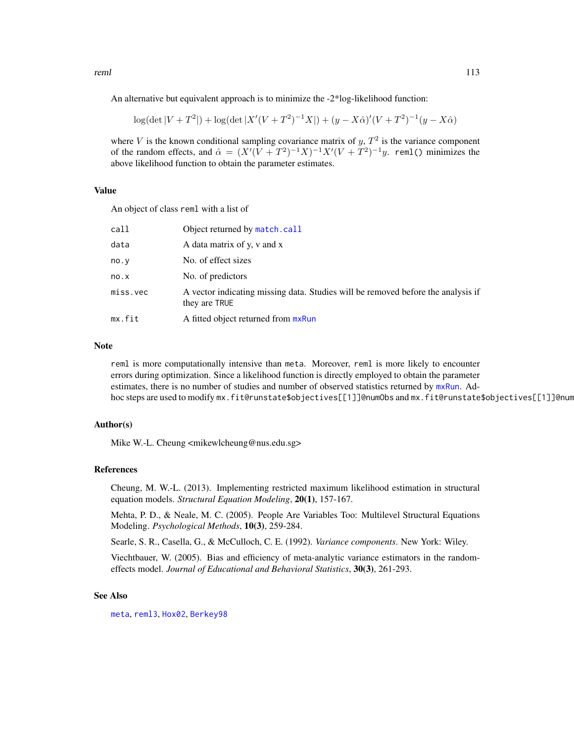reml

An alternative but equivalent approach is to minimize the -2\*log-likelihood function:

$$
\log(\det|V+T^2|) + \log(\det|X'(V+T^2)^{-1}X|) + (y-X\hat{\alpha})'(V+T^2)^{-1}(y-X\hat{\alpha})
$$

where V is the known conditional sampling covariance matrix of  $y$ ,  $T<sup>2</sup>$  is the variance component of the random effects, and  $\hat{\alpha} = (X'(V + T^2)^{-1}X)^{-1}X'(V + T^2)^{-1}y$ . rem1() minimizes the above likelihood function to obtain the parameter estimates.

## Value

An object of class reml with a list of

| call     | Object returned by match.call                                                                     |
|----------|---------------------------------------------------------------------------------------------------|
| data     | A data matrix of y, v and x                                                                       |
| no.v     | No. of effect sizes                                                                               |
| no.x     | No. of predictors                                                                                 |
| miss.vec | A vector indicating missing data. Studies will be removed before the analysis if<br>they are TRUE |
| mx.fit   | A fitted object returned from mxRun                                                               |

# Note

reml is more computationally intensive than meta. Moreover, reml is more likely to encounter errors during optimization. Since a likelihood function is directly employed to obtain the parameter estimates, there is no number of studies and number of observed statistics returned by [mxRun](#page-0-0). Adhoc steps are used to modify mx.fit@runstate\$objectives[[1]]@numObs and mx.fit@runstate\$objectives[[1]]@num

#### Author(s)

Mike W.-L. Cheung <mikewlcheung@nus.edu.sg>

#### References

Cheung, M. W.-L. (2013). Implementing restricted maximum likelihood estimation in structural equation models. *Structural Equation Modeling*, 20(1), 157-167.

Mehta, P. D., & Neale, M. C. (2005). People Are Variables Too: Multilevel Structural Equations Modeling. *Psychological Methods*, 10(3), 259-284.

Searle, S. R., Casella, G., & McCulloch, C. E. (1992). *Variance components*. New York: Wiley.

Viechtbauer, W. (2005). Bias and efficiency of meta-analytic variance estimators in the randomeffects model. *Journal of Educational and Behavioral Statistics*, 30(3), 261-293.

#### See Also

[meta](#page-85-0), [reml3](#page-113-0), [Hox02](#page-63-0), [Berkey98](#page-26-0)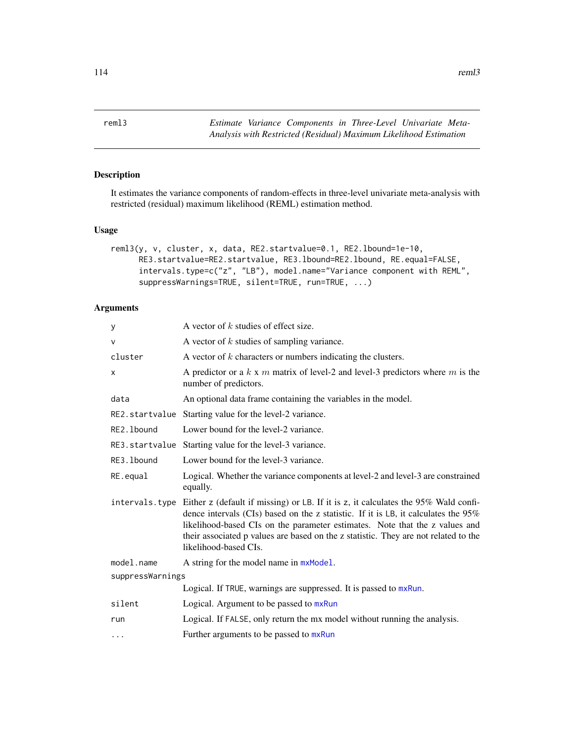<span id="page-113-0"></span>reml3 *Estimate Variance Components in Three-Level Univariate Meta-Analysis with Restricted (Residual) Maximum Likelihood Estimation*

# Description

It estimates the variance components of random-effects in three-level univariate meta-analysis with restricted (residual) maximum likelihood (REML) estimation method.

## Usage

```
reml3(y, v, cluster, x, data, RE2.startvalue=0.1, RE2.lbound=1e-10,
     RE3.startvalue=RE2.startvalue, RE3.lbound=RE2.lbound, RE.equal=FALSE,
     intervals.type=c("z", "LB"), model.name="Variance component with REML",
     suppressWarnings=TRUE, silent=TRUE, run=TRUE, ...)
```
## Arguments

| y                | A vector of $k$ studies of effect size.                                                                                                                                                                                                                                                                                                                                    |
|------------------|----------------------------------------------------------------------------------------------------------------------------------------------------------------------------------------------------------------------------------------------------------------------------------------------------------------------------------------------------------------------------|
| $\vee$           | A vector of $k$ studies of sampling variance.                                                                                                                                                                                                                                                                                                                              |
| cluster          | A vector of $k$ characters or numbers indicating the clusters.                                                                                                                                                                                                                                                                                                             |
| х                | A predictor or a $k \times m$ matrix of level-2 and level-3 predictors where $m$ is the<br>number of predictors.                                                                                                                                                                                                                                                           |
| data             | An optional data frame containing the variables in the model.                                                                                                                                                                                                                                                                                                              |
|                  | RE2.startvalue Starting value for the level-2 variance.                                                                                                                                                                                                                                                                                                                    |
| RE2.1bound       | Lower bound for the level-2 variance.                                                                                                                                                                                                                                                                                                                                      |
|                  | RE3.startvalue Starting value for the level-3 variance.                                                                                                                                                                                                                                                                                                                    |
| RE3.1bound       | Lower bound for the level-3 variance.                                                                                                                                                                                                                                                                                                                                      |
| RE.equal         | Logical. Whether the variance components at level-2 and level-3 are constrained<br>equally.                                                                                                                                                                                                                                                                                |
| intervals.type   | Either z (default if missing) or LB. If it is z, it calculates the 95% Wald confi-<br>dence intervals (CIs) based on the z statistic. If it is LB, it calculates the $95\%$<br>likelihood-based CIs on the parameter estimates. Note that the z values and<br>their associated p values are based on the z statistic. They are not related to the<br>likelihood-based CIs. |
| model.name       | A string for the model name in mxModel.                                                                                                                                                                                                                                                                                                                                    |
| suppressWarnings |                                                                                                                                                                                                                                                                                                                                                                            |
|                  | Logical. If TRUE, warnings are suppressed. It is passed to mxRun.                                                                                                                                                                                                                                                                                                          |
| silent           | Logical. Argument to be passed to mxRun                                                                                                                                                                                                                                                                                                                                    |
| run              | Logical. If FALSE, only return the mx model without running the analysis.                                                                                                                                                                                                                                                                                                  |
| $\cdots$         | Further arguments to be passed to mxRun                                                                                                                                                                                                                                                                                                                                    |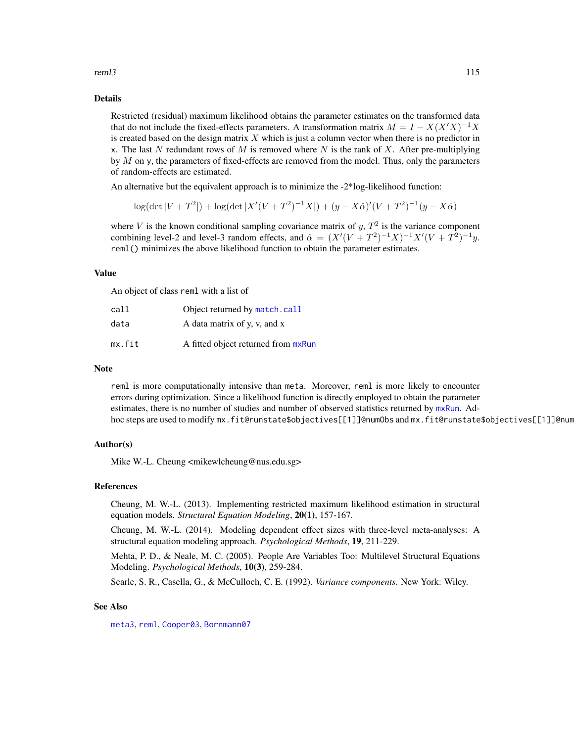reml3 and the contract of the contract of the contract of the contract of the contract of the contract of the contract of the contract of the contract of the contract of the contract of the contract of the contract of the

### Details

Restricted (residual) maximum likelihood obtains the parameter estimates on the transformed data that do not include the fixed-effects parameters. A transformation matrix  $M = I - X(X'X)^{-1}X$ is created based on the design matrix  $X$  which is just a column vector when there is no predictor in x. The last N redundant rows of M is removed where N is the rank of X. After pre-multiplying by  $M$  on y, the parameters of fixed-effects are removed from the model. Thus, only the parameters of random-effects are estimated.

An alternative but the equivalent approach is to minimize the -2\*log-likelihood function:

$$
\log(\det|V+T^2|) + \log(\det|X'(V+T^2)^{-1}X|) + (y - X\hat{\alpha})'(V+T^2)^{-1}(y - X\hat{\alpha})
$$

where V is the known conditional sampling covariance matrix of  $y$ ,  $T<sup>2</sup>$  is the variance component combining level-2 and level-3 random effects, and  $\hat{\alpha} = (X'(V + T^2)^{-1}X)^{-1}X'(V + T^2)^{-1}y$ . reml() minimizes the above likelihood function to obtain the parameter estimates.

#### Value

An object of class reml with a list of

| call   | Object returned by match.call       |
|--------|-------------------------------------|
| data   | A data matrix of y, y, and x        |
| mx.fit | A fitted object returned from mxRun |

#### Note

reml is more computationally intensive than meta. Moreover, reml is more likely to encounter errors during optimization. Since a likelihood function is directly employed to obtain the parameter estimates, there is no number of studies and number of observed statistics returned by [mxRun](#page-0-0). Adhoc steps are used to modify mx.fit@runstate\$objectives[[1]]@numObs and mx.fit@runstate\$objectives[[1]]@num

#### Author(s)

Mike W.-L. Cheung <mikewlcheung@nus.edu.sg>

#### References

Cheung, M. W.-L. (2013). Implementing restricted maximum likelihood estimation in structural equation models. *Structural Equation Modeling*, 20(1), 157-167.

Cheung, M. W.-L. (2014). Modeling dependent effect sizes with three-level meta-analyses: A structural equation modeling approach. *Psychological Methods*, 19, 211-229.

Mehta, P. D., & Neale, M. C. (2005). People Are Variables Too: Multilevel Structural Equations Modeling. *Psychological Methods*, 10(3), 259-284.

Searle, S. R., Casella, G., & McCulloch, C. E. (1992). *Variance components*. New York: Wiley.

## See Also

[meta3](#page-89-0), [reml](#page-110-0), [Cooper03](#page-42-0), [Bornmann07](#page-31-0)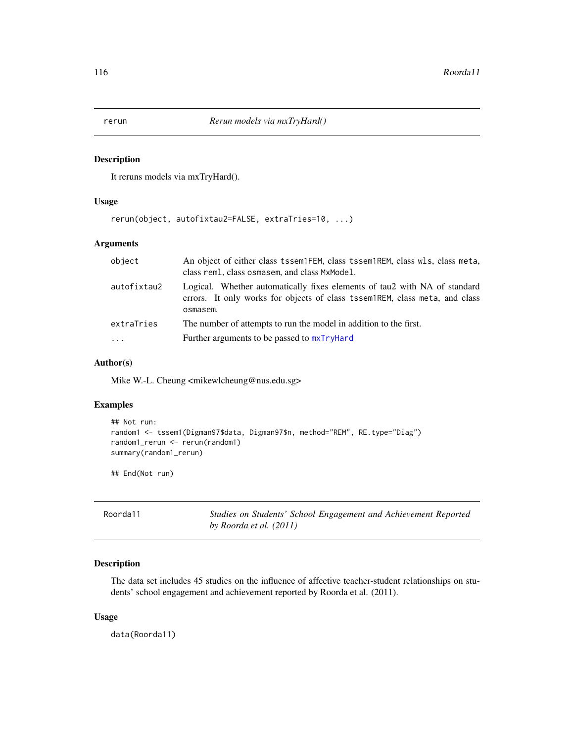## Description

It reruns models via mxTryHard().

## Usage

rerun(object, autofixtau2=FALSE, extraTries=10, ...)

# Arguments

| object      | An object of either class tssem1FEM, class tssem1REM, class wls, class meta,<br>class reml, class osmasem, and class MxModel.                                         |
|-------------|-----------------------------------------------------------------------------------------------------------------------------------------------------------------------|
| autofixtau2 | Logical. Whether automatically fixes elements of tau2 with NA of standard<br>errors. It only works for objects of class tssem nREM, class meta, and class<br>osmasem. |
| extraTries  | The number of attempts to run the model in addition to the first.                                                                                                     |
| $\ddotsc$   | Further arguments to be passed to $mxTryHard$                                                                                                                         |

## Author(s)

Mike W.-L. Cheung <mikewlcheung@nus.edu.sg>

## Examples

```
## Not run:
random1 <- tssem1(Digman97$data, Digman97$n, method="REM", RE.type="Diag")
random1_rerun <- rerun(random1)
summary(random1_rerun)
```
## End(Not run)

| Roorda11 | Studies on Students' School Engagement and Achievement Reported |
|----------|-----------------------------------------------------------------|
|          | by Roorda et al. (2011)                                         |

## Description

The data set includes 45 studies on the influence of affective teacher-student relationships on students' school engagement and achievement reported by Roorda et al. (2011).

## Usage

data(Roorda11)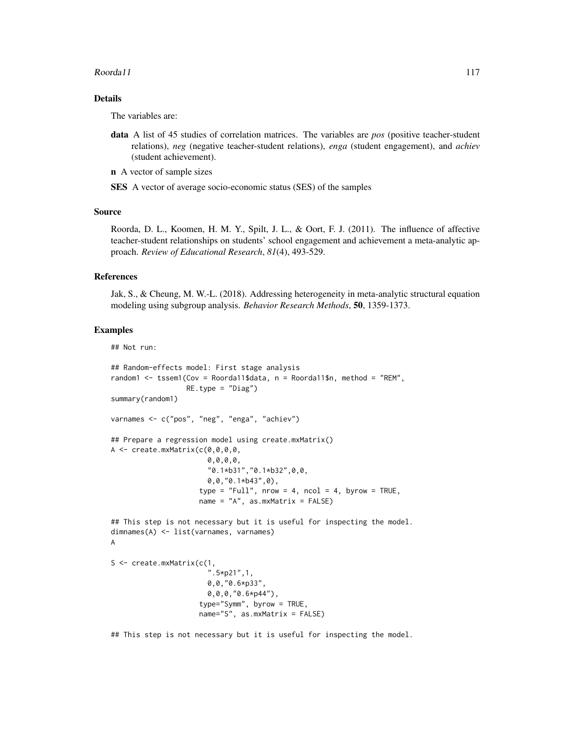#### $R$ oorda $11$  117

## Details

The variables are:

- data A list of 45 studies of correlation matrices. The variables are *pos* (positive teacher-student relations), *neg* (negative teacher-student relations), *enga* (student engagement), and *achiev* (student achievement).
- n A vector of sample sizes

SES A vector of average socio-economic status (SES) of the samples

#### Source

Roorda, D. L., Koomen, H. M. Y., Spilt, J. L., & Oort, F. J. (2011). The influence of affective teacher-student relationships on students' school engagement and achievement a meta-analytic approach. *Review of Educational Research*, *81*(4), 493-529.

#### References

Jak, S., & Cheung, M. W.-L. (2018). Addressing heterogeneity in meta-analytic structural equation modeling using subgroup analysis. *Behavior Research Methods*, 50, 1359-1373.

## Examples

```
## Not run:
## Random-effects model: First stage analysis
random1 <- tssem1(Cov = Roorda11$data, n = Roorda11$n, method = "REM",
                  RE.type = "Diag")summary(random1)
varnames <- c("pos", "neg", "enga", "achiev")
## Prepare a regression model using create.mxMatrix()
A \leftarrow create.mxMatrix(c(0, 0, 0, 0, 0)0,0,0,0,
                       "0.1*b31","0.1*b32",0,0,
                       0,0,"0.1*b43",0),
                     type = "Full", nrow = 4, ncol = 4, byrow = TRUE,
                     name = "A", as.mxMatrix = FALSE)
## This step is not necessary but it is useful for inspecting the model.
dimnames(A) <- list(varnames, varnames)
A
S <- create.mxMatrix(c(1,
                        ".5*p21",1,
                       0,0,"0.6*p33",
                       0,0,0,"0.6*p44"),
                     type="Symm", byrow = TRUE,
                     name="S", as.mxMatrix = FALSE)
```
## This step is not necessary but it is useful for inspecting the model.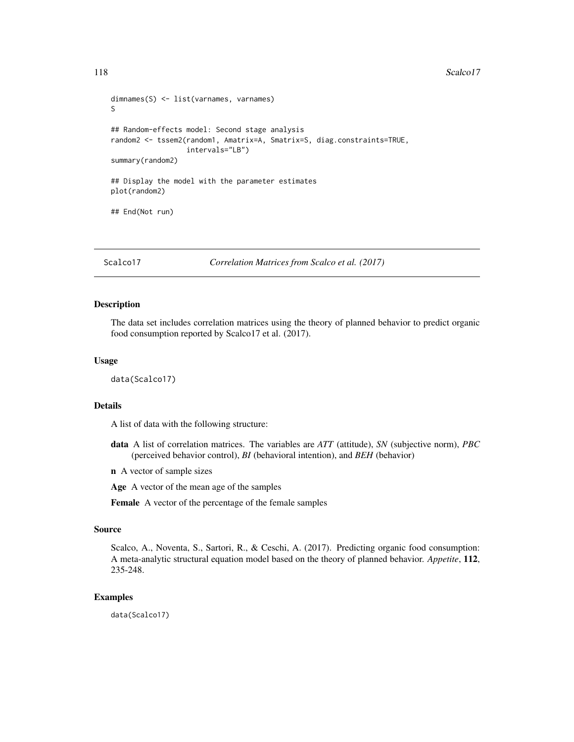```
dimnames(S) <- list(varnames, varnames)
S
## Random-effects model: Second stage analysis
random2 <- tssem2(random1, Amatrix=A, Smatrix=S, diag.constraints=TRUE,
                  intervals="LB")
summary(random2)
## Display the model with the parameter estimates
plot(random2)
## End(Not run)
```
Scalco17 *Correlation Matrices from Scalco et al. (2017)*

# Description

The data set includes correlation matrices using the theory of planned behavior to predict organic food consumption reported by Scalco17 et al. (2017).

#### Usage

data(Scalco17)

#### Details

A list of data with the following structure:

- data A list of correlation matrices. The variables are *ATT* (attitude), *SN* (subjective norm), *PBC* (perceived behavior control), *BI* (behavioral intention), and *BEH* (behavior)
- n A vector of sample sizes

Age A vector of the mean age of the samples

Female A vector of the percentage of the female samples

## Source

Scalco, A., Noventa, S., Sartori, R., & Ceschi, A. (2017). Predicting organic food consumption: A meta-analytic structural equation model based on the theory of planned behavior. *Appetite*, 112, 235-248.

# Examples

data(Scalco17)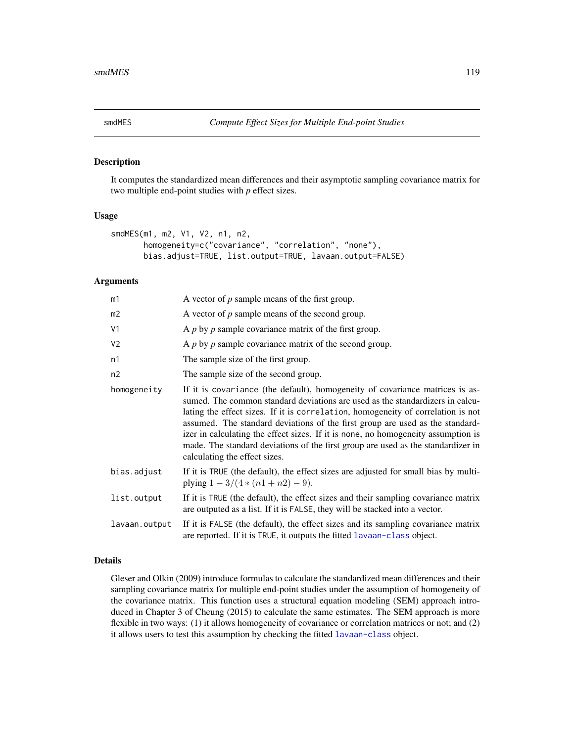<span id="page-118-0"></span>

#### Description

It computes the standardized mean differences and their asymptotic sampling covariance matrix for two multiple end-point studies with *p* effect sizes.

## Usage

```
smdMES(m1, m2, V1, V2, n1, n2,
       homogeneity=c("covariance", "correlation", "none"),
      bias.adjust=TRUE, list.output=TRUE, lavaan.output=FALSE)
```
## Arguments

| m1             | A vector of $p$ sample means of the first group.                                                                                                                                                                                                                                                                                                                                                                                                                                                                                             |
|----------------|----------------------------------------------------------------------------------------------------------------------------------------------------------------------------------------------------------------------------------------------------------------------------------------------------------------------------------------------------------------------------------------------------------------------------------------------------------------------------------------------------------------------------------------------|
| m2             | A vector of $p$ sample means of the second group.                                                                                                                                                                                                                                                                                                                                                                                                                                                                                            |
| V <sub>1</sub> | A $p$ by $p$ sample covariance matrix of the first group.                                                                                                                                                                                                                                                                                                                                                                                                                                                                                    |
| V <sub>2</sub> | A $p$ by $p$ sample covariance matrix of the second group.                                                                                                                                                                                                                                                                                                                                                                                                                                                                                   |
| n1             | The sample size of the first group.                                                                                                                                                                                                                                                                                                                                                                                                                                                                                                          |
| n <sub>2</sub> | The sample size of the second group.                                                                                                                                                                                                                                                                                                                                                                                                                                                                                                         |
| homogeneity    | If it is covariance (the default), homogeneity of covariance matrices is as-<br>sumed. The common standard deviations are used as the standardizers in calcu-<br>lating the effect sizes. If it is correlation, homogeneity of correlation is not<br>assumed. The standard deviations of the first group are used as the standard-<br>izer in calculating the effect sizes. If it is none, no homogeneity assumption is<br>made. The standard deviations of the first group are used as the standardizer in<br>calculating the effect sizes. |
| bias.adjust    | If it is TRUE (the default), the effect sizes are adjusted for small bias by multi-<br>plying $1 - 3/(4*(n1+n2) - 9)$ .                                                                                                                                                                                                                                                                                                                                                                                                                      |
| list.output    | If it is TRUE (the default), the effect sizes and their sampling covariance matrix<br>are outputed as a list. If it is FALSE, they will be stacked into a vector.                                                                                                                                                                                                                                                                                                                                                                            |
| lavaan.output  | If it is FALSE (the default), the effect sizes and its sampling covariance matrix<br>are reported. If it is TRUE, it outputs the fitted lavaan-class object.                                                                                                                                                                                                                                                                                                                                                                                 |

#### Details

Gleser and Olkin (2009) introduce formulas to calculate the standardized mean differences and their sampling covariance matrix for multiple end-point studies under the assumption of homogeneity of the covariance matrix. This function uses a structural equation modeling (SEM) approach introduced in Chapter 3 of Cheung (2015) to calculate the same estimates. The SEM approach is more flexible in two ways: (1) it allows homogeneity of covariance or correlation matrices or not; and (2) it allows users to test this assumption by checking the fitted [lavaan-class](#page-0-0) object.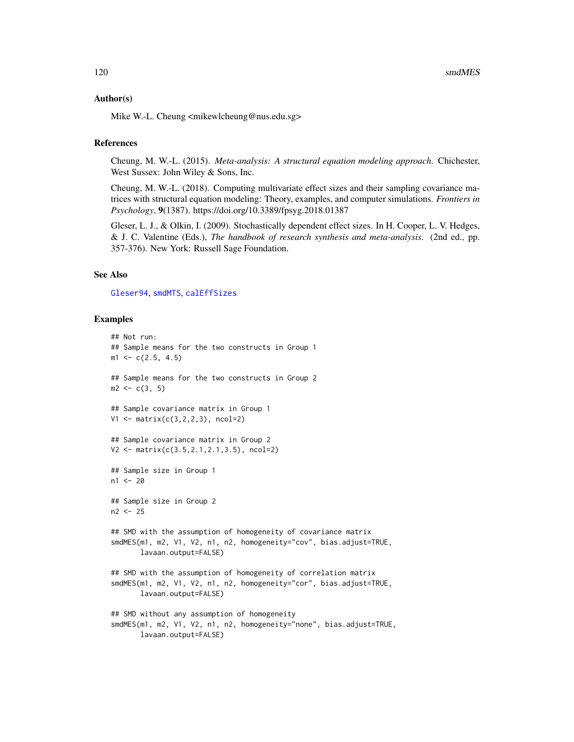#### Author(s)

Mike W.-L. Cheung <mikewlcheung@nus.edu.sg>

#### References

Cheung, M. W.-L. (2015). *Meta-analysis: A structural equation modeling approach*. Chichester, West Sussex: John Wiley & Sons, Inc.

Cheung, M. W.-L. (2018). Computing multivariate effect sizes and their sampling covariance matrices with structural equation modeling: Theory, examples, and computer simulations. *Frontiers in Psychology*, 9(1387). https://doi.org/10.3389/fpsyg.2018.01387

Gleser, L. J., & Olkin, I. (2009). Stochastically dependent effect sizes. In H. Cooper, L. V. Hedges, & J. C. Valentine (Eds.), *The handbook of research synthesis and meta-analysis*. (2nd ed., pp. 357-376). New York: Russell Sage Foundation.

## See Also

[Gleser94](#page-58-0), [smdMTS](#page-120-0), [calEffSizes](#page-33-0)

## Examples

```
## Not run:
## Sample means for the two constructs in Group 1
m1 \leq -c(2.5, 4.5)## Sample means for the two constructs in Group 2
m2 \leq -c(3, 5)## Sample covariance matrix in Group 1
V1 \leq - matrix(c(3,2,2,3), ncol=2)
## Sample covariance matrix in Group 2
V2 <- matrix(c(3.5,2.1,2.1,3.5), ncol=2)
## Sample size in Group 1
n1 < -20## Sample size in Group 2
n2 <- 25
## SMD with the assumption of homogeneity of covariance matrix
smdMES(m1, m2, V1, V2, n1, n2, homogeneity="cov", bias.adjust=TRUE,
       lavaan.output=FALSE)
## SMD with the assumption of homogeneity of correlation matrix
smdMES(m1, m2, V1, V2, n1, n2, homogeneity="cor", bias.adjust=TRUE,
       lavaan.output=FALSE)
## SMD without any assumption of homogeneity
smdMES(m1, m2, V1, V2, n1, n2, homogeneity="none", bias.adjust=TRUE,
       lavaan.output=FALSE)
```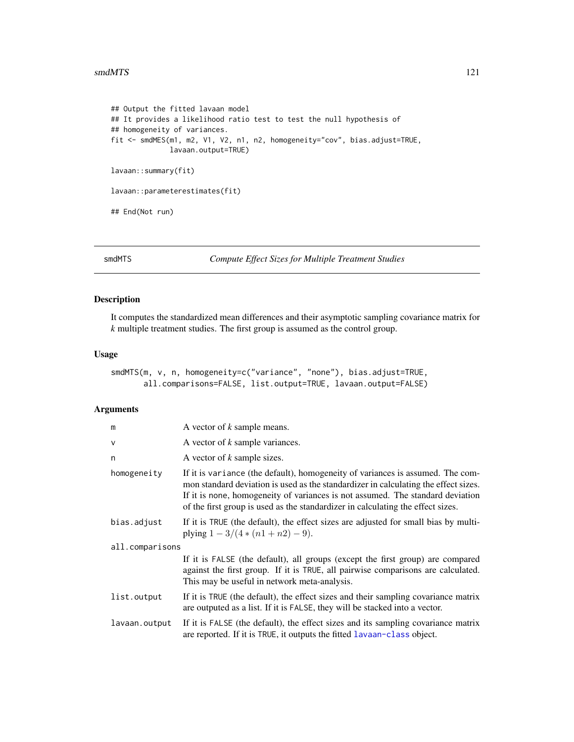#### smdMTS 121

```
## Output the fitted lavaan model
## It provides a likelihood ratio test to test the null hypothesis of
## homogeneity of variances.
fit <- smdMES(m1, m2, V1, V2, n1, n2, homogeneity="cov", bias.adjust=TRUE,
              lavaan.output=TRUE)
lavaan::summary(fit)
lavaan::parameterestimates(fit)
## End(Not run)
```
<span id="page-120-0"></span>

smdMTS *Compute Effect Sizes for Multiple Treatment Studies*

## Description

It computes the standardized mean differences and their asymptotic sampling covariance matrix for *k* multiple treatment studies. The first group is assumed as the control group.

## Usage

```
smdMTS(m, v, n, homogeneity=c("variance", "none"), bias.adjust=TRUE,
      all.comparisons=FALSE, list.output=TRUE, lavaan.output=FALSE)
```
## Arguments

| m               | A vector of k sample means.                                                                                                                                                                                                                                                                                                                |  |
|-----------------|--------------------------------------------------------------------------------------------------------------------------------------------------------------------------------------------------------------------------------------------------------------------------------------------------------------------------------------------|--|
| $\mathsf{V}$    | A vector of k sample variances.                                                                                                                                                                                                                                                                                                            |  |
| n               | A vector of k sample sizes.                                                                                                                                                                                                                                                                                                                |  |
| homogeneity     | If it is variance (the default), homogeneity of variances is assumed. The com-<br>mon standard deviation is used as the standardizer in calculating the effect sizes.<br>If it is none, homogeneity of variances is not assumed. The standard deviation<br>of the first group is used as the standardizer in calculating the effect sizes. |  |
| bias.adjust     | If it is TRUE (the default), the effect sizes are adjusted for small bias by multi-<br>plying $1 - 3/(4*(n1+n2) - 9)$ .                                                                                                                                                                                                                    |  |
| all.comparisons |                                                                                                                                                                                                                                                                                                                                            |  |
|                 | If it is FALSE (the default), all groups (except the first group) are compared<br>against the first group. If it is TRUE, all pairwise comparisons are calculated.<br>This may be useful in network meta-analysis.                                                                                                                         |  |
| list.output     | If it is TRUE (the default), the effect sizes and their sampling covariance matrix<br>are outputed as a list. If it is FALSE, they will be stacked into a vector.                                                                                                                                                                          |  |
| lavaan.output   | If it is FALSE (the default), the effect sizes and its sampling covariance matrix<br>are reported. If it is TRUE, it outputs the fitted lavaan-class object.                                                                                                                                                                               |  |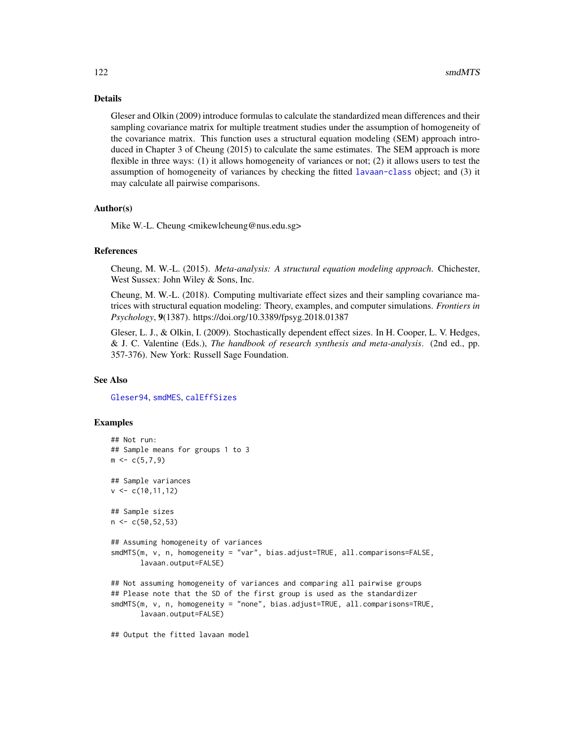# Details

Gleser and Olkin (2009) introduce formulas to calculate the standardized mean differences and their sampling covariance matrix for multiple treatment studies under the assumption of homogeneity of the covariance matrix. This function uses a structural equation modeling (SEM) approach introduced in Chapter 3 of Cheung (2015) to calculate the same estimates. The SEM approach is more flexible in three ways: (1) it allows homogeneity of variances or not; (2) it allows users to test the assumption of homogeneity of variances by checking the fitted [lavaan-class](#page-0-0) object; and (3) it may calculate all pairwise comparisons.

## Author(s)

Mike W.-L. Cheung <mikewlcheung@nus.edu.sg>

## References

Cheung, M. W.-L. (2015). *Meta-analysis: A structural equation modeling approach*. Chichester, West Sussex: John Wiley & Sons, Inc.

Cheung, M. W.-L. (2018). Computing multivariate effect sizes and their sampling covariance matrices with structural equation modeling: Theory, examples, and computer simulations. *Frontiers in Psychology*, 9(1387). https://doi.org/10.3389/fpsyg.2018.01387

Gleser, L. J., & Olkin, I. (2009). Stochastically dependent effect sizes. In H. Cooper, L. V. Hedges, & J. C. Valentine (Eds.), *The handbook of research synthesis and meta-analysis*. (2nd ed., pp. 357-376). New York: Russell Sage Foundation.

## See Also

[Gleser94](#page-58-0), [smdMES](#page-118-0), [calEffSizes](#page-33-0)

## Examples

```
## Not run:
## Sample means for groups 1 to 3
m \leq -c(5,7,9)## Sample variances
v \leftarrow c(10, 11, 12)## Sample sizes
n < c(50, 52, 53)## Assuming homogeneity of variances
smdMTS(m, v, n, homogeneity = "var", bias.adjust=TRUE, all.comparisons=FALSE,
       lavaan.output=FALSE)
## Not assuming homogeneity of variances and comparing all pairwise groups
## Please note that the SD of the first group is used as the standardizer
smdMTS(m, v, n, homogeneity = "none", bias.adjust=TRUE, all.comparisons=TRUE,
       lavaan.output=FALSE)
```
## Output the fitted lavaan model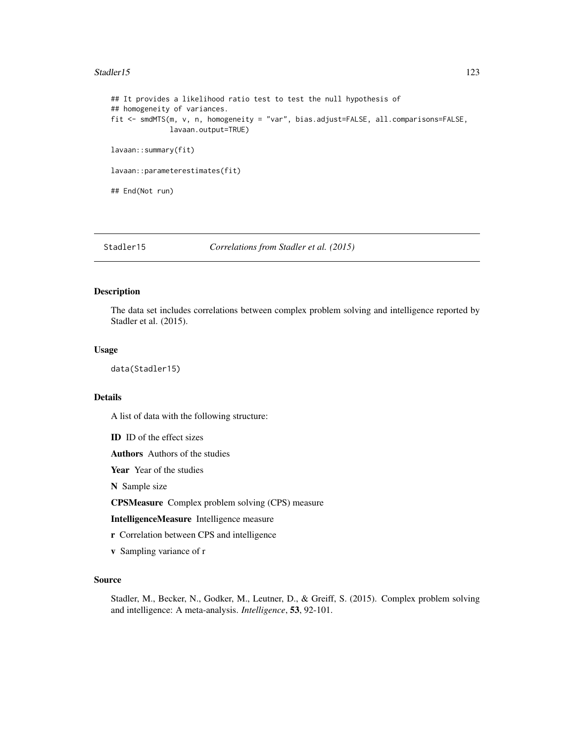#### Stadler15 123

```
## It provides a likelihood ratio test to test the null hypothesis of
## homogeneity of variances.
fit <- smdMTS(m, v, n, homogeneity = "var", bias.adjust=FALSE, all.comparisons=FALSE,
             lavaan.output=TRUE)
lavaan::summary(fit)
lavaan::parameterestimates(fit)
## End(Not run)
```
Stadler15 *Correlations from Stadler et al. (2015)*

## Description

The data set includes correlations between complex problem solving and intelligence reported by Stadler et al. (2015).

## Usage

data(Stadler15)

## Details

A list of data with the following structure:

ID ID of the effect sizes

Authors Authors of the studies

Year Year of the studies

N Sample size

CPSMeasure Complex problem solving (CPS) measure

IntelligenceMeasure Intelligence measure

- r Correlation between CPS and intelligence
- v Sampling variance of r

## Source

Stadler, M., Becker, N., Godker, M., Leutner, D., & Greiff, S. (2015). Complex problem solving and intelligence: A meta-analysis. *Intelligence*, 53, 92-101.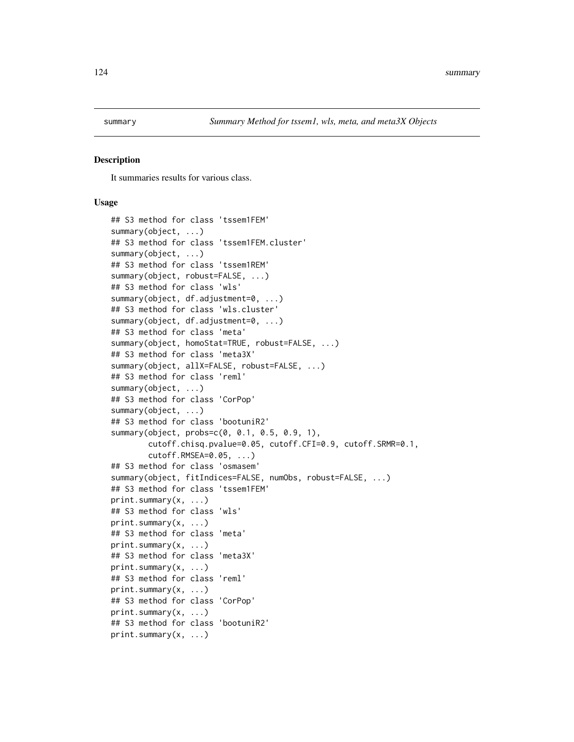#### Description

It summaries results for various class.

#### Usage

```
## S3 method for class 'tssem1FEM'
summary(object, ...)
## S3 method for class 'tssem1FEM.cluster'
summary(object, ...)
## S3 method for class 'tssem1REM'
summary(object, robust=FALSE, ...)
## S3 method for class 'wls'
summary(object, df.adjustment=0, ...)
## S3 method for class 'wls.cluster'
summary(object, df.adjustment=0, ...)
## S3 method for class 'meta'
summary(object, homoStat=TRUE, robust=FALSE, ...)
## S3 method for class 'meta3X'
summary(object, allX=FALSE, robust=FALSE, ...)
## S3 method for class 'reml'
summary(object, ...)
## S3 method for class 'CorPop'
summary(object, ...)
## S3 method for class 'bootuniR2'
summary(object, probs=c(0, 0.1, 0.5, 0.9, 1),
        cutoff.chisq.pvalue=0.05, cutoff.CFI=0.9, cutoff.SRMR=0.1,
        cutoff.RMSEA=0.05, ...)
## S3 method for class 'osmasem'
summary(object, fitIndices=FALSE, numObs, robust=FALSE, ...)
## S3 method for class 'tssem1FEM'
print.summary(x, ...)
## S3 method for class 'wls'
print.summary(x, ...)
## S3 method for class 'meta'
print.summary(x, ...)
## S3 method for class 'meta3X'
print.summary(x, ...)
## S3 method for class 'reml'
print.summary(x, ...)
## S3 method for class 'CorPop'
print.summary(x, ...)
## S3 method for class 'bootuniR2'
print.summary(x, ...)
```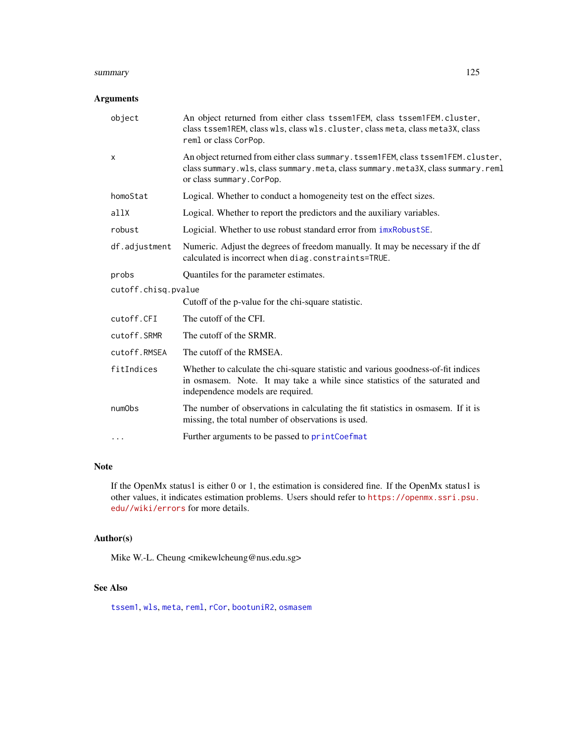#### summary 125

# Arguments

| object              | An object returned from either class tssem1FEM, class tssem1FEM.cluster,<br>class tssem1REM, class w1s, class w1s. cluster, class meta, class meta3X, class<br>reml or class CorPop.                  |  |
|---------------------|-------------------------------------------------------------------------------------------------------------------------------------------------------------------------------------------------------|--|
| X                   | An object returned from either class summary. tssem1FEM, class tssem1FEM. cluster,<br>class summary.wls, class summary.meta, class summary.meta3X, class summary.reml<br>or class summary. CorPop.    |  |
| homoStat            | Logical. Whether to conduct a homogeneity test on the effect sizes.                                                                                                                                   |  |
| a11X                | Logical. Whether to report the predictors and the auxiliary variables.                                                                                                                                |  |
| robust              | Logicial. Whether to use robust standard error from $imxRobustSE$ .                                                                                                                                   |  |
| df.adjustment       | Numeric. Adjust the degrees of freedom manually. It may be necessary if the df<br>calculated is incorrect when diag.constraints=TRUE.                                                                 |  |
| probs               | Quantiles for the parameter estimates.                                                                                                                                                                |  |
| cutoff.chisq.pvalue |                                                                                                                                                                                                       |  |
|                     | Cutoff of the p-value for the chi-square statistic.                                                                                                                                                   |  |
| cutoff.CFI          | The cutoff of the CFI.                                                                                                                                                                                |  |
| cutoff.SRMR         | The cutoff of the SRMR.                                                                                                                                                                               |  |
| cutoff.RMSEA        | The cutoff of the RMSEA.                                                                                                                                                                              |  |
| fitIndices          | Whether to calculate the chi-square statistic and various goodness-of-fit indices<br>in osmasem. Note. It may take a while since statistics of the saturated and<br>independence models are required. |  |
| numObs              | The number of observations in calculating the fit statistics in osmasem. If it is<br>missing, the total number of observations is used.                                                               |  |
| $\cdots$            | Further arguments to be passed to printCoefmat                                                                                                                                                        |  |

# Note

If the OpenMx status1 is either 0 or 1, the estimation is considered fine. If the OpenMx status1 is other values, it indicates estimation problems. Users should refer to [https://openmx.ssri.psu.](https://openmx.ssri.psu.edu//wiki/errors) [edu//wiki/errors](https://openmx.ssri.psu.edu//wiki/errors) for more details.

## Author(s)

Mike W.-L. Cheung <mikewlcheung@nus.edu.sg>

# See Also

[tssem1](#page-126-0), [wls](#page-136-0), [meta](#page-85-0), [reml](#page-110-0), [rCor](#page-107-0), [bootuniR2](#page-30-0), [osmasem](#page-97-0)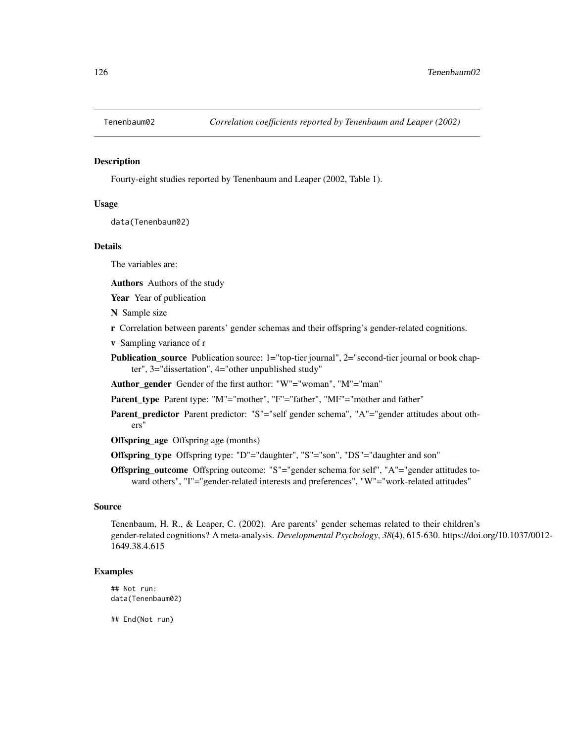## Description

Fourty-eight studies reported by Tenenbaum and Leaper (2002, Table 1).

#### Usage

data(Tenenbaum02)

## Details

The variables are:

Authors Authors of the study

Year Year of publication

- N Sample size
- r Correlation between parents' gender schemas and their offspring's gender-related cognitions.
- v Sampling variance of r
- **Publication\_source** Publication source: 1="top-tier journal", 2="second-tier journal or book chapter", 3="dissertation", 4="other unpublished study"

Author\_gender Gender of the first author: "W"="woman", "M"="man"

Parent\_type Parent type: "M"="mother", "F"="father", "MF"="mother and father"

Parent\_predictor Parent predictor: "S"="self gender schema", "A"="gender attitudes about others"

Offspring\_age Offspring age (months)

- Offspring\_type Offspring type: "D"="daughter", "S"="son", "DS"="daughter and son"
- Offspring\_outcome Offspring outcome: "S"="gender schema for self", "A"="gender attitudes toward others", "I"="gender-related interests and preferences", "W"="work-related attitudes"

#### Source

Tenenbaum, H. R., & Leaper, C. (2002). Are parents' gender schemas related to their children's gender-related cognitions? A meta-analysis. *Developmental Psychology*, *38*(4), 615-630. https://doi.org/10.1037/0012- 1649.38.4.615

# Examples

## Not run: data(Tenenbaum02)

## End(Not run)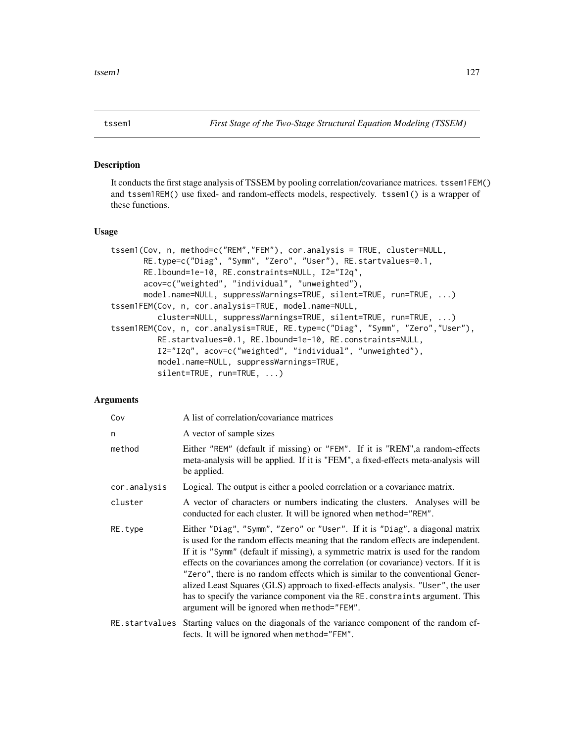<span id="page-126-0"></span>

# Description

It conducts the first stage analysis of TSSEM by pooling correlation/covariance matrices. tssem1FEM() and tssem1REM() use fixed- and random-effects models, respectively. tssem1() is a wrapper of these functions.

#### Usage

```
tssem1(Cov, n, method=c("REM","FEM"), cor.analysis = TRUE, cluster=NULL,
       RE.type=c("Diag", "Symm", "Zero", "User"), RE.startvalues=0.1,
       RE.lbound=1e-10, RE.constraints=NULL, I2="I2q",
       acov=c("weighted", "individual", "unweighted"),
       model.name=NULL, suppressWarnings=TRUE, silent=TRUE, run=TRUE, ...)
tssem1FEM(Cov, n, cor.analysis=TRUE, model.name=NULL,
          cluster=NULL, suppressWarnings=TRUE, silent=TRUE, run=TRUE, ...)
tssem1REM(Cov, n, cor.analysis=TRUE, RE.type=c("Diag", "Symm", "Zero","User"),
          RE.startvalues=0.1, RE.lbound=1e-10, RE.constraints=NULL,
          I2="I2q", acov=c("weighted", "individual", "unweighted"),
          model.name=NULL, suppressWarnings=TRUE,
          silent=TRUE, run=TRUE, ...)
```
## Arguments

| Cov            | A list of correlation/covariance matrices                                                                                                                                                                                                                                                                                                                                                                                                                                                                                                                                                                                                   |
|----------------|---------------------------------------------------------------------------------------------------------------------------------------------------------------------------------------------------------------------------------------------------------------------------------------------------------------------------------------------------------------------------------------------------------------------------------------------------------------------------------------------------------------------------------------------------------------------------------------------------------------------------------------------|
| n              | A vector of sample sizes                                                                                                                                                                                                                                                                                                                                                                                                                                                                                                                                                                                                                    |
| method         | Either "REM" (default if missing) or "FEM". If it is "REM", a random-effects<br>meta-analysis will be applied. If it is "FEM", a fixed-effects meta-analysis will<br>be applied.                                                                                                                                                                                                                                                                                                                                                                                                                                                            |
| cor.analysis   | Logical. The output is either a pooled correlation or a covariance matrix.                                                                                                                                                                                                                                                                                                                                                                                                                                                                                                                                                                  |
| cluster        | A vector of characters or numbers indicating the clusters. Analyses will be<br>conducted for each cluster. It will be ignored when method="REM".                                                                                                                                                                                                                                                                                                                                                                                                                                                                                            |
| RE.type        | Either "Diag", "Symm", "Zero" or "User". If it is "Diag", a diagonal matrix<br>is used for the random effects meaning that the random effects are independent.<br>If it is "Symm" (default if missing), a symmetric matrix is used for the random<br>effects on the covariances among the correlation (or covariance) vectors. If it is<br>"Zero", there is no random effects which is similar to the conventional Gener-<br>alized Least Squares (GLS) approach to fixed-effects analysis. "User", the user<br>has to specify the variance component via the RE. constraints argument. This<br>argument will be ignored when method="FEM". |
| RE.startvalues | Starting values on the diagonals of the variance component of the random ef-<br>fects. It will be ignored when method="FEM".                                                                                                                                                                                                                                                                                                                                                                                                                                                                                                                |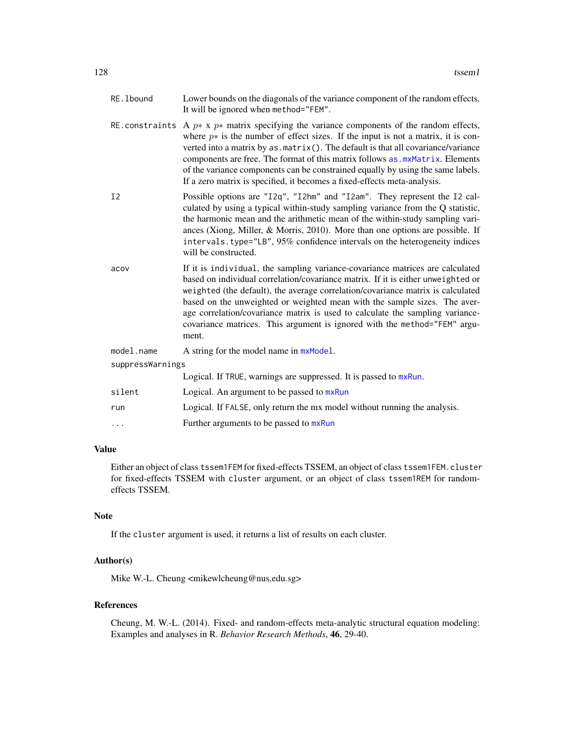| RE. 1bound       | Lower bounds on the diagonals of the variance component of the random effects.<br>It will be ignored when method="FEM".                                                                                                                                                                                                                                                                                                                                                                                                      |
|------------------|------------------------------------------------------------------------------------------------------------------------------------------------------------------------------------------------------------------------------------------------------------------------------------------------------------------------------------------------------------------------------------------------------------------------------------------------------------------------------------------------------------------------------|
|                  | RE constraints A $p^*$ x $p^*$ matrix specifying the variance components of the random effects,<br>where $p*$ is the number of effect sizes. If the input is not a matrix, it is con-<br>verted into a matrix by as . matrix(). The default is that all covariance/variance<br>components are free. The format of this matrix follows as . mxMatrix. Elements<br>of the variance components can be constrained equally by using the same labels.<br>If a zero matrix is specified, it becomes a fixed-effects meta-analysis. |
| I <sub>2</sub>   | Possible options are "I2q", "I2hm" and "I2am". They represent the I2 cal-<br>culated by using a typical within-study sampling variance from the Q statistic,<br>the harmonic mean and the arithmetic mean of the within-study sampling vari-<br>ances (Xiong, Miller, & Morris, 2010). More than one options are possible. If<br>intervals.type="LB", 95% confidence intervals on the heterogeneity indices<br>will be constructed.                                                                                          |
| acov             | If it is individual, the sampling variance-covariance matrices are calculated<br>based on individual correlation/covariance matrix. If it is either unweighted or<br>weighted (the default), the average correlation/covariance matrix is calculated<br>based on the unweighted or weighted mean with the sample sizes. The aver-<br>age correlation/covariance matrix is used to calculate the sampling variance-<br>covariance matrices. This argument is ignored with the method="FEM" argu-<br>ment.                     |
| model.name       | A string for the model name in mxModel.                                                                                                                                                                                                                                                                                                                                                                                                                                                                                      |
| suppressWarnings |                                                                                                                                                                                                                                                                                                                                                                                                                                                                                                                              |
|                  | Logical. If TRUE, warnings are suppressed. It is passed to mxRun.                                                                                                                                                                                                                                                                                                                                                                                                                                                            |
| silent           | Logical. An argument to be passed to mxRun                                                                                                                                                                                                                                                                                                                                                                                                                                                                                   |
| run              | Logical. If FALSE, only return the mx model without running the analysis.                                                                                                                                                                                                                                                                                                                                                                                                                                                    |
| $\cdots$         | Further arguments to be passed to mxRun                                                                                                                                                                                                                                                                                                                                                                                                                                                                                      |

# Value

Either an object of class tssem1FEM for fixed-effects TSSEM, an object of class tssem1FEM.cluster for fixed-effects TSSEM with cluster argument, or an object of class tssem1REM for randomeffects TSSEM.

## Note

If the cluster argument is used, it returns a list of results on each cluster.

## Author(s)

Mike W.-L. Cheung <mikewlcheung@nus.edu.sg>

# References

Cheung, M. W.-L. (2014). Fixed- and random-effects meta-analytic structural equation modeling: Examples and analyses in R. *Behavior Research Methods*, 46, 29-40.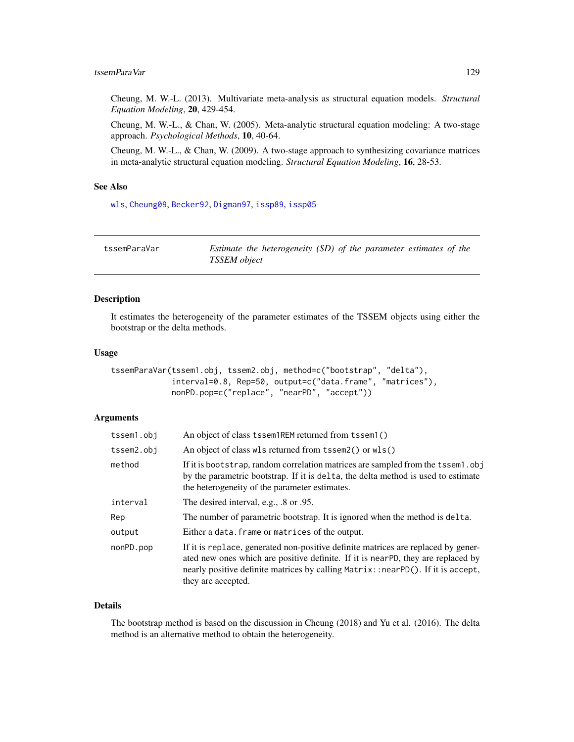## tssemParaVar 129

Cheung, M. W.-L. (2013). Multivariate meta-analysis as structural equation models. *Structural Equation Modeling*, 20, 429-454.

Cheung, M. W.-L., & Chan, W. (2005). Meta-analytic structural equation modeling: A two-stage approach. *Psychological Methods*, 10, 40-64.

Cheung, M. W.-L., & Chan, W. (2009). A two-stage approach to synthesizing covariance matrices in meta-analytic structural equation modeling. *Structural Equation Modeling*, 16, 28-53.

## See Also

[wls](#page-136-0), [Cheung09](#page-37-0), [Becker92](#page-22-0), [Digman97](#page-56-0), [issp89](#page-73-0), [issp05](#page-72-0)

| tssemParaVar | Estimate the heterogeneity (SD) of the parameter estimates of the |  |
|--------------|-------------------------------------------------------------------|--|
|              | <b>TSSEM</b> object                                               |  |

## Description

It estimates the heterogeneity of the parameter estimates of the TSSEM objects using either the bootstrap or the delta methods.

#### Usage

```
tssemParaVar(tssem1.obj, tssem2.obj, method=c("bootstrap", "delta"),
             interval=0.8, Rep=50, output=c("data.frame", "matrices"),
             nonPD.pop=c("replace", "nearPD", "accept"))
```
# Arguments

| tssem1.obj | An object of class tssem1REM returned from tssem1()                                                                                                                                                                                                                             |
|------------|---------------------------------------------------------------------------------------------------------------------------------------------------------------------------------------------------------------------------------------------------------------------------------|
| tssem2.obj | An object of class wls returned from tssem2() or wls()                                                                                                                                                                                                                          |
| method     | If it is bootstrap, random correlation matrices are sampled from the tssem1.obj<br>by the parametric bootstrap. If it is delta, the delta method is used to estimate<br>the heterogeneity of the parameter estimates.                                                           |
| interval   | The desired interval, e.g., .8 or .95.                                                                                                                                                                                                                                          |
| Rep        | The number of parametric bootstrap. It is ignored when the method is delta.                                                                                                                                                                                                     |
| output     | Either a data. frame or matrices of the output.                                                                                                                                                                                                                                 |
| nonPD.pop  | If it is replace, generated non-positive definite matrices are replaced by gener-<br>ated new ones which are positive definite. If it is near-PD, they are replaced by<br>nearly positive definite matrices by calling Matrix::nearPD(). If it is accept,<br>they are accepted. |

### Details

The bootstrap method is based on the discussion in Cheung (2018) and Yu et al. (2016). The delta method is an alternative method to obtain the heterogeneity.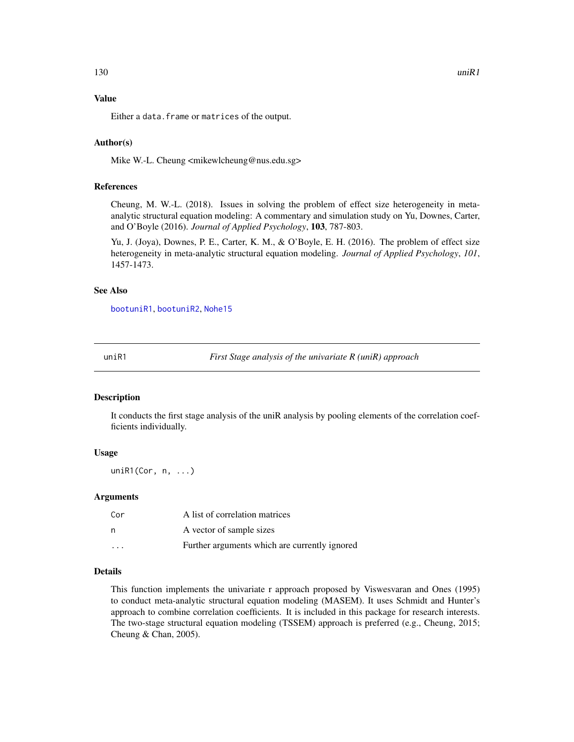#### Value

Either a data. frame or matrices of the output.

#### Author(s)

Mike W.-L. Cheung <mikewlcheung@nus.edu.sg>

## References

Cheung, M. W.-L. (2018). Issues in solving the problem of effect size heterogeneity in metaanalytic structural equation modeling: A commentary and simulation study on Yu, Downes, Carter, and O'Boyle (2016). *Journal of Applied Psychology*, 103, 787-803.

Yu, J. (Joya), Downes, P. E., Carter, K. M., & O'Boyle, E. H. (2016). The problem of effect size heterogeneity in meta-analytic structural equation modeling. *Journal of Applied Psychology*, *101*, 1457-1473.

#### See Also

[bootuniR1](#page-29-0), [bootuniR2](#page-30-0), [Nohe15](#page-93-0)

<span id="page-129-0"></span>uniR1 *First Stage analysis of the univariate R (uniR) approach*

## Description

It conducts the first stage analysis of the uniR analysis by pooling elements of the correlation coefficients individually.

## Usage

uniR1(Cor, n, ...)

#### Arguments

| Cor                     | A list of correlation matrices                |
|-------------------------|-----------------------------------------------|
| n                       | A vector of sample sizes                      |
| $\cdot$ $\cdot$ $\cdot$ | Further arguments which are currently ignored |

## Details

This function implements the univariate r approach proposed by Viswesvaran and Ones (1995) to conduct meta-analytic structural equation modeling (MASEM). It uses Schmidt and Hunter's approach to combine correlation coefficients. It is included in this package for research interests. The two-stage structural equation modeling (TSSEM) approach is preferred (e.g., Cheung, 2015; Cheung & Chan, 2005).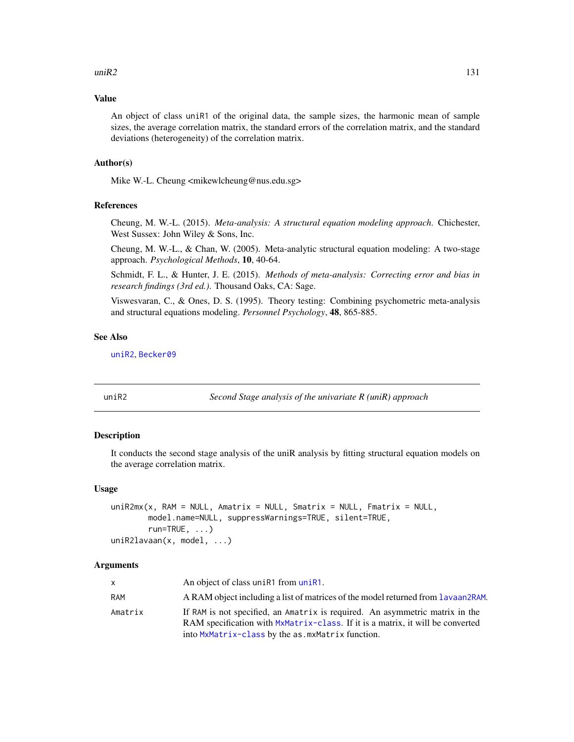#### $\mu$ ini $R2$  131

#### Value

An object of class uniR1 of the original data, the sample sizes, the harmonic mean of sample sizes, the average correlation matrix, the standard errors of the correlation matrix, and the standard deviations (heterogeneity) of the correlation matrix.

#### Author(s)

Mike W.-L. Cheung <mikewlcheung@nus.edu.sg>

## References

Cheung, M. W.-L. (2015). *Meta-analysis: A structural equation modeling approach*. Chichester, West Sussex: John Wiley & Sons, Inc.

Cheung, M. W.-L., & Chan, W. (2005). Meta-analytic structural equation modeling: A two-stage approach. *Psychological Methods*, 10, 40-64.

Schmidt, F. L., & Hunter, J. E. (2015). *Methods of meta-analysis: Correcting error and bias in research findings (3rd ed.)*. Thousand Oaks, CA: Sage.

Viswesvaran, C., & Ones, D. S. (1995). Theory testing: Combining psychometric meta-analysis and structural equations modeling. *Personnel Psychology*, 48, 865-885.

## See Also

[uniR2](#page-130-0), [Becker09](#page-17-0)

<span id="page-130-0"></span>

uniR2 *Second Stage analysis of the univariate R (uniR) approach*

## Description

It conducts the second stage analysis of the uniR analysis by fitting structural equation models on the average correlation matrix.

#### Usage

```
uniR2mx(x, RAM = NULL, Amatrix = NULL, Smatrix = NULL, Fmatrix = NULL,
        model.name=NULL, suppressWarnings=TRUE, silent=TRUE,
        run = TRUE, \ldots)uniR2lavaan(x, model, ...)
```
#### **Arguments**

| $\mathsf{x}$ | An object of class unines from uning.                                                                                                                                                                              |
|--------------|--------------------------------------------------------------------------------------------------------------------------------------------------------------------------------------------------------------------|
| RAM          | A RAM object including a list of matrices of the model returned from Lavaan2RAM.                                                                                                                                   |
| Amatrix      | If RAM is not specified, an Amatrix is required. An asymmetric matrix in the<br>RAM specification with MxMatrix-class. If it is a matrix, it will be converted<br>into MxMatrix-class by the as mxMatrix function. |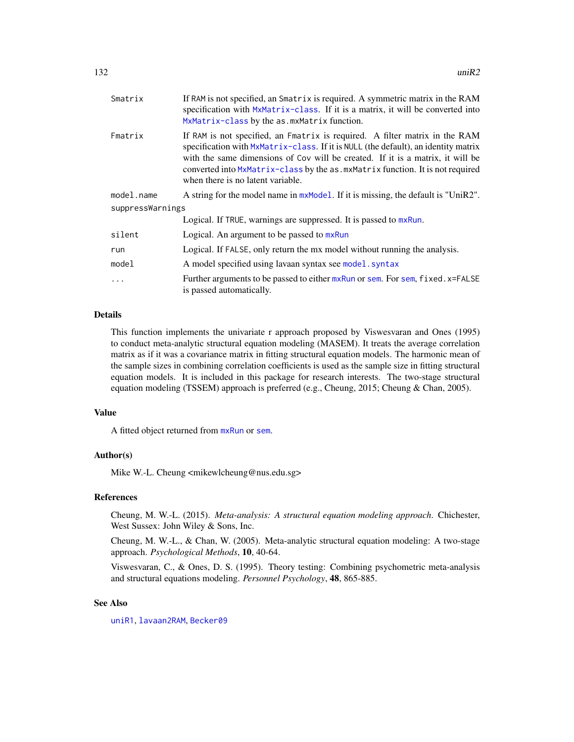| Smatrix          | If RAM is not specified, an Smatrix is required. A symmetric matrix in the RAM<br>specification with MxMatrix-class. If it is a matrix, it will be converted into<br>MxMatrix-class by the as. mxMatrix function.                                                                                                                                                          |
|------------------|----------------------------------------------------------------------------------------------------------------------------------------------------------------------------------------------------------------------------------------------------------------------------------------------------------------------------------------------------------------------------|
| Fmatrix          | If RAM is not specified, an Fmatrix is required. A filter matrix in the RAM<br>specification with MxMatrix-class. If it is NULL (the default), an identity matrix<br>with the same dimensions of Cov will be created. If it is a matrix, it will be<br>converted into MxMatrix-class by the as. mxMatrix function. It is not required<br>when there is no latent variable. |
| model.name       | A string for the model name in mxModel. If it is missing, the default is "UniR2".                                                                                                                                                                                                                                                                                          |
| suppressWarnings |                                                                                                                                                                                                                                                                                                                                                                            |
|                  | Logical. If TRUE, warnings are suppressed. It is passed to mxRun.                                                                                                                                                                                                                                                                                                          |
| silent           | Logical. An argument to be passed to mxRun                                                                                                                                                                                                                                                                                                                                 |
| run              | Logical. If FALSE, only return the mx model without running the analysis.                                                                                                                                                                                                                                                                                                  |
| model            | A model specified using lavaan syntax see model. syntax                                                                                                                                                                                                                                                                                                                    |
| $\ddots$         | Further arguments to be passed to either mxRun or sem. For sem, fixed.x=FALSE<br>is passed automatically.                                                                                                                                                                                                                                                                  |

# Details

This function implements the univariate r approach proposed by Viswesvaran and Ones (1995) to conduct meta-analytic structural equation modeling (MASEM). It treats the average correlation matrix as if it was a covariance matrix in fitting structural equation models. The harmonic mean of the sample sizes in combining correlation coefficients is used as the sample size in fitting structural equation models. It is included in this package for research interests. The two-stage structural equation modeling (TSSEM) approach is preferred (e.g., Cheung, 2015; Cheung & Chan, 2005).

#### Value

A fitted object returned from [mxRun](#page-0-0) or [sem](#page-0-0).

## Author(s)

Mike W.-L. Cheung <mikewlcheung@nus.edu.sg>

#### References

Cheung, M. W.-L. (2015). *Meta-analysis: A structural equation modeling approach*. Chichester, West Sussex: John Wiley & Sons, Inc.

Cheung, M. W.-L., & Chan, W. (2005). Meta-analytic structural equation modeling: A two-stage approach. *Psychological Methods*, 10, 40-64.

Viswesvaran, C., & Ones, D. S. (1995). Theory testing: Combining psychometric meta-analysis and structural equations modeling. *Personnel Psychology*, 48, 865-885.

# See Also

[uniR1](#page-129-0), [lavaan2RAM](#page-78-0), [Becker09](#page-17-0)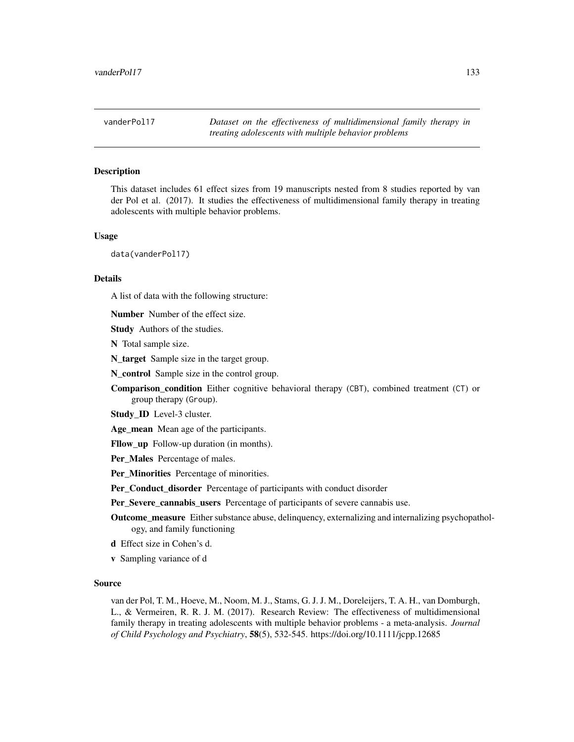vanderPol17 *Dataset on the effectiveness of multidimensional family therapy in treating adolescents with multiple behavior problems*

## Description

This dataset includes 61 effect sizes from 19 manuscripts nested from 8 studies reported by van der Pol et al. (2017). It studies the effectiveness of multidimensional family therapy in treating adolescents with multiple behavior problems.

#### Usage

data(vanderPol17)

#### Details

A list of data with the following structure:

Number Number of the effect size.

**Study** Authors of the studies.

N Total sample size.

N\_target Sample size in the target group.

N control Sample size in the control group.

Comparison condition Either cognitive behavioral therapy (CBT), combined treatment (CT) or group therapy (Group).

Study\_ID Level-3 cluster.

Age\_mean Mean age of the participants.

Fllow up Follow-up duration (in months).

Per\_Males Percentage of males.

Per\_Minorities Percentage of minorities.

Per\_Conduct\_disorder Percentage of participants with conduct disorder

Per\_Severe\_cannabis\_users Percentage of participants of severe cannabis use.

Outcome\_measure Either substance abuse, delinquency, externalizing and internalizing psychopathology, and family functioning

d Effect size in Cohen's d.

v Sampling variance of d

#### Source

van der Pol, T. M., Hoeve, M., Noom, M. J., Stams, G. J. J. M., Doreleijers, T. A. H., van Domburgh, L., & Vermeiren, R. R. J. M. (2017). Research Review: The effectiveness of multidimensional family therapy in treating adolescents with multiple behavior problems - a meta-analysis. *Journal of Child Psychology and Psychiatry*, 58(5), 532-545. https://doi.org/10.1111/jcpp.12685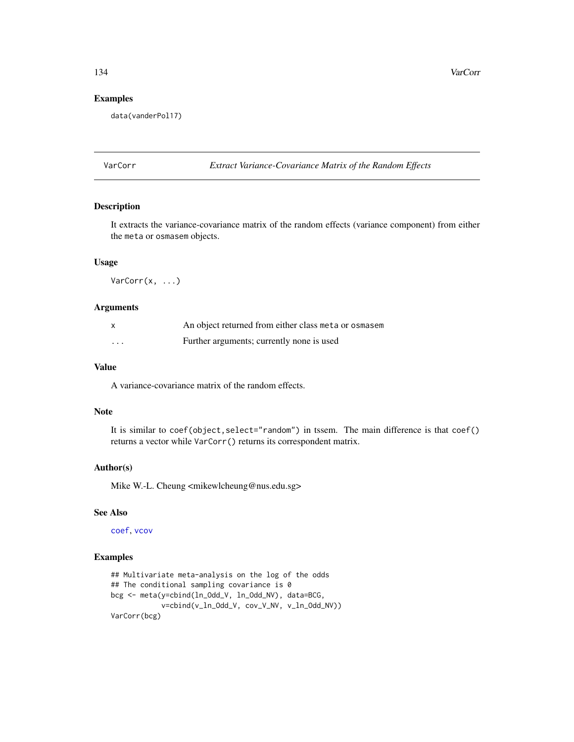## Examples

```
data(vanderPol17)
```
VarCorr *Extract Variance-Covariance Matrix of the Random Effects*

# Description

It extracts the variance-covariance matrix of the random effects (variance component) from either the meta or osmasem objects.

# Usage

VarCorr(x, ...)

## Arguments

|                   | An object returned from either class meta or osmasem |
|-------------------|------------------------------------------------------|
| $\cdot\cdot\cdot$ | Further arguments; currently none is used            |

## Value

A variance-covariance matrix of the random effects.

## Note

It is similar to coef(object, select="random") in tssem. The main difference is that coef() returns a vector while VarCorr() returns its correspondent matrix.

## Author(s)

Mike W.-L. Cheung <mikewlcheung@nus.edu.sg>

#### See Also

[coef](#page-39-0), [vcov](#page-134-0)

## Examples

```
## Multivariate meta-analysis on the log of the odds
## The conditional sampling covariance is 0
bcg <- meta(y=cbind(ln_Odd_V, ln_Odd_NV), data=BCG,
            v=cbind(v_ln_Odd_V, cov_V_NV, v_ln_Odd_NV))
VarCorr(bcg)
```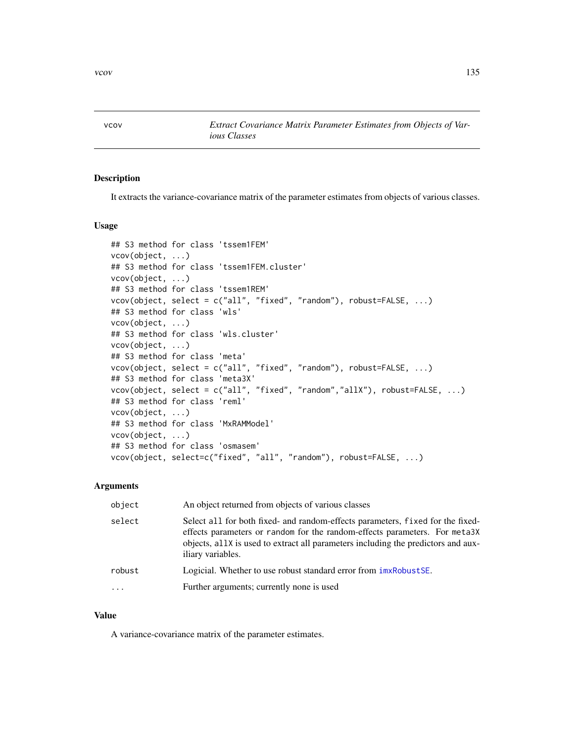<span id="page-134-0"></span>vcov *Extract Covariance Matrix Parameter Estimates from Objects of Various Classes*

## Description

It extracts the variance-covariance matrix of the parameter estimates from objects of various classes.

#### Usage

```
## S3 method for class 'tssem1FEM'
vcov(object, ...)
## S3 method for class 'tssem1FEM.cluster'
vcov(object, ...)
## S3 method for class 'tssem1REM'
vcov(object, select = c("all", "fixed", "random"), robust=FALSE, ...)
## S3 method for class 'wls'
vcov(object, ...)
## S3 method for class 'wls.cluster'
vcov(object, ...)
## S3 method for class 'meta'
vcov(object, select = c("all", "fixed", "random"), robust=FALSE, ...)
## S3 method for class 'meta3X'
vcov(object, select = c("all", "fixed", "random","allX"), robust=FALSE, ...)
## S3 method for class 'reml'
vcov(object, ...)
## S3 method for class 'MxRAMModel'
vcov(object, ...)
## S3 method for class 'osmasem'
vcov(object, select=c("fixed", "all", "random"), robust=FALSE, ...)
```
#### Arguments

| object    | An object returned from objects of various classes                                                                                                                                                                                                                      |
|-----------|-------------------------------------------------------------------------------------------------------------------------------------------------------------------------------------------------------------------------------------------------------------------------|
| select    | Select all for both fixed- and random-effects parameters, fixed for the fixed-<br>effects parameters or random for the random-effects parameters. For meta3X<br>objects, all X is used to extract all parameters including the predictors and aux-<br>iliary variables. |
| robust    | Logicial. Whether to use robust standard error from $imxRobustSE$ .                                                                                                                                                                                                     |
| $\ddotsc$ | Further arguments; currently none is used                                                                                                                                                                                                                               |

#### Value

A variance-covariance matrix of the parameter estimates.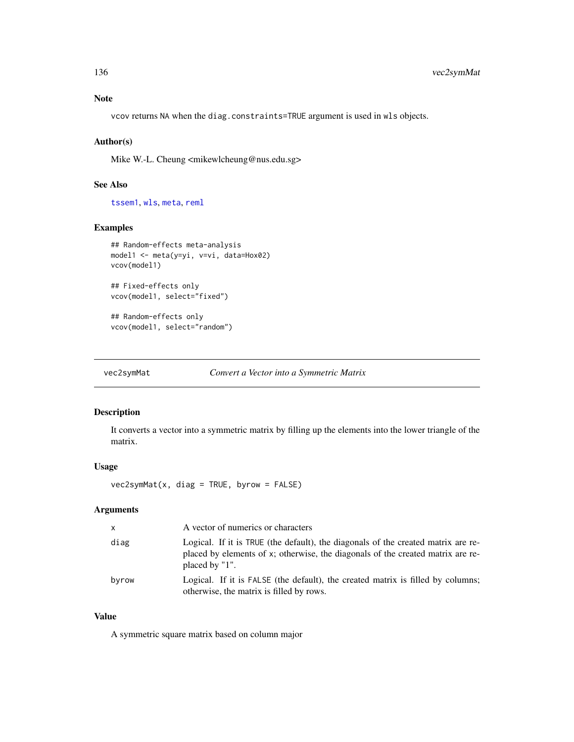# Note

vcov returns NA when the diag.constraints=TRUE argument is used in wls objects.

## Author(s)

Mike W.-L. Cheung <mikewlcheung@nus.edu.sg>

## See Also

[tssem1](#page-126-0), [wls](#page-136-0), [meta](#page-85-0), [reml](#page-110-0)

## Examples

```
## Random-effects meta-analysis
model1 <- meta(y=yi, v=vi, data=Hox02)
vcov(model1)
```
## Fixed-effects only vcov(model1, select="fixed")

## Random-effects only vcov(model1, select="random")

vec2symMat *Convert a Vector into a Symmetric Matrix*

# Description

It converts a vector into a symmetric matrix by filling up the elements into the lower triangle of the matrix.

#### Usage

vec2symMat(x, diag = TRUE, byrow = FALSE)

## Arguments

| $\mathsf{x}$ | A vector of numerics or characters                                                                                                                                                     |
|--------------|----------------------------------------------------------------------------------------------------------------------------------------------------------------------------------------|
| diag         | Logical. If it is TRUE (the default), the diagonals of the created matrix are re-<br>placed by elements of x; otherwise, the diagonals of the created matrix are re-<br>placed by "1". |
| byrow        | Logical. If it is FALSE (the default), the created matrix is filled by columns;<br>otherwise, the matrix is filled by rows.                                                            |

## Value

A symmetric square matrix based on column major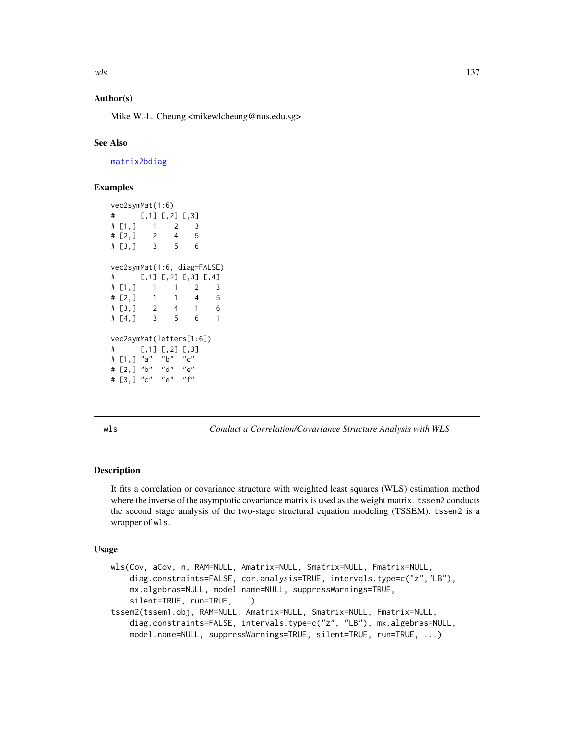## Author(s)

Mike W.-L. Cheung <mikewlcheung@nus.edu.sg>

## See Also

[matrix2bdiag](#page-84-0)

## Examples

```
vec2symMat(1:6)
# [,1] [,2] [,3]
# [1,] 1 2 3
# [2,] 2 4 5
# [3,] 3 5 6
vec2symMat(1:6, diag=FALSE)
# [,1] [,2] [,3] [,4]
# [1,] 1 1 2 3
# [2,] 1 1 4 5
# [3,] 2 4 1 6
# [4,] 3 5 6 1
vec2symMat(letters[1:6])
# [,1] [,2] [,3]
# [1,] "a" "b" "c"
# [2,] "b" "d" "e"
# [3,] "c" "e" "f"
```
<span id="page-136-0"></span>wls *Conduct a Correlation/Covariance Structure Analysis with WLS*

## **Description**

It fits a correlation or covariance structure with weighted least squares (WLS) estimation method where the inverse of the asymptotic covariance matrix is used as the weight matrix. tssem2 conducts the second stage analysis of the two-stage structural equation modeling (TSSEM). tssem2 is a wrapper of wls.

#### Usage

```
wls(Cov, aCov, n, RAM=NULL, Amatrix=NULL, Smatrix=NULL, Fmatrix=NULL,
    diag.constraints=FALSE, cor.analysis=TRUE, intervals.type=c("z","LB"),
   mx.algebras=NULL, model.name=NULL, suppressWarnings=TRUE,
    silent=TRUE, run=TRUE, ...)
tssem2(tssem1.obj, RAM=NULL, Amatrix=NULL, Smatrix=NULL, Fmatrix=NULL,
    diag.constraints=FALSE, intervals.type=c("z", "LB"), mx.algebras=NULL,
   model.name=NULL, suppressWarnings=TRUE, silent=TRUE, run=TRUE, ...)
```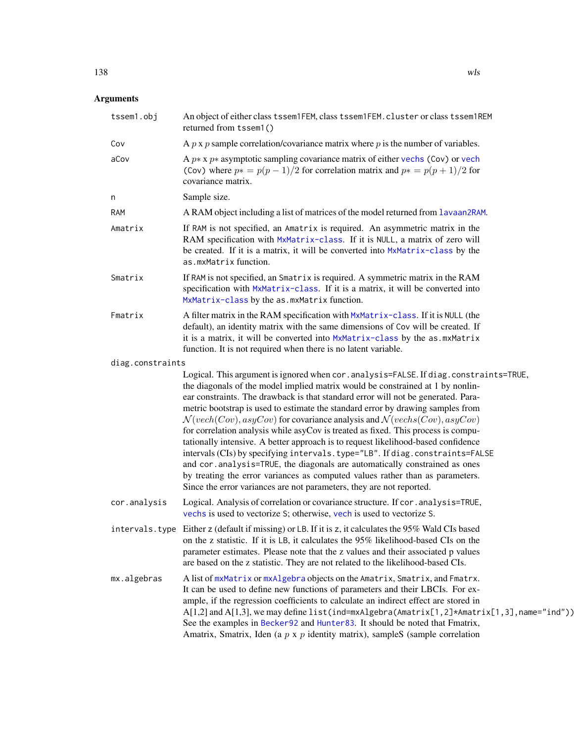| tssem1.obj       | An object of either class tssem1FEM, class tssem1FEM. cluster or class tssem1REM<br>returned from tssem1()                                                                                                                                                                                                                                                                                                                                                                                                                                                                                                                                                                                                                                                                                                                                                                                                                                        |
|------------------|---------------------------------------------------------------------------------------------------------------------------------------------------------------------------------------------------------------------------------------------------------------------------------------------------------------------------------------------------------------------------------------------------------------------------------------------------------------------------------------------------------------------------------------------------------------------------------------------------------------------------------------------------------------------------------------------------------------------------------------------------------------------------------------------------------------------------------------------------------------------------------------------------------------------------------------------------|
| Cov              | A $p \times p$ sample correlation/covariance matrix where $p$ is the number of variables.                                                                                                                                                                                                                                                                                                                                                                                                                                                                                                                                                                                                                                                                                                                                                                                                                                                         |
| aCov             | A $p * x p *$ asymptotic sampling covariance matrix of either vechs (Cov) or vech<br>(Cov) where $p* = p(p-1)/2$ for correlation matrix and $p* = p(p+1)/2$ for<br>covariance matrix.                                                                                                                                                                                                                                                                                                                                                                                                                                                                                                                                                                                                                                                                                                                                                             |
| n                | Sample size.                                                                                                                                                                                                                                                                                                                                                                                                                                                                                                                                                                                                                                                                                                                                                                                                                                                                                                                                      |
| RAM              | A RAM object including a list of matrices of the model returned from lavaan2RAM.                                                                                                                                                                                                                                                                                                                                                                                                                                                                                                                                                                                                                                                                                                                                                                                                                                                                  |
| Amatrix          | If RAM is not specified, an Amatrix is required. An asymmetric matrix in the<br>RAM specification with MxMatrix-class. If it is NULL, a matrix of zero will<br>be created. If it is a matrix, it will be converted into MxMatrix-class by the<br>as.mxMatrix function.                                                                                                                                                                                                                                                                                                                                                                                                                                                                                                                                                                                                                                                                            |
| Smatrix          | If RAM is not specified, an Smatrix is required. A symmetric matrix in the RAM<br>specification with MxMatrix-class. If it is a matrix, it will be converted into<br>MxMatrix-class by the as. mxMatrix function.                                                                                                                                                                                                                                                                                                                                                                                                                                                                                                                                                                                                                                                                                                                                 |
| Fmatrix          | A filter matrix in the RAM specification with MxMatrix-class. If it is NULL (the<br>default), an identity matrix with the same dimensions of Cov will be created. If<br>it is a matrix, it will be converted into MxMatrix-class by the as.mxMatrix<br>function. It is not required when there is no latent variable.                                                                                                                                                                                                                                                                                                                                                                                                                                                                                                                                                                                                                             |
| diag.constraints |                                                                                                                                                                                                                                                                                                                                                                                                                                                                                                                                                                                                                                                                                                                                                                                                                                                                                                                                                   |
|                  | Logical. This argument is ignored when cor. analysis=FALSE. If diag. constraints=TRUE,<br>the diagonals of the model implied matrix would be constrained at 1 by nonlin-<br>ear constraints. The drawback is that standard error will not be generated. Para-<br>metric bootstrap is used to estimate the standard error by drawing samples from<br>$\mathcal{N}(vech(Cov),asyCov)$ for covariance analysis and $\mathcal{N}(vech(Scov),asyCov)$<br>for correlation analysis while asyCov is treated as fixed. This process is compu-<br>tationally intensive. A better approach is to request likelihood-based confidence<br>intervals (CIs) by specifying intervals.type="LB". If diag.constraints=FALSE<br>and cor.analysis=TRUE, the diagonals are automatically constrained as ones<br>by treating the error variances as computed values rather than as parameters.<br>Since the error variances are not parameters, they are not reported. |
| cor.analysis     | Logical. Analysis of correlation or covariance structure. If cor.analysis=TRUE,<br>vechs is used to vectorize S; otherwise, vech is used to vectorize S.                                                                                                                                                                                                                                                                                                                                                                                                                                                                                                                                                                                                                                                                                                                                                                                          |
|                  | intervals. type Either z (default if missing) or LB. If it is z, it calculates the 95% Wald CIs based<br>on the z statistic. If it is LB, it calculates the 95% likelihood-based CIs on the<br>parameter estimates. Please note that the z values and their associated p values<br>are based on the z statistic. They are not related to the likelihood-based CIs.                                                                                                                                                                                                                                                                                                                                                                                                                                                                                                                                                                                |
| mx.algebras      | A list of mxMatrix or mxAlgebra objects on the Amatrix, Smatrix, and Fmatrx.<br>It can be used to define new functions of parameters and their LBCIs. For ex-<br>ample, if the regression coefficients to calculate an indirect effect are stored in<br>$A[1,2]$ and $A[1,3]$ , we may define list(ind=mxAlgebra(Amatrix[1,2]*Amatrix[1,3], name="ind"))<br>See the examples in Becker92 and Hunter83. It should be noted that Fmatrix,<br>Amatrix, Smatrix, Iden (a $p \times p$ identity matrix), sampleS (sample correlation                                                                                                                                                                                                                                                                                                                                                                                                                   |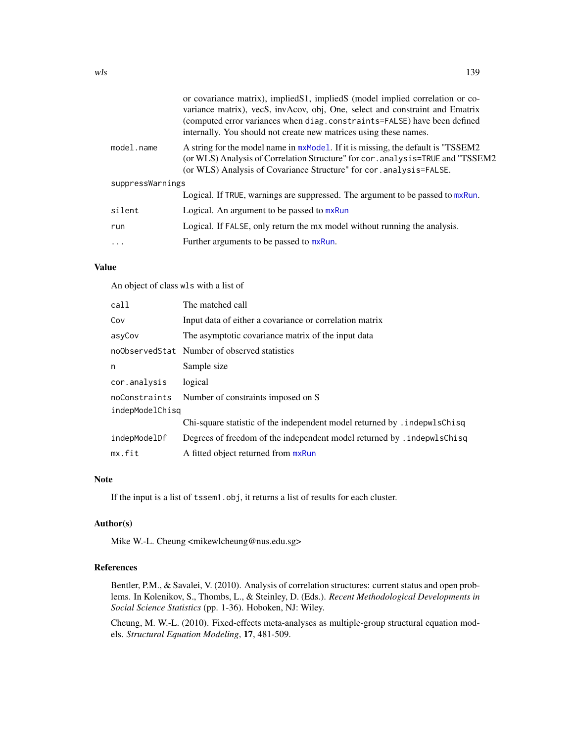|                  | or covariance matrix), implied S1, implied S (model implied correlation or co-<br>variance matrix), vecS, invAcov, obj, One, select and constraint and Ematrix<br>(computed error variances when diag.constraints=FALSE) have been defined<br>internally. You should not create new matrices using these names. |  |
|------------------|-----------------------------------------------------------------------------------------------------------------------------------------------------------------------------------------------------------------------------------------------------------------------------------------------------------------|--|
| model.name       | A string for the model name in mxModel. If it is missing, the default is "TSSEM2"<br>(or WLS) Analysis of Correlation Structure" for cor. analysis=TRUE and "TSSEM2<br>(or WLS) Analysis of Covariance Structure" for cor. analysis=FALSE.                                                                      |  |
| suppressWarnings |                                                                                                                                                                                                                                                                                                                 |  |
|                  | Logical. If TRUE, warnings are suppressed. The argument to be passed to mxRun.                                                                                                                                                                                                                                  |  |
| silent           | Logical. An argument to be passed to mxRun                                                                                                                                                                                                                                                                      |  |
| run              | Logical. If FALSE, only return the mx model without running the analysis.                                                                                                                                                                                                                                       |  |
| .                | Further arguments to be passed to mxRun.                                                                                                                                                                                                                                                                        |  |
|                  |                                                                                                                                                                                                                                                                                                                 |  |

## Value

An object of class wls with a list of

| call            | The matched call                                                          |  |
|-----------------|---------------------------------------------------------------------------|--|
| Cov             | Input data of either a covariance or correlation matrix                   |  |
| asyCov          | The asymptotic covariance matrix of the input data                        |  |
|                 | noObservedStat Number of observed statistics                              |  |
| n               | Sample size                                                               |  |
| cor.analysis    | logical                                                                   |  |
| noConstraints   | Number of constraints imposed on S                                        |  |
| indepModelChisg |                                                                           |  |
|                 | Chi-square statistic of the independent model returned by . indepwlsChisq |  |
| indepModelDf    | Degrees of freedom of the independent model returned by . indepwlsChisq   |  |
| mx.fit          | A fitted object returned from mxRun                                       |  |

## Note

If the input is a list of tssem1.obj, it returns a list of results for each cluster.

## Author(s)

Mike W.-L. Cheung <mikewlcheung@nus.edu.sg>

## References

Bentler, P.M., & Savalei, V. (2010). Analysis of correlation structures: current status and open problems. In Kolenikov, S., Thombs, L., & Steinley, D. (Eds.). *Recent Methodological Developments in Social Science Statistics* (pp. 1-36). Hoboken, NJ: Wiley.

Cheung, M. W.-L. (2010). Fixed-effects meta-analyses as multiple-group structural equation models. *Structural Equation Modeling*, 17, 481-509.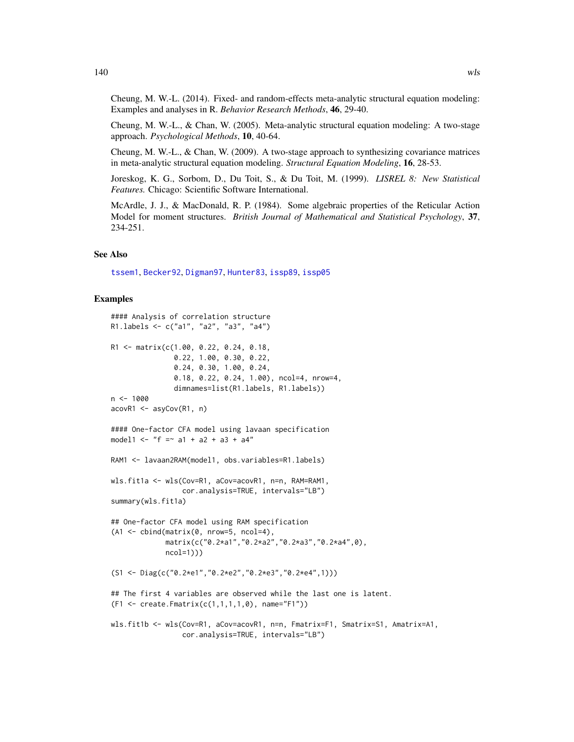Cheung, M. W.-L. (2014). Fixed- and random-effects meta-analytic structural equation modeling: Examples and analyses in R. *Behavior Research Methods*, 46, 29-40.

Cheung, M. W.-L., & Chan, W. (2005). Meta-analytic structural equation modeling: A two-stage approach. *Psychological Methods*, 10, 40-64.

Cheung, M. W.-L., & Chan, W. (2009). A two-stage approach to synthesizing covariance matrices in meta-analytic structural equation modeling. *Structural Equation Modeling*, 16, 28-53.

Joreskog, K. G., Sorbom, D., Du Toit, S., & Du Toit, M. (1999). *LISREL 8: New Statistical Features.* Chicago: Scientific Software International.

McArdle, J. J., & MacDonald, R. P. (1984). Some algebraic properties of the Reticular Action Model for moment structures. *British Journal of Mathematical and Statistical Psychology*, 37, 234-251.

#### See Also

[tssem1](#page-126-0), [Becker92](#page-22-0), [Digman97](#page-56-0), [Hunter83](#page-64-0), [issp89](#page-73-0), [issp05](#page-72-0)

## Examples

```
#### Analysis of correlation structure
R1.labels <- c("a1", "a2", "a3", "a4")
R1 <- matrix(c(1.00, 0.22, 0.24, 0.18,
               0.22, 1.00, 0.30, 0.22,
               0.24, 0.30, 1.00, 0.24,
               0.18, 0.22, 0.24, 1.00), ncol=4, nrow=4,
                dimnames=list(R1.labels, R1.labels))
n < - 1000acovR1 <- asyCov(R1, n)
#### One-factor CFA model using lavaan specification
model1 <- "f = \sim a1 + a2 + a3 + a4"
RAM1 <- lavaan2RAM(model1, obs.variables=R1.labels)
wls.fit1a <- wls(Cov=R1, aCov=acovR1, n=n, RAM=RAM1,
                 cor.analysis=TRUE, intervals="LB")
summary(wls.fit1a)
## One-factor CFA model using RAM specification
(A1 \leq \text{cbind}(\text{matrix}(0, \text{now=}5, \text{ncol=4})).matrix(c("0.2*a1","0.2*a2","0.2*a3","0.2*a4",0),
             ncol=1)))
(S1 <- Diag(c("0.2*e1","0.2*e2","0.2*e3","0.2*e4",1)))
## The first 4 variables are observed while the last one is latent.
(F1 <- create.Fmatrix(c(1,1,1,1,0), name="F1"))
wls.fit1b <- wls(Cov=R1, aCov=acovR1, n=n, Fmatrix=F1, Smatrix=S1, Amatrix=A1,
                 cor.analysis=TRUE, intervals="LB")
```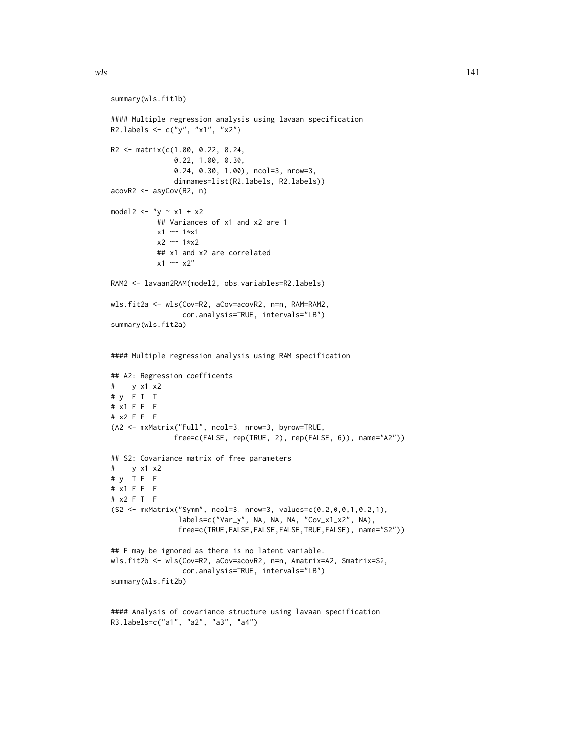```
summary(wls.fit1b)
#### Multiple regression analysis using lavaan specification
R2.labels \leq c("y", "x1", "x2")
R2 <- matrix(c(1.00, 0.22, 0.24,
               0.22, 1.00, 0.30,
               0.24, 0.30, 1.00), ncol=3, nrow=3,
               dimnames=list(R2.labels, R2.labels))
acovR2 <- asyCov(R2, n)
model2 \leftarrow "y \sim x1 + x2
           ## Variances of x1 and x2 are 1
           x1 ~~ 1*x1
           x2 \sim 1*x2## x1 and x2 are correlated
           x1 \sim x2"
RAM2 <- lavaan2RAM(model2, obs.variables=R2.labels)
wls.fit2a <- wls(Cov=R2, aCov=acovR2, n=n, RAM=RAM2,
                 cor.analysis=TRUE, intervals="LB")
summary(wls.fit2a)
#### Multiple regression analysis using RAM specification
## A2: Regression coefficents
# y x1 x2
# y F T T
# x1 F F F
# x2 F F F
(A2 <- mxMatrix("Full", ncol=3, nrow=3, byrow=TRUE,
               free=c(FALSE, rep(TRUE, 2), rep(FALSE, 6)), name="A2"))
## S2: Covariance matrix of free parameters
# y x1 x2
# y T F F
# x1 F F F
# x2 F T F
(S2 <- mxMatrix("Symm", ncol=3, nrow=3, values=c(0.2,0,0,1,0.2,1),
                labels=c("Var_y", NA, NA, NA, "Cov_x1_x2", NA),
                free=c(TRUE,FALSE,FALSE,FALSE,TRUE,FALSE), name="S2"))
## F may be ignored as there is no latent variable.
wls.fit2b <- wls(Cov=R2, aCov=acovR2, n=n, Amatrix=A2, Smatrix=S2,
                 cor.analysis=TRUE, intervals="LB")
summary(wls.fit2b)
#### Analysis of covariance structure using lavaan specification
```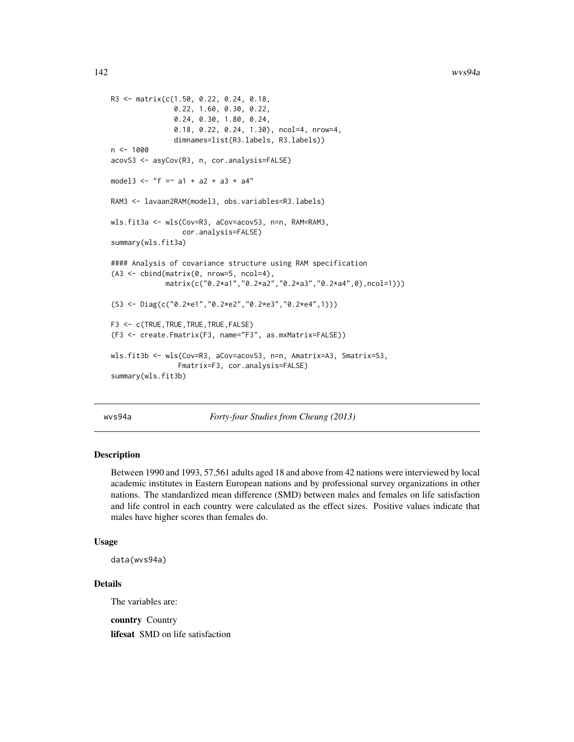```
R3 <- matrix(c(1.50, 0.22, 0.24, 0.18,
               0.22, 1.60, 0.30, 0.22,
               0.24, 0.30, 1.80, 0.24,
               0.18, 0.22, 0.24, 1.30), ncol=4, nrow=4,
               dimnames=list(R3.labels, R3.labels))
n < - 1000acovS3 <- asyCov(R3, n, cor.analysis=FALSE)
model3 <- "f = \sim a1 + a2 + a3 + a4"
RAM3 <- lavaan2RAM(model3, obs.variables=R3.labels)
wls.fit3a <- wls(Cov=R3, aCov=acovS3, n=n, RAM=RAM3,
                 cor.analysis=FALSE)
summary(wls.fit3a)
#### Analysis of covariance structure using RAM specification
(A3 \leq \text{cbind}(\text{matrix}(0, \text{now=}5, \text{ncol=}4)),matrix(c("0.2*a1","0.2*a2","0.2*a3","0.2*a4",0),ncol=1)))
(S3 <- Diag(c("0.2*e1","0.2*e2","0.2*e3","0.2*e4",1)))
F3 <- c(TRUE,TRUE,TRUE,TRUE,FALSE)
(F3 <- create.Fmatrix(F3, name="F3", as.mxMatrix=FALSE))
wls.fit3b <- wls(Cov=R3, aCov=acovS3, n=n, Amatrix=A3, Smatrix=S3,
                 Fmatrix=F3, cor.analysis=FALSE)
summary(wls.fit3b)
```
wvs94a *Forty-four Studies from Cheung (2013)*

## Description

Between 1990 and 1993, 57,561 adults aged 18 and above from 42 nations were interviewed by local academic institutes in Eastern European nations and by professional survey organizations in other nations. The standardized mean difference (SMD) between males and females on life satisfaction and life control in each country were calculated as the effect sizes. Positive values indicate that males have higher scores than females do.

## Usage

data(wvs94a)

## Details

The variables are:

country Country lifesat SMD on life satisfaction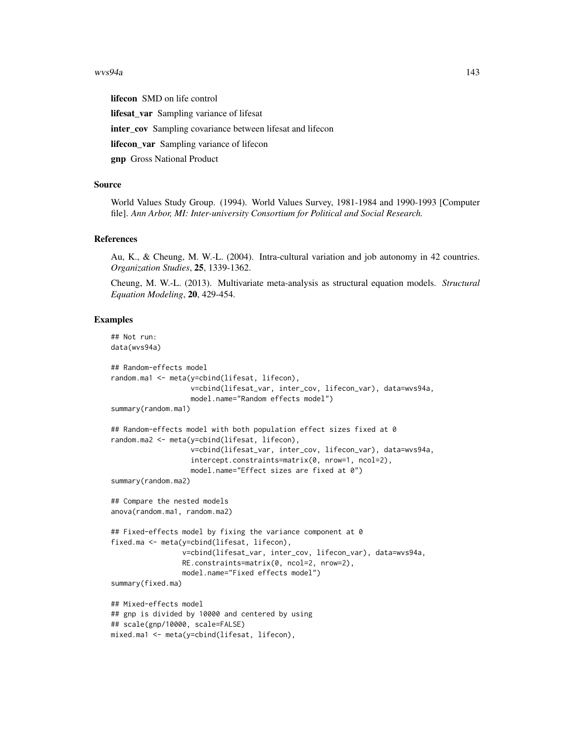#### wvs94a 143

lifecon SMD on life control lifesat var Sampling variance of lifesat inter\_cov Sampling covariance between lifesat and lifecon lifecon\_var Sampling variance of lifecon gnp Gross National Product

## Source

World Values Study Group. (1994). World Values Survey, 1981-1984 and 1990-1993 [Computer file]. *Ann Arbor, MI: Inter-university Consortium for Political and Social Research.*

#### References

Au, K., & Cheung, M. W.-L. (2004). Intra-cultural variation and job autonomy in 42 countries. *Organization Studies*, 25, 1339-1362.

Cheung, M. W.-L. (2013). Multivariate meta-analysis as structural equation models. *Structural Equation Modeling*, 20, 429-454.

#### Examples

```
## Not run:
data(wvs94a)
## Random-effects model
random.ma1 <- meta(y=cbind(lifesat, lifecon),
                   v=cbind(lifesat_var, inter_cov, lifecon_var), data=wvs94a,
                   model.name="Random effects model")
summary(random.ma1)
## Random-effects model with both population effect sizes fixed at 0
random.ma2 <- meta(y=cbind(lifesat, lifecon),
                   v=cbind(lifesat_var, inter_cov, lifecon_var), data=wvs94a,
                   intercept.constraints=matrix(0, nrow=1, ncol=2),
                   model.name="Effect sizes are fixed at 0")
summary(random.ma2)
## Compare the nested models
anova(random.ma1, random.ma2)
## Fixed-effects model by fixing the variance component at 0
fixed.ma <- meta(y=cbind(lifesat, lifecon),
                 v=cbind(lifesat_var, inter_cov, lifecon_var), data=wvs94a,
                 RE.constraints=matrix(0, ncol=2, nrow=2),
                 model.name="Fixed effects model")
summary(fixed.ma)
## Mixed-effects model
## gnp is divided by 10000 and centered by using
## scale(gnp/10000, scale=FALSE)
mixed.ma1 <- meta(y=cbind(lifesat, lifecon),
```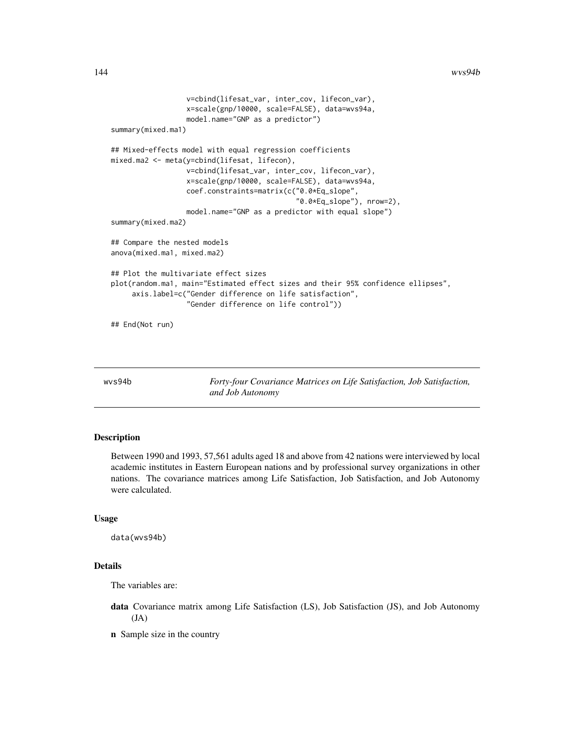```
v=cbind(lifesat_var, inter_cov, lifecon_var),
                  x=scale(gnp/10000, scale=FALSE), data=wvs94a,
                  model.name="GNP as a predictor")
summary(mixed.ma1)
## Mixed-effects model with equal regression coefficients
mixed.ma2 <- meta(y=cbind(lifesat, lifecon),
                  v=cbind(lifesat_var, inter_cov, lifecon_var),
                  x=scale(gnp/10000, scale=FALSE), data=wvs94a,
                  coef.constraints=matrix(c("0.0*Eq_slope",
                                             "0.0*Eq_slope"), nrow=2),
                  model.name="GNP as a predictor with equal slope")
summary(mixed.ma2)
## Compare the nested models
anova(mixed.ma1, mixed.ma2)
## Plot the multivariate effect sizes
plot(random.ma1, main="Estimated effect sizes and their 95% confidence ellipses",
     axis.label=c("Gender difference on life satisfaction",
                  "Gender difference on life control"))
## End(Not run)
```
wvs94b *Forty-four Covariance Matrices on Life Satisfaction, Job Satisfaction, and Job Autonomy*

#### Description

Between 1990 and 1993, 57,561 adults aged 18 and above from 42 nations were interviewed by local academic institutes in Eastern European nations and by professional survey organizations in other nations. The covariance matrices among Life Satisfaction, Job Satisfaction, and Job Autonomy were calculated.

#### Usage

data(wvs94b)

#### Details

The variables are:

- data Covariance matrix among Life Satisfaction (LS), Job Satisfaction (JS), and Job Autonomy (JA)
- n Sample size in the country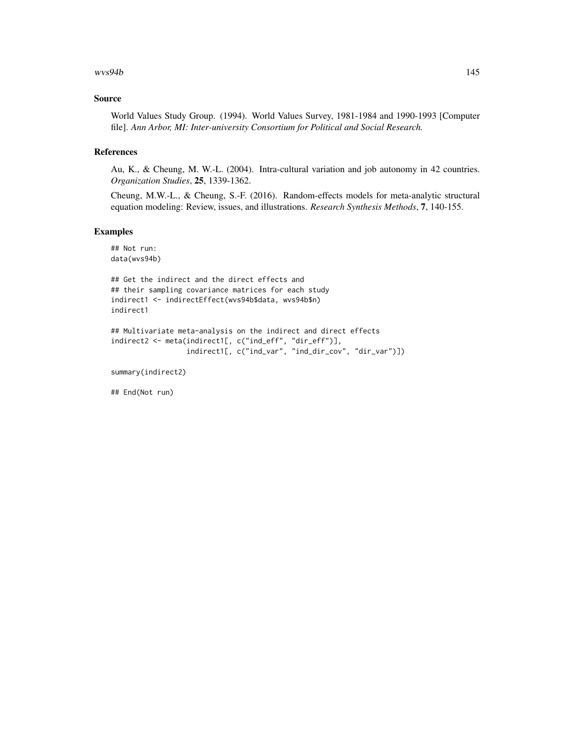#### $wvs94b$  145

### Source

World Values Study Group. (1994). World Values Survey, 1981-1984 and 1990-1993 [Computer file]. *Ann Arbor, MI: Inter-university Consortium for Political and Social Research.*

#### References

Au, K., & Cheung, M. W.-L. (2004). Intra-cultural variation and job autonomy in 42 countries. *Organization Studies*, 25, 1339-1362.

Cheung, M.W.-L., & Cheung, S.-F. (2016). Random-effects models for meta-analytic structural equation modeling: Review, issues, and illustrations. *Research Synthesis Methods*, 7, 140-155.

### Examples

## Not run: data(wvs94b)

```
## Get the indirect and the direct effects and
## their sampling covariance matrices for each study
indirect1 <- indirectEffect(wvs94b$data, wvs94b$n)
indirect1
```

```
## Multivariate meta-analysis on the indirect and direct effects
indirect2 <- meta(indirect1[, c("ind_eff", "dir_eff")],
                  indirect1[, c("ind_var", "ind_dir_cov", "dir_var")])
```
summary(indirect2)

## End(Not run)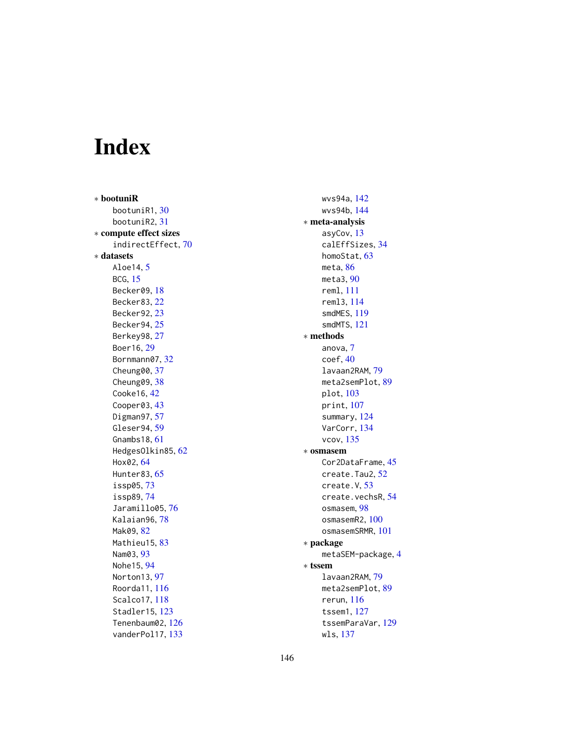# Index

∗ bootuniR bootuniR1, [30](#page-29-0) bootuniR2, [31](#page-30-0) ∗ compute effect sizes indirectEffect, [70](#page-69-0) ∗ datasets Aloe14, [5](#page-4-0) BCG, [15](#page-14-0) Becker09, [18](#page-17-0) Becker83, [22](#page-21-0) Becker92, [23](#page-22-0) Becker94, [25](#page-24-0) Berkey98, [27](#page-26-0) Boer16, [29](#page-28-0) Bornmann07, [32](#page-31-0) Cheung00, [37](#page-36-0) Cheung09, [38](#page-37-0) Cooke16, [42](#page-41-0) Cooper03, [43](#page-42-0) Digman97, [57](#page-56-0) Gleser94, [59](#page-58-0) Gnambs18, [61](#page-60-0) HedgesOlkin85, [62](#page-61-0) Hox02, [64](#page-63-0) Hunter83, [65](#page-64-0) issp05, [73](#page-72-0) issp89, [74](#page-73-0) Jaramillo05, [76](#page-75-0) Kalaian96, [78](#page-77-0) Mak09, [82](#page-81-0) Mathieu15, [83](#page-82-0) Nam03, [93](#page-92-0) Nohe15, [94](#page-93-0) Norton13, [97](#page-96-0) Roorda11, [116](#page-115-0) Scalco17, [118](#page-117-0) Stadler15, [123](#page-122-0) Tenenbaum02, [126](#page-125-0) vanderPol17, [133](#page-132-0)

wvs94a, [142](#page-141-0) wvs94b, [144](#page-143-0) ∗ meta-analysis asyCov, [13](#page-12-0) calEffSizes, [34](#page-33-0) homoStat, [63](#page-62-0) meta, [86](#page-85-0) meta3, [90](#page-89-0) reml, [111](#page-110-0) reml3, [114](#page-113-0) smdMES, [119](#page-118-0) smdMTS, [121](#page-120-0) ∗ methods anova, [7](#page-6-0) coef, [40](#page-39-0) lavaan2RAM, [79](#page-78-0) meta2semPlot, [89](#page-88-0) plot, [103](#page-102-0) print, [107](#page-106-0) summary, [124](#page-123-0) VarCorr, [134](#page-133-0) vcov, [135](#page-134-0) ∗ osmasem Cor2DataFrame, [45](#page-44-0) create.Tau2, [52](#page-51-0) create.V, [53](#page-52-0) create.vechsR, [54](#page-53-0) osmasem, [98](#page-97-0) osmasemR2, [100](#page-99-0) osmasemSRMR, [101](#page-100-0) ∗ package metaSEM-package, [4](#page-3-0) ∗ tssem lavaan2RAM, [79](#page-78-0) meta2semPlot, [89](#page-88-0) rerun, [116](#page-115-0) tssem1, [127](#page-126-0) tssemParaVar, [129](#page-128-0) wls, [137](#page-136-0)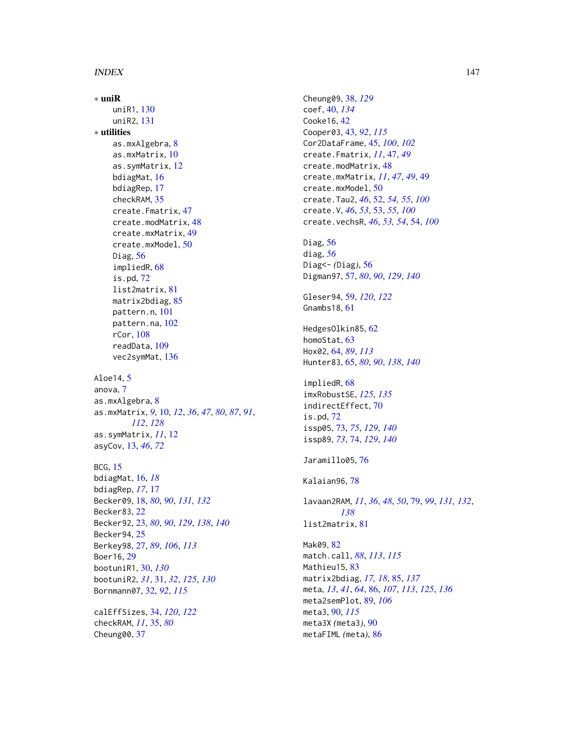## INDEX 147

∗ uniR uniR1, [130](#page-129-0) uniR2, [131](#page-130-0) ∗ utilities as.mxAlgebra, [8](#page-7-0) as.mxMatrix, [10](#page-9-0) as.symMatrix, [12](#page-11-0) bdiagMat, [16](#page-15-0) bdiagRep, [17](#page-16-0) checkRAM, [35](#page-34-0) create.Fmatrix, [47](#page-46-0) create.modMatrix, [48](#page-47-0) create.mxMatrix, [49](#page-48-0) create.mxModel, [50](#page-49-0) Diag,  $56$ impliedR, [68](#page-67-0) is.pd, [72](#page-71-0) list2matrix, [81](#page-80-0) matrix2bdiag, [85](#page-84-0) pattern.n, [101](#page-100-0) pattern.na, [102](#page-101-0) rCor, [108](#page-107-0) readData, [109](#page-108-0) vec2symMat, [136](#page-135-0) Aloe14, [5](#page-4-0) anova, [7](#page-6-0) as.mxAlgebra, [8](#page-7-0) as.mxMatrix, *[9](#page-8-0)*, [10,](#page-9-0) *[12](#page-11-0)*, *[36](#page-35-0)*, *[47](#page-46-0)*, *[80](#page-79-0)*, *[87](#page-86-0)*, *[91](#page-90-0)*, *[112](#page-111-0)*, *[128](#page-127-0)* as.symMatrix, *[11](#page-10-0)*, [12](#page-11-0) asyCov, [13,](#page-12-0) *[46](#page-45-0)*, *[72](#page-71-0)* BCG, [15](#page-14-0) bdiagMat, [16,](#page-15-0) *[18](#page-17-0)* bdiagRep, *[17](#page-16-0)*, [17](#page-16-0) Becker09, [18,](#page-17-0) *[80](#page-79-0)*, *[90](#page-89-0)*, *[131,](#page-130-0) [132](#page-131-0)* Becker83, [22](#page-21-0) Becker92, [23,](#page-22-0) *[80](#page-79-0)*, *[90](#page-89-0)*, *[129](#page-128-0)*, *[138](#page-137-0)*, *[140](#page-139-0)* Becker94, [25](#page-24-0) Berkey98, [27,](#page-26-0) *[89](#page-88-0)*, *[106](#page-105-0)*, *[113](#page-112-0)* Boer16, [29](#page-28-0) bootuniR1, [30,](#page-29-0) *[130](#page-129-0)* bootuniR2, *[31](#page-30-0)*, [31,](#page-30-0) *[32](#page-31-0)*, *[125](#page-124-0)*, *[130](#page-129-0)* Bornmann07, [32,](#page-31-0) *[92](#page-91-0)*, *[115](#page-114-0)* calEffSizes, [34,](#page-33-0) *[120](#page-119-0)*, *[122](#page-121-0)* checkRAM, *[11](#page-10-0)*, [35,](#page-34-0) *[80](#page-79-0)*

Cheung00, [37](#page-36-0)

Cheung09, [38,](#page-37-0) *[129](#page-128-0)* coef, [40,](#page-39-0) *[134](#page-133-0)* Cooke16, [42](#page-41-0) Cooper03, [43,](#page-42-0) *[92](#page-91-0)*, *[115](#page-114-0)* Cor2DataFrame, [45,](#page-44-0) *[100](#page-99-0)*, *[102](#page-101-0)* create.Fmatrix, *[11](#page-10-0)*, [47,](#page-46-0) *[49](#page-48-0)* create.modMatrix, [48](#page-47-0) create.mxMatrix, *[11](#page-10-0)*, *[47](#page-46-0)*, *[49](#page-48-0)*, [49](#page-48-0) create.mxModel, [50](#page-49-0) create.Tau2, *[46](#page-45-0)*, [52,](#page-51-0) *[54,](#page-53-0) [55](#page-54-0)*, *[100](#page-99-0)* create.V, *[46](#page-45-0)*, *[53](#page-52-0)*, [53,](#page-52-0) *[55](#page-54-0)*, *[100](#page-99-0)* create.vechsR, *[46](#page-45-0)*, *[53,](#page-52-0) [54](#page-53-0)*, [54,](#page-53-0) *[100](#page-99-0)* Diag, [56](#page-55-0) diag, *[56](#page-55-0)* Diag<- *(*Diag*)*, [56](#page-55-0) Digman97, [57,](#page-56-0) *[80](#page-79-0)*, *[90](#page-89-0)*, *[129](#page-128-0)*, *[140](#page-139-0)* Gleser94, [59,](#page-58-0) *[120](#page-119-0)*, *[122](#page-121-0)* Gnambs18, [61](#page-60-0) HedgesOlkin85, [62](#page-61-0) homoStat, [63](#page-62-0) Hox02, [64,](#page-63-0) *[89](#page-88-0)*, *[113](#page-112-0)* Hunter83, [65,](#page-64-0) *[80](#page-79-0)*, *[90](#page-89-0)*, *[138](#page-137-0)*, *[140](#page-139-0)* impliedR, [68](#page-67-0) imxRobustSE, *[125](#page-124-0)*, *[135](#page-134-0)* indirectEffect, [70](#page-69-0) is.pd, [72](#page-71-0) issp05, [73,](#page-72-0) *[75](#page-74-0)*, *[129](#page-128-0)*, *[140](#page-139-0)* issp89, *[73](#page-72-0)*, [74,](#page-73-0) *[129](#page-128-0)*, *[140](#page-139-0)* Jaramillo05, [76](#page-75-0) Kalaian96, [78](#page-77-0) lavaan2RAM, *[11](#page-10-0)*, *[36](#page-35-0)*, *[48](#page-47-0)*, *[50](#page-49-0)*, [79,](#page-78-0) *[99](#page-98-0)*, *[131,](#page-130-0) [132](#page-131-0)*, *[138](#page-137-0)* list2matrix, [81](#page-80-0) Mak09, [82](#page-81-0) match.call, *[88](#page-87-0)*, *[113](#page-112-0)*, *[115](#page-114-0)* Mathieu15, [83](#page-82-0) matrix2bdiag, *[17,](#page-16-0) [18](#page-17-0)*, [85,](#page-84-0) *[137](#page-136-0)* meta, *[13](#page-12-0)*, *[41](#page-40-0)*, *[64](#page-63-0)*, [86,](#page-85-0) *[107](#page-106-0)*, *[113](#page-112-0)*, *[125](#page-124-0)*, *[136](#page-135-0)* meta2semPlot, [89,](#page-88-0) *[106](#page-105-0)* meta3, [90,](#page-89-0) *[115](#page-114-0)* meta3X *(*meta3*)*, [90](#page-89-0) metaFIML *(*meta*)*, [86](#page-85-0)